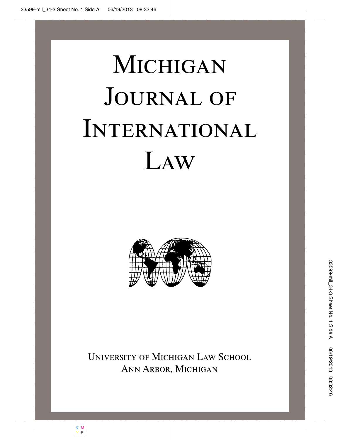# **MICHIGAN** JOURNAL OF International Law



University of Michigan Law School Ann Arbor, Michigan

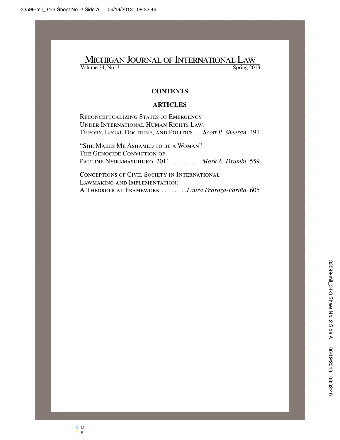# Michigan Journal of International Law

Volume 34, No. 3 Spring 2013

C M Y | K

#### **CONTENTS**

#### **ARTICLES**

Reconceptualizing States of Emergency Under International Human Rights Law: Theory, Legal Doctrine, and Politics . . .*Scott P. Sheeran* 491

"She Makes Me Ashamed to be a Woman": THE GENOCIDE CONVICTION OF Pauline Nyiramasuhuko, 2011 . . . . . . . . . *Mark A. Drumbl* 559

Conceptions of Civil Society in International Lawmaking and Implementation: A Theoretical Framework . . . . . . . .*Laura Pedraza-Fariña* 605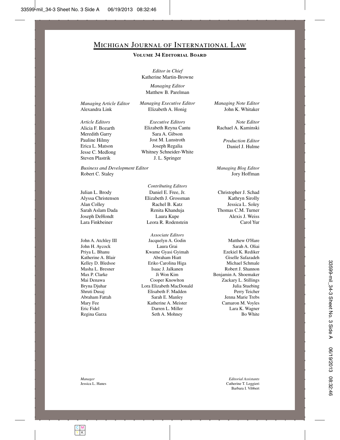## Michigan Journal of International Law

#### **Volume 34 Editorial Board**

*Editor in Chief* Katherine Martin-Browne

*Managing Editor* Matthew B. Parelman

*Managing Article Editor* Alexandra Link

*Managing Executive Editor* Elizabeth A. Honig

*Article Editors* Alicia F. Bozarth Meredith Garry Pauline Hilmy Erica L. Matson Jesse C. Medlong Steven Plastrik

*Business and Development Editor* Robert C. Staley

Julian L. Brody Alyssa Christensen Alan Colley Sarah Aslam Dada Joseph DeHondt Lara Finkbeiner

John A. Atchley III John H. Aycock Priya L. Bhanu Katherine A. Blair Kelley D. Bledsoe Masha L. Bresner Max P. Clarke Mai Denawa Bryna Djuhar Shruti Dusaj Abraham Fattah Mary Fee Eric Fidel Regina Garza

*Executive Editors* Elizabeth Reyna Cantu Sara A. Gibson Jost M. Lunstroth Joseph Regalia Whitney Schneider-White J. L. Springer

*Contributing Editors* Daniel E. Free, Jr. Elizabeth J. Grossman Rachel B. Katz Renita Khanduja Laura Kupe Leora R. Rodenstein

*Associate Editors* Jacquelyn A. Godin Laura Grai Kwame Gyasi Gyimah Abraham Hiatt Eriko Carolina Higa Isaac J. Jalkanen Ji Won Kim Cooper Knowlton Lora Elizabeth MacDonald Elisabeth F. Madden Sarah E. Manley Katherine A. Meister Darren L. Miller Seth A. Mohney

*Managing Note Editor* John K. Whitaker

*Note Editor* Rachael A. Kaminski

> *Production Editor* Daniel J. Hulme

*Managing Blog Editor* Jory Hoffman

Christopher J. Schad Kathryn Sirolly Jessica L. Soley Thomas C.M. Turner Alexis J. Weiss Carol Yur

Matthew O'Hare Sarah A. Oliai Ezekiel K. Rediker Giselle Safazadeh Michael Schmale Robert J. Shannon Benjamin A. Shoemaker Zackary L. Stillings Julia Stuebing Perry Teicher Jenna Marie Trebs Camaron M. Voyles Lara K. Wagner Bo White

> *Editorial Assistants* Catherine T. Leggieri Barbara I. Vibbert

*Manager* Jessica L. Hanes

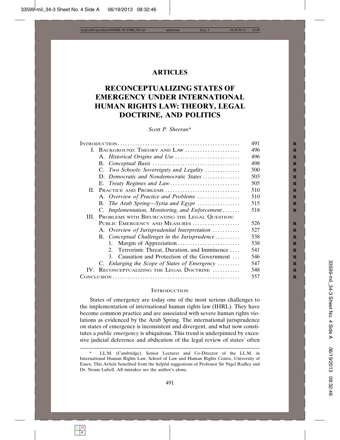C M Y | K

### **ARTICLES**

 $\overline{\text{Niciprodl}}$  10-JUN-13 12:49

# **RECONCEPTUALIZING STATES OF EMERGENCY UNDER INTERNATIONAL HUMAN RIGHTS LAW: THEORY, LEGAL DOCTRINE, AND POLITICS**

*Scott P. Sheeran\**

|  |                                                    | 491 | R |
|--|----------------------------------------------------|-----|---|
|  | I. BACKGROUND: THEORY AND LAW                      | 496 | R |
|  |                                                    | 496 | R |
|  |                                                    | 498 | R |
|  | C. Two Schools: Sovereignty and Legality           | 500 | R |
|  | D. Democratic and Nondemocratic States             | 503 | R |
|  |                                                    | 505 | R |
|  | II. PRACTICE AND PROBLEMS                          | 510 | R |
|  | A. Overview of Practice and Problems               | 510 | R |
|  | B. The Arab Spring-Syria and Egypt                 | 515 | R |
|  | C. Implementation, Monitoring, and Enforcement     | 518 | R |
|  | III. PROBLEMS WITH BIFURCATING THE LEGAL QUESTION: |     |   |
|  | PUBLIC EMERGENCY AND MEASURES                      | 526 | R |
|  | A. Overview of Jurisprudential Interpretation      | 527 | R |
|  | B. Conceptual Challenges in the Jurisprudence      | 538 | R |
|  | 1.                                                 | 538 | R |
|  | 2.<br>Terrorism: Threat, Duration, and Imminence   | 541 | R |
|  | 3.<br>Causation and Protection of the Government   | 546 | R |
|  | C. Enlarging the Scope of States of Emergency      | 547 | R |
|  | IV. RECONCEPTUALIZING THE LEGAL DOCTRINE           | 548 | R |
|  |                                                    | 557 | R |
|  |                                                    |     |   |

#### **INTRODUCTION**

States of emergency are today one of the most serious challenges to the implementation of international human rights law (IHRL). They have become common practice and are associated with severe human rights violations as evidenced by the Arab Spring. The international jurisprudence on states of emergency is inconsistent and divergent, and what now constitutes a *public emergency* is ubiquitous. This trend is underpinned by excessive judicial deference and abdication of the legal review of states' often

<sup>\*</sup> LL.M. (Cambridge). Senior Lecturer and Co-Director of the LL.M. in International Human Rights Law, School of Law and Human Rights Centre, University of Essex. This Article benefited from the helpful suggestions of Professor Sir Nigel Rodley and Dr. Noam Lubell. All mistakes are the author's alone.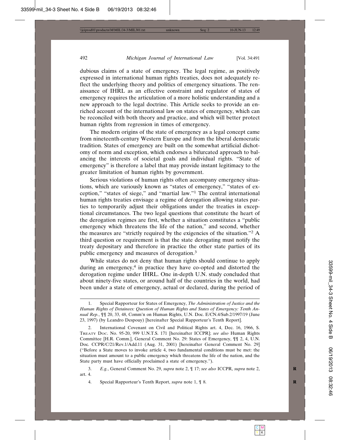\\jciprod01\productn\M\MIL\34-3\MIL301.txt unknown Seq: 2 10-JUN-13 12:49

#### 492 *Michigan Journal of International Law* [Vol. 34:491

dubious claims of a state of emergency. The legal regime, as positively expressed in international human rights treaties, does not adequately reflect the underlying theory and politics of emergency situations. The renaissance of IHRL as an effective constraint and regulator of states of emergency requires the articulation of a more holistic understanding and a new approach to the legal doctrine. This Article seeks to provide an enriched account of the international law on states of emergency, which can be reconciled with both theory and practice, and which will better protect human rights from regression in times of emergency.

The modern origins of the state of emergency as a legal concept came from nineteenth-century Western Europe and from the liberal democratic tradition. States of emergency are built on the somewhat artificial dichotomy of norm and exception, which endorses a bifurcated approach to balancing the interests of societal goals and individual rights. "State of emergency" is therefore a label that may provide instant legitimacy to the greater limitation of human rights by government.

Serious violations of human rights often accompany emergency situations, which are variously known as "states of emergency," "states of exception," "states of siege," and "martial law."1 The central international human rights treaties envisage a regime of derogation allowing states parties to temporarily adjust their obligations under the treaties in exceptional circumstances. The two legal questions that constitute the heart of the derogation regimes are first, whether a situation constitutes a "public emergency which threatens the life of the nation," and second, whether the measures are "strictly required by the exigencies of the situation."2 A third question or requirement is that the state derogating must notify the treaty depositary and therefore in practice the other state parties of its public emergency and measures of derogation.3

While states do not deny that human rights should continue to apply during an emergency,<sup>4</sup> in practice they have co-opted and distorted the derogation regime under IHRL. One in-depth U.N. study concluded that about ninety-five states, or around half of the countries in the world, had been under a state of emergency, actual or declared, during the period of

3. *E.g.*, General Comment No. 29, *supra* note 2, ¶ 17; *see also* ICCPR, *supra* note 2, **R** art. 4.

4. Special Rapporteur's Tenth Report, *supra* note 1, ¶ 8. **R**

<sup>1.</sup> Special Rapporteur for States of Emergency, *The Administration of Justice and the Human Rights of Detainees: Question of Human Rights and States of Emergency: Tenth Annual Rep.*, ¶¶ 20, 33, 48, Comm'n on Human Rights, U.N. Doc. E/CN.4/Sub.2/1997/19 (June 23, 1997) (by Leandro Despouy) [hereinafter Special Rapporteur's Tenth Report].

<sup>2.</sup> International Covenant on Civil and Political Rights art. 4, Dec. 16, 1966, S. TREATY DOC. No. 95-20, 999 U.N.T.S. 171 [hereinafter ICCPR]; *see also* Human Rights Committee [H.R. Comm.], General Comment No. 29: States of Emergency, ¶¶ 2, 4, U.N. Doc. CCPR/C/21/Rev.1/Add.11 (Aug. 31, 2001) [hereinafter General Comment No. 29] ("Before a State moves to invoke article 4, two fundamental conditions must be met: the situation must amount to a public emergency which threatens the life of the nation, and the State party must have officially proclaimed a state of emergency.").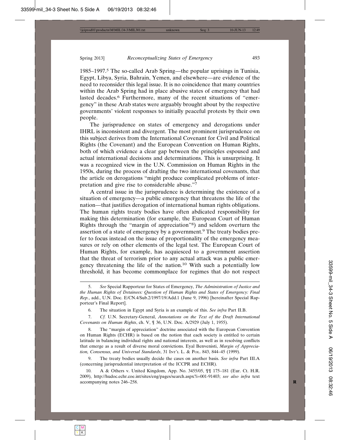\\jciprod01\productn\M\MIL\34-3\MIL301.txt unknown Seq: 3 10-JUN-13 12:49

C M Y | K

#### Spring 2013] *Reconceptualizing States of Emergency* 493

1985–1997.5 The so-called Arab Spring—the popular uprisings in Tunisia, Egypt, Libya, Syria, Bahrain, Yemen, and elsewhere—are evidence of the need to reconsider this legal issue. It is no coincidence that many countries within the Arab Spring had in place abusive states of emergency that had lasted decades.6 Furthermore, many of the recent situations of "emergency" in these Arab states were arguably brought about by the respective governments' violent responses to initially peaceful protests by their own people.

The jurisprudence on states of emergency and derogations under IHRL is inconsistent and divergent. The most prominent jurisprudence on this subject derives from the International Covenant for Civil and Political Rights (the Covenant) and the European Convention on Human Rights, both of which evidence a clear gap between the principles espoused and actual international decisions and determinations. This is unsurprising. It was a recognized view in the U.N. Commission on Human Rights in the 1950s, during the process of drafting the two international covenants, that the article on derogations "might produce complicated problems of interpretation and give rise to considerable abuse."7

A central issue in the jurisprudence is determining the existence of a situation of emergency—a public emergency that threatens the life of the nation—that justifies derogation of international human rights obligations. The human rights treaty bodies have often abdicated responsibility for making this determination (for example, the European Court of Human Rights through the "margin of appreciation"8) and seldom overturn the assertion of a state of emergency by a government.9 The treaty bodies prefer to focus instead on the issue of proportionality of the emergency measures or rely on other elements of the legal test. The European Court of Human Rights, for example, has acquiesced to a government assertion that the threat of terrorism prior to any actual attack was a public emergency threatening the life of the nation.10 With such a potentially low threshold, it has become commonplace for regimes that do not respect

9. The treaty bodies usually decide the cases on another basis. *See infra* Part III.A (concerning jurisprudential interpretation of the ICCPR and ECHR).

<sup>5.</sup> *See* Special Rapporteur for States of Emergency, *The Administration of Justice and the Human Rights of Detainees: Question of Human Rights and States of Emergency: Final Rep.*, add., U.N. Doc. E/CN.4/Sub.2/1997/19/Add.1 (June 9, 1996) [hereinafter Special Rapporteur's Final Report].

<sup>6.</sup> The situation in Egypt and Syria is an example of this. *See infra* Part II.B.

<sup>7.</sup> *Cf.* U.N. Secretary-General, *Annotations on the Text of the Draft International Covenants on Human Rights*, ch. V, ¶ 36, U.N. Doc. A/2929 (July 1, 1955).

<sup>8.</sup> The "margin of appreciation" doctrine associated with the European Convention on Human Rights (ECHR) is based on the notion that each society is entitled to certain latitude in balancing individual rights and national interests, as well as in resolving conflicts that emerge as a result of diverse moral convictions. Eyal Benvenisti, *Margin of Appreciation, Consensus, and Universal Standards*, 31 INT'L L. & POL. 843, 844–45 (1999).

<sup>10.</sup> A & Others v. United Kingdom, App. No. 3455/05, ¶¶ 175–181 (Eur. Ct. H.R. 2009), http://hudoc.echr.coe.int/sites/eng/pages/search.aspx?i=001-91403; *see also infra* text accompanying notes 246–258. **R**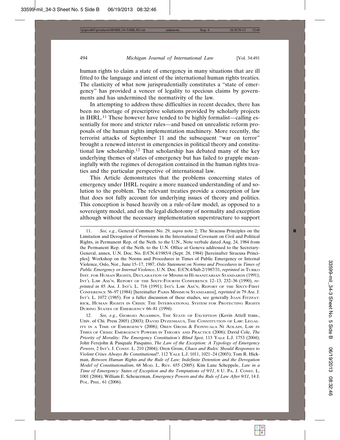\\jciprod01\productn\M\MIL\34-3\MIL301.txt unknown Seq: 4 10-JUN-13 12:49

#### 494 *Michigan Journal of International Law* [Vol. 34:491

human rights to claim a state of emergency in many situations that are ill fitted to the language and intent of the international human rights treaties. The elasticity of what now jurisprudentially constitutes a "state of emergency" has provided a veneer of legality to specious claims by governments and has undermined the normativity of the law.

In attempting to address these difficulties in recent decades, there has been no shortage of prescriptive solutions provided by scholarly projects in IHRL.11 These however have tended to be highly formalist—calling essentially for more and stricter rules—and based on unrealistic reform proposals of the human rights implementation machinery. More recently, the terrorist attacks of September 11 and the subsequent "war on terror" brought a renewed interest in emergencies in political theory and constitutional law scholarship.12 That scholarship has debated many of the key underlying themes of states of emergency but has failed to grapple meaningfully with the regimes of derogation contained in the human rights treaties and the particular perspective of international law.

This Article demonstrates that the problems concerning states of emergency under IHRL require a more nuanced understanding of and solution to the problem. The relevant treaties provide a conception of law that does not fully account for underlying issues of theory and politics. This conception is based heavily on a rule-of-law model, as opposed to a sovereignty model, and on the legal dichotomy of normality and exception although without the necessary implementation superstructure to support

12. *See, e.g.*, GIORGIO AGAMBEN, THE STATE OF EXCEPTION (Kevin Attell trans., Univ. of Chi. Press 2005) (2003); DAVID DYZENHAUS, THE CONSTITUTION OF LAW: LEGAL-ITY IN A TIME OF EMERGENCY (2006); OREN GROSS & FIONNUALA NI AOLAIN, LAW IN TIMES OF CRISIS: EMERGENCY POWERS IN THEORY AND PRACTICE (2006); David Cole, *The Priority of Morality: The Emergency Constitution's Blind Spot*, 113 YALE L.J. 1753 (2004); John Ferejohn & Pasquale Pasquino, *The Law of the Exception: A Typology of Emergency Powers*, 2 INT'L J. CONST. L. 210 (2004); Oren Gross, *Chaos and Rules: Should Responses to Violent Crises Always Be Constitutional?*, 112 YALE L.J. 1011, 1021–24 (2003); Tom R. Hickman, *Between Human Rights and the Rule of Law: Indefinite Detention and the Derogation Model of Constitutionalism*, 68 MOD. L. REV. 655 (2005); Kim Lane Scheppele, *Law in a Time of Emergency: States of Exception and the Temptations of 9/11*, 6 U. PA. J. CONST. L. 1001 (2004); William E. Scheuerman, *Emergency Powers and the Rule of Law After 9/11*, 14 J. POL. PHIL. 61 (2006).

<sup>11.</sup> *See, e.g.*, General Comment No. 29, *supra* note 2; The Siracusa Principles on the **R** Limitation and Derogation of Provisions in the International Covenant on Civil and Political Rights, *in* Permanent Rep. of the Neth. to the U.N., Note verbale dated Aug. 24, 1984 from the Permanent Rep. of the Neth. to the U.N. Office at Geneva addressed to the Secretary-General, annex, U.N. Doc. No. E/CN.4/1985/4 (Sept. 28, 1984) [hereinafter Siracusa Principles]; Workshop on the Norms and Procedures in Times of Public Emergency or Internal Violence, Oslo, Nor., June 15–17, 1987, *Oslo Statement on Norms and Procedures in Times of Public Emergency or Internal Violence*, U.N. Doc. E/CN.4/Sub.2/1987/31, *reprinted in* TURKO INST. FOR HUMAN RIGHTS, DECLARATION OF MINIMUM HUMANITARIAN STANDARDS (1991); INT'L LAW ASS'N, REPORT OF THE SIXTY-FOURTH CONFERENCE 12–13, 232–36 (1990), *reprinted in* 85 AM. J. INT'L L. 716 (1991); INT'L LAW ASS'N, REPORT OF THE SIXTY-FIRST CONFERENCE 56–97 (1984) [hereinafter PARIS MINIMUM STANDARDS], *reprinted in* 79 AM. J. INT'L L. 1072 (1985). For a fuller discussion of these studies, see generally JOAN FITZPAT-RICK, HUMAN RIGHTS IN CRISIS: THE INTERNATIONAL SYSTEM FOR PROTECTING RIGHTS DURING STATES OF EMERGENCY 66–81 (1994).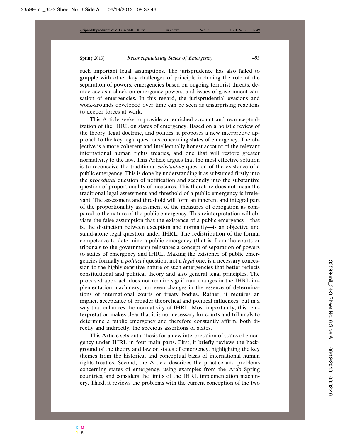\\jciprod01\productn\M\MIL\34-3\MIL301.txt unknown Seq: 5 10-JUN-13 12:49

C M Y | K

#### Spring 2013] *Reconceptualizing States of Emergency* 495

such important legal assumptions. The jurisprudence has also failed to grapple with other key challenges of principle including the role of the separation of powers, emergencies based on ongoing terrorist threats, democracy as a check on emergency powers, and issues of government causation of emergencies. In this regard, the jurisprudential evasions and work-arounds developed over time can be seen as unsurprising reactions to deeper forces at work.

This Article seeks to provide an enriched account and reconceptualization of the IHRL on states of emergency. Based on a holistic review of the theory, legal doctrine, and politics, it proposes a new interpretive approach to the key legal questions concerning states of emergency. The objective is a more coherent and intellectually honest account of the relevant international human rights treaties, and one that will restore greater normativity to the law. This Article argues that the most effective solution is to reconceive the traditional *substantive* question of the existence of a public emergency. This is done by understanding it as subsumed firstly into the *procedural* question of notification and secondly into the substantive question of proportionality of measures. This therefore does not mean the traditional legal assessment and threshold of a public emergency is irrelevant. The assessment and threshold will form an inherent and integral part of the proportionality assessment of the measures of derogation as compared to the nature of the public emergency. This reinterpretation will obviate the false assumption that the existence of a public emergency—that is, the distinction between exception and normality—is an objective and stand-alone legal question under IHRL. The redistribution of the formal competence to determine a public emergency (that is, from the courts or tribunals to the government) reinstates a concept of separation of powers to states of emergency and IHRL. Making the existence of public emergencies formally a *political* question, not a *legal* one, is a necessary concession to the highly sensitive nature of such emergencies that better reflects constitutional and political theory and also general legal principles. The proposed approach does not require significant changes in the IHRL implementation machinery, nor even changes in the essence of determinations of international courts or treaty bodies. Rather, it requires an implicit acceptance of broader theoretical and political influences, but in a way that enhances the normativity of IHRL. Most importantly, this reinterpretation makes clear that it is not necessary for courts and tribunals to determine a public emergency and therefore constantly affirm, both directly and indirectly, the specious assertions of states.

This Article sets out a thesis for a new interpretation of states of emergency under IHRL in four main parts. First, it briefly reviews the background of the theory and law on states of emergency, highlighting the key themes from the historical and conceptual basis of international human rights treaties. Second, the Article describes the practice and problems concerning states of emergency, using examples from the Arab Spring countries, and considers the limits of the IHRL implementation machinery. Third, it reviews the problems with the current conception of the two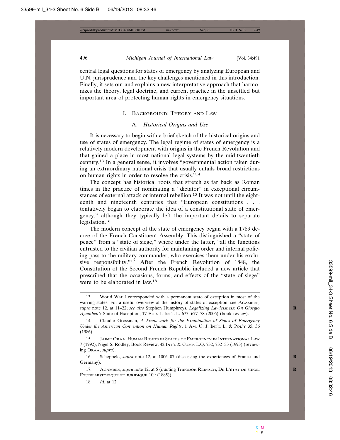\\jciprod01\productn\M\MIL\34-3\MIL301.txt unknown Seq: 6 10-JUN-13 12:49

496 *Michigan Journal of International Law* [Vol. 34:491

central legal questions for states of emergency by analyzing European and U.N. jurisprudence and the key challenges mentioned in this introduction. Finally, it sets out and explains a new interpretative approach that harmonizes the theory, legal doctrine, and current practice in the unsettled but important area of protecting human rights in emergency situations.

#### I. BACKGROUND: THEORY AND LAW

#### A. *Historical Origins and Use*

It is necessary to begin with a brief sketch of the historical origins and use of states of emergency. The legal regime of states of emergency is a relatively modern development with origins in the French Revolution and that gained a place in most national legal systems by the mid-twentieth century.13 In a general sense, it involves "governmental action taken during an extraordinary national crisis that usually entails broad restrictions on human rights in order to resolve the crisis."14

The concept has historical roots that stretch as far back as Roman times in the practice of nominating a "dictator" in exceptional circumstances of external attack or internal rebellion.15 It was not until the eighteenth and nineteenth centuries that "European constitutions . . . tentatively began to elaborate the idea of a constitutional state of emergency," although they typically left the important details to separate legislation.<sup>16</sup>

The modern concept of the state of emergency began with a 1789 decree of the French Constituent Assembly. This distinguished a "state of peace" from a "state of siege," where under the latter, "all the functions entrusted to the civilian authority for maintaining order and internal policing pass to the military commander, who exercises them under his exclusive responsibility."17 After the French Revolution of 1848, the Constitution of the Second French Republic included a new article that prescribed that the occasions, forms, and effects of the "state of siege" were to be elaborated in law.18

16. Scheppele, *supra* note 12, at 1006–07 (discussing the experiences of France and **R** Germany).

17. AGAMBEN, *supra* note 12, at 5 (quoting THEODOR REINACH, DE L'ETAT DE SIÈGE: **R** ÉTUDE HISTORIQUE ET JURIDIQUE 109 (1885)).

18. *Id.* at 12.

33599-mil\_34-3 Sheet No. 6 Side B 06/19/2013 08:32:46 33599-mil\_34-3 Sheet No. 6 Side  $\pmb{\varpi}$ 06/19/2013 08:32:46

<sup>13.</sup> World War I corresponded with a permanent state of exception in most of the warring states. For a useful overview of the history of states of exception, see AGAMBEN*, supra* note 12, at 11–22; *see also* Stephen Humphreys, *Legalizing Lawlessness: On Giorgio* **R** *Agamben's* State of Exception, 17 EUR. J. INT'L L. 677, 677–78 (2006) (book review).

<sup>14.</sup> Claudio Grossman, *A Framework for the Examination of States of Emergency Under the American Convention on Human Rights*, 1 AM. U. J. INT'L L. & POL'Y 35, 36 (1986).

<sup>15.</sup> JAIME ORAÁ, HUMAN RIGHTS IN STATES OF EMERGENCY IN INTERNATIONAL LAW 7 (1992); Nigel S. Rodley, Book Review, 42 INT'L & COMP. L.Q. 732, 732–33 (1993) (reviewing ORAÁ, *supra*).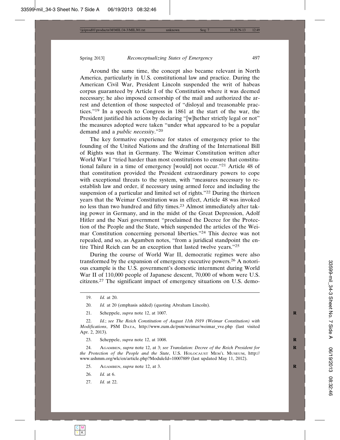\\jciprod01\productn\M\MIL\34-3\MIL301.txt unknown Seq: 7 10-JUN-13 12:49

#### Spring 2013] *Reconceptualizing States of Emergency* 497

Around the same time, the concept also became relevant in North America, particularly in U.S. constitutional law and practice. During the American Civil War, President Lincoln suspended the writ of habeas corpus guaranteed by Article I of the Constitution where it was deemed necessary; he also imposed censorship of the mail and authorized the arrest and detention of those suspected of "disloyal and treasonable practices."19 In a speech to Congress in 1861 at the start of the war, the President justified his actions by declaring "[w]hether strictly legal or not" the measures adopted were taken "under what appeared to be a popular demand and a *public necessity*."<sup>20</sup>

The key formative experience for states of emergency prior to the founding of the United Nations and the drafting of the International Bill of Rights was that in Germany. The Weimar Constitution written after World War I "tried harder than most constitutions to ensure that constitutional failure in a time of emergency [would] not occur."21 Article 48 of that constitution provided the President extraordinary powers to cope with exceptional threats to the system, with "measures necessary to reestablish law and order, if necessary using armed force and including the suspension of a particular and limited set of rights."<sup>22</sup> During the thirteen years that the Weimar Constitution was in effect, Article 48 was invoked no less than two hundred and fifty times.23 Almost immediately after taking power in Germany, and in the midst of the Great Depression, Adolf Hitler and the Nazi government "proclaimed the Decree for the Protection of the People and the State, which suspended the articles of the Weimar Constitution concerning personal liberties."24 This decree was not repealed, and so, as Agamben notes, "from a juridical standpoint the entire Third Reich can be an exception that lasted twelve years."25

During the course of World War II, democratic regimes were also transformed by the expansion of emergency executive powers.26 A notorious example is the U.S. government's domestic internment during World War II of 110,000 people of Japanese descent, 70,000 of whom were U.S. citizens.27 The significant impact of emergency situations on U.S. demo-

21. Scheppele, *supra* note 12, at 1007. **R**

22. *Id.*; *see The Reich Constitution of August 11th 1919 (Weimar Constitution) with Modifications*, PSM DATA, http://www.zum.de/psm/weimar/weimar\_vve.php (last visited Apr. 2, 2013).

23. Scheppele, *supra* note 12, at 1008. **R**

24. AGAMBEN, *supra* note 12, at 3; *see Translation: Decree of the Reich President for* **R** *the Protection of the People and the State*, U.S. HOLOCAUST MEM'L MUSEUM, http:// www.ushmm.org/wlc/en/article.php?ModuleId=10007889 (last updated May 11, 2012).

- 25. AGAMBEN, *supra* note 12, at 3. **R**
- 26. *Id.* at 6.

C M Y | K

27. *Id.* at 22.

<sup>19.</sup> *Id.* at 20.

<sup>20.</sup> *Id.* at 20 (emphasis added) (quoting Abraham Lincoln).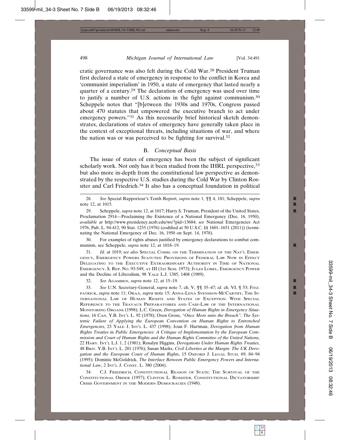\\jciprod01\productn\M\MIL\34-3\MIL301.txt unknown Seq: 8 10-JUN-13 12:49

#### 498 *Michigan Journal of International Law* [Vol. 34:491

cratic governance was also felt during the Cold War.28 President Truman first declared a state of emergency in response to the conflict in Korea and 'communist imperialism' in 1950, a state of emergency that lasted nearly a quarter of a century.29 The declaration of emergency was used over time to justify a number of U.S. actions in the fight against communism.30 Scheppele notes that "[b]etween the 1930s and 1970s, Congress passed about 470 statutes that empowered the executive branch to act under emergency powers."<sup>31</sup> As this necessarily brief historical sketch demonstrates, declarations of states of emergency have generally taken place in the context of exceptional threats, including situations of war, and where the nation was or was perceived to be fighting for survival.32

#### B. *Conceptual Basis*

The issue of states of emergency has been the subject of significant scholarly work. Not only has it been studied from the IHRL perspective, <sup>33</sup> but also more in-depth from the constitutional law perspective as demonstrated by the respective U.S. studies during the Cold War by Clinton Rossiter and Carl Friedrich.<sup>34</sup> It also has a conceptual foundation in political

30. For examples of rights abuses justified by emergency declarations to combat communism, see Scheppele, *supra* note 12, at 1018–19. **R**

31. *Id.* at 1019; *see also* SPECIAL COMM. ON THE TERMINATION OF THE NAT'L EMER-GENCY, EMERGENCY POWERS STATUTES: PROVISIONS OF FEDERAL LAW NOW IN EFFECT DELEGATING TO THE EXECUTIVE EXTRAORDINARY AUTHORITY IN TIME OF NATIONAL EMERGENCY, S. REP. NO. 93-549, AT III (1ST SESS. 1973); JULES LOBEL, EMERGENCY POWER and the Decline of Liberalism, 98 YALE L.J. 1385, 1408 (1989).

32. *See* AGAMBEN, *supra* note 12, at 15–19. **R**

33. *See* U.N. Secretary-General, *supra* note 7, ch. V, ¶¶ 35–47; *id.* ch. VI, ¶ 53; FITZ- **R** PATRICK, *supra* note 11; ORAA, *supra* note 15; ANNA-LENA SVENSSON-MCCARTHY, THE IN-TERNATIONAL LAW OF HUMAN RIGHTS AND STATES OF EXCEPTION: WITH SPECIAL REFERENCE TO THE TRAVAUX PRÉPARATOIRES AND CASE-LAW OF THE INTERNATIONAL MONITORING ORGANS (1998); L.C. Green, *Derogation of Human Rights in Emergency Situations*, 16 CAN. Y.B. INT'L L. 92 (1978); Oren Gross, *"Once More unto the Breach": The Systemic Failure of Applying the European Convention on Human Rights to Entrenched Emergencies*, 23 YALE J. INT'L L. 437 (1998); Joan F. Hartman, *Derogation from Human Rights Treaties in Public Emergencies: A Critique of Implementation by the European Commission and Court of Human Rights and the Human Rights Committee of the United Nations*, 22 HARV. INT'L L.J. 1, 2 (1981); Rosalyn Higgins, *Derogations Under Human Rights Treaties*, 48 BRIT. Y.B. INT'L L. 281 (1976); Susan Marks, *Civil Liberties at the Margin: The UK Derogation and the European Court of Human Rights*, 15 OXFORD J. LEGAL STUD. 69, 84–94 (1995); Dominic McGoldrick, *The Interface Between Public Emergency Powers and International Law*, 2 INT'L J. CONST. L. 380 (2004).

34. C.J. FRIEDRICH, CONSTITUTIONAL REASON OF STATE: THE SURVIVAL OF THE CONSTITUTIONAL ORDER (1957); CLINTON L. ROSSITER, CONSTITUTIONAL DICTATORSHIP: CRISIS GOVERNMENT IN THE MODERN DEMOCRACIES (1948).

<sup>28.</sup> *See* Special Rapporteur's Tenth Report, *supra* note 1, ¶¶ 4, 181; Scheppele, *supra* **R** note 12, at 1015. **R**

<sup>29.</sup> Scheppele, *supra* note 12, at 1017; Harry S. Truman, President of the United States, **R** Proclamation 2914—Proclaiming the Existence of a National Emergency (Dec. 16, 1950), *available at* http://www.presidency.ucsb.edu/ws/?pid=13684; *see* National Emergencies Act 1976, Pub. L. 94-412, 90 Stat. 1255 (1976) (codified at 50 U.S.C. §§ 1601–1651 (2011)) (terminating the National Emergency of Dec. 16, 1950 on Sept. 14, 1978)*.*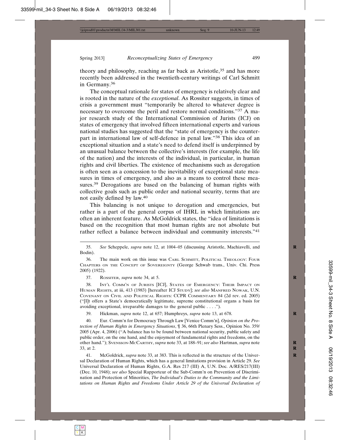\\jciprod01\productn\M\MIL\34-3\MIL301.txt unknown Seq: 9 10-JUN-13 12:49

#### Spring 2013] *Reconceptualizing States of Emergency* 499

theory and philosophy, reaching as far back as Aristotle,<sup>35</sup> and has more recently been addressed in the twentieth-century writings of Carl Schmitt in Germany.36

The conceptual rationale for states of emergency is relatively clear and is rooted in the nature of the *exceptional*. As Rossiter suggests, in times of crisis a government must "temporarily be altered to whatever degree is necessary to overcome the peril and restore normal conditions."37 A major research study of the International Commission of Jurists (ICJ) on states of emergency that involved fifteen international experts and various national studies has suggested that the "state of emergency is the counterpart in international law of self-defence in penal law."38 This idea of an exceptional situation and a state's need to defend itself is underpinned by an unusual balance between the collective's interests (for example, the life of the nation) and the interests of the individual, in particular, in human rights and civil liberties. The existence of mechanisms such as derogation is often seen as a concession to the inevitability of exceptional state measures in times of emergency, and also as a means to control these measures.<sup>39</sup> Derogations are based on the balancing of human rights with collective goals such as public order and national security, terms that are not easily defined by law.40

This balancing is not unique to derogation and emergencies, but rather is a part of the general corpus of IHRL in which limitations are often an inherent feature. As McGoldrick states, the "idea of limitations is based on the recognition that most human rights are not absolute but rather reflect a balance between individual and community interests."41

36. The main work on this issue was CARL SCHMITT, POLITICAL THEOLOGY: FOUR CHAPTERS ON THE CONCEPT OF SOVEREIGNTY (George Schwab trans., Univ. Chi. Press 2005) (1922).

37. ROSSITER, *supra* note 34, at 5. **R**

C M Y | K

38. INT'L COMM'N OF JURISTS [ICJ], STATES OF EMERGENCY: THEIR IMPACT ON HUMAN RIGHTS, at iii, 413 (1983) [hereafter ICJ STUDY]; *see also* MANFRED NOWAK, U.N. COVENANT ON CIVIL AND POLITICAL RIGHTS: CCPR COMMENTARY 84 (2d rev. ed. 2005) ("[I]t offers a State's democratically legitimate, supreme constitutional organs a basis for avoiding exceptional, irreparable damages to the general public . . . .").

39. Hickman, *supra* note 12, at 657; Humphreys, *supra* note 13, at 678. **R**

40. Eur. Comm'n for Democracy Through Law [Venice Comm'n], *Opinion on the Protection of Human Rights in Emergency Situations*, ¶ 36, 66th Plenary Sess., Opinion No. 359/ 2005 (Apr. 4, 2006) ("A balance has to be found between national security, public safety and public order, on the one hand, and the enjoyment of fundamental rights and freedoms, on the other hand."); SVENSSON-MCCARTHY, *supra* note 33, at 188–91; *see also* Hartman, *supra* note **R** 33, at 2. **R**

41. McGoldrick, *supra* note 33, at 383. This is reflected in the structure of the Univer- **R** sal Declaration of Human Rights, which has a general limitations provision in Article 29. *See* Universal Declaration of Human Rights, G.A. Res 217 (III) A, U.N. Doc. A/RES/217(III) (Dec. 10, 1948); *see also* Special Rapporteur of the Sub-Comm'n on Prevention of Discrimination and Protection of Minorities, *The Individual's Duties to the Community and the Limitations on Human Rights and Freedoms Under Article 29 of the Universal Declaration of*

<sup>35.</sup> *See* Scheppele, *supra* note 12, at 1004–05 (discussing Aristotle, Machiavelli, and **R** Bodin).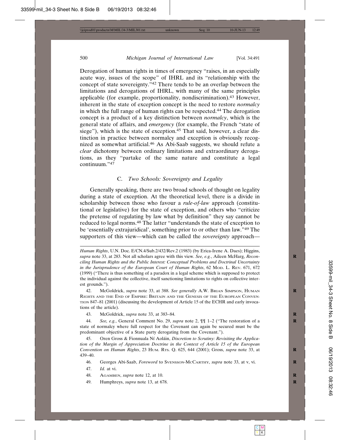\\jciprod01\productn\M\MIL\34-3\MIL301.txt unknown Seq: 10 10-JUN-13 12:49

#### 500 *Michigan Journal of International Law* [Vol. 34:491

Derogation of human rights in times of emergency "raises, in an especially acute way, issues of the scope" of IHRL and its "relationship with the concept of state sovereignty."42 There tends to be an overlap between the limitations and derogations of IHRL, with many of the same principles applicable (for example, proportionality, nondiscrimination).<sup>43</sup> However, inherent in the state of exception concept is the need to restore *normalcy* in which the full range of human rights can be respected.44 The derogation concept is a product of a key distinction between *normalcy*, which is the general state of affairs, and *emergency* (for example, the French "state of siege"), which is the state of exception.<sup>45</sup> That said, however, a clear distinction in practice between normalcy and exception is obviously recognized as somewhat artificial.46 As Abi-Saab suggests, we should refute a *clear* dichotomy between ordinary limitations and extraordinary derogations, as they "partake of the same nature and constitute a legal continuum."<sup>47</sup>

#### C. *Two Schools: Sovereignty and Legality*

Generally speaking, there are two broad schools of thought on legality during a state of exception. At the theoretical level, there is a divide in scholarship between those who favour a *rule-of-law* approach (constitutional or legislative) for the state of exception, and others who "criticize the pretense of regulating by law what by definition" they say cannot be reduced to legal norms.48 The latter "understands the state of exception to be 'essentially extrajuridical', something prior to or other than law."49 The supporters of this view—which can be called the *sovereignty* approach—

*Human Rights*, U.N. Doc. E/CN.4/Sub.2/432/Rev.2 (1983) (by Erica-Irene A. Daes); Higgins, *supra* note 33, at 283. Not all scholars agree with this view. *See, e.g.*, Aileen McHarg, *Recon-* **R** *ciling Human Rights and the Public Interest: Conceptual Problems and Doctrinal Uncertainty in the Jurisprudence of the European Court of Human Rights*, 62 MOD. L. REV. 671, 672 (1999) ("There is thus something of a paradox in a legal scheme which is supposed to protect the individual against the collective, itself sanctioning limitations to rights on collective interest grounds.").

42. McGoldrick, *supra* note 33, at 388. *See generally* A.W. BRIAN SIMPSON, HUMAN **R** RIGHTS AND THE END OF EMPIRE: BRITAIN AND THE GENESIS OF THE EUROPEAN CONVEN-TION 847–81 (2001) (discussing the development of Article 15 of the ECHR and early invocations of the article).

43. McGoldrick, *supra* note 33, at 383–84. **R**

44. *See, e.g.*, General Comment No. 29, *supra* note 2, ¶¶ 1–2 ("The restoration of a **R** state of normalcy where full respect for the Covenant can again be secured must be the predominant objective of a State party derogating from the Covenant.").

45. Oren Gross & Fionnuala Ní Aoláin, *Discretion to Scrutiny: Revisiting the Application of the Margin of Appreciation Doctrine in the Context of Article 15 of the European Convention on Human Rights*, 23 HUM. RTS. Q. 625, 644 (2001); Gross, *supra* note 33, at **R** 439–40.

- 46. Georges Abi-Saab, *Foreword* to SVENSSON-MCCARTHY, *supra* note 33, at v, vi. **R**
- 47. *Id.* at vi.
- 48. AGAMBEN, *supra* note 12, at 10. **R**
- 49. Humphreys, *supra* note 13, at 678. **R**

33599-mil\_34-3 Sheet No. 8 Side B 06/19/2013 08:32:46 33599-mil\_34-3 Sheet No. 8 Side B 06/19/2013 08:32:46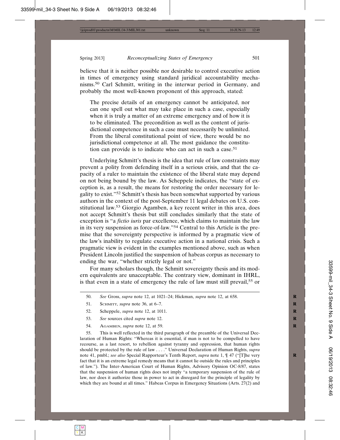\\jciprod01\productn\M\MIL\34-3\MIL301.txt unknown Seq: 11 10-JUN-13 12:49

#### Spring 2013] *Reconceptualizing States of Emergency* 501

believe that it is neither possible nor desirable to control executive action in times of emergency using standard juridical accountability mechanisms.50 Carl Schmitt, writing in the interwar period in Germany, and probably the most well-known proponent of this approach, stated:

The precise details of an emergency cannot be anticipated, nor can one spell out what may take place in such a case, especially when it is truly a matter of an extreme emergency and of how it is to be eliminated. The precondition as well as the content of jurisdictional competence in such a case must necessarily be unlimited. From the liberal constitutional point of view, there would be no jurisdictional competence at all. The most guidance the constitution can provide is to indicate who can act in such a case.<sup>51</sup>

Underlying Schmitt's thesis is the idea that rule of law constraints may prevent a polity from defending itself in a serious crisis, and that the capacity of a ruler to maintain the existence of the liberal state may depend on not being bound by the law. As Scheppele indicates, the "state of exception is, as a result, the means for restoring the order necessary for legality to exist."52 Schmitt's thesis has been somewhat supported by various authors in the context of the post-September 11 legal debates on U.S. constitutional law.53 Giorgio Agamben, a key recent writer in this area, does not accept Schmitt's thesis but still concludes similarly that the state of exception is "a *fictio iuris* par excellence, which claims to maintain the law in its very suspension as force-of-law."54 Central to this Article is the premise that the sovereignty perspective is informed by a pragmatic view of the law's inability to regulate executive action in a national crisis. Such a pragmatic view is evident in the examples mentioned above, such as when President Lincoln justified the suspension of habeas corpus as necessary to ending the war, "whether strictly legal or not."

For many scholars though, the Schmitt sovereignty thesis and its modern equivalents are unacceptable. The contrary view, dominant in IHRL, is that even in a state of emergency the rule of law must still prevail,<sup>55</sup> or

- 51. SCHMITT, *supra* note 36, at 6–7. **R**
- 52. Scheppele, *supra* note 12, at 1011. **R**
- 53. *See* sources cited *supra* note 12. **R**
- 54. AGAMBEN, *supra* note 12, at 59. **R**

C M Y | K

55. This is well reflected in the third paragraph of the preamble of the Universal Declaration of Human Rights: "Whereas it is essential, if man is not to be compelled to have recourse, as a last resort, to rebellion against tyranny and oppression, that human rights should be protected by the rule of law . . . ." Universal Declaration of Human Rights, *supra* note 41, pmbl.; *see also* Special Rapporteur's Tenth Report, *supra* note 1, ¶ 47 ("[T]he very **R** fact that it is an extreme legal remedy means that it cannot lie outside the rules and principles of law."). The Inter-American Court of Human Rights, Advisory Opinion OC-8/87, states that the suspension of human rights does not imply "a temporary suspension of the rule of law, nor does it authorize those in power to act in disregard for the principle of legality by which they are bound at all times." Habeas Corpus in Emergency Situations (Arts. 27(2) and

<sup>50.</sup> *See* Gross, *supra* note 12, at 1021–24; Hickman, *supra* note 12, at 658. **R**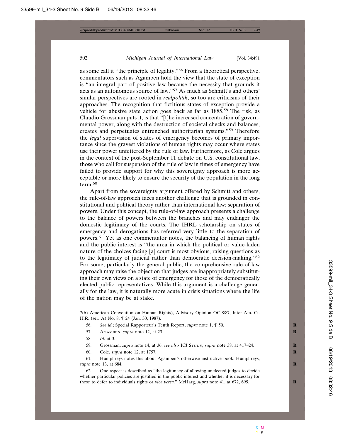\\jciprod01\productn\M\MIL\34-3\MIL301.txt unknown Seq: 12 10-JUN-13 12:49

#### 502 *Michigan Journal of International Law* [Vol. 34:491

as some call it "the principle of legality."56 From a theoretical perspective, commentators such as Agamben hold the view that the state of exception is "an integral part of positive law because the necessity that grounds it acts as an autonomous source of law."57 As much as Schmitt's and others' similar perspectives are rooted in *realpolitik*, so too are criticisms of their approaches. The recognition that fictitious states of exception provide a vehicle for abusive state action goes back as far as 1885.58 The risk, as Claudio Grossman puts it, is that "[t]he increased concentration of governmental power, along with the destruction of societal checks and balances, creates and perpetuates entrenched authoritarian systems."59 Therefore the *legal* supervision of states of emergency becomes of primary importance since the gravest violations of human rights may occur where states use their power unfettered by the rule of law. Furthermore, as Cole argues in the context of the post-September 11 debate on U.S. constitutional law, those who call for suspension of the rule of law in times of emergency have failed to provide support for why this sovereignty approach is more acceptable or more likely to ensure the security of the population in the long term.60

Apart from the sovereignty argument offered by Schmitt and others, the rule-of-law approach faces another challenge that is grounded in constitutional and political theory rather than international law: separation of powers. Under this concept, the rule-of-law approach presents a challenge to the balance of powers between the branches and may endanger the domestic legitimacy of the courts. The IHRL scholarship on states of emergency and derogations has referred very little to the separation of powers.61 Yet as one commentator notes, the balancing of human rights and the public interest is "the area in which the political or value-laden nature of the choices facing [a] court is most obvious, raising questions as to the legitimacy of judicial rather than democratic decision-making."62 For some, particularly the general public, the comprehensive rule-of-law approach may raise the objection that judges are inappropriately substituting their own views on a state of emergency for those of the democratically elected public representatives. While this argument is a challenge generally for the law, it is naturally more acute in crisis situations where the life of the nation may be at stake.

- 56. *See id.*; Special Rapporteur's Tenth Report, *supra* note 1, ¶ 50. **R**
- 57. AGAMBEN, *supra* note 12, at 23. **R**
- 58. *Id.* at 3.
- 59. Grossman, *supra* note 14, at 36; *see also* ICJ STUDY, *supra* note 38, at 417–24. **R**
- 60. Cole, *supra* note 12, at 1757. **R**

61. Humphreys notes this about Agamben's otherwise instructive book. Humphreys, *supra* note 13, at 684. **R**

62. One aspect is described as "the legitimacy of allowing unelected judges to decide whether particular policies are justified in the public interest and whether it is necessary for these to defer to individuals rights or *vice versa*." McHarg, *supra* note 41, at 672, 695. **R**

<sup>7(6)</sup> American Convention on Human Rights), Advisory Opinion OC-8/87, Inter-Am. Ct. H.R. (ser. A) No. 8, ¶ 24 (Jan. 30, 1987).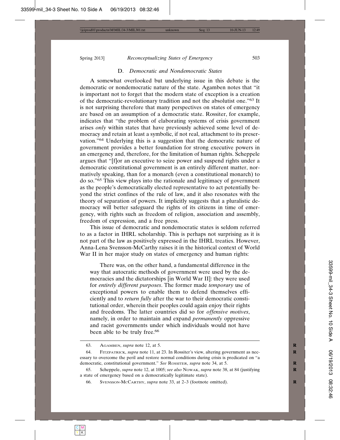$\overline{\text{Niciprodl}}$  10-JUN-13 12:49

#### Spring 2013] *Reconceptualizing States of Emergency* 503

D. *Democratic and Nondemocratic States*

A somewhat overlooked but underlying issue in this debate is the democratic or nondemocratic nature of the state. Agamben notes that "it is important not to forget that the modern state of exception is a creation of the democratic-revolutionary tradition and not the absolutist one."63 It is not surprising therefore that many perspectives on states of emergency are based on an assumption of a democratic state. Rossiter, for example, indicates that "the problem of elaborating systems of crisis government arises *only* within states that have previously achieved some level of democracy and retain at least a symbolic, if not real, attachment to its preservation."64 Underlying this is a suggestion that the democratic nature of government provides a better foundation for strong executive powers in an emergency and, therefore, for the limitation of human rights. Scheppele argues that "[f]or an executive to seize power and suspend rights under a democratic constitutional government is an entirely different matter, normatively speaking, than for a monarch (even a constitutional monarch) to do so."65 This view plays into the rationale and legitimacy of government as the people's democratically elected representative to act potentially beyond the strict confines of the rule of law, and it also resonates with the theory of separation of powers. It implicitly suggests that a pluralistic democracy will better safeguard the rights of its citizens in time of emergency, with rights such as freedom of religion, association and assembly, freedom of expression, and a free press.

This issue of democratic and nondemocratic states is seldom referred to as a factor in IHRL scholarship. This is perhaps not surprising as it is not part of the law as positively expressed in the IHRL treaties. However, Anna-Lena Svensson-McCarthy raises it in the historical context of World War II in her major study on states of emergency and human rights:

There was, on the other hand, a fundamental difference in the way that autocratic methods of government were used by the democracies and the dictatorships [in World War II]: they were used for *entirely different purposes*. The former made *temporary* use of exceptional powers to enable them to defend themselves efficiently and to *return fully* after the war to their democratic constitutional order, wherein their peoples could again enjoy their rights and freedoms. The latter countries did so for *offensive motives*, namely, in order to maintain and expand *permanently* oppressive and racist governments under which individuals would not have been able to be truly free.<sup>66</sup>

C M Y | K

66. SVENSSON-MCCARTHY, *supra* note 33, at 2–3 (footnote omitted). **R**

<sup>63.</sup> AGAMBEN, *supra* note 12, at 5. **R**

<sup>64.</sup> FITZPATRICK, *supra* note 11, at 23. In Rossiter's view, altering government as nec- **R** essary to overcome the peril and restore normal conditions during crisis is predicated on "a democratic, constitutional government." *See* ROSSITER, *supra* note 34, at 5. **R**

<sup>65.</sup> Scheppele, *supra* note 12, at 1005; *see also* NOWAK, *supra* note 38, at 84 (justifying **R** a state of emergency based on a democratically legitimate state).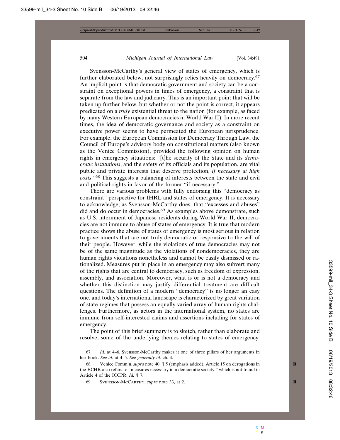\\jciprod01\productn\M\MIL\34-3\MIL301.txt unknown Seq: 14 10-JUN-13 12:49

#### 504 *Michigan Journal of International Law* [Vol. 34:491

Svensson-McCarthy's general view of states of emergency, which is further elaborated below, not surprisingly relies heavily on democracy.67 An implicit point is that democratic government and society can be a constraint on exceptional powers in times of emergency, a constraint that is separate from the law and judiciary. This is an important point that will be taken up further below, but whether or not the point is correct, it appears predicated on a *truly* existential threat to the nation (for example, as faced by many Western European democracies in World War II). In more recent times, the idea of democratic governance and society as a constraint on executive power seems to have permeated the European jurisprudence. For example, the European Commission for Democracy Through Law, the Council of Europe's advisory body on constitutional matters (also known as the Venice Commission), provided the following opinion on human rights in emergency situations: "[t]he security of the State and its *democratic institutions*, and the safety of its officials and its population, are vital public and private interests that deserve protection, *if necessary at high costs*."68 This suggests a balancing of interests between the state and civil and political rights in favor of the former "if necessary."

There are various problems with fully endorsing this "democracy as constraint" perspective for IHRL and states of emergency. It is necessary to acknowledge, as Svensson-McCarthy does, that "excesses and abuses" did and do occur in democracies.<sup>69</sup> As examples above demonstrate, such as U.S. internment of Japanese residents during World War II, democracies are not immune to abuse of states of emergency. It is true that modern practice shows the abuse of states of emergency is most serious in relation to governments that are not truly democratic or responsive to the will of their people. However, while the violations of true democracies may not be of the same magnitude as the violations of nondemocracies, they are human rights violations nonetheless and cannot be easily dismissed or rationalized. Measures put in place in an emergency may also subvert many of the rights that are central to democracy, such as freedom of expression, assembly, and association. Moreover, what is or is not a democracy and whether this distinction may justify differential treatment are difficult questions. The definition of a modern "democracy" is no longer an easy one, and today's international landscape is characterized by great variation of state regimes that possess an equally varied array of human rights challenges. Furthermore, as actors in the international system, no states are immune from self-interested claims and assertions including for states of emergency.

The point of this brief summary is to sketch, rather than elaborate and resolve, some of the underlying themes relating to states of emergency.

<sup>67.</sup> *Id.* at 4–6. Svensson-McCarthy makes it one of three pillars of her arguments in her book. *See id.* at 4–5. *See generally id.* ch. 4.

<sup>68.</sup> Venice Comm'n, *supra* note 40, ¶ 5 (emphasis added). Article 15 on derogations in **R** the ECHR also refers to "measures necessary in a democratic society," which is not found in Article 4 of the ICCPR. *Id.* ¶ 7.

<sup>69.</sup> SVENSSON-MCCARTHY, *supra* note 33, at 2. **R**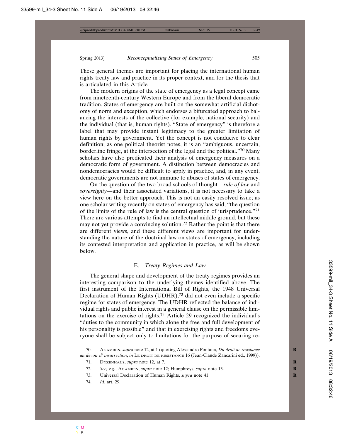\\jciprod01\productn\M\MIL\34-3\MIL301.txt unknown Seq: 15 10-JUN-13 12:49

#### Spring 2013] *Reconceptualizing States of Emergency* 505

These general themes are important for placing the international human rights treaty law and practice in its proper context, and for the thesis that is articulated in this Article.

The modern origins of the state of emergency as a legal concept came from nineteenth-century Western Europe and from the liberal democratic tradition. States of emergency are built on the somewhat artificial dichotomy of norm and exception, which endorses a bifurcated approach to balancing the interests of the collective (for example, national security) and the individual (that is, human rights). "State of emergency" is therefore a label that may provide instant legitimacy to the greater limitation of human rights by government. Yet the concept is not conducive to clear definition; as one political theorist notes, it is an "ambiguous, uncertain, borderline fringe, at the intersection of the legal and the political."70 Many scholars have also predicated their analysis of emergency measures on a democratic form of government. A distinction between democracies and nondemocracies would be difficult to apply in practice, and, in any event, democratic governments are not immune to abuses of states of emergency.

On the question of the two broad schools of thought—*rule of law* and *sovereignty—*and their associated variations, it is not necessary to take a view here on the better approach. This is not an easily resolved issue; as one scholar writing recently on states of emergency has said, "the question of the limits of the rule of law is the central question of jurisprudence."71 There are various attempts to find an intellectual middle ground, but these may not yet provide a convincing solution.<sup>72</sup> Rather the point is that there are different views, and these different views are important for understanding the nature of the doctrinal law on states of emergency, including its contested interpretation and application in practice, as will be shown below.

#### E. *Treaty Regimes and Law*

The general shape and development of the treaty regimes provides an interesting comparison to the underlying themes identified above. The first instrument of the International Bill of Rights, the 1948 Universal Declaration of Human Rights (UDHR),<sup>73</sup> did not even include a specific regime for states of emergency. The UDHR reflected the balance of individual rights and public interest in a general clause on the permissible limitations on the exercise of rights.74 Article 29 recognized the individual's "duties to the community in which alone the free and full development of his personality is possible" and that in exercising rights and freedoms everyone shall be subject only to limitations for the purpose of securing re-

71. DYZENHAUS, *supra* note 12, at 7. **R**

<sup>70.</sup> AGAMBEN, *supra* note 12, at 1 (quoting Alessandro Fontana, *Du droit de resistance* **R** *au devoir d' insurrection*, *in* LE DROIT DE RESISTANCE 16 (Jean-Claude Zancarini ed., 1999)).

<sup>72.</sup> *See, e.g.*, AGAMBEN, *supra* note 12; Humphreys, *supra* note 13. **R**

<sup>73.</sup> Universal Declaration of Human Rights, *supra* note 41. **R**

<sup>74.</sup> *Id.* art. 29.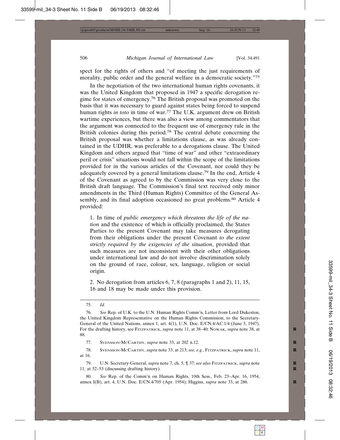\\jciprod01\productn\M\MIL\34-3\MIL301.txt unknown Seq: 16 10-JUN-13 12:49

#### 506 *Michigan Journal of International Law* [Vol. 34:491

spect for the rights of others and "of meeting the just requirements of morality, public order and the general welfare in a democratic society."75

In the negotiation of the two international human rights covenants, it was the United Kingdom that proposed in 1947 a specific derogation regime for states of emergency.76 The British proposal was promoted on the basis that it was necessary to guard against states being forced to suspend human rights *in toto* in time of war.77 The U.K. argument drew on British wartime experiences, but there was also a view among commentators that the argument was connected to the frequent use of emergency rule in the British colonies during this period.78 The central debate concerning the British proposal was whether a limitations clause, as was already contained in the UDHR, was preferable to a derogations clause. The United Kingdom and others argued that "time of war" and other "extraordinary peril or crisis" situations would not fall within the scope of the limitations provided for in the various articles of the Covenant, nor could they be adequately covered by a general limitations clause.79 In the end, Article 4 of the Covenant as agreed to by the Commission was very close to the British draft language. The Commission's final text received only minor amendments in the Third (Human Rights) Committee of the General Assembly, and its final adoption occasioned no great problems.<sup>80</sup> Article 4 provided:

1. In time of *public emergency which threatens the life of the nation* and the existence of which is officially proclaimed, the States Parties to the present Covenant may take measures derogating from their obligations under the present Covenant *to the extent strictly required by the exigencies of the situation*, provided that such measures are not inconsistent with their other obligations under international law and do not involve discrimination solely on the ground of race, colour, sex, language, religion or social origin.

2. No derogation from articles 6, 7, 8 (paragraphs 1 and 2), 11, 15, 16 and 18 may be made under this provision.

77. SVENSSON-MCCARTHY, *supra* note 33, at 202 n.12. **R**

78. SVENSSON-MCCARTHY, *supra* note 33, at 213; *see, e.g.*, FITZPATRICK, *supra* note 11, **R** at 16.

79. U.N. Secretary-General, *supra* note 7, ch. 5, ¶ 37; *see also* FITZPATRICK, *supra* note **R** 11, at 52–53 (discussing drafting history). **R**

80. *See* Rep. of the Comm'n on Human Rights, 10th Sess., Feb. 23–Apr. 16, 1954, annex I(B), art. 4, U.N. Doc. E/CN.4/705 (Apr. 1954); Higgins, *supra* note 33, at 286. **R**

<sup>75.</sup> *Id.*

<sup>76.</sup> *See* Rep. of U.K. to the U.N. Human Rights Comm'n, Letter from Lord Dukeston, the United Kingdom Representative on the Human Rights Commission, to the Secretary-General of the United Nations, annex 1, art. 4(1), U.N. Doc. E/CN.4/AC.1/4 (June 5, 1947). For the drafting history, see FITZPATRICK, *supra* note 11, at 38–40; NOWAK, *supra* note 38, at **R** 88.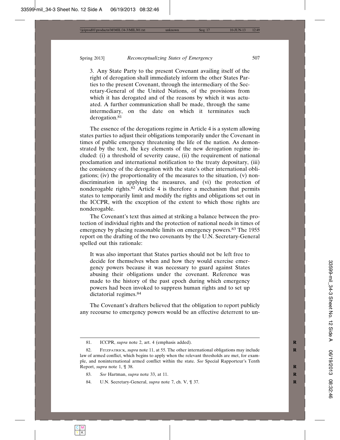\\jciprod01\productn\M\MIL\34-3\MIL301.txt unknown Seq: 17 10-JUN-13 12:49

#### Spring 2013] *Reconceptualizing States of Emergency* 507

3. Any State Party to the present Covenant availing itself of the right of derogation shall immediately inform the other States Parties to the present Covenant, through the intermediary of the Secretary-General of the United Nations, of the provisions from which it has derogated and of the reasons by which it was actuated. A further communication shall be made, through the same intermediary, on the date on which it terminates such derogation.<sup>81</sup>

The essence of the derogations regime in Article 4 is a system allowing states parties to adjust their obligations temporarily under the Covenant in times of public emergency threatening the life of the nation. As demonstrated by the text, the key elements of the new derogation regime included: (i) a threshold of severity cause, (ii) the requirement of national proclamation and international notification to the treaty depositary, (iii) the consistency of the derogation with the state's other international obligations; (iv) the proportionality of the measures to the situation, (v) nondiscrimination in applying the measures, and (vi) the protection of nonderogable rights.82 Article 4 is therefore a mechanism that permits states to temporarily limit and modify the rights and obligations set out in the ICCPR, with the exception of the extent to which those rights are nonderogable.

The Covenant's text thus aimed at striking a balance between the protection of individual rights and the protection of national needs in times of emergency by placing reasonable limits on emergency powers.<sup>83</sup> The 1955 report on the drafting of the two covenants by the U.N. Secretary-General spelled out this rationale:

It was also important that States parties should not be left free to decide for themselves when and how they would exercise emergency powers because it was necessary to guard against States abusing their obligations under the covenant. Reference was made to the history of the past epoch during which emergency powers had been invoked to suppress human rights and to set up dictatorial regimes.84

The Covenant's drafters believed that the obligation to report publicly any recourse to emergency powers would be an effective deterrent to un-

C M Y | K

84. U.N. Secretary-General, *supra* note 7, ch. V, ¶ 37. **R**

<sup>81.</sup> ICCPR, *supra* note 2, art. 4 (emphasis added). **R**

<sup>82.</sup> FITZPATRICK, *supra* note 11, at 55. The other international obligations may include **R** law of armed conflict, which begins to apply when the relevant thresholds are met, for example, and noninternational armed conflict within the state. *See* Special Rapporteur's Tenth Report, *supra* note 1, ¶ 38. **R**

<sup>83.</sup> *See* Hartman, *supra* note 33, at 11. **R**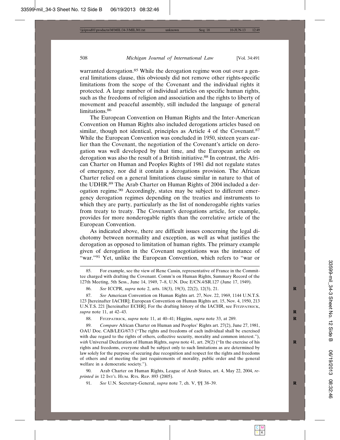\\jciprod01\productn\M\MIL\34-3\MIL301.txt unknown Seq: 18 10-JUN-13 12:49

#### 508 *Michigan Journal of International Law* [Vol. 34:491

warranted derogation.<sup>85</sup> While the derogation regime won out over a general limitations clause, this obviously did not remove other rights-specific limitations from the scope of the Covenant and the individual rights it protected. A large number of individual articles on specific human rights, such as the freedoms of religion and association and the rights to liberty of movement and peaceful assembly, still included the language of general limitations.<sup>86</sup>

The European Convention on Human Rights and the Inter-American Convention on Human Rights also included derogations articles based on similar, though not identical, principles as Article 4 of the Covenant.<sup>87</sup> While the European Convention was concluded in 1950, sixteen years earlier than the Covenant, the negotiation of the Covenant's article on derogation was well developed by that time, and the European article on derogation was also the result of a British initiative.<sup>88</sup> In contrast, the African Charter on Human and Peoples Rights of 1981 did not regulate states of emergency, nor did it contain a derogations provision. The African Charter relied on a general limitations clause similar in nature to that of the UDHR.89 The Arab Charter on Human Rights of 2004 included a derogation regime.90 Accordingly, states may be subject to different emergency derogation regimes depending on the treaties and instruments to which they are party, particularly as the list of nonderogable rights varies from treaty to treaty. The Covenant's derogations article, for example, provides for more nonderogable rights than the correlative article of the European Convention.

As indicated above, there are difficult issues concerning the legal dichotomy between normality and exception, as well as what justifies the derogation as opposed to limitation of human rights. The primary example given of derogation in the Covenant negotiations was the instance of "war."91 Yet, unlike the European Convention, which refers to "war or

89. *Compare* African Charter on Human and Peoples' Rights art. 27(2), June 27, 1981, OAU Doc. CAB/LEG/67/3 ("The rights and freedoms of each individual shall be exercised with due regard to the rights of others, collective security, morality and common interest."), *with* Universal Declaration of Human Rights, *supra* note 41, art. 29(2) ("In the exercise of his **R** rights and freedoms, everyone shall be subject only to such limitations as are determined by law solely for the purpose of securing due recognition and respect for the rights and freedoms of others and of meeting the just requirements of morality, public order and the general welfare in a democratic society.").

90. Arab Charter on Human Rights, League of Arab States, art. 4, May 22, 2004, *reprinted in* 12 INT'L HUM. RTS. REP. 893 (2005).

<sup>85.</sup> For example, see the view of Rene Cassin, representative of France in the Committee charged with drafting the Covenant. Comm'n on Human Rights, Summary Record of the 127th Meeting, 5th Sess., June 14, 1949, 7–8, U.N. Doc E/CN.4/SR.127 (June 17, 1949).

<sup>86.</sup> *See* ICCPR, *supra* note 2, arts. 18(3), 19(3), 22(2), 12(3), 21. **R**

<sup>87.</sup> *See* American Convention on Human Rights art. 27, Nov. 22, 1969, 1144 U.N.T.S. 123 [hereinafter IACHR]; European Convention on Human Rights art. 15, Nov. 4, 1950, 213 U.N.T.S. 221 [hereinafter ECHR]. For the drafting history of the IACHR, see FITZPATRICK, *supra* note 11, at 42–43. **R** 

<sup>88.</sup> FITZPATRICK, *supra* note 11, at 40–41; Higgins, *supra* note 33, at 289. **R**

<sup>91.</sup> *See* U.N. Secretary-General, *supra* note 7, ch. V, ¶¶ 38–39. **R**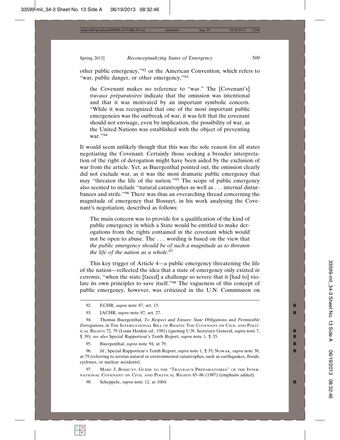\\jciprod01\productn\M\MIL\34-3\MIL301.txt unknown Seq: 19 10-JUN-13 12:49

#### Spring 2013] *Reconceptualizing States of Emergency* 509

other public emergency,"92 or the American Convention, which refers to "war, public danger, or other emergency,"93

the Covenant makes no reference to "war." The [Covenant's] *travaux préparatoires* indicate that the omission was intentional and that it was motivated by an important symbolic concern. "While it was recognized that one of the most important public emergencies was the outbreak of war, it was felt that the covenant should not envisage, even by implication, the possibility of war, as the United Nations was established with the object of preventing war."94

It would seem unlikely though that this was the sole reason for all states negotiating the Covenant. Certainly those seeking a broader interpretation of the right of derogation might have been aided by the exclusion of war from the article. Yet, as Buergenthal pointed out, the omission clearly did not exclude war, as it was the most dramatic public emergency that may "threaten the life of the nation."95 The scope of public emergency also seemed to include "natural catastrophes as well as . . . internal disturbances and strife."96 There was thus an overarching thread concerning the magnitude of emergency that Bossuyt, in his work analysing the Covenant's negotiation, described as follows:

The main concern was to provide for a qualification of the kind of public emergency in which a State would be entitled to make derogations from the rights contained in the covenant which would not be open to abuse. The . . . wording is based on the view that *the public emergency should be of such a magnitude as to threaten the life of the nation as a whole*. 97

This key trigger of Article 4—a public emergency threatening the life of the nation—reflected the idea that a state of emergency only existed *in extremis*, "when the state [faced] a challenge so severe that it [had to] violate its own principles to save itself."98 The vagueness of this concept of public emergency, however, was criticized in the U.N. Commission on

95. Buergenthal, *supra* note 94, at 79. **R**

96. *Id.*; Special Rapporteur's Tenth Report, *supra* note 1, ¶ 35; NOWAK, *supra* note 38, **R** at 79 (referring to serious natural or environmental catastrophes, such as earthquakes, floods, cyclones, or nuclear accidents).

97. MARC J. BOSSUYT, GUIDE TO THE "TRAVEAUX PRÉPARATOIRES" OF THE INTER-NATIONAL COVENANT ON CIVIL AND POLITICAL RIGHTS 85–86 (1987) (emphasis added).



C M Y | K

<sup>92.</sup> ECHR, *supra* note 87, art. 15. **R**

<sup>93.</sup> IACHR, *supra* note 87, art. 27. **R**

<sup>94.</sup> Thomas Buergenthal, *To Respect and Ensure: State Obligations and Permissible Derogations*, *in* THE INTERNATIONAL BILL OF RIGHTS: THE COVENANT ON CIVIL AND POLIT-ICAL RIGHTS 72, 79 (Louis Henkin ed., 1981) (quoting U.N. Secretary-General, *supra* note 7, **R** ¶ 39); *see also* Special Rapporteur's Tenth Report, *supra* note 1, ¶ 35. **R**

<sup>98.</sup> Scheppele, *supra* note 12, at 1004. **R**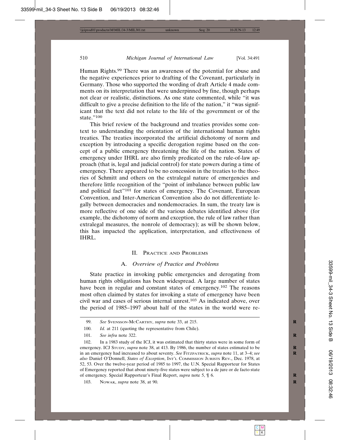\\jciprod01\productn\M\MIL\34-3\MIL301.txt unknown Seq: 20 10-JUN-13 12:49

#### 510 *Michigan Journal of International Law* [Vol. 34:491

Human Rights.99 There was an awareness of the potential for abuse and the negative experiences prior to drafting of the Covenant, particularly in Germany. Those who supported the wording of draft Article 4 made comments on its interpretation that were underpinned by fine, though perhaps not clear or realistic, distinctions. As one state commented, while "it was difficult to give a precise definition to the life of the nation," it "was significant that the text did not relate to the life of the government or of the state."100

This brief review of the background and treaties provides some context to understanding the orientation of the international human rights treaties. The treaties incorporated the artificial dichotomy of norm and exception by introducing a specific derogation regime based on the concept of a public emergency threatening the life of the nation. States of emergency under IHRL are also firmly predicated on the rule-of-law approach (that is, legal and judicial control) for state powers during a time of emergency. There appeared to be no concession in the treaties to the theories of Schmitt and others on the extralegal nature of emergencies and therefore little recognition of the "point of imbalance between public law and political fact"101 for states of emergency. The Covenant, European Convention, and Inter-American Convention also do not differentiate legally between democracies and nondemocracies. In sum, the treaty law is more reflective of one side of the various debates identified above (for example, the dichotomy of norm and exception, the rule of law rather than extralegal measures, the nonrole of democracy); as will be shown below, this has impacted the application, interpretation, and effectiveness of IHRL.

#### II. PRACTICE AND PROBLEMS

#### A. *Overview of Practice and Problems*

State practice in invoking public emergencies and derogating from human rights obligations has been widespread. A large number of states have been in regular and constant states of emergency.102 The reasons most often claimed by states for invoking a state of emergency have been civil war and cases of serious internal unrest.103 As indicated above, over the period of 1985–1997 about half of the states in the world were re-

<sup>99.</sup> *See* SVENSSON-MCCARTHY, *supra* note 33, at 215. **R**

<sup>100.</sup> *Id.* at 211 (quoting the representative from Chile).

<sup>101.</sup> *See infra* note 322. **R**

<sup>102.</sup> In a 1983 study of the ICJ, it was estimated that thirty states were in some form of emergency. ICJ STUDY, *supra* note 38, at 413. By 1986, the number of states estimated to be **R** in an emergency had increased to about seventy. *See* FITZPATRICK, *supra* note 11, at 3–4; *see* **R** *also* Daniel O'Donnell, *States of Exception*, INT'L COMMISSION JURISTS REV., Dec. 1978, at 52, 53. Over the twelve-year period of 1985 to 1997, the U.N. Special Rapporteur for States of Emergency reported that about ninety-five states were subject to a de jure or de facto state of emergency. Special Rapporteur's Final Report, *supra* note 5, ¶ 6. **R**

<sup>103.</sup> NOWAK, *supra* note 38, at 90. **R**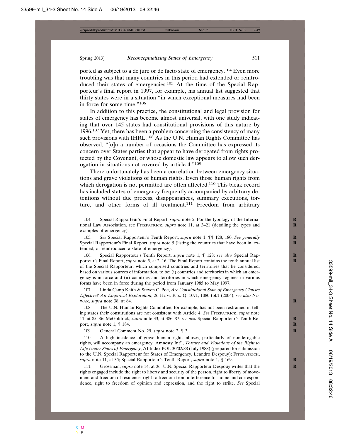\\jciprod01\productn\M\MIL\34-3\MIL301.txt unknown Seq: 21 10-JUN-13 12:49

#### Spring 2013] *Reconceptualizing States of Emergency* 511

ported as subject to a de jure or de facto state of emergency.104 Even more troubling was that many countries in this period had extended or reintroduced their states of emergencies.105 At the time of the Special Rapporteur's final report in 1997, for example, his annual list suggested that thirty states were in a situation "in which exceptional measures had been in force for some time."106

In addition to this practice, the constitutional and legal provision for states of emergency has become almost universal, with one study indicating that over 145 states had constitutional provisions of this nature by 1996.107 Yet, there has been a problem concerning the consistency of many such provisions with IHRL.<sup>108</sup> As the U.N. Human Rights Committee has observed, "[o]n a number of occasions the Committee has expressed its concern over States parties that appear to have derogated from rights protected by the Covenant, or whose domestic law appears to allow such derogation in situations not covered by article 4."109

There unfortunately has been a correlation between emergency situations and grave violations of human rights. Even those human rights from which derogation is not permitted are often affected.<sup>110</sup> This bleak record has included states of emergency frequently accompanied by arbitrary detentions without due process, disappearances, summary executions, torture, and other forms of ill treatment.<sup>111</sup> Freedom from arbitrary

105. *See* Special Rapporteur's Tenth Report, *supra* note 1, ¶¶ 128, 180. *See generally* **R** Special Rapporteur's Final Report, *supra* note 5 (listing the countries that have been in, ex- **R** tended, or reintroduced a state of emergency).

106. Special Rapporteur's Tenth Report, *supra* note 1, ¶ 128; *see also* Special Rap- **R** porteur's Final Report, *supra* note 5, at 2–16. The Final Report contains the tenth annual list **R** of the Special Rapporteur, which comprised countries and territories that he considered, based on various sources of information, to be: (i) countries and territories in which an emergency is in force and (ii) countries and territories in which emergency regimes in various forms have been in force during the period from January 1985 to May 1997.

Linda Camp Keith & Steven C. Poe, *Are Constitutional State of Emergency Clauses Effective? An Empirical Exploration*, 26 HUM. RTS. Q. 1071, 1080 tbl.1 (2004); *see also* NO-WAK, *supra* note 38, at 84. **R**

108. The U.N. Human Rights Committee, for example, has not been restrained in telling states their constitutions are not consistent with Article 4. *See* FITZPATRICK, *supra* note 11, at 85–86; McGoldrick, *supra* note 33, at 386–87; *see also* Special Rapporteur's Tenth Re- **R** port, *supra* note 1, ¶ 184. **R**

109. General Comment No. 29, *supra* note 2, ¶ 3. **R**

C M Y | K

110. A high incidence of grave human rights abuses, particularly of nonderogable rights, will accompany an emergency. Amnesty Int'l, *Torture and Violations of the Right to Life Under States of Emergency*, AI Index POL 30/02/88 (July 1988) (prepared for submission to the U.N. Special Rapporteur for States of Emergency, Leandro Despouy); FITZPATRICK, *supra* note 11, at 35; Special Rapporteur's Tenth Report, *supra* note 1, ¶ 169. **R**

111. Grossman, *supra* note 14, at 36. U.N. Special Rapporteur Despouy writes that the **R** rights engaged include the right to liberty and security of the person, right to liberty of movement and freedom of residence, right to freedom from interference for home and correspondence, right to freedom of opinion and expression, and the right to strike. *See* Special

<sup>104.</sup> Special Rapporteur's Final Report, *supra* note 5. For the typology of the Interna- **R** tional Law Association, see FITZPATRICK, *supra* note 11, at 3–21 (detailing the types and **R** examples of emergency).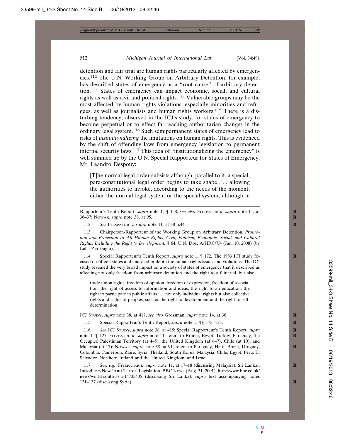\\jciprod01\productn\M\MIL\34-3\MIL301.txt unknown Seq: 22 10-JUN-13 12:49

#### 512 *Michigan Journal of International Law* [Vol. 34:491

detention and fair trial are human rights particularly affected by emergencies.112 The U.N. Working Group on Arbitrary Detention, for example, has described states of emergency as a "root cause" of arbitrary detention.113 States of emergency can impact economic, social, and cultural rights as well as civil and political rights.114 Vulnerable groups may be the most affected by human rights violations, especially minorities and refugees, as well as journalists and human rights workers.115 There is a disturbing tendency, observed in the ICJ's study, for states of emergency to become perpetual or to effect far-reaching authoritarian changes in the ordinary legal system.116 Such semipermanent states of emergency lead to risks of *institutionalizing* the limitations on human rights. This is evidenced by the shift of offending laws from emergency legislation to permanent internal security laws.117 This idea of "institutionalizing the emergency" is well summed up by the U.N. Special Rapporteur for States of Emergency, Mr. Leandro Despouy:

[T]he normal legal order subsists although, parallel to it, a special, para-constitutional legal order begins to take shape . . . allowing the authorities to invoke, according to the needs of the moment, either the normal legal system or the special system, although in

Rapporteur's Tenth Report, *supra* note 1, ¶ 158; *see also* FITZPATRICK, *supra* note 11, at **R** 36–37; NOWAK, *supra* note 38, at 95. **R**

112. *See* FITZPATRICK, *supra* note 11*,* at 38 n.44. **R**

113. Chairperson-Rapporteur of the Working Group on Arbitrary Detention, *Promotion and Protection of All Human Rights, Civil, Political, Economic, Social, and Cultural Rights, Including the Right to Development*, ¶ 64, U.N. Doc. A/HRC/7/4 (Jan. 10, 2008) (by Leïla Zerrougui).

114. Special Rapporteur's Tenth Report, *supra* note 1, ¶ 172. The 1983 ICJ study fo- **R** cused on fifteen states and analysed in-depth the human rights issues and violations. The ICJ study revealed the very broad impact on a society of states of emergency that it described as affecting not only freedom from arbitrary detention and the right to a fair trial, but also

trade union rights, freedom of opinion, freedom of expression, freedom of association, the right of access to information and ideas, the right to an education, the right to participate in public affairs . . . not only individual rights but also collective rights and rights of peoples, such as the right to development and the right to selfdetermination.

ICJ STUDY, *supra* note 38, at 417; *see also* Grossman, *supra* note 14, at 36. **R**

115. Special Rapporteur's Tenth Report, *supra* note 1, ¶¶ 173, 175. **R**

116. *See* ICJ STUDY, *supra* note 38, at 415; Special Rapporteur's Tenth Report, *supra* **R** note 1, ¶ 127. FITZPATRICK, *supra* note 11, refers to Brunei, Egypt, Turkey, Paraguay, the **R** Occupied Palestinian Territory (at 4–5), the United Kingdom (at 6–7), Chile (at 10), and Malaysia (at 17); NOWAK, *supra* note 38, at 91, refers to Paraguay, Haiti, Brazil, Uruguay, **R** Colombia, Cameroon, Zaire, Syria, Thailand, South Korea, Malaysia, Chile, Egypt, Peru, El Salvador, Northern Ireland and the United Kingdom, and Israel.

117. *See, e.g.*, FITZPATRICK, *supra* note 11, at 17–18 (discussing Malaysia); Sri Lankan **R** Introduces New 'Anti-Terror' Legislation, BBC NEWS (Aug. 31, 2001), http://www.bbc.co.uk/ news/world-south-asia-14735405 (discussing Sri Lanka); *supra* text accompanying notes 131–137 (discussing Syria). **R**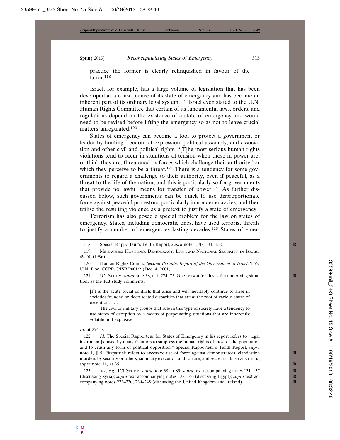\\jciprod01\productn\M\MIL\34-3\MIL301.txt unknown Seq: 23 10-JUN-13 12:49

#### Spring 2013] *Reconceptualizing States of Emergency* 513

practice the former is clearly relinquished in favour of the latter.<sup>118</sup>

Israel, for example, has a large volume of legislation that has been developed as a consequence of its state of emergency and has become an inherent part of its ordinary legal system.119 Israel even stated to the U.N. Human Rights Committee that certain of its fundamental laws, orders, and regulations depend on the existence of a state of emergency and would need to be revised before lifting the emergency so as not to leave crucial matters unregulated.120

States of emergency can become a tool to protect a government or leader by limiting freedom of expression, political assembly, and association and other civil and political rights. "[T]he most serious human rights violations tend to occur in situations of tension when those in power are, or think they are, threatened by forces which challenge their authority" or which they perceive to be a threat.<sup>121</sup> There is a tendency for some governments to regard a challenge to their authority, even if peaceful, as a threat to the life of the nation, and this is particularly so for governments that provide no lawful means for transfer of power.122 As further discussed below, such governments can be quick to use disproportionate force against peaceful protestors, particularly in nondemocracies, and then utilise the resulting violence as a pretext to justify a state of emergency.

Terrorism has also posed a special problem for the law on states of emergency. States, including democratic ones, have used terrorist threats to justify a number of emergencies lasting decades.123 States of emer-

121. ICJ STUDY, *supra* note 38, at i, 274–75. One reason for this is the underlying situa- **R** tion, as the ICJ study comments:

[I]t is the acute social conflicts that arise and will inevitably continue to arise in societies founded on deep-seated disparities that are at the root of various states of exception. . . .

The civil or military groups that rule in this type of society have a tendency to use states of exception as a means of perpetuating situations that are inherently volatile and explosive.

#### *Id.* at 274–75.

C M Y | K

122. *Id.* The Special Rapporteur for States of Emergency in his report refers to "legal instrument[s] used by many dictators to suppress the human rights of most of the population and to crush any form of political opposition," Special Rapporteur's Tenth Report, *supra* note 1,  $\parallel$  5. Fitzpatrick refers to excessive use of force against demonstrators, clandestine **R** murders by security or others, summary execution and torture, and secret trial. FITZPATRICK, *supra* note 11, at 35. **R**

123. *See, e.g.*, ICJ STUDY, *supra* note 38, at 83; *supra* text accompanying notes 131–137 **R** (discussing Syria); *supra* text accompanying notes 138–146 (discussing Egypt); *supra* text ac- **R** companying notes 223–230, 239–245 (discussing the United Kingdom and Ireland). **R**

<sup>118.</sup> Special Rapporteur's Tenth Report, *supra* note 1, ¶¶ 131, 132. **R**

<sup>119.</sup> MENACHEM HOFNUNG, DEMOCRACY, LAW AND NATIONAL SECURITY IN ISRAEL 49–50 (1996).

<sup>120.</sup> Human Rights Comm., *Second Periodic Report of the Government of Israel*, ¶ 72, U.N. Doc. CCPR/C/ISR/2001/2 (Dec. 4, 2001).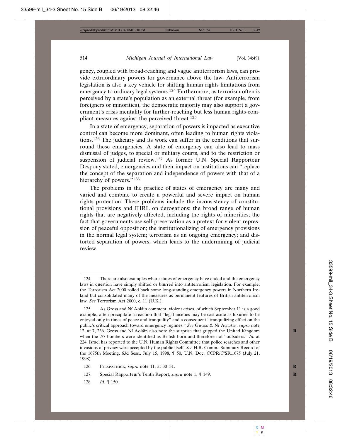\\jciprod01\productn\M\MIL\34-3\MIL301.txt unknown Seq: 24 10-JUN-13 12:49

#### 514 *Michigan Journal of International Law* [Vol. 34:491

gency, coupled with broad-reaching and vague antiterrorism laws, can provide extraordinary powers for governance above the law. Antiterrorism legislation is also a key vehicle for shifting human rights limitations from emergency to ordinary legal systems.124 Furthermore, as terrorism often is perceived by a state's population as an external threat (for example, from foreigners or minorities), the democratic majority may also support a government's crisis mentality for further-reaching but less human rights-compliant measures against the perceived threat.125

In a state of emergency, separation of powers is impacted as executive control can become more dominant, often leading to human rights violations.126 The judiciary and its work can suffer in the conditions that surround these emergencies. A state of emergency can also lead to mass dismissal of judges, to special or military courts, and to the restriction or suspension of judicial review.127 As former U.N. Special Rapporteur Despouy stated, emergencies and their impact on institutions can "replace the concept of the separation and independence of powers with that of a hierarchy of powers."<sup>128</sup>

The problems in the practice of states of emergency are many and varied and combine to create a powerful and severe impact on human rights protection. These problems include the inconsistency of constitutional provisions and IHRL on derogations; the broad range of human rights that are negatively affected, including the rights of minorities; the fact that governments use self-preservation as a pretext for violent repression of peaceful opposition; the institutionalizing of emergency provisions in the normal legal system; terrorism as an ongoing emergency; and distorted separation of powers, which leads to the undermining of judicial review.

<sup>124.</sup> There are also examples where states of emergency have ended and the emergency laws in question have simply shifted or blurred into antiterrorism legislation. For example, the Terrorism Act 2000 rolled back some long-standing emergency powers in Northern Ireland but consolidated many of the measures as permanent features of British antiterrorism law. *See* Terrorism Act 2000, c. 11 (U.K.).

<sup>125.</sup> As Gross and Ní Aoláin comment, violent crises, of which September 11 is a good example, often precipitate a reaction that "legal niceties may be cast aside as luxuries to be enjoyed only in times of peace and tranquility" and a consequent "tranquilizing effect on the public's critical approach toward emergency regimes." *See* GROSS & Ní AOLAIN, *supra* note 12, at 7, 236. Gross and Ní Aoláin also note the surprise that gripped the United Kingdom **R** when the 7/7 bombers were identified as British born and therefore not "outsiders." *Id.* at 224. Israel has reported to the U.N. Human Rights Committee that police searches and other invasions of privacy were accepted by the public itself. *See* H.R. Comm., Summary Record of the 1675th Meeting, 63d Sess., July 15, 1998, ¶ 50, U.N. Doc. CCPR/C/SR.1675 (July 21, 1998).

<sup>126.</sup> FITZPATRICK, *supra* note 11, at 30–31. **R**

<sup>127.</sup> Special Rapporteur's Tenth Report, *supra* note 1, ¶ 149. **R**

<sup>128.</sup> *Id.* ¶ 150.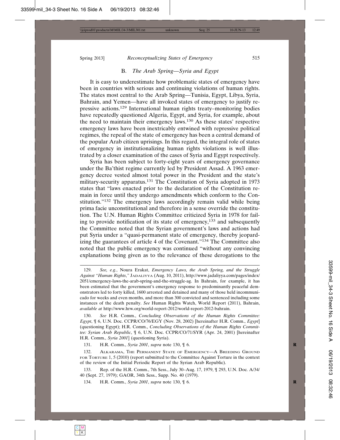\\jciprod01\productn\M\MIL\34-3\MIL301.txt unknown Seq: 25 10-JUN-13 12:49

#### Spring 2013] *Reconceptualizing States of Emergency* 515

#### B. *The Arab Spring—Syria and Egypt*

It is easy to underestimate how problematic states of emergency have been in countries with serious and continuing violations of human rights. The states most central to the Arab Spring—Tunisia, Egypt, Libya, Syria, Bahrain, and Yemen—have all invoked states of emergency to justify repressive actions.129 International human rights treaty–monitoring bodies have repeatedly questioned Algeria, Egypt, and Syria, for example, about the need to maintain their emergency laws.130 As these states' respective emergency laws have been inextricably entwined with repressive political regimes, the repeal of the state of emergency has been a central demand of the popular Arab citizen uprisings. In this regard, the integral role of states of emergency in institutionalizing human rights violations is well illustrated by a closer examination of the cases of Syria and Egypt respectively.

Syria has been subject to forty-eight years of emergency governance under the Ba'thist regime currently led by President Assad. A 1963 emergency decree vested almost total power in the President and the state's military-security apparatus.<sup>131</sup> The Constitution of Syria adopted in 1973 states that "laws enacted prior to the declaration of the Constitution remain in force until they undergo amendments which conform to the Constitution."132 The emergency laws accordingly remain valid while being prima facie unconstitutional and therefore in a sense override the constitution. The U.N. Human Rights Committee criticized Syria in 1978 for failing to provide notification of its state of emergency,133 and subsequently the Committee noted that the Syrian government's laws and actions had put Syria under a "quasi-permanent state of emergency, thereby jeopardizing the guarantees of article 4 of the Covenant."134 The Committee also noted that the public emergency was continued "without any convincing explanations being given as to the relevance of these derogations to the

130. *See* H.R. Comm., *Concluding Observations of the Human Rights Committee: Egypt*, ¶ 6, U.N. Doc. CCPR/CO/76/EGY (Nov. 28, 2002) [hereinafter H.R. Comm., *Egypt*] (questioning Egypt); H.R. Comm., *Concluding Observations of the Human Rights Committee: Syrian Arab Republic*, ¶ 6, U.N. Doc. CCPR/CO/71/SYR (Apr. 24, 2001) [hereinafter H.R. Comm., *Syria 2001*] (questioning Syria).

131. H.R. Comm., *Syria 2001*, *supra* note 130, ¶ 6. **R**

132. ALKARAMA, THE PERMANENT STATE OF EMERGENCY—A BREEDING GROUND FOR TORTURE 1, 5 (2010) (report submitted to the Committee Against Torture in the context of the review of the Initial Periodic Report of the Syrian Arab Republic).

133. Rep. of the H.R. Comm., 7th Sess., July 30–Aug. 17, 1979, ¶ 293, U.N. Doc. A/34/ 40 (Sept. 27, 1979); GAOR, 34th Sess., Supp. No. 40 (1979).

134. H.R. Comm., *Syria 2001*, *supra* note 130, ¶ 6. **R**

<sup>129.</sup> *See, e.g.*, Noura Erakat, *Emergency Laws, the Arab Spring, and the Struggle Against "Human Rights*,*"* JADALIYYA (Aug. 10, 2011), http://www.jadaliyya.com/pages/index/ 2051/emergency-laws-the-arab-spring-and-the-struggle-ag. In Bahrain, for example, it has been estimated that the government's emergency response to predominantly peaceful demonstrators led to forty killed, 1600 arrested and detained and many of those held incommunicado for weeks and even months, and more than 300 convicted and sentenced including some instances of the death penalty. *See* Human Rights Watch, World Report (2011), Bahrain, *available at* http://www.hrw.org/world-report-2012/world-report-2012-bahrain.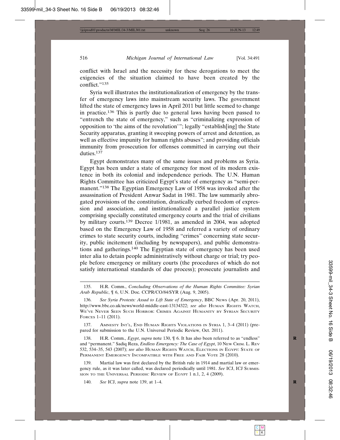\\jciprod01\productn\M\MIL\34-3\MIL301.txt unknown Seq: 26 10-JUN-13 12:49

516 *Michigan Journal of International Law* [Vol. 34:491

conflict with Israel and the necessity for these derogations to meet the exigencies of the situation claimed to have been created by the conflict."135

Syria well illustrates the institutionalization of emergency by the transfer of emergency laws into mainstream security laws. The government lifted the state of emergency laws in April 2011 but little seemed to change in practice.136 This is partly due to general laws having been passed to "entrench the state of emergency," such as "criminalizing expression of opposition to 'the aims of the revolution'"; legally "establish[ing] the State Security apparatus, granting it sweeping powers of arrest and detention, as well as effective impunity for human rights abuses"; and providing officials immunity from prosecution for offenses committed in carrying out their duties.<sup>137</sup>

Egypt demonstrates many of the same issues and problems as Syria. Egypt has been under a state of emergency for most of its modern existence in both its colonial and independence periods. The U.N. Human Rights Committee has criticized Egypt's state of emergency as "semi-permanent."138 The Egyptian Emergency Law of 1958 was invoked after the assassination of President Anwar Sadat in 1981. The law summarily abrogated provisions of the constitution, drastically curbed freedom of expression and association, and institutionalized a parallel justice system comprising specially constituted emergency courts and the trial of civilians by military courts.139 Decree 1/1981, as amended in 2004, was adopted based on the Emergency Law of 1958 and referred a variety of ordinary crimes to state security courts, including "crimes" concerning state security, public incitement (including by newspapers), and public demonstrations and gatherings.140 The Egyptian state of emergency has been used inter alia to detain people administratively without charge or trial; try people before emergency or military courts (the procedures of which do not satisfy international standards of due process); prosecute journalists and

137. AMNESTY INT'L, END HUMAN RIGHTS VIOLATIONS IN SYRIA 1, 3–4 (2011) (prepared for submission to the U.N. Universal Periodic Review, Oct. 2011).

138. H.R. Comm., *Egypt*, *supra* note 130, ¶ 6. It has also been referred to as "endless" **R** and "permanent." Sadiq Reza, *Endless Emergency: The Case of Egypt*, 10 NEW CRIM. L. REV 532, 534–35, 543 (2007); *see also* HUMAN RIGHTS WATCH, ELECTIONS IN EGYPT: STATE OF PERMANENT EMERGENCY INCOMPATIBLE WITH FREE AND FAIR VOTE 28 (2010).

139. Martial law was first declared by the British rule in 1914 and martial law or emergency rule, as it was later called, was declared periodically until 1981. *See* ICJ, ICJ SUBMIS-SION TO THE UNIVERSAL PERIODIC REVIEW OF EGYPT 1 n.1, 2, 4 (2009).

140. *See* ICJ, *supra* note 139, at 1–4. **R**

<sup>135.</sup> H.R. Comm., *Concluding Observations of the Human Rights Committee: Syrian Arab Republic*, ¶ 6, U.N. Doc. CCPR/CO/84/SYR (Aug. 9, 2005).

<sup>136.</sup> *See Syria Protests: Assad to Lift State of Emergency*, BBC NEWS (Apr. 20, 2011), http://www.bbc.co.uk/news/world-middle-east-13134322; *see also* HUMAN RIGHTS WATCH, WE'VE NEVER SEEN SUCH HORROR: CRIMES AGAINST HUMANITY BY SYRIAN SECURITY FORCES 1–11 (2011).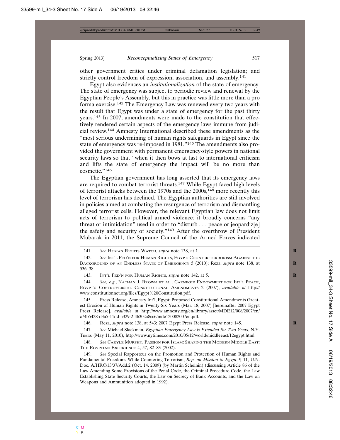\\jciprod01\productn\M\MIL\34-3\MIL301.txt unknown Seq: 27 10-JUN-13 12:49

C M Y | K

#### Spring 2013] *Reconceptualizing States of Emergency* 517

other government critics under criminal defamation legislation; and strictly control freedom of expression, association, and assembly.<sup>141</sup>

Egypt also evidences an *institutionalization* of the state of emergency. The state of emergency was subject to periodic review and renewal by the Egyptian People's Assembly, but this in practice was little more than a pro forma exercise.142 The Emergency Law was renewed every two years with the result that Egypt was under a state of emergency for the past thirty years.143 In 2007, amendments were made to the constitution that effectively rendered certain aspects of the emergency laws immune from judicial review.144 Amnesty International described these amendments as the "most serious undermining of human rights safeguards in Egypt since the state of emergency was re-imposed in 1981."145 The amendments also provided the government with permanent emergency-style powers in national security laws so that "when it then bows at last to international criticism and lifts the state of emergency the impact will be no more than cosmetic."<sup>146</sup>

The Egyptian government has long asserted that its emergency laws are required to combat terrorist threats.147 While Egypt faced high levels of terrorist attacks between the 1970s and the 2000s,<sup>148</sup> more recently this level of terrorism has declined. The Egyptian authorities are still involved in policies aimed at combating the resurgence of terrorism and dismantling alleged terrorist cells. However, the relevant Egyptian law does not limit acts of terrorism to political armed violence; it broadly concerns "any threat or intimidation" used in order to "disturb . . . peace or jeopardiz[e] the safety and security of society."149 After the overthrow of President Mubarak in 2011, the Supreme Council of the Armed Forces indicated

145. Press Release, Amnesty Int'l, Egypt: Proposed Constitutional Amendments Greatest Erosion of Human Rights in Twenty-Six Years (Mar. 18, 2007) [hereinafter 2007 Egypt Press Release], *available at* http://www.amnesty.org/en/library/asset/MDE12/008/2007/en/ c74b5428-d3a5-11dd-a329-2f46302a8cc6/mde120082007en.pdf.

146. Reza, *supra* note 138, at 543; 2007 Egypt Press Release, *supra* note 145. **R**

147. *See* Michael Slackman, *Egyptian Emergency Law is Extended for Two Years*, N.Y. TIMES (May 11, 2010), http://www.nytimes.com/2010/05/12/world/middleeast/12egypt.html.

148. *See* CARYLE MURPHY, PASSION FOR ISLAM: SHAPING THE MODERN MIDDLE EAST: THE EGYPTIAN EXPERIENCE 4, 57, 82–83 (2002).

149. *See* Special Rapporteur on the Promotion and Protection of Human Rights and Fundamental Freedoms While Countering Terrorism, *Rep. on Mission to Egypt*, ¶ 11, U.N. Doc. A/HRC/13/37/Add.2 (Oct. 14, 2009) (by Martin Scheinin) (discussing Article 86 of the Law Amending Some Provisions of the Penal Code, the Criminal Procedure Code, the Law Establishing State Security Courts, the Law on Secrecy of Bank Accounts, and the Law on Weapons and Ammunition adopted in 1992).

33599-mil\_34-3 Sheet No. 17 Side A 06/19/2013 08:32:46 33599-mil\_34-3 Sheet No. 17 Side A 06/19/2013 08:32:46

<sup>141.</sup> *See* HUMAN RIGHTS WATCH, *supra* note 138, at 1. **R**

<sup>142.</sup> *See* INT'L FED'N FOR HUMAN RIGHTS, EGYPT: COUNTER-TERRORISM AGAINST THE BACKGROUND OF AN ENDLESS STATE OF EMERGENCY 5 (2010); Reza, *supra* note 138, at **R** 536–38.

<sup>143.</sup> INT'L FED'N FOR HUMAN RIGHTS, *supra* note 142, at 5. **R**

<sup>144.</sup> *See, e.g.*, NATHAN J. BROWN ET AL., CARNEGIE ENDOWMENT FOR INT'L PEACE, EGYPT'S CONTROVERSIAL CONSTITUTIONAL AMENDMENTS 2 (2007), *available at* http:// www.constitutionnet.org/files/Egypt%20Constitution.pdf.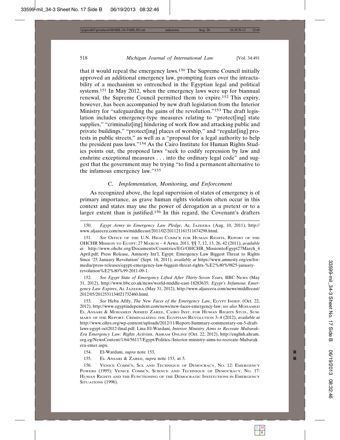\\jciprod01\productn\M\MIL\34-3\MIL301.txt unknown Seq: 28 10-JUN-13

#### 518 *Michigan Journal of International Law* [Vol. 34:491

that it would repeal the emergency laws.150 The Supreme Council initially approved an additional emergency law, prompting fears over the intractability of a mechanism so entrenched in the Egyptian legal and political systems.151 In May 2012, when the emergency laws were up for biannual renewal, the Supreme Council permitted them to expire.152 This expiry, however, has been accompanied by new draft legislation from the Interior Ministry for "safeguarding the gains of the revolution."153 The draft legislation includes emergency-type measures relating to "protect[ing] state supplies," "criminaliz[ing] hindering of work flow and attacking public and private buildings," "protect[ing] places of worship," and "regulat[ing] protests in public streets," as well as a "proposal for a legal authority to help the president pass laws."154 As the Cairo Institute for Human Rights Studies points out, the proposed laws "seek to codify repression by law and enshrine exceptional measures . . . into the ordinary legal code" and suggest that the government may be trying "to find a permanent alternative to the infamous emergency law."155

#### C. *Implementation, Monitoring, and Enforcement*

As recognized above, the legal supervision of states of emergency is of primary importance, as grave human rights violations often occur in this context and states may use the power of derogation as a pretext or to a larger extent than is justified.<sup>156</sup> In this regard, the Covenant's drafters

150. *Egypt Army in Emergency Law Pledge*, AL JAZEERA (Aug. 10, 2011), http:// www.aljazeera.com/news/middleeast/2011/02/201121161511674298.html.

151. *See* OFFICE OF THE U.N. HIGH COMM'R FOR HUMAN RIGHTS, REPORT OF THE OHCHR MISSION TO EGYPT: 27 MARCH – 4 APRIL 2011, ¶¶ 7, 12, 13, 26, 42 (2011), *available at* http://www.ohchr.org/Documents/Countries/EG/OHCHR\_MissiontoEgypt27March\_4 April.pdf; Press Release, Amnesty Int'l, Egypt: Emergency Law Biggest Threat to Rights Since '25 January Revolution' (Sept. 16, 2011), *available at* https://www.amnesty.org/en/formedia/press-releases/egypt-emergency-law-biggest-threat-rights-%E2%80%9825-januaryrevolution%E2%80%99-2011-09-1.

152. *See Egypt State of Emergency Lifted After Thirty-Seven Years,* BBC NEWS (May 31, 2012), http://www.bbc.co.uk/news/world-middle-east-18283635; *Egypt's Infamous Emergency Law Expires*, AL JAZEERA (May 31, 2012), http://www.aljazeera.com/news/middleeast/ 2012/05/2012531134021732460.html.

153. *See* Heba Afify, *The New Faces of the Emergency Law*, EGYPT INDEP. (Oct. 22, 2012), http://www.egyptindependent.com/news/new-faces-emergency-law; *see also* MOHAMED EL ANSARI & MOHAMED AHMED ZAREE, CAIRO INST. FOR HUMAN RIGHTS STUD., SUM-MARY OF THE REPORT: CRIMINALIZING THE EGYPTIAN REVOLUTION 3–4 (2012), *available at* http://www.cihrs.org/wp-content/uploads/2012/11/Report-Summary-commentary-on-5-draftlaws-egypt-oct2012-final.pdf; Lina El-Wardani, *Interior Ministry Aims to Recreate Mubarak-Era Emergency Law: Rights Activists*, AHRAM ONLINE (Oct. 22, 2012), http://english.ahram. org.eg/NewsContent/1/64/56117/Egypt/Politics-/Interior-ministry-aims-to-recreate-Mubarak era-emer.aspx.

- 154. El-Wardani, *supra* note 153. **R**
- 155. EL ANSARI & ZAREE, *supra* note 153, at 5. **R**

156. VENICE COMM'N, SCI. AND TECHNIQUE OF DEMOCRACY, NO. 12: EMERGENCY POWERS (1995); VENICE COMM'N, SCIENCE AND TECHNIQUE OF DEMOCRACY, No. 17: HUMAN RIGHTS AND THE FUNCTIONING OF THE DEMOCRATIC INSTITUTIONS IN EMERGENCY SITUATIONS (1996).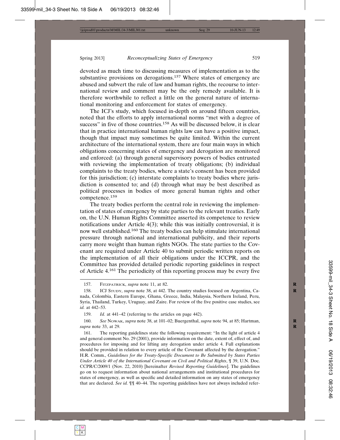\)\jciprod01\productn\M\MIL\34-3\MIL301.txt unknown Seq: 29 10-JUN-13 12:49

#### Spring 2013] *Reconceptualizing States of Emergency* 519

devoted as much time to discussing measures of implementation as to the substantive provisions on derogations.157 Where states of emergency are abused and subvert the rule of law and human rights, the recourse to international review and comment may be the only remedy available. It is therefore worthwhile to reflect a little on the general nature of international monitoring and enforcement for states of emergency.

The ICJ's study, which focused in-depth on around fifteen countries, noted that the efforts to apply international norms "met with a degree of success" in five of those countries.<sup>158</sup> As will be discussed below, it is clear that in practice international human rights law can have a positive impact, though that impact may sometimes be quite limited. Within the current architecture of the international system, there are four main ways in which obligations concerning states of emergency and derogation are monitored and enforced: (a) through general supervisory powers of bodies entrusted with reviewing the implementation of treaty obligations; (b) individual complaints to the treaty bodies, where a state's consent has been provided for this jurisdiction; (c) interstate complaints to treaty bodies where jurisdiction is consented to; and (d) through what may be best described as political processes in bodies of more general human rights and other competence.<sup>159</sup>

The treaty bodies perform the central role in reviewing the implementation of states of emergency by state parties to the relevant treaties. Early on, the U.N. Human Rights Committee asserted its competence to review notifications under Article 4(3); while this was initially controversial, it is now well established.160 The treaty bodies can help stimulate international pressure through national and international publicity, and their reports carry more weight than human rights NGOs. The state parties to the Covenant are required under Article 40 to submit periodic written reports on the implementation of all their obligations under the ICCPR, and the Committee has provided detailed periodic reporting guidelines in respect of Article 4.161 The periodicity of this reporting process may be every five

<sup>157.</sup> FITZPATRICK, *supra* note 11, at 82. **R**

<sup>158.</sup> ICJ STUDY, *supra* note 38, at 442. The country studies focused on Argentina, Ca- **R** nada, Colombia, Eastern Europe, Ghana, Greece, India, Malaysia, Northern Ireland, Peru, Syria, Thailand, Turkey, Uruguay, and Zaire. For review of the five positive case studies, see *id.* at 442–53.

<sup>159.</sup> *Id.* at 441–42 (referring to the articles on page 442).

<sup>160.</sup> *See* NOWAK, *supra* note 38, at 101–02; Buergenthal, *supra* note 94, at 85; Hartman, **R** *supra* note 33, at 29. **R**

<sup>161.</sup> The reporting guidelines state the following requirement: "In the light of article 4 and general comment No. 29 (2001), provide information on the date, extent of, effect of, and procedures for imposing and for lifting any derogation under article 4. Full explanations should be provided in relation to every article of the Covenant affected by the derogation." H.R. Comm., *Guidelines for the Treaty-Specific Document to Be Submitted by States Parties Under Article 40 of the International Covenant on Civil and Political Rights*, ¶ 39, U.N. Doc. CCPR/C/2009/1 (Nov. 22, 2010) [hereinafter *Revised Reporting Guidelines*]. The guidelines go on to request information about national arrangements and institutional procedures for states of emergency, as well as specific and detailed information on any states of emergency that are declared. *See id.* ¶¶ 40–44. The reporting guidelines have not always included refer-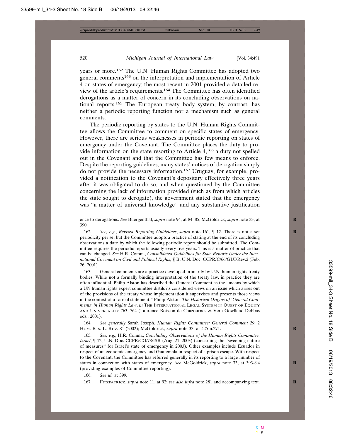\\jciprod01\productn\M\MIL\34-3\MIL301.txt unknown Seq: 30 10-JUN-13 12:49

#### 520 *Michigan Journal of International Law* [Vol. 34:491

years or more.162 The U.N. Human Rights Committee has adopted two general comments163 on the interpretation and implementation of Article 4 on states of emergency; the most recent in 2001 provided a detailed review of the article's requirements.164 The Committee has often identified derogations as a matter of concern in its concluding observations on national reports.165 The European treaty body system, by contrast, has neither a periodic reporting function nor a mechanism such as general comments.

The periodic reporting by states to the U.N. Human Rights Committee allows the Committee to comment on specific states of emergency. However, there are serious weaknesses in periodic reporting on states of emergency under the Covenant. The Committee places the duty to provide information on the state resorting to Article 4,166 a duty not spelled out in the Covenant and that the Committee has few means to enforce. Despite the reporting guidelines, many states' notices of derogation simply do not provide the necessary information.167 Uruguay, for example, provided a notification to the Covenant's depositary effectively three years after it was obligated to do so, and when questioned by the Committee concerning the lack of information provided (such as from which articles the state sought to derogate), the government stated that the emergency was "a matter of universal knowledge" and any substantive justification

162. *See, e.g.*, *Revised Reporting Guidelines*, *supra* note 161, ¶ 12. There is not a set **R** periodicity per se, but the Committee adopts a practice of stating at the end of its concluding observations a date by which the following periodic report should be submitted. The Committee requires the periodic reports usually every five years. This is a matter of practice that can be changed. *See* H.R. Comm., *Consolidated Guidelines for State Reports Under the International Covenant on Civil and Political Rights*, ¶ B, U.N. Doc. CCPR/C/66/GUI/Rev.2 (Feb. 26, 2001).

163. General comments are a practice developed primarily by U.N. human rights treaty bodies. While not a formally binding interpretation of the treaty law, in practice they are often influential. Philip Alston has described the General Comment as the "means by which a UN human rights expert committee distils its considered views on an issue which arises out of the provisions of the treaty whose implementation it supervises and presents those views in the context of a formal statement." Philip Alston, *The Historical Origins of 'General Comments' in Human Rights Law*, *in* THE INTERNATIONAL LEGAL SYSTEM IN QUEST OF EQUITY AND UNIVERSALITY 763, 764 (Laurence Boisson de Chazournes & Vera Gowlland-Debbas eds., 2001).

164. *See generally* Sarah Joseph, *Human Rights Committee: General Comment 29*, 2 HUM. RTS. L. REV. 81 (2002); McGoldrick, *supra* note 33, at 425 n.271. **R**

165. *See, e.g.*, H.R. Comm., *Concluding Observations of the Human Rights Committee: Israel*, ¶ 12, U.N. Doc. CCPR/CO/78/ISR (Aug. 21, 2003) (concerning the "sweeping nature of measures" for Israel's state of emergency in 2003). Other examples include Ecuador in respect of an economic emergency and Guatemala in respect of a prison escape. With respect to the Covenant, the Committee has referred generally in its reporting to a large number of states in connection with states of emergency. *See* McGoldrick, *supra* note 33, at 393–94 **R** (providing examples of Committee reporting).

166. *See id.* at 399.

167. FITZPATRICK, *supra* note 11, at 92; *see also infra* note 281 and accompanying text. **R**

ence to derogations. *See* Buergenthal, *supra* note 94, at 84–85; McGoldrick, *supra* note 33, at **R** 390.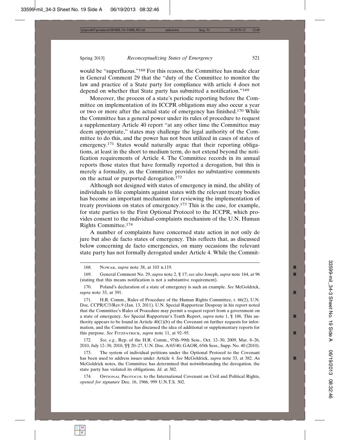\\jciprod01\productn\M\MIL\34-3\MIL301.txt unknown Seq: 31 10-JUN-13 12:49

#### Spring 2013] *Reconceptualizing States of Emergency* 521

would be "superfluous."168 For this reason, the Committee has made clear in General Comment 29 that the "duty of the Committee to monitor the law and practice of a State party for compliance with article 4 does not depend on whether that State party has submitted a notification."169

Moreover, the process of a state's periodic reporting before the Committee on implementation of its ICCPR obligations may also occur a year or two or more after the actual state of emergency has finished.<sup>170</sup> While the Committee has a general power under its rules of procedure to request a supplementary Article 40 report "at any other time the Committee may deem appropriate," states may challenge the legal authority of the Committee to do this, and the power has not been utilized in cases of states of emergency.171 States would naturally argue that their reporting obligations, at least in the short to medium term, do not extend beyond the notification requirements of Article 4. The Committee records in its annual reports those states that have formally reported a derogation, but this is merely a formality, as the Committee provides no substantive comments on the actual or purported derogation.172

Although not designed with states of emergency in mind, the ability of individuals to file complaints against states with the relevant treaty bodies has become an important mechanism for reviewing the implementation of treaty provisions on states of emergency.173 This is the case, for example, for state parties to the First Optional Protocol to the ICCPR, which provides consent to the individual-complaints mechanism of the U.N. Human Rights Committee.174

A number of complaints have concerned state action in not only de jure but also de facto states of emergency. This reflects that, as discussed below concerning de facto emergencies, on many occasions the relevant state party has not formally derogated under Article 4. While the Commit-

C M Y | K

171. H.R. Comm., Rules of Procedure of the Human Rights Committee, r. 66(2), U.N. Doc. CCPR/C/3/Rev.9 (Jan. 13, 2011). U.N. Special Rapporteur Despouy in his report noted that the Committee's Rules of Procedure may permit a request report from a government on a state of emergency. *See* Special Rapporteur's Tenth Report, *supra* note 1, ¶ 186. This au- **R** thority appears to be found in Article  $40(1)(b)$  of the Covenant on further requests for information, and the Committee has discussed the idea of additional or supplementary reports for this purpose. *See* FITZPATRICK, *supra* note 11, at 92–95. **R**

172. *See, e.g.*, Rep. of the H.R. Comm., 97th–99th Sess., Oct. 12–30, 2009, Mar. 8–26, 2010, July 12–30, 2010, ¶¶ 20–27, U.N. Doc. A/65/40; GAOR, 65th Sess., Supp. No. 40 (2010).

173. The system of individual petitions under the Optional Protocol to the Covenant has been used to address issues under Article 4. *See* McGoldrick, *supra* note 33, at 382. As **R** McGoldrick notes, the Committee has determined that notwithstanding the derogation, the state party has violated its obligations. *Id.* at 382.

174. OPTIONAL PROTOCOL to the International Covenant on Civil and Political Rights, *opened for signature* Dec. 16, 1966, 999 U.N.T.S. 302.

<sup>168.</sup> NOWAK, *supra* note 38, at 103 n.119. **R**

<sup>169.</sup> General Comment No. 29, *supra* note 2, ¶ 17; *see also* Joseph, *supra* note 164, at 96 **R** (stating that this means notification is not a substantive requirement).

<sup>170.</sup> Poland's declaration of a state of emergency is such an example. *See* McGoldrick, *supra* note 33, at 391. **R**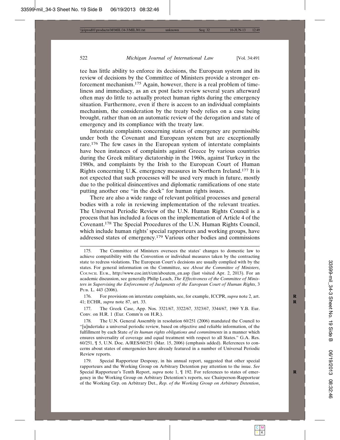\\jciprod01\productn\M\MIL\34-3\MIL301.txt unknown Seq: 32 10-JUN-13 12:49

# 522 *Michigan Journal of International Law* [Vol. 34:491

tee has little ability to enforce its decisions, the European system and its review of decisions by the Committee of Ministers provide a stronger enforcement mechanism.175 Again, however, there is a real problem of timeliness and immediacy, as an ex post facto review several years afterward often may do little to actually protect human rights during the emergency situation. Furthermore, even if there is access to an individual complaints mechanism, the consideration by the treaty body relies on a case being brought, rather than on an automatic review of the derogation and state of emergency and its compliance with the treaty law.

Interstate complaints concerning states of emergency are permissible under both the Covenant and European system but are exceptionally rare.176 The few cases in the European system of interstate complaints have been instances of complaints against Greece by various countries during the Greek military dictatorship in the 1960s, against Turkey in the 1980s, and complaints by the Irish to the European Court of Human Rights concerning U.K. emergency measures in Northern Ireland.177 It is not expected that such processes will be used very much in future, mostly due to the political disincentives and diplomatic ramifications of one state putting another one "in the dock" for human rights issues.

There are also a wide range of relevant political processes and general bodies with a role in reviewing implementation of the relevant treaties. The Universal Periodic Review of the U.N. Human Rights Council is a process that has included a focus on the implementation of Article 4 of the Covenant.178 The Special Procedures of the U.N. Human Rights Council, which include human rights' special rapporteurs and working groups, have addressed states of emergency.179 Various other bodies and commissions

176. For provisions on interstate complaints, see, for example, ICCPR, *supra* note 2, art. **R** 41; ECHR, *supra* note 87, art. 33. **R**

177. The Greek Case, App. Nos. 3321/67, 3322/67, 3323/67, 3344/67, 1969 Y.B. Eur. Conv. on H.R. 1 (Eur. Comm'n on H.R.).

179. Special Rapporteur Despouy, in his annual report, suggested that other special rapporteurs and the Working Group on Arbitrary Detention pay attention to the issue. *See* Special Rapporteur's Tenth Report, *supra* note 1, ¶ 192. For references to states of emer- **R** gency in the Working Group on Arbitrary Detention's reports, see Chairperson-Rapporteur of the Working Grp. on Arbitrary Det., *Rep. of the Working Group on Arbitrary Detention*,

<sup>175.</sup> The Committee of Ministers oversees the states' changes to domestic law to achieve compatibility with the Convention or individual measures taken by the contracting state to redress violations. The European Court's decisions are usually complied with by the states. For general information on the Committee, see *About the Committee of Ministers*, COUNCIL EUR., http://www.coe.int/t/cm/aboutcm\_en.asp (last visited Apr. 2, 2013). For an academic discussion, see generally Philip Leach, *The Effectiveness of the Committee of Ministers in Supervising the Enforcement of Judgments of the European Court of Human Rights*, 3 PUB. L. 443 (2006).

<sup>178.</sup> The U.N. General Assembly in resolution 60/251 (2006) mandated the Council to "[u]ndertake a universal periodic review, based on objective and reliable information, of the fulfillment by each State *of its human rights obligations and commitments* in a manner which ensures universality of coverage and equal treatment with respect to all States." G.A. Res. 60/251, ¶ 5, U.N. Doc. A/RES/60/251 (Mar. 15, 2006) (emphasis added). References to concerns about states of emergencies have already featured in a number of Universal Periodic Review reports.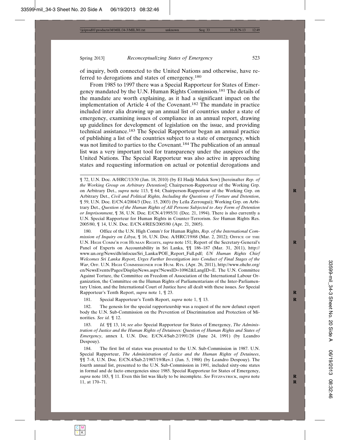\\jciprod01\productn\M\MIL\34-3\MIL301.txt unknown Seq: 33 10-JUN-13 12:49

C M Y | K

#### Spring 2013] *Reconceptualizing States of Emergency* 523

of inquiry, both connected to the United Nations and otherwise, have referred to derogations and states of emergency.180

From 1985 to 1997 there was a Special Rapporteur for States of Emergency mandated by the U.N. Human Rights Commission.181 The details of the mandate are worth explaining, as it had a significant impact on the implementation of Article 4 of the Covenant.182 The mandate in practice included inter alia drawing up an annual list of countries under a state of emergency, examining issues of compliance in an annual report, drawing up guidelines for development of legislation on the issue, and providing technical assistance.183 The Special Rapporteur began an annual practice of publishing a list of the countries subject to a state of emergency, which was not limited to parties to the Covenant.<sup>184</sup> The publication of an annual list was a very important tool for transparency under the auspices of the United Nations. The Special Rapporteur was also active in approaching states and requesting information on actual or potential derogations and

¶ 72, U.N. Doc. A/HRC/13/30 (Jan. 18, 2010) (by El Hadji Malick Sow) [hereinafter *Rep. of the Working Group on Arbitrary Detention*]; Chairperson-Rapporteur of the Working Grp. on Arbitrary Det., *supra* note 113, ¶ 64; Chairperson-Rapporteur of the Working Grp. on **R** Arbitrary Det., *Civil and Political Rights, Including the Questions of Torture and Detention*, ¶ 59, U.N. Doc. E/CN.4/2004/3 (Dec. 15, 2003) (by Le¨ıla Zerrougui); Working Grp. on Arbitrary Det., *Question of the Human Rights of All Persons Subjected to Any Form of Detention or Imprisonment*, ¶ 38, U.N. Doc. E/CN.4/1995/31 (Dec. 21, 1994). There is also currently a U.N. Special Rapporteur for Human Rights in Counter-Terrorism. *See* Human Rights Res. 2005/80, ¶ 14, U.N. Doc. E/CN.4/RES/2005/80 (Apr. 21, 2005).

180. Office of the U.N. High Comm'r for Human Rights, *Rep. of the International Commission of Inquiry on Libya*, ¶ 16, U.N. Doc. A/HRC/19/68 (Mar. 2, 2012); OFFICE OF THE U.N. HIGH COMM'R FOR HUMAN RIGHTS, *supra* note 151; Report of the Secretary-General's **R** Panel of Experts on Accountability in Sri Lanka,  $\P$  186–187 (Mar. 31, 2011), http:// www.un.org/News/dh/infocus/Sri\_Lanka/POE\_Report\_Full.pdf; *UN Human Rights Chief Welcomes Sri Lanka Report, Urges Further Investigation into Conduct of Final Stages of the War*, OFF. U.N. HIGH COMMISSIONER FOR HUM. RTS. (Apr. 26, 2011), http://www.ohchr.org/ en/NewsEvents/Pages/DisplayNews.aspx?NewsID=10962&LangID=E. The U.N. Committee Against Torture, the Committee on Freedom of Association of the International Labour Organization, the Committee on the Human Rights of Parliamentarians of the Inter-Parliamentary Union, and the International Court of Justice have all dealt with these issues. *See* Special Rapporteur's Tenth Report, *supra* note 1, ¶ 23. **R**

181. Special Rapporteur's Tenth Report, *supra* note 1, ¶ 13. **R**

182. The genesis for the special rapporteurship was a request of the now defunct expert body the U.N. Sub-Commission on the Prevention of Discrimination and Protection of Minorities. *See id.* ¶ 12.

183. *Id.* ¶¶ 13, 14; *see also* Special Rapporteur for States of Emergency, *The Administration of Justice and the Human Rights of Detainees: Question of Human Rights and States of Emergency*, annex I, U.N. Doc. E/CN.4/Sub.2/1991/28 (June 24, 1991) (by Leandro Despouy).

184. The first list of states was presented to the U.N. Sub-Commission in 1987. U.N. Special Rapporteur, *The Administration of Justice and the Human Rights of Detainees*, ¶¶ 7–8, U.N. Doc. E/CN.4/Sub.2/1987/19/Rev.1 (Jan. 5, 1988) (by Leandro Despouy). The fourth annual list, presented to the U.N. Sub-Commission in 1991, included sixty-one states in formal and de facto emergencies since 1985. Special Rapporteur for States of Emergency, *supra* note 183,  $\llbracket$  11. Even this list was likely to be incomplete. *See* FITZPATRICK, *supra* note **R** 11, at 170–71. **R**

33599-mil\_34-3 Sheet No. 20 Side A 06/19/2013 08:32:46 33599-mil\_34-3 Sheet No. 20 Side A 06/19/2013 08:32:46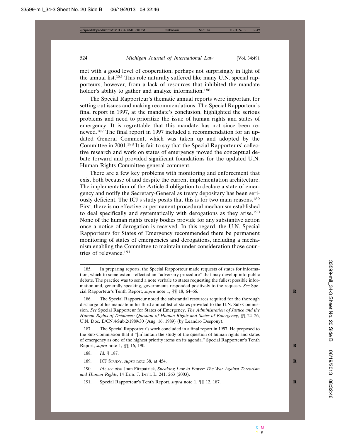\\jciprod01\productn\M\MIL\34-3\MIL301.txt unknown Seq: 34 10-JUN-13 12:49

# 524 *Michigan Journal of International Law* [Vol. 34:491

met with a good level of cooperation, perhaps not surprisingly in light of the annual list.185 This role naturally suffered like many U.N. special rapporteurs, however, from a lack of resources that inhibited the mandate holder's ability to gather and analyze information.<sup>186</sup>

The Special Rapporteur's thematic annual reports were important for setting out issues and making recommendations. The Special Rapporteur's final report in 1997, at the mandate's conclusion, highlighted the serious problems and need to prioritize the issue of human rights and states of emergency. It is regrettable that this mandate has not since been renewed.187 The final report in 1997 included a recommendation for an updated General Comment, which was taken up and adopted by the Committee in 2001.<sup>188</sup> It is fair to say that the Special Rapporteurs' collective research and work on states of emergency moved the conceptual debate forward and provided significant foundations for the updated U.N. Human Rights Committee general comment.

There are a few key problems with monitoring and enforcement that exist both because of and despite the current implementation architecture. The implementation of the Article 4 obligation to declare a state of emergency and notify the Secretary-General as treaty depositary has been seriously deficient. The ICJ's study posits that this is for two main reasons.189 First, there is no effective or permanent procedural mechanism established to deal specifically and systematically with derogations as they arise.190 None of the human rights treaty bodies provide for any substantive action once a notice of derogation is received. In this regard, the U.N. Special Rapporteurs for States of Emergency recommended there be permanent monitoring of states of emergencies and derogations, including a mechanism enabling the Committee to maintain under consideration those countries of relevance.191

187. The Special Rapporteur's work concluded in a final report in 1997. He proposed to the Sub-Commission that it "[m]aintain the study of the question of human rights and states of emergency as one of the highest priority items on its agenda." Special Rapporteur's Tenth Report, *supra* note 1, ¶¶ 16, 190. **R**

- 188. *Id.* ¶ 187.
- 189. ICJ STUDY, *supra* note 38, at 454. **R**

190. *Id.*; *see also* Joan Fitzpatrick, *Speaking Law to Power: The War Against Terrorism and Human Rights*, 14 EUR. J. INT'L L. 241, 263 (2003).

191. Special Rapporteur's Tenth Report, *supra* note 1, ¶¶ 12, 187. **R**

<sup>185.</sup> In preparing reports, the Special Rapporteur made requests of states for information, which to some extent reflected an "adversary procedure" that may develop into public debate. The practice was to send a note verbale to states requesting the fullest possible information and, generally speaking, governments responded positively to the requests. *See* Special Rapporteur's Tenth Report, *supra* note 1, ¶¶ 18, 64–66. **R**

<sup>186.</sup> The Special Rapporteur noted the substantial resources required for the thorough discharge of his mandate in his third annual list of states provided to the U.N. Sub-Commission. *See* Special Rapporteur for States of Emergency, *The Administration of Justice and the Human Rights of Detainees: Question of Human Rights and States of Emergency*, ¶¶ 24–26, U.N. Doc. E/CN.4/Sub.2/1989/30 (Aug. 16, 1989) (by Leandro Despouy).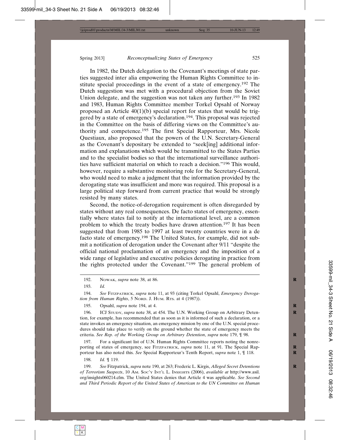\\jciprod01\productn\M\MIL\34-3\MIL301.txt unknown Seq: 35 10-JUN-13 12:49

#### Spring 2013] *Reconceptualizing States of Emergency* 525

In 1982, the Dutch delegation to the Covenant's meetings of state parties suggested inter alia empowering the Human Rights Committee to institute special proceedings in the event of a state of emergency.192 The Dutch suggestion was met with a procedural objection from the Soviet Union delegate, and the suggestion was not taken any further.<sup>193</sup> In 1982 and 1983, Human Rights Committee member Torkel Opsahl of Norway proposed an Article  $40(1)(b)$  special report for states that would be triggered by a state of emergency's declaration.194. This proposal was rejected in the Committee on the basis of differing views on the Committee's authority and competence.195 The first Special Rapporteur, Mrs. Nicole Questiaux, also proposed that the powers of the U.N. Secretary-General as the Covenant's depositary be extended to "seek[ing] additional information and explanations which would be transmitted to the States Parties and to the specialist bodies so that the international surveillance authorities have sufficient material on which to reach a decision."196 This would, however, require a substantive monitoring role for the Secretary-General, who would need to make a judgment that the information provided by the derogating state was insufficient and more was required. This proposal is a large political step forward from current practice that would be strongly resisted by many states.

Second, the notice-of-derogation requirement is often disregarded by states without any real consequences. De facto states of emergency, essentially where states fail to notify at the international level, are a common problem to which the treaty bodies have drawn attention.197 It has been suggested that from 1985 to 1997 at least twenty countries were in a de facto state of emergency.198 The United States, for example, did not submit a notification of derogation under the Covenant after 9/11 "despite the official national proclamation of an emergency and the imposition of a wide range of legislative and executive policies derogating in practice from the rights protected under the Covenant."199 The general problem of

194. *See* FITZPATRICK, *supra* note 11, at 93 (citing Torkel Opsahl, *Emergency Derogation from Human Rights*, 5 NORD. J. HUM. RTS. at 4 (1987)).

196. ICJ STUDY, *supra* note 38, at 454. The U.N. Working Group on Arbitrary Deten- **R** tion, for example, has recommended that as soon as it is informed of such a declaration, or a state invokes an emergency situation, an emergency mission by one of the U.N. special procedures should take place to verify on the ground whether the state of emergency meets the criteria. *See Rep. of the Working Group on Arbitrary Detention*, *supra* note 179, ¶ 98. **R**

197. For a significant list of U.N. Human Rights Committee reports noting the nonreporting of states of emergency, see FITZPATRICK, *supra* note 11, at 91. The Special Rap- **R** porteur has also noted this. *See* Special Rapporteur's Tenth Report, *supra* note 1, ¶ 118. **R**

198. *Id.* ¶ 119.

C M Y | K

199. *See* Fitzpatrick, *supra* note 190, at 263; Frederic L. Kirgis, *Alleged Secret Detentions* **R** *of Terrorism Suspects*, 10 AM. SOC'Y INT'L L. INSIGHTS (2006), *available at* http://www.asil. org/insights060214.cfm. The United States denies that Article 4 was applicable. *See Second and Third Periodic Report of the United States of American to the UN Committee on Human*

<sup>192.</sup> NOWAK, *supra* note 38, at 86. **R**

<sup>193.</sup> *Id.*

<sup>195.</sup> Opsahl, *supra* note 194, at 4. **R**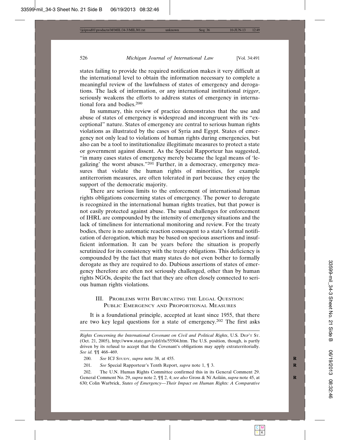\\jciprod01\productn\M\MIL\34-3\MIL301.txt unknown Seq: 36 10-JUN-13 12:49

# 526 *Michigan Journal of International Law* [Vol. 34:491

states failing to provide the required notification makes it very difficult at the international level to obtain the information necessary to complete a meaningful review of the lawfulness of states of emergency and derogations. The lack of information, or any international institutional *trigger*, seriously weakens the efforts to address states of emergency in international fora and bodies.200

In summary, this review of practice demonstrates that the use and abuse of states of emergency is widespread and incongruent with its "exceptional" nature. States of emergency are central to serious human rights violations as illustrated by the cases of Syria and Egypt. States of emergency not only lead to violations of human rights during emergencies, but also can be a tool to institutionalize illegitimate measures to protect a state or government against dissent. As the Special Rapporteur has suggested, "in many cases states of emergency merely became the legal means of 'legalizing' the worst abuses."201 Further, in a democracy, emergency measures that violate the human rights of minorities, for example antiterrorism measures, are often tolerated in part because they enjoy the support of the democratic majority.

There are serious limits to the enforcement of international human rights obligations concerning states of emergency. The power to derogate is recognized in the international human rights treaties, but that power is not easily protected against abuse. The usual challenges for enforcement of IHRL are compounded by the intensity of emergency situations and the lack of timeliness for international monitoring and review. For the treaty bodies, there is no automatic reaction consequent to a state's formal notification of derogation, which may be based on specious assertions and insufficient information. It can be years before the situation is properly scrutinized for its consistency with the treaty obligations. This deficiency is compounded by the fact that many states do not even bother to formally derogate as they are required to do. Dubious assertions of states of emergency therefore are often not seriously challenged, other than by human rights NGOs, despite the fact that they are often closely connected to serious human rights violations.

# III. PROBLEMS WITH BIFURCATING THE LEGAL QUESTION: PUBLIC EMERGENCY AND PROPORTIONAL MEASURES

It is a foundational principle, accepted at least since 1955, that there are two key legal questions for a state of emergency.202 The first asks

- 200. *See* ICJ STUDY, *supra* note 38, at 455. **R**
- 201. *See* Special Rapporteur's Tenth Report, *supra* note 1, ¶ 3. **R**

202. The U.N. Human Rights Committee confirmed this in its General Comment 29. General Comment No. 29, *supra* note 2,  $\P\P$  2, 4; *see also* Gross & Ní Aoláin, *supra* note 45, at **R** 630; Colin Warbrick, *States of Emergency—Their Impact on Human Rights: A Comparative*

*Rights Concerning the International Covenant on Civil and Political Rights*, U.S. DEP'T ST. (Oct. 21, 2005), http://www.state.gov/j/drl/rls/55504.htm. The U.S. position, though, is partly driven by its refusal to accept that the Covenant's obligations may apply extraterritorially. *See id.* ¶¶ 468–469.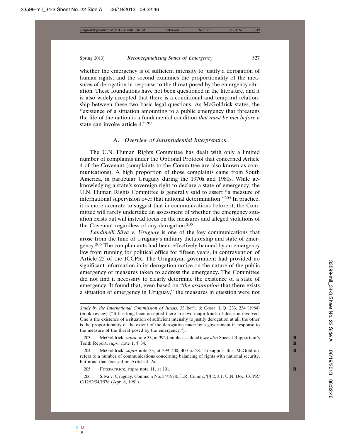\\jciprod01\productn\M\MIL\34-3\MIL301.txt unknown Seq: 37 10-JUN-13 12:49

### Spring 2013] *Reconceptualizing States of Emergency* 527

whether the emergency is of sufficient intensity to justify a derogation of human rights; and the second examines the proportionality of the measures of derogation in response to the threat posed by the emergency situation. These foundations have not been questioned in the literature, and it is also widely accepted that there is a conditional and temporal relationship between these two basic legal questions. As McGoldrick states, the "existence of a situation amounting to a public emergency that threatens the life of the nation is a fundamental condition *that must be met before* a state can invoke article 4."203

### A. *Overview of Jurisprudential Interpretation*

The U.N. Human Rights Committee has dealt with only a limited number of complaints under the Optional Protocol that concerned Article 4 of the Covenant (complaints to the Committee are also known as communications). A high proportion of those complaints came from South America, in particular Uruguay during the 1970s and 1980s. While acknowledging a state's sovereign right to declare a state of emergency, the U.N. Human Rights Committee is generally said to assert "a measure of international supervision over that national determination."204 In practice, it is more accurate to suggest that in communications before it, the Committee will rarely undertake an assessment of whether the emergency situation exists but will instead focus on the measures and alleged violations of the Covenant regardless of any derogation.205

*Landinelli Silva v. Uruguay* is one of the key communications that arose from the time of Uruguay's military dictatorship and state of emergency.206 The complainants had been effectively banned by an emergency law from running for political office for fifteen years, in contravention of Article 25 of the ICCPR. The Uruguayan government had provided no significant information in its derogation notice on the nature of the public emergency or measures taken to address the emergency. The Committee did not find it necessary to clearly determine the existence of a state of emergency. It found that, even based on "*the assumption* that there exists a situation of emergency in Uruguay," the measures in question were not

*Study by the International Commission of Jurists*, 33 INT'L & COMP. L.Q. 233, 234 (1984) (book review) ("It has long been accepted there are two major kinds of decision involved. One is the existence of a situation of sufficient intensity to justify derogation at all; the other is the proportionality of the extent of the derogation made by a government in response to the measure of the threat posed by the emergency.").

<sup>203.</sup> McGoldrick, *supra* note 33, at 392 (emphasis added); *see also* Special Rapporteur's **R** Tenth Report, *supra* note 1,  $\P$  34. **R** 

<sup>204.</sup> McGoldrick, *supra* note 33, at 399–400, 400 n.128. To support this, McGoldrick **R** refers to a number of communications concerning balancing of rights with national security, but none that focused on Article 4. *Id.*

<sup>205.</sup> FITZPATRICK, *supra* note 11, at 101. **R**

<sup>206.</sup> Silva v. Uruguay, Commc'n No. 34/1978, H.R. Comm., ¶¶ 2, 3.1, U.N. Doc. CCPR/ C/12/D/34/1978 (Apr. 8, 1981).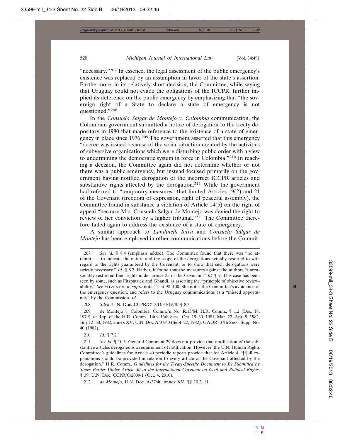\\jciprod01\productn\M\MIL\34-3\MIL301.txt unknown Seq: 38 10-JUN-13 12:49

# 528 *Michigan Journal of International Law* [Vol. 34:491

"necessary."207 In essence, the legal assessment of the public emergency's existence was replaced by an assumption in favor of the state's assertion. Furthermore, in its relatively short decision, the Committee, while saying that Uruguay could not evade the obligations of the ICCPR, further implied its deference on the public emergency by emphasizing that "the sovereign right of a State to declare a state of emergency is not questioned."<sup>208</sup>

In the *Consuelo Salgar de Montejo v. Colombia* communication, the Colombian government submitted a notice of derogation to the treaty depositary in 1980 that made reference to the existence of a state of emergency in place since 1976.209 The government asserted that this emergency "decree was issued because of the social situation created by the activities of subversive organizations which were disturbing public order with a view to undermining the democratic system in force in Colombia."210 In reaching a decision, the Committee again did not determine whether or not there was a public emergency, but instead focused primarily on the government having notified derogation of the incorrect ICCPR articles and substantive rights affected by the derogation.211 While the government had referred to "temporary measures" that limited Articles 19(2) and 21 of the Covenant (freedom of expression, right of peaceful assembly), the Committee found in substance a violation of Article 14(5) on the right of appeal "because Mrs. Consuelo Salgar de Montejo was denied the right to review of her conviction by a higher tribunal."212 The Committee therefore failed again to address the existence of a state of emergency.

A similar approach to *Landinelli Silva* and *Consuelo Salgar de Montejo* has been employed in other communications before the Commit-

208. *Silva*, U.N. Doc. CCPR/C/12/D/34/1978, ¶ 8.3.

209. de Montejo v. Colombia, Commc'n No. R.15/64, H.R. Comm., ¶ 1.2 (Dec. 18, 1979), *in* Rep. of the H.R. Comm., 14th–16th Sess., Oct. 19–30, 1981, Mar. 22–Apr. 9, 1982, July 12–30, 1982, annex XV, U.N. Doc A/37/40 (Sept. 22, 1982); GAOR, 37th Sess., Supp. No. 40 (1982).

210. *Id.* ¶ 7.2.

211. *See id.* ¶ 10.3. General Comment 29 does not provide that notification of the substantive articles derogated is a requirement of notification. However, the U.N. Human Rights Committee's guidelines for Article 40 periodic reports provide that for Article 4, "[f]ull explanations should be provided in relation to every article of the Covenant affected by the derogation." H.R. Comm., *Guidelines for the Treaty-Specific Document to Be Submitted by States Parties Under Article 40 of the International Covenant on Civil and Political Rights*, ¶ 39, U.N. Doc. CCPR/C/2009/1 (Oct. 4, 2010).

212. *de Montejo*, U.N. Doc. A/37/40, annex XV, ¶¶ 10.2, 11.

<sup>207.</sup> *See id.* ¶ 8.4 (emphasis added). The Committee found that there was "no attempt . . . to indicate the nature and the scope of the derogations actually resorted to with regard to the rights guaranteed by the Covenant, or to show that such derogations were strictly necessary." *Id.*  $\llbracket$  8.2. Rather, it found that the measures against the authors "unreasonably restricted their rights under article 25 of the Covenant." *Id.* ¶ 9. This case has been seen by some, such as Fitzpatrick and Ghandi, as asserting the "principle of objective reviewability," *See* FITZPATRICK, *supra* note 11, at 98–100. She notes the Committee's avoidance of **R** the emergency question, and refers to the Uruguay communications as a "missed opportunity" by the Commission. *Id.*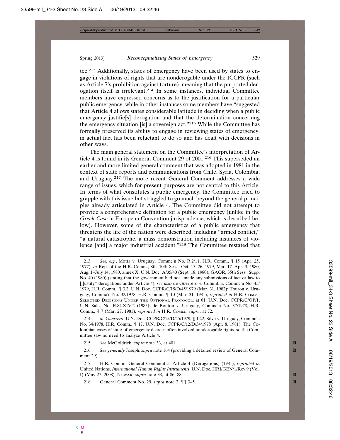\)jciprod01\productn\M\MIL\34-3\MIL301.txt unknown Seq: 39 10-JUN-13 12:49

# Spring 2013] *Reconceptualizing States of Emergency* 529

tee.213 Additionally, states of emergency have been used by states to engage in violations of rights that are nonderogable under the ICCPR (such as Article 7's prohibition against torture), meaning that the purported derogation itself is irrelevant.214 In some instances, individual Committee members have expressed concerns as to the justification for a particular public emergency, while in other instances some members have "suggested that Article 4 allows states considerable latitude in deciding when a public emergency justifie<sup>[s]</sup> derogation and that the determination concerning the emergency situation [is] a sovereign act."215 While the Committee has formally preserved its ability to engage in reviewing states of emergency, in actual fact has been reluctant to do so and has dealt with decisions in other ways.

The main general statement on the Committee's interpretation of Article 4 is found in its General Comment 29 of 2001.216 This superseded an earlier and more limited general comment that was adopted in 1981 in the context of state reports and communications from Chile, Syria, Colombia, and Uruguay.217 The more recent General Comment addresses a wide range of issues, which for present purposes are not central to this Article. In terms of what constitutes a public emergency, the Committee tried to grapple with this issue but struggled to go much beyond the general principles already articulated in Article 4. The Committee did not attempt to provide a comprehensive definition for a public emergency (unlike in the *Greek Case* in European Convention jurisprudence, which is described below). However, some of the characteristics of a public emergency that threatens the life of the nation were described, including "armed conflict," "a natural catastrophe, a mass demonstration including instances of violence [and] a major industrial accident."218 The Committee restated that

214. *de Guerrero*, U.N. Doc. CCPR/C/15/D/45/1979, ¶ 12.2; Silva v. Uruguay, Commc'n No. 34/1978, H.R. Comm., ¶ 17, U.N. Doc. CCPR/C/12/D/34/1978 (Apr. 8, 1981). The Colombian cases of state-of-emergency decrees often involved nonderogable rights, so the Committee saw no need to analyze Article 4.

C M Y | K

216. *See generally* Joseph, *supra* note 164 (providing a detailed review of General Com- **R** ment 29).

217. H.R. Comm., General Comment 5: Article 4 (Derogations) (1981), *reprinted in* United Nations, *International Human Rights Instruments*, U.N. Doc. HRI/GEN/1/Rev.9 (Vol. I) (May 27, 2008); NOWAK, *supra* note 38, at 86, 88. **R**

218. General Comment No. 29, *supra* note 2, ¶¶ 3–5. **R**

<sup>213.</sup> *See, e.g.*, Motta v. Uruguay, Commc'n No. R.2/11, H.R. Comm., ¶ 15 (Apr. 25, 1977), *in* Rep. of the H.R. Comm., 8th–10th Sess., Oct. 15–26, 1979, Mar. 17–Apr. 3, 1980, Aug. 1–July 14, 1980, annex X, U.N. Doc. A/35/40 (Sept. 18, 1980); GAOR, 35th Sess., Supp. No. 40 (1980) (stating that the government had not "made any submissions of fact or law to [j]ustify" derogations under Article 4); *see also* de Guerrero v. Columbia, Commc'n No. 45/ 1979, H.R. Comm., ¶ 3.2, U.N. Doc. CCPR/C/15/D/45/1979 (Mar. 31, 1982); Touron v. Uruguay, Commc'n No. 32/1978, H.R. Comm., ¶ 10 (Mar. 31, 1981), *reprinted in* H.R. COMM., SELECTED DECISIONS UNDER THE OPTIONAL PROTOCOL, at 61, U.N. Doc. CCPR/C/OP/1, U.N. Sales No. E.84.XIV.2 (1985); de Bouton v. Uruguay, Commc'n No. 37/1978, H.R. Comm., ¶ 7 (Mar. 27, 1981), *reprinted in* H.R. COMM., *supra*, at 72.

<sup>215.</sup> *See* McGoldrick, *supra* note 33, at 401. **R**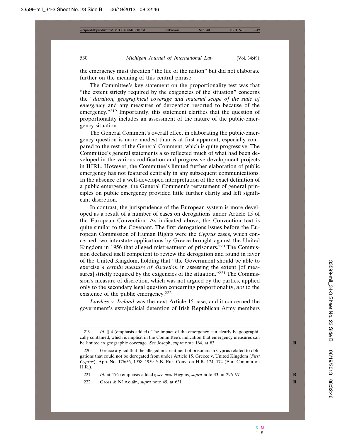\\jciprod01\productn\M\MIL\34-3\MIL301.txt unknown Seq: 40 10-JUN-13 12:49

# 530 *Michigan Journal of International Law* [Vol. 34:491

the emergency must threaten "the life of the nation" but did not elaborate further on the meaning of this central phrase.

The Committee's key statement on the proportionality test was that "the extent strictly required by the exigencies of the situation" concerns the "*duration, geographical coverage and material scope of the state of emergency* and any measures of derogation resorted to because of the emergency."219 Importantly, this statement clarifies that the question of proportionality includes an assessment of the nature of the public-emergency situation.

The General Comment's overall effect in elaborating the public-emergency question is more modest than is at first apparent, especially compared to the rest of the General Comment, which is quite progressive. The Committee's general statements also reflected much of what had been developed in the various codification and progressive development projects in IHRL. However, the Committee's limited further elaboration of public emergency has not featured centrally in any subsequent communications. In the absence of a well-developed interpretation of the exact definition of a public emergency, the General Comment's restatement of general principles on public emergency provided little further clarity and left significant discretion.

In contrast, the jurisprudence of the European system is more developed as a result of a number of cases on derogations under Article 15 of the European Convention. As indicated above, the Convention text is quite similar to the Covenant. The first derogations issues before the European Commission of Human Rights were the *Cyprus* cases, which concerned two interstate applications by Greece brought against the United Kingdom in 1956 that alleged mistreatment of prisoners.<sup>220</sup> The Commission declared itself competent to review the derogation and found in favor of the United Kingdom, holding that "the Government should be able to exercise *a certain measure of discretion* in assessing the extent [of measures] strictly required by the exigencies of the situation."<sup>221</sup> The Commission's measure of discretion, which was not argued by the parties, applied only to the secondary legal question concerning proportionality, *not* to the existence of the public emergency.222

*Lawless v. Ireland* was the next Article 15 case, and it concerned the government's extrajudicial detention of Irish Republican Army members

222. Gross & Ní Aoláin, *supra* note 45, at 631. **R** 

<sup>219.</sup> *Id.* ¶ 4 (emphasis added). The impact of the emergency can clearly be geographically contained, which is implicit in the Committee's indication that emergency measures can be limited in geographic coverage. *See* Joseph, *supra* note 164, at 83. **R**

<sup>220.</sup> Greece argued that the alleged mistreatment of prisoners in Cyprus related to obligations that could not be derogated from under Article 15. Greece v. United Kingdom (*First Cyprus*), App. No. 176/56, 1958–1959 Y.B. Eur. Conv. on H.R. 174, 174 (Eur. Comm'n on H.R.).

<sup>221.</sup> *Id.* at 176 (emphasis added); *see also* Higgins, *supra* note 33, at 296–97. **R**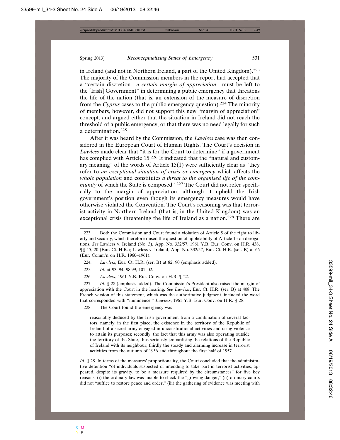\\jciprod01\productn\M\MIL\34-3\MIL301.txt unknown Seq: 41 10-JUN-13 12:49

### Spring 2013] *Reconceptualizing States of Emergency* 531

in Ireland (and not in Northern Ireland, a part of the United Kingdom).223 The majority of the Commission members in the report had accepted that a "certain discretion—*a certain margin of appreciation*—must be left to the [Irish] Government" in determining a public emergency that threatens the life of the nation (that is, an extension of the measure of discretion from the *Cyprus* cases to the public-emergency question).224 The minority of members, however, did not support this new "margin of appreciation" concept, and argued either that the situation in Ireland did not reach the threshold of a public emergency, or that there was no need legally for such a determination.225

After it was heard by the Commission, the *Lawless* case was then considered in the European Court of Human Rights. The Court's decision in *Lawless* made clear that "it is for the Court to determine" if a government has complied with Article 15.226 It indicated that the "natural and customary meaning" of the words of Article 15(1) were sufficiently clear as "they refer to *an exceptional situation of crisis or emergency* which affects the *whole population* and constitutes *a threat to the organised life of the community* of which the State is composed."<sup>227</sup> The Court did not refer specifically to the margin of appreciation, although it upheld the Irish government's position even though its emergency measures would have otherwise violated the Convention. The Court's reasoning was that terrorist activity in Northern Ireland (that is, in the United Kingdom) was an exceptional crisis threatening the life of Ireland as a nation.<sup>228</sup> There are

- 224. *Lawless*, Eur. Ct. H.R. (ser. B) at 82, 90 (emphasis added).
- 225. *Id.* at 93–94, 98,99, 101–02.

C M Y | K

226. *Lawless*, 1961 Y.B. Eur. Conv. on H.R. ¶ 22.

227. *Id.* ¶ 28 (emphasis added). The Commission's President also raised the margin of appreciation with the Court in the hearing. *See Lawless*, Eur. Ct. H.R. (ser. B) at 408. The French version of this statement, which was the authoritative judgment, included the word that corresponded with "imminence." *Lawless*, 1961 Y.B. Eur. Conv. on H.R. ¶ 28.

228. The Court found the emergency was

reasonably deduced by the Irish government from a combination of several factors, namely: in the first place, the existence in the territory of the Republic of Ireland of a secret army engaged in unconstitutional activities and using violence to attain its purposes; secondly, the fact that this army was also operating outside the territory of the State, thus seriously jeopardising the relations of the Republic of Ireland with its neighbour; thirdly the steady and alarming increase in terrorist activities from the autumn of 1956 and throughout the first half of 1957 . . . .

*Id.*  $\parallel$  28. In terms of the measures' proportionality, the Court concluded that the administrative detention "of individuals suspected of intending to take part in terrorist activities, appeared, despite its gravity, to be a measure required by the circumstances" for five key reasons: (i) the ordinary law was unable to check the "growing danger," (ii) ordinary courts did not "suffice to restore peace and order," (iii) the gathering of evidence was meeting with

<sup>223.</sup> Both the Commission and Court found a violation of Article 5 of the right to liberty and security, which therefore raised the question of applicability of Article 15 on derogations. *See* Lawless v. Ireland (No. 3), App. No. 332/57, 1961 Y.B. Eur. Conv. on H.R. 438, ¶¶ 15, 20 (Eur. Ct. H.R.); Lawless v. Ireland, App. No. 332/57, Eur. Ct. H.R. (ser. B) at 66 (Eur. Comm'n on H.R. 1960–1961).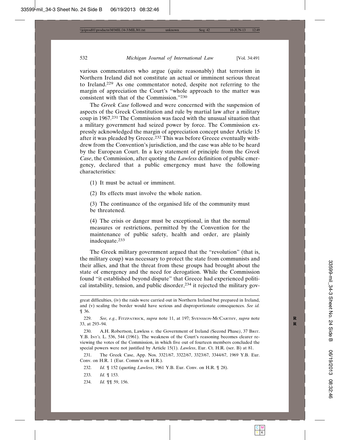\\jciprod01\productn\M\MIL\34-3\MIL301.txt unknown Seq: 42 10-JUN-13 12:49

532 *Michigan Journal of International Law* [Vol. 34:491

various commentators who argue (quite reasonably) that terrorism in Northern Ireland did not constitute an actual or imminent serious threat to Ireland.229 As one commentator noted, despite not referring to the margin of appreciation the Court's "whole approach to the matter was consistent with that of the Commission."230

The *Greek Case* followed and were concerned with the suspension of aspects of the Greek Constitution and rule by martial law after a military coup in 1967.231 The Commission was faced with the unusual situation that a military government had seized power by force. The Commission expressly acknowledged the margin of appreciation concept under Article 15 after it was pleaded by Greece.<sup>232</sup> This was before Greece eventually withdrew from the Convention's jurisdiction, and the case was able to be heard by the European Court. In a key statement of principle from the *Greek Case*, the Commission, after quoting the *Lawless* definition of public emergency, declared that a public emergency must have the following characteristics:

- (1) It must be actual or imminent.
- (2) Its effects must involve the whole nation.

(3) The continuance of the organised life of the community must be threatened.

(4) The crisis or danger must be exceptional, in that the normal measures or restrictions, permitted by the Convention for the maintenance of public safety, health and order, are plainly inadequate.233

The Greek military government argued that the "revolution" (that is, the military coup) was necessary to protect the state from communists and their allies, and that the threat from these groups had brought about the state of emergency and the need for derogation. While the Commission found "it established beyond dispute" that Greece had experienced political instability, tension, and public disorder,234 it rejected the military gov-

231. The Greek Case, App. Nos. 3321/67, 3322/67, 3323/67, 3344/67, 1969 Y.B. Eur. Conv. on H.R. 1 (Eur. Comm'n on H.R.).

232. *Id.* ¶ 152 (quoting *Lawless*, 1961 Y.B. Eur. Conv. on H.R. ¶ 28).

233. *Id.* ¶ 153.

234. *Id.* ¶¶ 59, 156.

great difficulties, (iv) the raids were carried out in Northern Ireland but prepared in Ireland, and (v) sealing the border would have serious and disproportionate consequences. *See id.* ¶ 36.

<sup>229.</sup> *See, e.g.*, FITZPATRICK, *supra* note 11, at 197; SVENSSON-MCCARTHY, *supra* note **R** 33, at 293–94. **R**

<sup>230.</sup> A.H. Robertson, Lawless *v.* the Government of Ireland *(*Second Phase*)*, 37 BRIT. Y.B. INT'L L. 536, 544 (1961). The weakness of the Court's reasoning becomes clearer reviewing the votes of the Commission, in which five out of fourteen members concluded the special powers were not justified by Article 15(1). *Lawless*, Eur. Ct. H.R. (ser. B) at 81.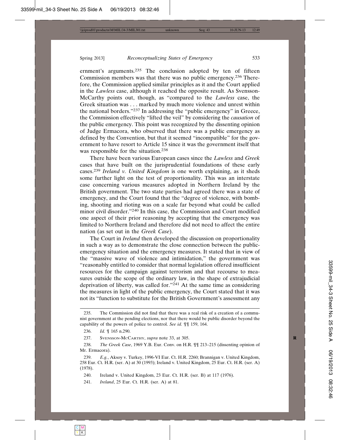\\jciprod01\productn\M\MIL\34-3\MIL301.txt unknown Seq: 43 10-JUN-13 12:49

### Spring 2013] *Reconceptualizing States of Emergency* 533

ernment's arguments.<sup>235</sup> The conclusion adopted by ten of fifteen Commission members was that there was no public emergency.236 Therefore, the Commission applied similar principles as it and the Court applied in the *Lawless* case, although it reached the opposite result. As Svensson-McCarthy points out, though, as "compared to the *Lawless* case, the Greek situation was . . . marked by much more violence and unrest within the national borders."237 In addressing the "public emergency" in Greece, the Commission effectively "lifted the veil" by considering the *causation* of the public emergency. This point was recognized by the dissenting opinion of Judge Ermacora, who observed that there was a public emergency as defined by the Convention, but that it seemed "incompatible" for the government to have resort to Article 15 since it was the government itself that was responsible for the situation.<sup>238</sup>

There have been various European cases since the *Lawless* and *Greek* cases that have built on the jurisprudential foundations of these early cases.239 *Ireland v. United Kingdom* is one worth explaining, as it sheds some further light on the test of proportionality. This was an interstate case concerning various measures adopted in Northern Ireland by the British government. The two state parties had agreed there was a state of emergency, and the Court found that the "degree of violence, with bombing, shooting and rioting was on a scale far beyond what could be called minor civil disorder."240 In this case, the Commission and Court modified one aspect of their prior reasoning by accepting that the emergency was limited to Northern Ireland and therefore did not need to affect the entire nation (as set out in the *Greek Case*).

The Court in *Ireland* then developed the discussion on proportionality in such a way as to demonstrate the close connection between the publicemergency situation and the emergency measures. It stated that in view of the "massive wave of violence and intimidation," the government was "reasonably entitled to consider that normal legislation offered insufficient resources for the campaign against terrorism and that recourse to measures outside the scope of the ordinary law, in the shape of extrajudicial deprivation of liberty, was called for."241 At the same time as considering the measures in light of the public emergency, the Court stated that it was not its "function to substitute for the British Government's assessment any

C M Y | K

240. Ireland v. United Kingdom, 23 Eur. Ct. H.R. (ser. B) at 117 (1976).

241. *Ireland*, 25 Eur. Ct. H.R. (ser. A) at 81.

<sup>235.</sup> The Commission did not find that there was a real risk of a creation of a communist government at the pending elections, nor that there would be public disorder beyond the capability of the powers of police to control. *See id.* ¶¶ 159, 164.

<sup>236.</sup> *Id.* ¶ 165 n.290.

<sup>237.</sup> SVENSSON-MCCARTHY, *supra* note 33, at 305. **R**

<sup>238.</sup> *The Greek Case*, 1969 Y.B. Eur. Conv. on H.R. ¶¶ 213–215 (dissenting opinion of Mr. Ermacora).

<sup>239.</sup> *E.g.*, Aksoy v. Turkey, 1996-VI Eur. Ct. H.R. 2260; Brannigan v. United Kingdom, 258 Eur. Ct. H.R. (ser. A) at 30 (1993); Ireland v. United Kingdom, 25 Eur. Ct. H.R. (ser. A) (1978).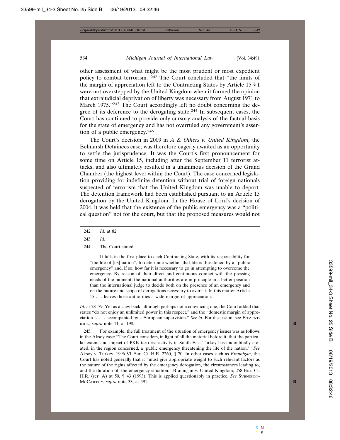\\jciprod01\productn\M\MIL\34-3\MIL301.txt unknown Seq: 44 10-JUN-13 12:49

# 534 *Michigan Journal of International Law* [Vol. 34:491

other assessment of what might be the most prudent or most expedient policy to combat terrorism."242 The Court concluded that "the limits of the margin of appreciation left to the Contracting States by Article 15 § I were not overstepped by the United Kingdom when it formed the opinion that extrajudicial deprivation of liberty was necessary from August 1971 to March 1975."<sup>243</sup> The Court accordingly left no doubt concerning the degree of its deference to the derogating state.<sup>244</sup> In subsequent cases, the Court has continued to provide only cursory analysis of the factual basis for the state of emergency and has not overruled any government's assertion of a public emergency.245

The Court's decision in 2009 in *A & Others v. United Kingdom,* the Belmarsh Detainees case, was therefore eagerly awaited as an opportunity to settle the jurisprudence. It was the Court's first pronouncement for some time on Article 15, including after the September 11 terrorist attacks, and also ultimately resulted in a unanimous decision of the Grand Chamber (the highest level within the Court). The case concerned legislation providing for indefinite detention without trial of foreign nationals suspected of terrorism that the United Kingdom was unable to deport. The detention framework had been established pursuant to an Article 15 derogation by the United Kingdom. In the House of Lord's decision of 2004, it was held that the existence of the public emergency was a "political question" not for the court, but that the proposed measures would not

243. *Id.*

244. The Court stated:

It falls in the first place to each Contracting State, with its responsibility for "the life of [its] nation", to determine whether that life is threatened by a "public emergency" and, if so, how far it is necessary to go in attempting to overcome the emergency. By reason of their direct and continuous contact with the pressing needs of the moment, the national authorities are in principle in a better position than the international judge to decide both on the presence of an emergency and on the nature and scope of derogations necessary to avert it. In this matter Article 15 . . . leaves those authorities a wide margin of appreciation.

*Id.* at 78–79. Yet as a claw back, although perhaps not a convincing one, the Court added that states "do not enjoy an unlimited power in this respect," and the "domestic margin of appreciation is . . . accompanied by a European supervision." *See id.* For discussion, see FITZPAT-RICK, *supra* note 11, at 198. **R**

245. For example, the full treatment of the situation of emergency issues was as follows in the Aksoy case: "The Court considers, in light of all the material before it, that the particular extent and impact of PKK terrorist activity in South-East Turkey has undoubtedly created, in the region concerned, a 'public emergency threatening the life of the nation.'" *See* Aksoy v. Turkey, 1996-VI Eur. Ct. H.R. 2260, ¶ 70. In other cases such as *Brannigan*, the Court has noted generally that it "must give appropriate weight to such relevant factors as the nature of the rights affected by the emergency derogation, the circumstances leading to, and the duration of, the emergency situation." Brannigan v. United Kingdom, 258 Eur. Ct. H.R. (ser. A) at 50,  $\parallel$  43 (1993). This is applied questionably in practice. *See* SvENSSON-MCCARTHY, *supra* note 33, at 591. **R**

Y | K

<sup>242.</sup> *Id.* at 82.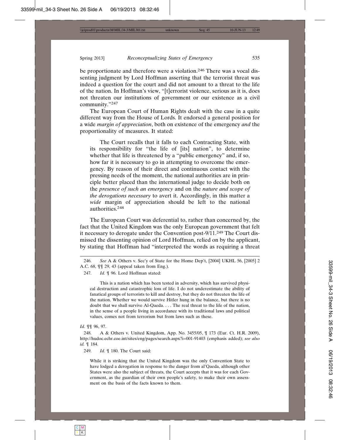\\jciprod01\productn\M\MIL\34-3\MIL301.txt unknown Seq: 45 10-JUN-13 12:49

#### Spring 2013] *Reconceptualizing States of Emergency* 535

be proportionate and therefore were a violation.<sup>246</sup> There was a vocal dissenting judgment by Lord Hoffman asserting that the terrorist threat was indeed a question for the court and did not amount to a threat to the life of the nation. In Hoffman's view, "[t]errorist violence, serious as it is, does not threaten our institutions of government or our existence as a civil community."<sup>247</sup>

The European Court of Human Rights dealt with the case in a quite different way from the House of Lords. It endorsed a general position for a wide *margin of appreciation*, both on existence of the emergency *and* the proportionality of measures. It stated:

The Court recalls that it falls to each Contracting State, with its responsibility for "the life of [its] nation", to determine whether that life is threatened by a "public emergency" and, if so, how far it is necessary to go in attempting to overcome the emergency. By reason of their direct and continuous contact with the pressing needs of the moment, the national authorities are in principle better placed than the international judge to decide both on the *presence of such an emergency* and on the *nature and scope of the derogations necessary* to avert it. Accordingly, in this matter a *wide* margin of appreciation should be left to the national authorities.<sup>248</sup>

The European Court was deferential to, rather than concerned by, the fact that the United Kingdom was the only European government that felt it necessary to derogate under the Convention post-9/11.249 The Court dismissed the dissenting opinion of Lord Hoffman, relied on by the applicant, by stating that Hoffman had "interpreted the words as requiring a threat

247. *Id.* ¶ 96. Lord Hoffman stated:

This is a nation which has been tested in adversity, which has survived physical destruction and catastrophic loss of life. I do not underestimate the ability of fanatical groups of terrorists to kill and destroy, but they do not threaten the life of the nation. Whether we would survive Hitler hung in the balance, but there is no doubt that we shall survive Al-Qaeda. . . . The real threat to the life of the nation, in the sense of a people living in accordance with its traditional laws and political values, comes not from terrorism but from laws such as these.

*Id.* ¶¶ 96, 97.

C M Y | K

248. A & Others v. United Kingdom, App. No. 3455/05, ¶ 173 (Eur. Ct. H.R. 2009), http://hudoc.echr.coe.int/sites/eng/pages/search.aspx?i=001-91403 (emphasis added); *see also id.* ¶ 184.

249. *Id.* ¶ 180. The Court said:

While it is striking that the United Kingdom was the only Convention State to have lodged a derogation in response to the danger from al'Qaeda, although other States were also the subject of threats, the Court accepts that it was for each Government, as the guardian of their own people's safety, to make their own assessment on the basis of the facts known to them.

<sup>246.</sup> *See* A & Others v. Sec'y of State for the Home Dep't, [2004] UKHL 56, [2005] 2 A.C. 68, ¶¶ 29, 43 (appeal taken from Eng.).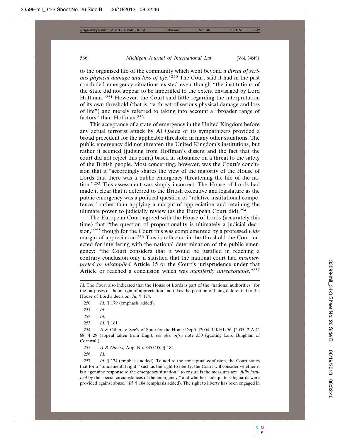\\jciprod01\productn\M\MIL\34-3\MIL301.txt unknown Seq: 46 10-JUN-13 12:49

# 536 *Michigan Journal of International Law* [Vol. 34:491

to the organised life of the community which went beyond *a threat of serious physical damage and loss of life*."250 The Court said it had in the past concluded emergency situations existed even though "the institutions of the State did not appear to be imperilled to the extent envisaged by Lord Hoffman."251 However, the Court said little regarding the interpretation of its own threshold (that is, "a threat of serious physical damage and loss of life") and merely referred to taking into account a "broader range of factors" than Hoffman.252

This acceptance of a state of emergency in the United Kingdom before any actual terrorist attack by Al Qaeda or its sympathizers provided a broad precedent for the applicable threshold in many other situations. The public emergency did not threaten the United Kingdom's institutions, but rather it seemed (judging from Hoffman's dissent and the fact that the court did not reject this point) based in substance on a threat to the safety of the British people. Most concerning, however, was the Court's conclusion that it "accordingly shares the view of the majority of the House of Lords that there was a public emergency threatening the life of the nation."253 This assessment was simply incorrect. The House of Lords had made it clear that it deferred to the British executive and legislature as the public emergency was a political question of "relative institutional competence," rather than applying a margin of appreciation and retaining the ultimate power to judicially review (as the European Court did).254

The European Court agreed with the House of Lords (accurately this time) that "the question of proportionality is ultimately a judicial decision,"255 though for the Court this was complemented by a professed *wide* margin of appreciation.<sup>256</sup> This is reflected in the threshold the Court erected for interfering with the national determination of the public emergency: "the Court considers that it would be justified in reaching a contrary conclusion only if satisfied that the national court had *misinterpreted or misapplied* Article 15 or the Court's jurisprudence under that Article or reached a conclusion which was *manifestly unreasonable*."<sup>257</sup>

254. A & Others v. Sec'y of State for the Home Dep't, [2004] UKHL 56, [2005] 2 A.C. 68, ¶ 29 (appeal taken from Eng.); *see also infra* note 330 (quoting Lord Bingham of Cornwall).

255. *A & Others*, App. No. 3455/05, ¶ 184.

256. *Id.*

257. *Id.* ¶ 174 (emphasis added). To add to the conceptual confusion, the Court states that for a "fundamental right," such as the right to liberty, the Court will consider whether it is a "genuine response to the emergency situation," to ensure is the measures are "*fully justified* by the special circumstances of the emergency," and whether "adequate safeguards were provided against abuse." *Id.* ¶ 184 (emphasis added). The right to liberty has been engaged in

*Id.* The Court also indicated that the House of Lords is part of the "national authorities" for the purposes of the margin of appreciation and takes the position of being deferential to the House of Lord's decision. *Id.* ¶ 174.

<sup>250.</sup> *Id.* ¶ 179 (emphasis added).

<sup>251.</sup> *Id.*

<sup>252.</sup> *Id.*

<sup>253.</sup> *Id.* ¶ 181.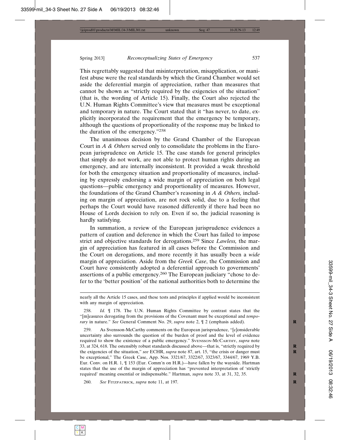\\jciprod01\productn\M\MIL\34-3\MIL301.txt unknown Seq: 47 10-JUN-13 12:49

#### Spring 2013] *Reconceptualizing States of Emergency* 537

This regrettably suggested that misinterpretation, misapplication, or manifest abuse were the real standards by which the Grand Chamber would set aside the deferential margin of appreciation, rather than measures that cannot be shown as "strictly required by the exigencies of the situation" (that is, the wording of Article 15). Finally, the Court also rejected the U.N. Human Rights Committee's view that measures must be exceptional and temporary in nature. The Court stated that it "has never, to date, explicitly incorporated the requirement that the emergency be temporary, although the questions of proportionality of the response may be linked to the duration of the emergency."258

The unanimous decision by the Grand Chamber of the European Court in *A & Others* served only to consolidate the problems in the European jurisprudence on Article 15. The case stands for general principles that simply do not work, are not able to protect human rights during an emergency, and are internally inconsistent. It provided a weak threshold for both the emergency situation and proportionality of measures, including by expressly endorsing a wide margin of appreciation on both legal questions—public emergency and proportionality of measures. However, the foundations of the Grand Chamber's reasoning in *A & Others,* including on margin of appreciation, are not rock solid, due to a feeling that perhaps the Court would have reasoned differently if there had been no House of Lords decision to rely on. Even if so, the judicial reasoning is hardly satisfying.

In summation, a review of the European jurisprudence evidences a pattern of caution and deference in which the Court has failed to impose strict and objective standards for derogations.259 Since *Lawless,* the margin of appreciation has featured in all cases before the Commission and the Court on derogations, and more recently it has usually been a *wide* margin of appreciation. Aside from the *Greek Case*, the Commission and Court have consistently adopted a deferential approach to governments' assertions of a public emergency.260 The European judiciary "chose to defer to the 'better position' of the national authorities both to determine the

259. As Svensson-McCarthy comments on the European jurisprudence, "[c]onsiderable uncertainty also surrounds the question of the burden of proof and the level of evidence required to show the existence of a public emergency." SVENSSON-MCCARTHY, *supra* note 33, at 324, 618. The ostensibly robust standards discussed above—that is, "strictly required by **R** the exigencies of the situation," *see* ECHR, *supra* note 87, art. 15, "the crisis or danger must **R** be exceptional," The Greek Case, App. Nos. 3321/67, 3322/67, 3323/67, 3344/67, 1969 Y.B. Eur. Conv. on H.R. 1, ¶ 153 (Eur. Comm'n on H.R.)—have fallen by the wayside. Hartman states that the use of the margin of appreciation has "prevented interpretation of 'strictly required' meaning essential or indispensable." Hartman, *supra* note 33, at 31, 32, 35. **R**

260. *See* FITZPATRICK, *supra* note 11, at 197. **R**

nearly all the Article 15 cases, and these tests and principles if applied would be inconsistent with any margin of appreciation.

<sup>258.</sup> *Id.* ¶ 178. The U.N. Human Rights Committee by contrast states that the "[m]easures derogating from the provisions of the Covenant must be exceptional and *temporary* in nature." *See* General Comment No. 29, *supra* note 2,  $\parallel$  2 (emphasis added).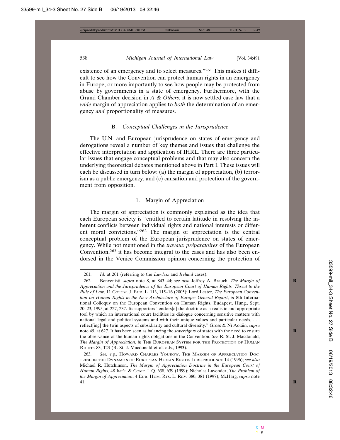\\jciprod01\productn\M\MIL\34-3\MIL301.txt unknown Seq: 48 10-JUN-13 12:49

# 538 *Michigan Journal of International Law* [Vol. 34:491

existence of an emergency and to select measures."261 This makes it difficult to see how the Convention can protect human rights in an emergency in Europe, or more importantly to see how people may be protected from abuse by governments in a state of emergency. Furthermore, with the Grand Chamber decision in *A & Others*, it is now settled case law that a *wide* margin of appreciation applies to *both* the determination of an emergency *and* proportionality of measures.

#### B. *Conceptual Challenges in the Jurisprudence*

The U.N. and European jurisprudence on states of emergency and derogations reveal a number of key themes and issues that challenge the effective interpretation and application of IHRL. There are three particular issues that engage conceptual problems and that may also concern the underlying theoretical debates mentioned above in Part I. These issues will each be discussed in turn below: (a) the margin of appreciation, (b) terrorism as a public emergency, and (c) causation and protection of the government from opposition.

### 1. Margin of Appreciation

The margin of appreciation is commonly explained as the idea that each European society is "entitled to certain latitude in resolving the inherent conflicts between individual rights and national interests or different moral convictions."262 The margin of appreciation is the central conceptual problem of the European jurisprudence on states of emergency. While not mentioned in the *travaux préparatoires* of the European Convention, $263$  it has become integral to the cases and has also been endorsed in the Venice Commission opinion concerning the protection of

<sup>261.</sup> *Id.* at 201 (referring to the *Lawless* and *Ireland* cases).

<sup>262.</sup> Benvenisti, *supra* note 8, at 843–44; *see also* Jeffrey A. Brauch, *The Margin of* **R** *Appreciation and the Jurisprudence of the European Court of Human Rights: Threat to the Rule of Law*, 11 COLUM. J. EUR. L. 113, 115–16 (2005); Lord Lester, *The European Convention on Human Rights in the New Architecture of Europe: General Report*, *in* 8th International Colloquy on the European Convention on Human Rights, Budapest, Hung., Sept. 20–23, 1995, at 227, 237. Its supporters "endors[e] the doctrine as a realistic and appropriate tool by which an international court facilities its dialogue concerning sensitive matters with national legal and political systems and with their unique values and particular needs, . . . reflect[ing] the twin aspects of subsidiarity and cultural diversity." Gross & Ní Aoláin, *supra* note 45, at 627. It has been seen as balancing the *sovereignty* of states with the need to ensure **R** the observance of the human rights obligations in the Convention. *See* R. St. J. Macdonald, *The Margin of Appreciation*, *in* THE EUROPEAN SYSTEM FOR THE PROTECTION OF HUMAN RIGHTS 83, 123 (R. St. J. Macdonald et al. eds., 1993).

<sup>263.</sup> *See, e.g.*, HOWARD CHARLES YOUROW, THE MARGIN OF APPRECIATION DOC-TRINE IN THE DYNAMICS OF EUROPEAN HUMAN RIGHTS JURISPRUDENCE 14 (1996); *see also* Michael R. Hutchinson, *The Margin of Appreciation Doctrine in the European Court of Human Rights*, 48 INT'L & COMP. L.Q. 638, 639 (1999); Nicholas Lavender, *The Problem of the Margin of Appreciation*, 4 EUR. HUM. RTS. L. REV. 380, 381 (1997); McHarg, *supra* note 41. **R**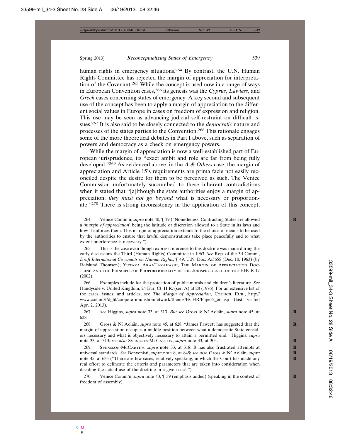\\jciprod01\productn\M\MIL\34-3\MIL301.txt unknown Seq: 49 10-JUN-13 12:49

C M Y | K

# Spring 2013] *Reconceptualizing States of Emergency* 539

human rights in emergency situations.<sup>264</sup> By contrast, the U.N. Human Rights Committee has rejected the margin of appreciation for interpretation of the Covenant.265 While the concept is used now in a range of ways in European Convention cases,266 its genesis was the *Cyprus*, *Lawless*, and *Greek* cases concerning states of emergency. A key second and subsequent use of the concept has been to apply a margin of appreciation to the different social values in Europe in cases on freedom of expression and religion. This use may be seen as advancing judicial self-restraint on difficult issues.267 It is also said to be closely connected to the *democratic* nature and processes of the states parties to the Convention.268 This rationale engages some of the more theoretical debates in Part I above, such as separation of powers and democracy as a check on emergency powers.

While the margin of appreciation is now a well-established part of European jurisprudence, its "exact ambit and role are far from being fully developed."269 As evidenced above, in the *A & Others* case, the margin of appreciation and Article 15's requirements are prima facie not easily reconciled despite the desire for them to be perceived as such. The Venice Commission unfortunately succumbed to these inherent contradictions when it stated that "[a]lthough the state authorities enjoy a margin of appreciation, *they must not go beyond* what is necessary or proportionate."270 There is strong inconsistency in the application of this concept,

265. This is the case even though express reference to this doctrine was made during the early discussions the Third (Human Rights) Committee in 1963. *See* Rep. of the 3d Comm., *Draft International Covenants on Human Rights*, ¶ 49, U.N. Doc. A/5655 (Dec. 10, 1963) (by Refslund Thomsen); YUTAKA ARAI-TAKAHASHI, THE MARGIN OF APPRECIATION DOC-TRINE AND THE PRINCIPLE OF PROPORTIONALITY IN THE JURISPRUDENCE OF THE EHCR 17 (2002).

266. Examples include for the protection of public morals and children's literature. *See* Handyside v. United Kingdom, 24 Eur. Ct. H.R. (ser. A) at 28 (1976). For an extensive list of the cases, issues, and articles, see *The Margin of Appreciation*, COUNCIL EUR., http:// www.coe.int/t/dghl/cooperation/lisbonnetwork/themis/ECHR/Paper2\_en.asp (last visited Apr. 2, 2013).

267. *See* Higgins, *supra* note 33, at 313. *But see* Gross & Ní Aoláin, *supra* note 45, at **R** 628.

268. Gross & Ní Aoláin, *supra* note 45, at 628. "James Fawcett has suggested that the **R** margin of appreciation occupies a middle position between what a democratic State considers necessary and what is objectively necessary to attain a permitted end." Higgins, *supra* note 33, at 313; *see also* SVENSSON-MCCARTHY, *supra* note 33, at 305. **R**

269. SVENSSON-MCCARTHY, *supra* note 33, at 318. It has also frustrated attempts at **R** universal standards. *See* Benvenisti, *supra* note 8, at 845; *see also* Gross & Ní Aoláin, *supra* **R** note 45, at 635 ("There are few cases, relatively speaking, in which the Court has made any **R** real effort to delineate the criteria and parameters that are taken into consideration when deciding the actual use of the doctrine in a given case.").

270. Venice Comm'n, *supra* note 40, ¶ 39 (emphasis added) (speaking in the context of **R** freedom of assembly).

<sup>264.</sup> Venice Comm'n, *supra* note 40, ¶ 19 ("Nonetheless, Contracting States are allowed **R** a '*margin of appreciation*' being the latitude or discretion allowed to a State in its laws and how it enforces them. This margin of appreciation extends to the choice of means to be used by the authorities to ensure that lawful demonstrations take place peacefully and to what extent interference is necessary.").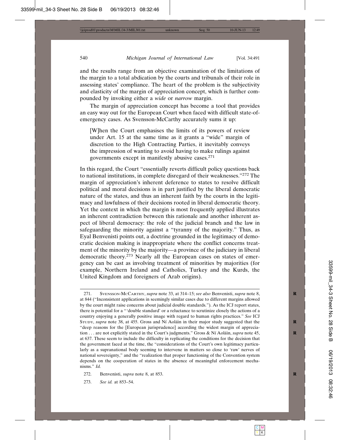\\jciprod01\productn\M\MIL\34-3\MIL301.txt unknown Seq: 50 10-JUN-13 12:49

# 540 *Michigan Journal of International Law* [Vol. 34:491

and the results range from an objective examination of the limitations of the margin to a total abdication by the courts and tribunals of their role in assessing states' compliance. The heart of the problem is the subjectivity and elasticity of the margin of appreciation concept, which is further compounded by invoking either a *wide* or *narrow* margin.

The margin of appreciation concept has become a tool that provides an easy way out for the European Court when faced with difficult state-ofemergency cases. As Svensson-McCarthy accurately sums it up:

[W]hen the Court emphasises the limits of its powers of review under Art. 15 at the same time as it grants a "wide" margin of discretion to the High Contracting Parties, it inevitably conveys the impression of wanting to avoid having to make rulings against governments except in manifestly abusive cases.271

In this regard, the Court "essentially reverts difficult policy questions back to national institutions, in complete disregard of their weaknesses."272 The margin of appreciation's inherent deference to states to resolve difficult political and moral decisions is in part justified by the liberal democratic nature of the states, and thus an inherent faith by the courts in the legitimacy and lawfulness of their decisions rooted in liberal democratic theory. Yet the context in which the margin is most frequently applied illustrates an inherent contradiction between this rationale and another inherent aspect of liberal democracy: the role of the judicial branch and the law in safeguarding the minority against a "tyranny of the majority." Thus, as Eyal Benvenisti points out, a doctrine grounded in the legitimacy of democratic decision making is inappropriate where the conflict concerns treatment of the minority by the majority—a province of the judiciary in liberal democratic theory.273 Nearly all the European cases on states of emergency can be cast as involving treatment of minorities by majorities (for example, Northern Ireland and Catholics, Turkey and the Kurds, the United Kingdom and foreigners of Arab origins).

273. *See id.* at 853–54.

<sup>271.</sup> SVENSSON-MCCARTHY, *supra* note 33, at 314–15; *see also* Benvenisti, *supra* note 8, **R** at 844 ("Inconsistent applications in seemingly similar cases due to different margins allowed by the court might raise concerns about judicial double standards."). As the ICJ report states, there is potential for a "'double standard' or a reluctance to scrutinize closely the actions of a country enjoying a generally positive image with regard to human rights practices." *See* ICJ STUDY, *supra* note 38, at 455. Gross and Ní Aoláin in their major study suggested that the **R** "deep reasons for the [European jurisprudence] according the widest margin of appreciation . . . are not explicitly stated in the Court's judgments." Gross & Ní Aoláin, *supra* note 45, at 637. These seem to include the difficulty in replicating the conditions for the decision that the government faced at the time, the "considerations of the Court's own legitimacy particularly as a supranational body seeming to intervene in matters so close to 'raw' nerves of national sovereignty," and the "realization that proper functioning of the Convention system depends on the cooperation of states in the absence of meaningful enforcement mechanisms." *Id.*

<sup>272.</sup> Benvenisti, *supra* note 8, at 853. **R**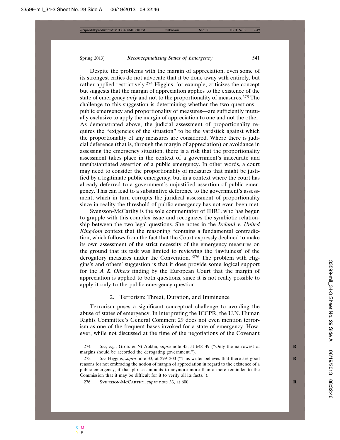\\jciprod01\productn\M\MIL\34-3\MIL301.txt unknown Seq: 51 10-JUN-13 12:49

### Spring 2013] *Reconceptualizing States of Emergency* 541

Despite the problems with the margin of appreciation, even some of its strongest critics do not advocate that it be done away with entirely, but rather applied restrictively.274 Higgins, for example, criticizes the concept but suggests that the margin of appreciation applies to the existence of the state of emergency *only* and not to the proportionality of measures.275 The challenge to this suggestion is determining whether the two questions public emergency and proportionality of measures—are sufficiently mutually exclusive to apply the margin of appreciation to one and not the other. As demonstrated above, the judicial assessment of proportionality requires the "exigencies of the situation" to be the yardstick against which the proportionality of any measures are considered. Where there is judicial deference (that is, through the margin of appreciation) or avoidance in assessing the emergency situation, there is a risk that the proportionality assessment takes place in the context of a government's inaccurate and unsubstantiated assertion of a public emergency. In other words, a court may need to consider the proportionality of measures that might be justified by a legitimate public emergency, but in a context where the court has already deferred to a government's unjustified assertion of public emergency. This can lead to a substantive deference to the government's assessment, which in turn corrupts the juridical assessment of proportionality since in reality the threshold of public emergency has not even been met.

Svensson-McCarthy is the sole commentator of IHRL who has begun to grapple with this complex issue and recognizes the symbiotic relationship between the two legal questions. She notes in the *Ireland v. United Kingdom* context that the reasoning "contains a fundamental contradiction, which follows from the fact that the Court expressly declined to make its own assessment of the strict necessity of the emergency measures on the ground that its task was limited to reviewing the 'lawfulness' of the derogatory measures under the Convention."276 The problem with Higgins's and others' suggestion is that it does provide some logical support for the *A & Others* finding by the European Court that the margin of appreciation is applied to both questions, since it is not really possible to apply it only to the public-emergency question.

### 2. Terrorism: Threat, Duration, and Imminence

Terrorism poses a significant conceptual challenge to avoiding the abuse of states of emergency. In interpreting the ICCPR, the U.N. Human Rights Committee's General Comment 29 does not even mention terrorism as one of the frequent bases invoked for a state of emergency. However, while not discussed at the time of the negotiations of the Covenant

<sup>274.</sup> *See, e.g.*, Gross & Ní Aoláin, *supra* note 45, at 648–49 ("Only the narrowest of **R** margins should be accorded the derogating government.").

<sup>275.</sup> *See* Higgins, *supra* note 33, at 299–300 ("This writer believes that there are good **R** reasons for not embracing the notion of margin of appreciation in regard to the existence of a public emergency, if that phrase amounts to anymore more than a mere reminder to the Commission that it may be difficult for it to verify all its facts.").

<sup>276.</sup> SVENSSON-MCCARTHY, *supra* note 33, at 600. **R**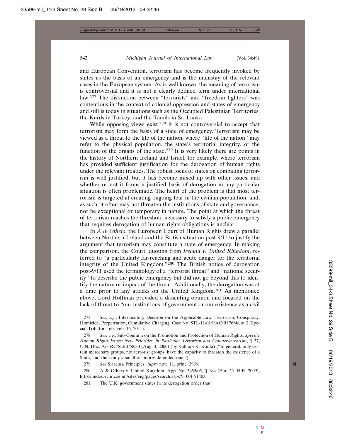\\jciprod01\productn\M\MIL\34-3\MIL301.txt unknown Seq: 52 10-JUN-13 12:49

# 542 *Michigan Journal of International Law* [Vol. 34:491

and European Convention, terrorism has become frequently invoked by states as the basis of an emergency and is the mainstay of the relevant cases in the European system. As is well known, the meaning of terrorism is controversial and it is not a clearly defined term under international law.277 The distinction between "terrorists" and "freedom fighters" was contentious in the context of colonial oppression and states of emergency and still is today in situations such as the Occupied Palestinian Territories, the Kurds in Turkey, and the Tamils in Sri Lanka.

While opposing views exist, $278$  it is not controversial to accept that terrorism may form the basis of a state of emergency. Terrorism may be viewed as a threat to the life of the nation, where "life of the nation" may refer to the physical population, the state's territorial integrity, or the function of the organs of the state.279 It is very likely there are points in the history of Northern Ireland and Israel, for example, where terrorism has provided sufficient justification for the derogation of human rights under the relevant treaties. The robust focus of states on combating terrorism is well justified, but it has become mixed up with other issues, and whether or not it forms a justified basis of derogation in any particular situation is often problematic. The heart of the problem is that most terrorism is targeted at creating ongoing fear in the civilian population, and, as such, it often may not threaten the institutions of state and governance, nor be exceptional or temporary in nature. The point at which the threat of terrorism reaches the threshold necessary to satisfy a public emergency that requires derogation of human rights obligations is unclear.

In *A & Others*, the European Court of Human Rights drew a parallel between Northern Ireland and the British situation post-9/11 to justify the argument that terrorism may constitute a state of emergency. In making the comparison, the Court, quoting from *Ireland v. United Kingdom*, referred to "a particularly far-reaching and acute danger for the territorial integrity of the United Kingdom."280 The British notice of derogation post-9/11 used the terminology of a "terrorist threat" and "national security" to describe the public emergency but did not go beyond this to identify the nature or impact of the threat. Additionally, the derogation was at a time prior to any attacks on the United Kingdom.281 As mentioned above, Lord Hoffman provided a dissenting opinion and focused on the lack of threat to "our institutions of government or our existence as a civil

280. A & Others v. United Kingdom, App. No. 3455/05, ¶ 184 (Eur. Ct. H.R. 2009), http://hudoc.echr.coe.int/sites/eng/pages/search.aspx?i=001-91403.

281. The U.K. government states in its derogation order that

33599-mil\_34-3 Sheet No. 29 Side B 06/19/2013 08:32:46

 $\pmb{\varpi}$ 

06/19/2013 08:32:46

33599-mil\_34-3 Sheet No. 29 Side

<sup>277.</sup> *See, e.g.*, Interlocutory Decision on the Applicable Law: Terrorism, Conspiracy, Homicide, Perpetration, Cumulative Charging, Case No. STL-11-01/I/AC/R176bis, at 3 (Special Trib. for Leb. Feb. 16, 2011).

<sup>278.</sup> *See, e.g.*, Sub-Comm'n on the Promotion and Protection of Human Rights, *Specific Human Rights Issues: New Priorities, in Particular Terrorism and Counter-terrorism*, ¶ 37, U.N. Doc. A/HRC/Sub.1/58/30 (Aug. 3, 2006) (by Kalliopi K. Koufa) ("In general, only certain mercenary groups, not terrorist groups, have the capacity to threaten the existence of a State, and then only a small or poorly defended one.").

<sup>279.</sup> *See* Siracusa Principles, *supra* note 11, princ. 39(b). **R**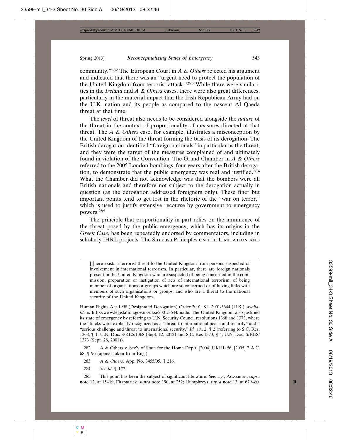\\jciprod01\productn\M\MIL\34-3\MIL301.txt unknown Seq: 53 10-JUN-13 12:49

# Spring 2013] *Reconceptualizing States of Emergency* 543

community."282 The European Court in *A & Others* rejected his argument and indicated that there was an "urgent need to protect the population of the United Kingdom from terrorist attack."283 While there were similarities in the *Ireland* and *A & Others* cases, there were also great differences, particularly in the material impact that the Irish Republican Army had on the U.K. nation and its people as compared to the nascent Al Qaeda threat at that time.

The *level* of threat also needs to be considered alongside the *nature* of the threat in the context of proportionality of measures directed at that threat. The *A & Others* case, for example, illustrates a misconception by the United Kingdom of the threat forming the basis of its derogation. The British derogation identified "foreign nationals" in particular as the threat, and they were the target of the measures complained of and ultimately found in violation of the Convention. The Grand Chamber in *A & Others* referred to the 2005 London bombings, four years after the British derogation, to demonstrate that the public emergency was real and justified.284 What the Chamber did not acknowledge was that the bombers were all British nationals and therefore not subject to the derogation actually in question (as the derogation addressed foreigners only). These finer but important points tend to get lost in the rhetoric of the "war on terror," which is used to justify extensive recourse by government to emergency powers.<sup>285</sup>

The principle that proportionality in part relies on the imminence of the threat posed by the public emergency, which has its origins in the *Greek Case*, has been repeatedly endorsed by commentators, including in scholarly IHRL projects. The Siracusa Principles ON THE LIMITATION AND

[t]here exists a terrorist threat to the United Kingdom from persons suspected of involvement in international terrorism. In particular, there are foreign nationals present in the United Kingdom who are suspected of being concerned in the commission, preparation or instigation of acts of international terrorism, of being member of organisations or groups which are so concerned or of having links with members of such organisations or groups, and who are a threat to the national security of the United Kingdom.

Human Rights Act 1998 (Designated Derogation) Order 2001, S.I. 2001/3644 (U.K.), *available at* http://www.legislation.gov.uk/uksi/2001/3644/made. The United Kingdom also justified its state of emergency by referring to U.N. Security Council resolutions 1368 and 1373, where the attacks were explicitly recognized as a "threat to international peace and security" and a "serious challenge and threat to international security." *Id.* art. 2, ¶ 2 (referring to S.C. Res. 1368, ¶ 1, U.N. Doc. S/RES/1368 (Sept. 12, 2012) and S.C. Res 1373, ¶ 4, U.N. Doc. S/RES/ 1373 (Sept. 28, 2001)).

282. A & Others v. Sec'y of State for the Home Dep't, [2004] UKHL 56, [2005] 2 A.C. 68, ¶ 96 (appeal taken from Eng.).

- 283. *A & Others,* App. No. 3455/05, ¶ 216.
- 284. *See id.* ¶ 177.

C M Y | K

285. This point has been the subject of significant literature. *See, e.g.*, AGAMBEN, *supra* note 12, at 15–19; Fitzpatrick, *supra* note 190, at 252; Humphreys, *supra* note 13, at 679–80. **R**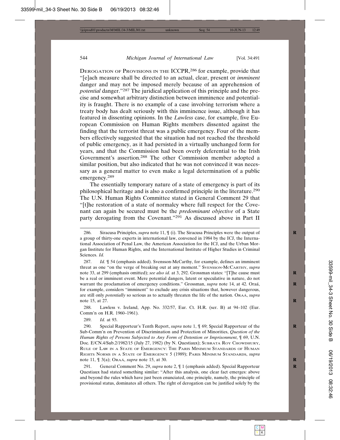\\jciprod01\productn\M\MIL\34-3\MIL301.txt unknown Seq: 54 10-JUN-13 12:49

## 544 *Michigan Journal of International Law* [Vol. 34:491

DEROGATION OF PROVISIONS IN THE ICCPR,<sup>286</sup> for example, provide that "[e]ach measure shall be directed to an actual, clear, present or *imminent* danger and may not be imposed merely because of an apprehension of *potential* danger."<sup>287</sup> The juridical application of this principle and the precise and somewhat arbitrary distinction between imminence and potentiality is fraught. There is no example of a case involving terrorism where a treaty body has dealt seriously with this imminence issue, although it has featured in dissenting opinions. In the *Lawless* case, for example, five European Commission on Human Rights members dissented against the finding that the terrorist threat was a public emergency. Four of the members effectively suggested that the situation had not reached the threshold of public emergency, as it had persisted in a virtually unchanged form for years, and that the Commission had been overly deferential to the Irish Government's assertion.288 The other Commission member adopted a similar position, but also indicated that he was not convinced it was necessary as a general matter to even make a legal determination of a public emergency.289

The essentially temporary nature of a state of emergency is part of its philosophical heritage and is also a confirmed principle in the literature.290 The U.N. Human Rights Committee stated in General Comment 29 that "[t]he restoration of a state of normalcy where full respect for the Covenant can again be secured must be the *predominant objective* of a State party derogating from the Covenant."291 As discussed above in Part II

289. *Id.* at 93.

290. Special Rapporteur's Tenth Report, *supra* note 1, ¶ 69; Special Rapporteur of the **R** Sub-Comm'n on Prevention of Discrimination and Protection of Minorities, *Question of the Human Rights of Persons Subjected to Any Form of Detention or Imprisonment*, ¶ 69, U.N. Doc. E/CN.4/Sub.2/1982/15 (July 27, 1982) (by N. Questiaux); SUBRATA ROY CHOWDHURY, RULE OF LAW IN A STATE OF EMERGENCY: THE PARIS MINIMUM STANDARDS OF HUMAN RIGHTS NORMS IN A STATE OF EMERGENCY 5 (1989); PARIS MINIMUM STANDARDS, *supra* note 11,  $\mathbb{I}$  3(a); ORAA, *supra* note 15, at 30. **R** 

291. General Comment No. 29, *supra* note 2, ¶ 1 (emphasis added). Special Rapporteur **R** Questiaux had stated something similar: "After this analysis, one clear fact emerges: above and beyond the rules which have just been enunciated, one principle, namely, the principle of provisional status, dominates all others. The right of derogation can be justified solely by the

<sup>286.</sup> Siracusa Principles, *supra* note 11, ¶ (i). The Siracusa Principles were the output of **R** a group of thirty-one experts in international law, convened in 1984 by the ICJ, the International Association of Penal Law, the American Association for the ICJ, and the Urban Morgan Institute for Human Rights, and the International Institute of Higher Studies in Criminal Sciences. *Id.*

<sup>287.</sup> *Id.* ¶ 54 (emphasis added). Svensson-McCarthy, for example, defines an imminent threat as one "on the verge of breaking out at any moment." SVENSSON-MCCARTHY, *supra* note 33, at 299 (emphasis omitted); *see also id.* at 3, 292. Grossman states: "[T]he cause must **R** be a real or imminent event. Mere potential dangers, latent or speculative in nature, do not warrant the proclamation of emergency conditions." Grossman, *supra* note 14, at 42. Oraá, for example, considers "imminent" to exclude any crisis situations that, however dangerous, are still only *potentially* so serious as to actually threaten the life of the nation. ORAA, *supra* note 15, at 27.

<sup>288.</sup> Lawless v. Ireland, App. No. 332/57, Eur. Ct. H.R. (ser. B) at 94–102 (Eur. Comm'n on H.R. 1960–1961).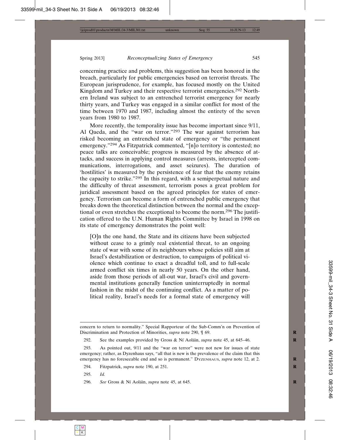\\jciprod01\productn\M\MIL\34-3\MIL301.txt unknown Seq: 55 10-JUN-13 12:49

# Spring 2013] *Reconceptualizing States of Emergency* 545

concerning practice and problems, this suggestion has been honored in the breach, particularly for public emergencies based on terrorist threats. The European jurisprudence, for example, has focused mostly on the United Kingdom and Turkey and their respective terrorist emergencies.<sup>292</sup> Northern Ireland was subject to an entrenched terrorist emergency for nearly thirty years, and Turkey was engaged in a similar conflict for most of the time between 1970 and 1987, including almost the entirety of the seven years from 1980 to 1987.

More recently, the temporality issue has become important since 9/11, Al Qaeda, and the "war on terror."293 The war against terrorism has risked becoming an entrenched state of emergency or "the permanent emergency."294 As Fitzpatrick commented, "[n]o territory is contested; no peace talks are conceivable; progress is measured by the absence of attacks, and success in applying control measures (arrests, intercepted communications, interrogations, and asset seizures). The duration of 'hostilities' is measured by the persistence of fear that the enemy retains the capacity to strike."295 In this regard, with a semiperpetual nature and the difficulty of threat assessment, terrorism poses a great problem for juridical assessment based on the agreed principles for states of emergency. Terrorism can become a form of entrenched public emergency that breaks down the theoretical distinction between the normal and the exceptional or even stretches the exceptional to become the norm.296 The justification offered to the U.N. Human Rights Committee by Israel in 1998 on its state of emergency demonstrates the point well:

[O]n the one hand, the State and its citizens have been subjected without cease to a grimly real existential threat, to an ongoing state of war with some of its neighbours whose policies still aim at Israel's destabilization or destruction, to campaigns of political violence which continue to exact a dreadful toll, and to full-scale armed conflict six times in nearly 50 years. On the other hand, aside from those periods of all-out war, Israel's civil and governmental institutions generally function uninterruptedly in normal fashion in the midst of the continuing conflict. As a matter of political reality, Israel's needs for a formal state of emergency will

concern to return to normality." Special Rapporteur of the Sub-Comm'n on Prevention of Discrimination and Protection of Minorities, *supra* note 290, ¶ 69. **R**

<sup>292.</sup> See the examples provided by Gross & Ní Aoláin, *supra* note 45, at 645–46.

<sup>293.</sup> As pointed out, 9/11 and the "war on terror" were not new for issues of state emergency; rather, as Dyzenhaus says, "all that is new is the prevalence of the claim that this emergency has no foreseeable end and so is permanent." DYZENHAUS, *supra* note 12, at 2. **R**

<sup>294.</sup> Fitzpatrick, *supra* note 190, at 251. **R**

<sup>295.</sup> *Id.*

<sup>296.</sup> *See* Gross & Ní Aoláin, *supra* note 45, at 645.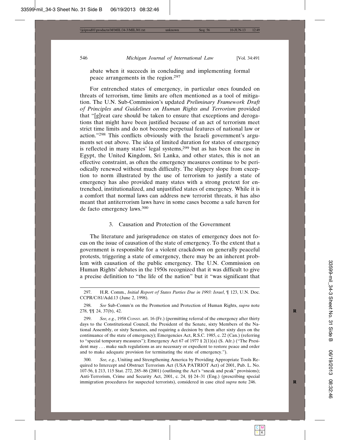\\jciprod01\productn\M\MIL\34-3\MIL301.txt unknown Seq: 56 10-JUN-13 12:49

# 546 *Michigan Journal of International Law* [Vol. 34:491

C M Y | K

abate when it succeeds in concluding and implementing formal peace arrangements in the region.297

For entrenched states of emergency, in particular ones founded on threats of terrorism, time limits are often mentioned as a tool of mitigation. The U.N. Sub-Commission's updated *Preliminary Framework Draft of Principles and Guidelines on Human Rights and Terrorism* provided that "[g]reat care should be taken to ensure that exceptions and derogations that might have been justified because of an act of terrorism meet strict time limits and do not become perpetual features of national law or action."298 This conflicts obviously with the Israeli government's arguments set out above. The idea of limited duration for states of emergency is reflected in many states' legal systems,<sup>299</sup> but as has been the case in Egypt, the United Kingdom, Sri Lanka, and other states, this is not an effective constraint, as often the emergency measures continue to be periodically renewed without much difficulty. The slippery slope from exception to norm illustrated by the use of terrorism to justify a state of emergency has also provided many states with a strong pretext for entrenched, institutionalized, and unjustified states of emergency. While it is a comfort that normal laws can address new terrorist threats, it has also meant that antiterrorism laws have in some cases become a safe haven for de facto emergency laws.300

### 3. Causation and Protection of the Government

The literature and jurisprudence on states of emergency does not focus on the issue of causation of the state of emergency. To the extent that a government is responsible for a violent crackdown on generally peaceful protests, triggering a state of emergency, there may be an inherent problem with causation of the public emergency. The U.N. Commission on Human Rights' debates in the 1950s recognized that it was difficult to give a precise definition to "the life of the nation" but it "was significant that

300. *See, e.g.*, Uniting and Strengthening America by Providing Appropriate Tools Required to Intercept and Obstruct Terrorism Act (USA PATRIOT Act) of 2001, Pub. L. No. 107-56, § 213, 115 Stat. 272, 285–86 (2001) (outlining the Act's "sneak and peak" provisions); Anti-Terrorism, Crime and Security Act, 2001, c. 24, §§ 24–31 (Eng.) (prescribing special immigration procedures for suspected terrorists), considered in case cited *supra* note 246. **R**

<sup>297.</sup> H.R. Comm., *Initial Report of States Parties Due in 1993: Israel*, ¶ 123, U.N. Doc. CCPR/C/81/Add.13 (June 2, 1998).

<sup>298.</sup> *See* Sub-Comm'n on the Promotion and Protection of Human Rights, *supra* note 278, ¶¶ 24, 37(b), 42. **R**

<sup>299.</sup> *See, e.g.*, 1958 CONST. art. 16 (Fr.) (permitting referral of the emergency after thirty days to the Constitutional Council, the President of the Senate, sixty Members of the National Assembly, or sixty Senators, and requiring a decision by them after sixty days on the continuance of the state of emergency); Emergencies Act, R.S.C. 1985, c. 22 (Can.) (referring to "special temporary measures"); Emergency Act 67 of 1977 § 2(1)(a) (S. Afr.) ("The President may . . . make such regulations as are necessary or expedient to restore peace and order and to make adequate provision for terminating the state of emergency.").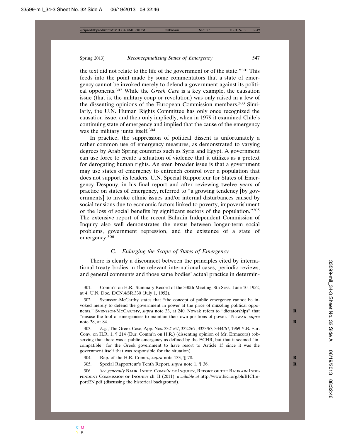\\jciprod01\productn\M\MIL\34-3\MIL301.txt unknown Seq: 57 10-JUN-13 12:49

### Spring 2013] *Reconceptualizing States of Emergency* 547

the text did not relate to the life of the government or of the state."301 This feeds into the point made by some commentators that a state of emergency cannot be invoked merely to defend a government against its political opponents.302 While the *Greek Case* is a key example, the causation issue (that is, the military coup or revolution) was only raised in a few of the dissenting opinions of the European Commission members.303 Similarly, the U.N. Human Rights Committee has only once recognized the causation issue, and then only impliedly, when in 1979 it examined Chile's continuing state of emergency and implied that the cause of the emergency was the military junta itself.304

In practice, the suppression of political dissent is unfortunately a rather common use of emergency measures, as demonstrated to varying degrees by Arab Spring countries such as Syria and Egypt. A government can use force to create a situation of violence that it utilizes as a pretext for derogating human rights. An even broader issue is that a government may use states of emergency to entrench control over a population that does not support its leaders. U.N. Special Rapporteur for States of Emergency Despouy, in his final report and after reviewing twelve years of practice on states of emergency, referred to "a growing tendency [by governments] to invoke ethnic issues and/or internal disturbances caused by social tensions due to economic factors linked to poverty, impoverishment or the loss of social benefits by significant sectors of the population."305 The extensive report of the recent Bahrain Independent Commission of Inquiry also well demonstrates the nexus between longer-term social problems, government repression, and the existence of a state of emergency.306

# C. *Enlarging the Scope of States of Emergency*

There is clearly a disconnect between the principles cited by international treaty bodies in the relevant international cases, periodic reviews, and general comments and those same bodies' actual practice in determin-

304. Rep. of the H.R. Comm., *supra* note 133, ¶ 78. **R**

C M Y | K

305. Special Rapporteur's Tenth Report, *supra* note 1, ¶ 36. **R**

33599-mil\_34-3 Sheet No. 32 Side A 06/19/2013 08:32:46

06/19/2013 08:32:46

33599-mil\_34-3 Sheet No. 32 Side A

<sup>301.</sup> Comm'n on H.R., Summary Record of the 330th Meeting, 8th Sess., June 10, 1952, at 4, U.N. Doc. E/CN.4/SR.330 (July 1, 1952).

<sup>302.</sup> Svensson-McCarthy states that "the concept of public emergency cannot be invoked merely to defend the government in power at the price of muzzling political opponents." SVENSSON-MCCARTHY, *supra* note 33, at 240. Nowak refers to "dictatorships" that **R** "misuse the tool of emergencies to maintain their own positions of power." NOWAK, *supra* note 38, at 84. **R** 

<sup>303.</sup> *E.g.*, The Greek Case, App. Nos. 3321/67, 3322/67, 3323/67, 3344/67, 1969 Y.B. Eur. Conv. on H.R. 1, ¶ 214 (Eur. Comm'n on H.R.) (dissenting opinion of Mr. Ermacora) (observing that there was a public emergency as defined by the ECHR, but that it seemed "incompatible" for the Greek government to have resort to Article 15 since it was the government itself that was responsible for the situation).

<sup>306.</sup> *See generally* BAHR. INDEP. COMM'N OF INQUIRY, REPORT OF THE BAHRAIN INDE-PENDENT COMMISSION OF INQUIRY ch. II (2011), *available at* http://www.bici.org.bh/BICIreportEN.pdf (discussing the historical background).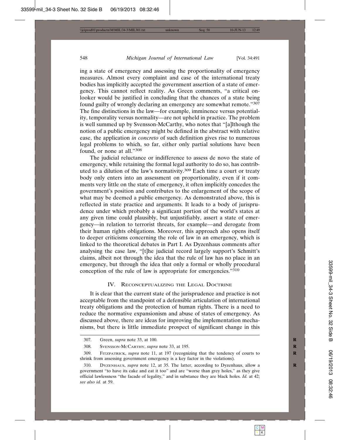\\jciprod01\productn\M\MIL\34-3\MIL301.txt unknown Seq: 58 10-JUN-13 12:49

# 548 *Michigan Journal of International Law* [Vol. 34:491

ing a state of emergency and assessing the proportionality of emergency measures. Almost every complaint and case of the international treaty bodies has implicitly accepted the government assertion of a state of emergency. This cannot reflect reality. As Green comments, "a critical onlooker would be justified in concluding that the chances of a state being found guilty of wrongly declaring an emergency are somewhat remote."307 The fine distinctions in the law—for example, imminence versus potentiality, temporality versus normality—are not upheld in practice. The problem is well summed up by Svensson-McCarthy, who notes that "[a]lthough the notion of a public emergency might be defined in the abstract with relative ease, the application *in concreto* of such definition gives rise to numerous legal problems to which, so far, either only partial solutions have been found, or none at all."308

The judicial reluctance or indifference to assess de novo the state of emergency, while retaining the formal legal authority to do so, has contributed to a dilution of the law's normativity.309 Each time a court or treaty body only enters into an assessment on proportionality, even if it comments very little on the state of emergency, it often implicitly concedes the government's position and contributes to the enlargement of the scope of what may be deemed a public emergency. As demonstrated above, this is reflected in state practice and arguments. It leads to a body of jurisprudence under which probably a significant portion of the world's states at any given time could plausibly, but unjustifiably, assert a state of emergency—in relation to terrorist threats, for example—and derogate from their human rights obligations. Moreover, this approach also opens itself to deeper criticisms concerning the role of law in an emergency, which is linked to the theoretical debates in Part I. As Dyzenhaus comments after analysing the case law, "[t]he judicial record largely support's Schmitt's claims, albeit not through the idea that the rule of law has no place in an emergency, but through the idea that only a formal or wholly procedural conception of the rule of law is appropriate for emergencies."310

#### IV. RECONCEPTUALIZING THE LEGAL DOCTRINE

It is clear that the current state of the jurisprudence and practice is not acceptable from the standpoint of a defensible articulation of international treaty obligations and the protection of human rights. There is a need to reduce the normative expansionism and abuse of states of emergency. As discussed above, there are ideas for improving the implementation mechanisms, but there is little immediate prospect of significant change in this

<sup>307.</sup> Green, *supra* note 33, at 100. **R**

<sup>308.</sup> SVENSSON-MCCARTHY, *supra* note 33, at 195. **R**

<sup>309.</sup> FITZPATRICK, *supra* note 11, at 197 (recognizing that the tendency of courts to **R** shrink from assessing government emergency is a key factor in the violations).

<sup>310.</sup> DYZENHAUS, *supra* note 12, at 35. The latter, according to Dyzenhaus, allow a **R** government "to have its cake and eat it too" and are "worse than grey holes," as they give official lawlessness "the facade of legality," and in substance they are black holes. *Id.* at 42; *see also id.* at 59.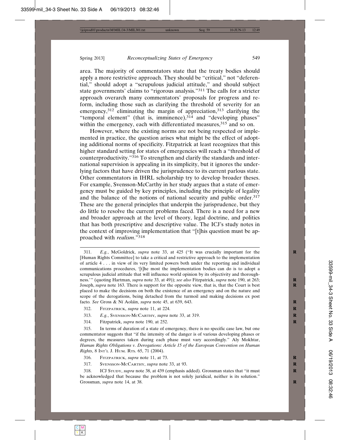\\jciprod01\productn\M\MIL\34-3\MIL301.txt unknown Seq: 59 10-JUN-13 12:49

# Spring 2013] *Reconceptualizing States of Emergency* 549

area. The majority of commentators state that the treaty bodies should apply a more restrictive approach. They should be "critical," not "deferential," should adopt a "scrupulous judicial attitude," and should subject state governments' claims to "rigorous analysis."311 The calls for a stricter approach overarch many commentators' proposals for progress and reform, including those such as clarifying the threshold of severity for an emergency,<sup>312</sup> eliminating the margin of appreciation,<sup>313</sup> clarifying the "temporal element" (that is, imminence),<sup>314</sup> and "developing phases" within the emergency, each with differentiated measures,<sup>315</sup> and so on.

However, where the existing norms are not being respected or implemented in practice, the question arises what might be the effect of adopting additional norms of specificity. Fitzpatrick at least recognizes that this higher standard setting for states of emergencies will reach a "threshold of counterproductivity."316 To strengthen and clarify the standards and international supervision is appealing in its simplicity, but it ignores the underlying factors that have driven the jurisprudence to its current parlous state. Other commentators in IHRL scholarship try to develop broader theses. For example, Svensson-McCarthy in her study argues that a state of emergency must be guided by key principles, including the principle of legality and the balance of the notions of national security and public order.<sup>317</sup> These are the general principles that underpin the jurisprudence, but they do little to resolve the current problems faced. There is a need for a new and broader approach at the level of theory, legal doctrine, and politics that has both prescriptive and descriptive value. The ICJ's study notes in the context of improving implementation that "[t]his question must be approached with *realism*."<sup>318</sup>

311. *E.g.*, McGoldrick, *supra* note 33, at 425 ("It was crucially important for the **R** [Human Rights Committee] to take a critical and restrictive approach to the implementation of article 4 . . . in view of its very limited powers both under the reporting and individual communications procedures, '[t]he most the implementation bodies can do is to adopt a scrupulous judicial attitude that will influence world opinion by its objectivity and thoroughness.'" (quoting Hartman, *supra* note 33, at 49)); *see also* Fitzpatrick, *supra* note 190, at 263; **R** Joseph, *supra* note 163. There is support for the opposite view, that is, that the Court is best **R** placed to make the decisions on both the existence of an emergency and on the nature and scope of the derogations, being detached from the turmoil and making decisions ex post facto. See Gross & Ní Aoláin, *supra* note 45, at 639, 643. **R** 

- 312. FITZPATRICK, *supra* note 11, at 224. **R**
- 313. *E.g.*, SVENSSON-MCCARTHY, *supra* note 33, at 319. **R**
- 314. Fitzpatrick, *supra* note 190, at 252. **R**

315. In terms of duration of a state of emergency, there is no specific case law, but one commentator suggests that "if the intensity of the danger is of various developing phases or degrees, the measures taken during each phase must vary accordingly." Aly Mokhtar, *Human Rights Obligations v. Derogations: Article 15 of the European Convention on Human Rights*, 8 INT'L J. HUM. RTS. 65, 71 (2004).

316. FITZPATRICK, *supra* note 11, at 73. **R**

C M Y | K

317. SVENSSON-MCCARTHY, *supra* note 33, at 93. **R**

318. ICJ STUDY, *supra* note 38, at 439 (emphasis added). Grossman states that "it must **R** be acknowledged that because the problem is not solely juridical, neither is its solution." Grossman, *supra* note 14, at 38. **R**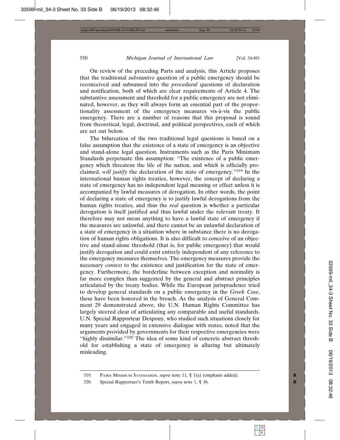\\jciprod01\productn\M\MIL\34-3\MIL301.txt unknown Seq: 60 10-JUN-13 12:49

# 550 *Michigan Journal of International Law* [Vol. 34:491

C M Y | K

On review of the preceding Parts and analysis, this Article proposes that the traditional *substantive* question of a public emergency should be reconceived and subsumed into the *procedural* questions of declaration and notification, both of which are clear requirements of Article 4. The substantive assessment and threshold for a public emergency are not eliminated, however, as they will always form an essential part of the proportionality assessment of the emergency measures vis- $\lambda$ -vis the public emergency. There are a number of reasons that this proposal is sound from theoretical, legal, doctrinal, and political perspectives, each of which are set out below.

The bifurcation of the two traditional legal questions is based on a false assumption that the existence of a state of emergency is an objective and stand-alone legal question. Instruments such as the Paris Minimum Standards perpetuate this assumption: "The existence of a public emergency which threatens the life of the nation, and which is officially proclaimed, *will justify* the declaration of the state of emergency."319 In the international human rights treaties, however, the concept of declaring a state of emergency has no independent legal meaning or effect unless it is accompanied by lawful measures of derogation. In other words, the point of declaring a state of emergency is to justify lawful derogations from the human rights treaties, and thus the *real* question is whether a particular derogation is itself justified and thus lawful under the relevant treaty. It therefore may not mean anything to have a lawful state of emergency if the measures are unlawful, and there cannot be an unlawful declaration of a state of emergency in a situation where in substance there is no derogation of human rights obligations. It is also difficult to conceive of an objective and stand-alone threshold (that is, for public emergency) that would justify derogation and could exist entirely independent of any reference to the emergency measures themselves. The emergency measures provide the necessary *context* to the existence and justification for the state of emergency. Furthermore, the borderline between exception and normality is far more complex than suggested by the general and abstract principles articulated by the treaty bodies. While the European jurisprudence tried to develop general standards on a public emergency in the *Greek Case*, these have been honored in the breach. As the analysis of General Comment 29 demonstrated above, the U.N. Human Rights Committee has largely steered clear of articulating any comparable and useful standards. U.N. Special Rapporteur Despouy, who studied such situations closely for many years and engaged in extensive dialogue with states, noted that the arguments provided by governments for their respective emergencies were "highly dissimilar."<sup>320</sup> The idea of some kind of concrete abstract threshold for establishing a state of emergency is alluring but ultimately misleading.

320. Special Rapportuer's Tenth Report, *supra* note 1, ¶ 36. **R**

<sup>319.</sup> PARIS MINIMUM STANDARDS, *supra* note 11, ¶ 1(a) (emphasis added). **R**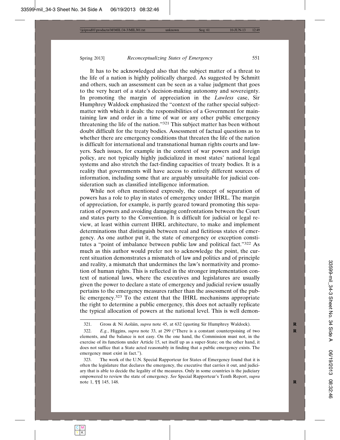\\jciprod01\productn\M\MIL\34-3\MIL301.txt unknown Seq: 61 10-JUN-13 12:49

C M Y | K

### Spring 2013] *Reconceptualizing States of Emergency* 551

It has to be acknowledged also that the subject matter of a threat to the life of a nation is highly politically charged. As suggested by Schmitt and others, such an assessment can be seen as a value judgment that goes to the very heart of a state's decision-making autonomy and sovereignty. In promoting the margin of appreciation in the *Lawless* case, Sir Humphrey Waldock emphasized the "context of the rather special subjectmatter with which it deals: the responsibilities of a Government for maintaining law and order in a time of war or any other public emergency threatening the life of the nation."321 This subject matter has been without doubt difficult for the treaty bodies. Assessment of factual questions as to whether there are emergency conditions that threaten the life of the nation is difficult for international and transnational human rights courts and lawyers. Such issues, for example in the context of war powers and foreign policy, are not typically highly judicialized in most states' national legal systems and also stretch the fact-finding capacities of treaty bodies. It is a reality that governments will have access to entirely different sources of information, including some that are arguably unsuitable for judicial consideration such as classified intelligence information.

While not often mentioned expressly, the concept of separation of powers has a role to play in states of emergency under IHRL. The margin of appreciation, for example, is partly geared toward promoting this separation of powers and avoiding damaging confrontations between the Court and states party to the Convention. It is difficult for judicial or legal review, at least within current IHRL architecture, to make and implement determinations that distinguish between real and fictitious states of emergency. As one author put it, the state of emergency or exception constitutes a "point of imbalance between public law and political fact."322 As much as this author would prefer not to acknowledge the point, the current situation demonstrates a mismatch of law and politics and of principle and reality, a mismatch that undermines the law's normativity and promotion of human rights. This is reflected in the stronger implementation context of national laws, where the executives and legislatures are usually given the power to declare a state of emergency and judicial review usually pertains to the emergency measures rather than the assessment of the public emergency.323 To the extent that the IHRL mechanisms appropriate the right to determine a public emergency, this does not actually replicate the typical allocation of powers at the national level. This is well demon-

<sup>321.</sup> Gross & Ní Aoláin, *supra* note 45, at 632 (quoting Sir Humphrey Waldock). **R** 

<sup>322.</sup> *E.g.*, Higgins, *supra* note 33, at 299 ("There is a constant counterpoising of two **R** elements, and the balance is not easy. On the one hand, the Commission must not, in the exercise of its functions under Article 15, set itself up as a super-State; on the other hand, it does not suffice that a State acted reasonably in finding that a public emergency exists. The emergency must exist in fact.").

<sup>323.</sup> The work of the U.N. Special Rapporteur for States of Emergency found that it is often the legislature that declares the emergency, the executive that carries it out, and judiciary that is able to decide the legality of the measures. Only in some countries is the judiciary empowered to review the state of emergency. *See* Special Rapporteur's Tenth Report, *supra* note 1, ¶¶ 145, 148. **R**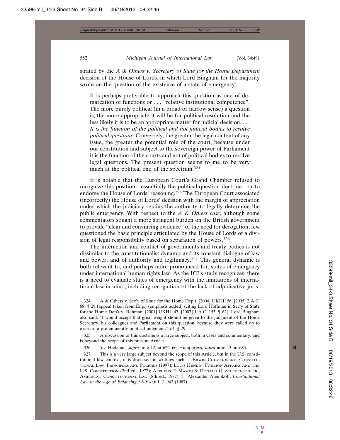\\jciprod01\productn\M\MIL\34-3\MIL301.txt unknown Seq: 62 10-JUN-13 12:49

552 *Michigan Journal of International Law* [Vol. 34:491

strated by the *A & Others v. Secretary of State for the Home Department* decision of the House of Lords, in which Lord Bingham for the majority wrote on the question of the existence of a state of emergency:

It is perhaps preferable to approach this question as one of demarcation of functions or . . . "relative institutional competence". The more purely political (in a broad or narrow sense) a question is, the more appropriate it will be for political resolution and the less likely it is to be an appropriate matter for judicial decision. . . . *It is the function of the political and not judicial bodies to resolve political questions*. Conversely, the greater the legal content of any issue, the greater the potential role of the court, because under our constitution and subject to the sovereign power of Parliament it is the function of the courts and not of political bodies to resolve legal questions. The present question seems to me to be very much at the political end of the spectrum.324

It is notable that the European Court's Grand Chamber refused to recognize this position—essentially the political-question doctrine—or to endorse the House of Lords' reasoning.325 The European Court associated (incorrectly) the House of Lords' decision with the margin of appreciation under which the judiciary retains the authority to legally determine the public emergency. With respect to the *A & Others case*, although some commentators sought a more stringent burden on the British government to provide "clear and convincing evidence" of the need for derogation, few questioned the basic principle articulated by the House of Lords of a division of legal responsibility based on separation of powers.326

The interaction and conflict of governments and treaty bodies is not dissimilar to the constitutionalist dynamic and its constant dialogue of law and power, and of authority and legitimacy.327 This general dynamic is both relevant to, and perhaps more pronounced for, states of emergency under international human rights law. As the ICJ's study recognizes, there is a need to evaluate states of emergency with the limitations of international law in mind, including recognition of the lack of adjudicative juris-

325. A discussion of this doctrine is a large subject, both in cases and commentary, and is beyond the scope of this present Article.

326. *See* Hickman, *supra* note 12, at 622–66; Humphreys, *supra* note 13, at 685. **R**

<sup>324.</sup> A & Others v. Sec'y of State for the Home Dep't, [2004] UKHL 56, [2005] 2 A.C. 68, ¶ 29 (appeal taken from Eng.) (emphasis added) (citing Lord Hoffman in Sec'y of State for the Home Dep't v. Rehman, [2001] UKHL 47, [2003] 1 A.C. 153, ¶ 62). Lord Bingham also said: "I would accept that great weight should be given to the judgment of the Home Secretary, his colleagues and Parliament on this question, because they were called on to exercise a pre-eminently political judgment." *Id.* ¶ 29.

<sup>327.</sup> This is a very large subject beyond the scope of this Article, but in the U.S. constitutional law context, it is discussed in writings such as ERWIN CHEMERINSKY, CONSTITU-TIONAL LAW: PRINCIPLES AND POLICIES (1997); LOUIS HENKIN, FOREIGN AFFAIRS AND THE U.S. CONSTITUTION (2nd ed., 1972); ALPHEUS T. MASON & DONALD G. STEPHENSON, JR., AMERICAN CONSTITUTIONAL LAW (8th ed., 1987); T. Alexander Aleinikoff, *Constitutional Law in the Age of Balancing*, 96 YALE L.J. 943 (1987).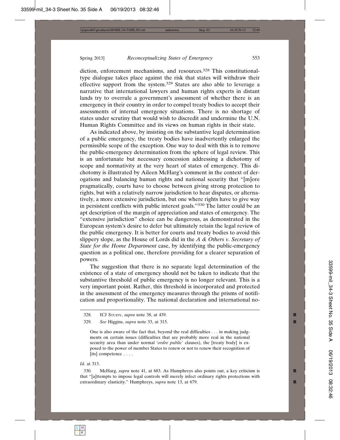\\jciprod01\productn\M\MIL\34-3\MIL301.txt unknown Seq: 63 10-JUN-13 12:49

### Spring 2013] *Reconceptualizing States of Emergency* 553

diction, enforcement mechanisms, and resources.<sup>328</sup> This constitutionaltype dialogue takes place against the risk that states will withdraw their effective support from the system.329 States are also able to leverage a narrative that international lawyers and human rights experts in distant lands try to overrule a government's assessment of whether there is an emergency in their country in order to compel treaty bodies to accept their assessments of internal emergency situations. There is no shortage of states under scrutiny that would wish to discredit and undermine the U.N. Human Rights Committee and its views on human rights in their state.

As indicated above, by insisting on the substantive legal determination of a public emergency, the treaty bodies have inadvertently enlarged the permissible scope of the exception. One way to deal with this is to remove the public-emergency determination from the sphere of legal review. This is an unfortunate but necessary concession addressing a dichotomy of scope and normativity at the very heart of states of emergency. This dichotomy is illustrated by Aileen McHarg's comment in the context of derogations and balancing human rights and national security that "[m]ore pragmatically, courts have to choose between giving strong protection to rights, but with a relatively narrow jurisdiction to hear disputes, or alternatively, a more extensive jurisdiction, but one where rights have to give way in persistent conflicts with public interest goals."330 The latter could be an apt description of the margin of appreciation and states of emergency. The "extensive jurisdiction" choice can be dangerous, as demonstrated in the European system's desire to defer but ultimately retain the legal review of the public emergency. It is better for courts and treaty bodies to avoid this slippery slope, as the House of Lords did in the *A & Others v. Secretary of State for the Home Department* case, by identifying the public-emergency question as a political one, therefore providing for a clearer separation of powers.

The suggestion that there is no separate legal determination of the existence of a state of emergency should not be taken to indicate that the substantive threshold of public emergency is no longer relevant. This is a very important point. Rather, this threshold is incorporated and protected in the assessment of the emergency measures through the prisms of notification and proportionality. The national declaration and international no-

329. *See* Higgins, *supra* note 33, at 315. **R**

One is also aware of the fact that, beyond the real difficulties . . . in making judgments on certain issues (difficulties that are probably more real in the national security area than under normal '*ordre public*' clauses), the [treaty body] is exposed to the power of member States to renew or not to renew their recognition of [its] competence . . . .

### *Id.* at 313.

C M Y | K

330. McHarg, *supra* note 41, at 683. As Humphreys also points out, a key criticism is **R** that "[a]ttempts to impose legal controls will merely infect ordinary rights protections with extraordinary elasticity." Humphreys, *supra* note 13, at 679. **R**

<sup>328.</sup> ICJ STUDY, *supra* note 38, at 439. **R**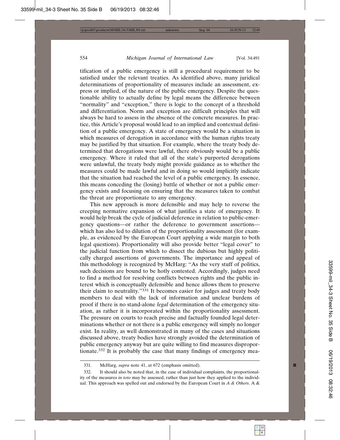\\jciprod01\productn\M\MIL\34-3\MIL301.txt unknown Seq: 64 10-JUN-13 12:49

# 554 *Michigan Journal of International Law* [Vol. 34:491

tification of a public emergency is still a procedural requirement to be satisfied under the relevant treaties. As identified above, many juridical determinations of proportionality of measures include an assessment, express or implied, of the nature of the public emergency. Despite the questionable ability to actually define by legal means the difference between "normality" and "exception," there is logic to the concept of a threshold and differentiation. Norm and exception are difficult principles that will always be hard to assess in the absence of the concrete measures. In practice, this Article's proposal would lead to an implied and contextual definition of a public emergency. A state of emergency would be a situation in which measures of derogation in accordance with the human rights treaty may be justified by that situation. For example, where the treaty body determined that derogations were lawful, there obviously would be a public emergency. Where it ruled that all of the state's purported derogations were unlawful, the treaty body might provide guidance as to whether the measures could be made lawful and in doing so would implicitly indicate that the situation had reached the level of a public emergency. In essence, this means conceding the (losing) battle of whether or not a public emergency exists and focusing on ensuring that the measures taken to combat the threat are proportionate to any emergency.

This new approach is more defensible and may help to reverse the creeping normative expansion of what justifies a state of emergency. It would help break the cycle of judicial deference in relation to public-emergency questions—or rather the deference to government assertions which has also led to dilution of the proportionality assessment (for example, as evidenced by the European Court applying a wide margin to both legal questions). Proportionality will also provide better "legal cover" to the judicial function from which to dissect the dubious but highly politically charged assertions of governments. The importance and appeal of this methodology is recognized by McHarg: "As the very stuff of politics, such decisions are bound to be hotly contested. Accordingly, judges need to find a method for resolving conflicts between rights and the public interest which is conceptually defensible and hence allows them to preserve their claim to neutrality."331 It becomes easier for judges and treaty body members to deal with the lack of information and unclear burdens of proof if there is no stand-alone *legal* determination of the emergency situation, as rather it is incorporated within the proportionality assessment. The pressure on courts to reach precise and factually founded legal determinations whether or not there is a public emergency will simply no longer exist. In reality, as well demonstrated in many of the cases and situations discussed above, treaty bodies have strongly avoided the determination of public emergency anyway but are quite willing to find measures disproportionate.332 It is probably the case that many findings of emergency mea-

<sup>331.</sup> McHarg, *supra* note 41, at 672 (emphasis omitted). **R**

<sup>332.</sup> It should also be noted that, in the case of individual complaints, the proportionality of the measures *in toto* may be assessed, rather than just how they applied to the individual. This approach was spelled out and endorsed by the European Court in *A & Others*. A &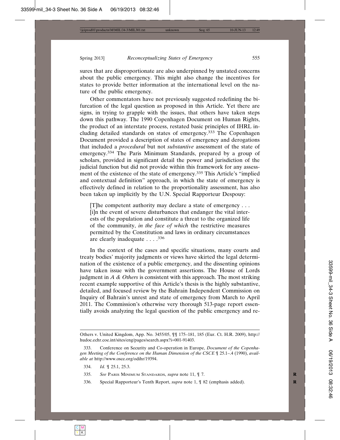\\jciprod01\productn\M\MIL\34-3\MIL301.txt unknown Seq: 65 10-JUN-13 12:49

# Spring 2013] *Reconceptualizing States of Emergency* 555

sures that are disproportionate are also underpinned by unstated concerns about the public emergency. This might also change the incentives for states to provide better information at the international level on the nature of the public emergency.

Other commentators have not previously suggested redefining the bifurcation of the legal question as proposed in this Article. Yet there are signs, in trying to grapple with the issues, that others have taken steps down this pathway. The 1990 Copenhagen Document on Human Rights, the product of an interstate process, restated basic principles of IHRL including detailed standards on states of emergency.333 The Copenhagen Document provided a description of states of emergency and derogations that included a *procedural* but not *substantive* assessment of the state of emergency.334 The Paris Minimum Standards, prepared by a group of scholars, provided in significant detail the power and jurisdiction of the judicial function but did not provide within this framework for any assessment of the existence of the state of emergency.335 This Article's "implied and contextual definition" approach, in which the state of emergency is effectively defined in relation to the proportionality assessment, has also been taken up implicitly by the U.N. Special Rapporteur Despouy:

[T]he competent authority may declare a state of emergency . . . [i]n the event of severe disturbances that endanger the vital interests of the population and constitute a threat to the organized life of the community, *in the face of which* the restrictive measures permitted by the Constitution and laws in ordinary circumstances are clearly inadequate . . . .336

In the context of the cases and specific situations, many courts and treaty bodies' majority judgments or views have skirted the legal determination of the existence of a public emergency, and the dissenting opinions have taken issue with the government assertions. The House of Lords judgment in *A & Others* is consistent with this approach. The most striking recent example supportive of this Article's thesis is the highly substantive, detailed, and focused review by the Bahrain Independent Commission on Inquiry of Bahrain's unrest and state of emergency from March to April 2011. The Commission's otherwise very thorough 513-page report essentially avoids analyzing the legal question of the public emergency and re-

- 335. *See* PARIS MINIMUM STANDARDS, *supra* note 11, ¶ 7. **R**
- 336. Special Rapporteur's Tenth Report, *supra* note 1, ¶ 82 (emphasis added). **R**

Others v. United Kingdom, App. No. 3455/05, ¶¶ 175–181, 185 (Eur. Ct. H.R. 2009), http:// hudoc.echr.coe.int/sites/eng/pages/search.aspx?i=001-91403.

<sup>333.</sup> Conference on Security and Co-operation in Europe, *Document of the Copenhagen Meeting of the Conference on the Human Dimension of the CSCE* ¶ 25.1–.4 (1990), *available at* http://www.osce.org/odihr/19394.

<sup>334.</sup> *Id.* ¶ 25.1, 25.3.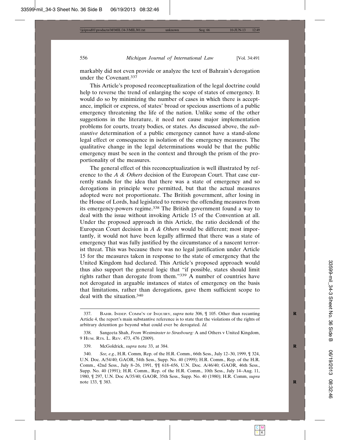\\jciprod01\productn\M\MIL\34-3\MIL301.txt unknown Seq: 66 10-JUN-13 12:49

# 556 *Michigan Journal of International Law* [Vol. 34:491

markably did not even provide or analyze the text of Bahrain's derogation under the Covenant.337

This Article's proposed reconceptualization of the legal doctrine could help to reverse the trend of enlarging the scope of states of emergency. It would do so by minimizing the number of cases in which there is acceptance, implicit or express, of states' broad or specious assertions of a public emergency threatening the life of the nation. Unlike some of the other suggestions in the literature, it need not cause major implementation problems for courts, treaty bodies, or states. As discussed above, the *substantive* determination of a public emergency cannot have a stand-alone legal effect or consequence in isolation of the emergency measures. The qualitative change in the legal determinations would be that the public emergency must be seen in the context and through the prism of the proportionality of the measures.

The general effect of this reconceptualization is well illustrated by reference to the *A & Others* decision of the European Court. That case currently stands for the idea that there was a state of emergency and so derogations in principle were permitted, but that the actual measures adopted were not proportionate. The British government, after losing in the House of Lords, had legislated to remove the offending measures from its emergency-powers regime.338 The British government found a way to deal with the issue without invoking Article 15 of the Convention at all. Under the proposed approach in this Article, the ratio decidendi of the European Court decision in *A & Others* would be different; most importantly, it would not have been legally affirmed that there was a state of emergency that was fully justified by the circumstance of a nascent terrorist threat. This was because there was no legal justification under Article 15 for the measures taken in response to the state of emergency that the United Kingdom had declared. This Article's proposed approach would thus also support the general logic that "if possible, states should limit rights rather than derogate from them."339 A number of countries have not derogated in arguable instances of states of emergency on the basis that limitations, rather than derogations, gave them sufficient scope to deal with the situation.340

339. McGoldrick, *supra* note 33, at 384. **R**

340. *See, e.g.*, H.R. Comm, Rep. of the H.R. Comm., 66th Sess., July 12–30, 1999, ¶ 324, U.N. Doc. A/54/40; GAOR, 54th Sess., Supp. No. 40 (1999); H.R. Comm., Rep. of the H.R. Comm., 42nd Sess., July 8–26, 1991, ¶¶ 618–656, U.N. Doc. A/46/40; GAOR, 46th Sess., Supp. No. 40 (1991); H.R. Comm., Rep. of the H.R. Comm., 10th Sess., July 14–Aug. 11, 1980, ¶ 297, U.N. Doc A/35/40; GAOR, 35th Sess., Supp. No. 40 (1980); H.R. Comm, *supra* note 133, ¶ 383. **R**

<sup>337.</sup> BAHR. INDEP. COMM'N OF INQUIRY, *supra* note 306, ¶ 105. Other than recanting **R** Article 4, the report's main substantive reference is to state that the violations of the rights of arbitrary detention go beyond what could ever be derogated. *Id.*

<sup>338.</sup> Sangeeta Shah, *From Westminster to Strasbourg:* A and Others v United Kingdom, 9 HUM. RTS. L. REV. 473, 476 (2009).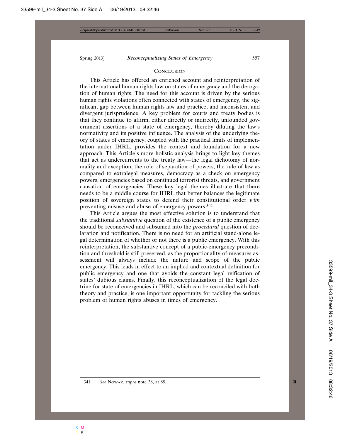\\jciprod01\productn\M\MIL\34-3\MIL301.txt unknown Seq: 67 10-JUN-13 12:49

Spring 2013] *Reconceptualizing States of Emergency* 557

## **CONCLUSION**

This Article has offered an enriched account and reinterpretation of the international human rights law on states of emergency and the derogation of human rights. The need for this account is driven by the serious human rights violations often connected with states of emergency, the significant gap between human rights law and practice, and inconsistent and divergent jurisprudence. A key problem for courts and treaty bodies is that they continue to affirm, either directly or indirectly, unfounded government assertions of a state of emergency, thereby diluting the law's normativity and its positive influence. The analysis of the underlying theory of states of emergency, coupled with the practical limits of implementation under IHRL, provides the context and foundation for a new approach. This Article's more holistic analysis brings to light key themes that act as undercurrents to the treaty law—the legal dichotomy of normality and exception, the role of separation of powers, the rule of law as compared to extralegal measures, democracy as a check on emergency powers, emergencies based on continued terrorist threats, and government causation of emergencies. These key legal themes illustrate that there needs to be a middle course for IHRL that better balances the legitimate position of sovereign states to defend their constitutional order *with* preventing misuse and abuse of emergency powers.341

This Article argues the most effective solution is to understand that the traditional *substantive* question of the existence of a public emergency should be reconceived and subsumed into the *procedural* question of declaration and notification. There is no need for an artificial stand-alone legal determination of whether or not there is a public emergency. With this reinterpretation, the substantive concept of a public-emergency precondition and threshold is still preserved, as the proportionality-of-measures assessment will always include the nature and scope of the public emergency. This leads in effect to an implied and contextual definition for public emergency and one that avoids the constant legal reification of states' dubious claims. Finally, this reconceptualization of the legal doctrine for state of emergencies in IHRL, which can be reconciled with both theory and practice, is one important opportunity for tackling the serious problem of human rights abuses in times of emergency.

341. *See* NOWAK, *supra* note 38, at 85. **R**

C M Y | K

33599-mil\_34-3 Sheet No. 37 Side A 06/19/2013 08:32:46 33599-mil\_34-3 Sheet No. 37 Side A 06/19/2013 08:32:46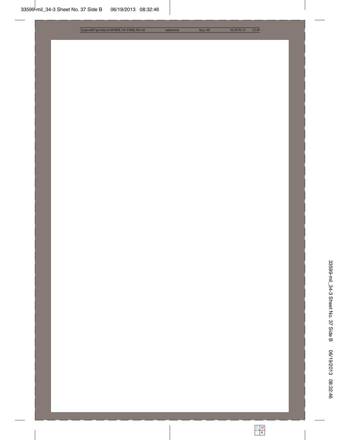|  | Wiciprod01\productn\M\MIL\34-3\MIL301.txt | $\ensuremath{\mathsf{unknown}}$ | Seq: 68 | $10-JUN-13$ | 12:49 |  |
|--|-------------------------------------------|---------------------------------|---------|-------------|-------|--|
|  |                                           |                                 |         |             |       |  |
|  |                                           |                                 |         |             |       |  |
|  |                                           |                                 |         |             |       |  |
|  |                                           |                                 |         |             |       |  |
|  |                                           |                                 |         |             |       |  |
|  |                                           |                                 |         |             |       |  |
|  |                                           |                                 |         |             |       |  |
|  |                                           |                                 |         |             |       |  |
|  |                                           |                                 |         |             |       |  |
|  |                                           |                                 |         |             |       |  |
|  |                                           |                                 |         |             |       |  |
|  |                                           |                                 |         |             |       |  |
|  |                                           |                                 |         |             |       |  |
|  |                                           |                                 |         |             |       |  |
|  |                                           |                                 |         |             |       |  |
|  |                                           |                                 |         |             |       |  |
|  |                                           |                                 |         |             |       |  |
|  |                                           |                                 |         |             |       |  |
|  |                                           |                                 |         |             |       |  |
|  |                                           |                                 |         |             |       |  |
|  |                                           |                                 |         |             |       |  |
|  |                                           |                                 |         |             |       |  |
|  |                                           |                                 |         |             | $C$ M |  |

Y | K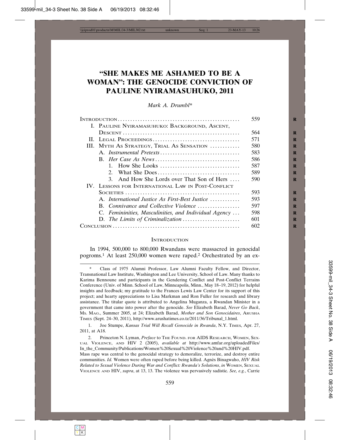| "SHE MAKES ME ASHAMED TO BE A             |
|-------------------------------------------|
| <b>WOMAN": THE GENOCIDE CONVICTION OF</b> |
| <b>PAULINE NYIRAMASUHUKO, 2011</b>        |

\\jciprod01\productn\M\MIL\34-3\MIL302.txt unknown Seq: 1 23-MAY-13 10:26

*Mark A. Drumbl\**

| INTRODUCTION                                             | 559 | R |
|----------------------------------------------------------|-----|---|
| I. PAULINE NYIRAMASUHUKO: BACKGROUND, ASCENT,            |     |   |
|                                                          | 564 | R |
|                                                          | 571 | R |
| III. MYTH AS STRATEGY, TRIAL AS SENSATION                | 580 | R |
|                                                          | 583 | R |
|                                                          | 586 | R |
|                                                          | 587 | R |
|                                                          | 589 | R |
| And How She Lords over That Son of Hers<br>$\mathcal{F}$ | 590 | R |
| IV. LESSONS FOR INTERNATIONAL LAW IN POST-CONFLICT       |     |   |
|                                                          | 593 | R |
| A. International Justice As First-Best Justice           | 593 | R |
| B. Connivance and Collective Violence                    | 597 | R |
| C. Femininities, Masculinities, and Individual Agency    | 598 | R |
|                                                          | 601 | R |
|                                                          | 602 | R |
|                                                          |     |   |

## **INTRODUCTION**

In 1994, 500,000 to 800,000 Rwandans were massacred in genocidal pogroms.1 At least 250,000 women were raped.2 Orchestrated by an ex-

Class of 1975 Alumni Professor, Law Alumni Faculty Fellow, and Director, Transnational Law Institute, Washington and Lee University, School of Law. Many thanks to Karima Bennoune and participants in the Gendering Conflict and Post-Conflict Terrains Conference (Univ. of Minn. School of Law, Minneapolis, Minn., May 18–19, 2012) for helpful insights and feedback; my gratitude to the Frances Lewis Law Center for its support of this project; and hearty appreciations to Lisa Markman and Ron Fuller for research and library assistance. The titular quote is attributed to Angelina Muganza, a Rwandan Minister in a government that came into power after the genocide. *See* Elizabeth Barad, *Never Go Back*, MS. MAG., Summer 2005, at 24; Elizabeth Barad, *Mother and Son Genocidaires*, ARUSHA TIMES (Sept. 24–30, 2011), http://www.arushatimes.co.tz/2011/36/Tribunal\_1.html.

1. Joe Stumpe, *Kansas Trial Will Recall Genocide in Rwanda*, N.Y. TIMES, Apr. 27, 2011, at A18.

2. Princeton N. Lyman, *Preface* to THE FOUND. FOR AIDS RESEARCH, WOMEN, SEX-UAL VIOLENCE, AND HIV 2 (2005), *available at* http://www.amfar.org/uploadedFiles/ In\_the\_Community/Publications/Women%20Sexual%20Violence%20and%20HIV.pdf. Mass rape was central to the genocidal strategy to demoralize, terrorize, and destroy entire communities. *Id.* Women were often raped before being killed. Agnès Binagwaho, *HIV Risk Related to Sexual Violence During War and Conflict: Rwanda's Solutions*, *in* WOMEN, SEXUAL VIOLENCE AND HIV, *supra*, at 13, 13. The violence was pervasively sadistic. *See, e.g.*, Carrie

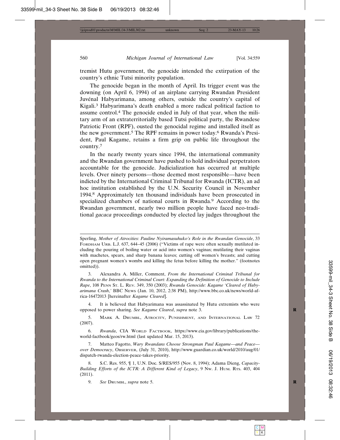\\jciprod01\productn\M\MIL\34-3\MIL302.txt unknown Seq: 2 23-MAY-13 10:26

# 560 *Michigan Journal of International Law* [Vol. 34:559

tremist Hutu government, the genocide intended the extirpation of the country's ethnic Tutsi minority population.

The genocide began in the month of April. Its trigger event was the downing (on April 6, 1994) of an airplane carrying Rwandan President Juvénal Habyarimana, among others, outside the country's capital of Kigali.3 Habyarimana's death enabled a more radical political faction to assume control.4 The genocide ended in July of that year, when the military arm of an extraterritorially based Tutsi political party, the Rwandese Patriotic Front (RPF), ousted the genocidal regime and installed itself as the new government.5 The RPF remains in power today.6 Rwanda's President, Paul Kagame, retains a firm grip on public life throughout the country.<sup>7</sup>

In the nearly twenty years since 1994, the international community and the Rwandan government have pushed to hold individual perpetrators accountable for the genocide. Judicialization has occurred at multiple levels. Over ninety persons—those deemed most responsible—have been indicted by the International Criminal Tribunal for Rwanda (ICTR), an ad hoc institution established by the U.N. Security Council in November 1994.8 Approximately ten thousand individuals have been prosecuted in specialized chambers of national courts in Rwanda.<sup>9</sup> According to the Rwandan government, nearly two million people have faced neo-traditional *gacaca* proceedings conducted by elected lay judges throughout the

3. Alexandra A. Miller, Comment, *From the International Criminal Tribunal for Rwanda to the International Criminal Court: Expanding the Definition of Genocide to Include Rape*, 108 PENN ST. L. REV. 349, 350 (2003); *Rwanda Genocide: Kagame 'Cleared of Habyarimana Crash*,*'* BBC NEWS (Jan. 10, 2012, 2:38 PM), http://www.bbc.co.uk/news/world-africa-16472013 [hereinafter *Kagame Cleared*].

4. It is believed that Habyarimana was assassinated by Hutu extremists who were opposed to power sharing. *See Kagame Cleared*, *supra* note 3. **R**

5. MARK A. DRUMBL, ATROCITY, PUNISHMENT, AND INTERNATIONAL LAW 72 (2007).

6. *Rwanda*, CIA WORLD FACTBOOK, https://www.cia.gov/library/publications/theworld-factbook/geos/rw.html (last updated Mar. 15, 2013).

7. Matteo Fagotto, *Wary Rwandans Choose Strongman Paul Kagame—and Peace over Democracy*, OBSERVER, (July 31, 2010), http://www.guardian.co.uk/world/2010/aug/01/ dispatch-rwanda-election-peace-takes-priority.

8. S.C. Res. 955, ¶ 1, U.N. Doc. S/RES/955 (Nov. 8, 1994); Adama Dieng, *Capacity-Building Efforts of the ICTR: A Different Kind of Legacy*, 9 NW. J. HUM. RTS. 403, 404 (2011).

9. *See* DRUMBL, *supra* note 5. **R**

Sperling, *Mother of Atrocities: Pauline Nyiramasuhuko's Role in the Rwandan Genocide*, 33 FORDHAM URB. L.J. 637, 644–45 (2006) ("Victims of rape were often sexually mutilated including the pouring of boiling water or acid into women's vaginas; mutilating their vaginas with machetes, spears, and sharp banana leaves; cutting off women's breasts; and cutting open pregnant women's wombs and killing the fetus before killing the mother." (footnotes omitted)).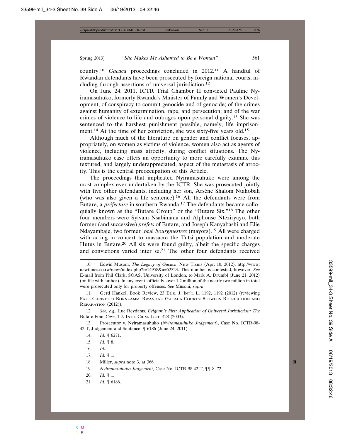\\jciprod01\productn\M\MIL\34-3\MIL302.txt unknown Seq: 3 23-MAY-13 10:26

## Spring 2013] *"She Makes Me Ashamed to Be a Woman"* 561

country.<sup>10</sup> *Gacaca* proceedings concluded in 2012.11 A handful of Rwandan defendants have been prosecuted by foreign national courts, including through assertions of universal jurisdiction.12

On June 24, 2011, ICTR Trial Chamber II convicted Pauline Nyiramasuhuko, formerly Rwanda's Minister of Family and Women's Development, of conspiracy to commit genocide and of genocide; of the crimes against humanity of extermination, rape, and persecution; and of the war crimes of violence to life and outrages upon personal dignity.13 She was sentenced to the harshest punishment possible, namely, life imprisonment.14 At the time of her conviction, she was sixty-five years old.15

Although much of the literature on gender and conflict focuses, appropriately, on women as victims of violence, women also act as agents of violence, including mass atrocity, during conflict situations. The Nyiramasuhuko case offers an opportunity to more carefully examine this textured, and largely underappreciated, aspect of the metastasis of atrocity. This is the central preoccupation of this Article.

The proceedings that implicated Nyiramasuhuko were among the most complex ever undertaken by the ICTR. She was prosecuted jointly with five other defendants, including her son, Arsène Shalom Ntahobali (who was also given a life sentence).16 All the defendants were from Butare, a *préfecture* in southern Rwanda.<sup>17</sup> The defendants became colloquially known as the "Butare Group" or the "Butare Six."18 The other four members were Sylvain Nsabimana and Alphonse Nteziryayo, both former (and successive) *pr´efets* of Butare, and Joseph Kanyabashi and Elie Ndayambaje, two former local *bourgmestres* (mayors).19 All were charged with acting in concert to massacre the Tutsi population and moderate Hutus in Butare.20 All six were found guilty, albeit the specific charges and convictions varied inter se.21 The other four defendants received

- 18. Miller, *supra* note 3, at 366. **R**
- 19. *Nyiramasuhuko Judgement*, Case No. ICTR-98-42-T, ¶¶ 8–72.
- 20. *Id.* ¶ 1.
- 21. *Id.* ¶ 6186.

<sup>10.</sup> Edwin Musoni, *The Legacy of Gacaca*, NEW TIMES (Apr. 10, 2012), http://www. newtimes.co.rw/news/index.php?i=14958&a=52323. This number is contested, however. *See* E-mail from Phil Clark, SOAS, University of London, to Mark A. Drumbl (June 21, 2012) (on file with author). In any event, officially, over 1.2 million of the nearly two million in total were prosecuted only for property offenses. *See* Musoni, *supra*.

<sup>11.</sup> Gerd Hankel, Book Review, 23 EUR. J. INT'L L. 1192, 1192 (2012) (reviewing PAUL CHRISTOPH BORNKAMM, RWANDA'S GACACA COURTS: BETWEEN RETRIBUTION AND REPARATION (2012)).

<sup>12.</sup> *See, e.g.*, Luc Reydams, *Belgium's First Application of Universal Jurisdiction: The* Butare Four *Case*, 1 J. INT'L CRIM. JUST. 428 (2003).

<sup>13.</sup> Prosecutor v. Nyiramasuhuko (*Nyiramasuhuko Judgement*), Case No. ICTR-98- 42-T, Judgement and Sentence, ¶ 6186 (June 24, 2011).

<sup>14.</sup> *Id.* ¶ 6271.

<sup>15.</sup> *Id.* ¶ 8.

<sup>16.</sup> *Id.*

<sup>17.</sup> *Id.* ¶ 1.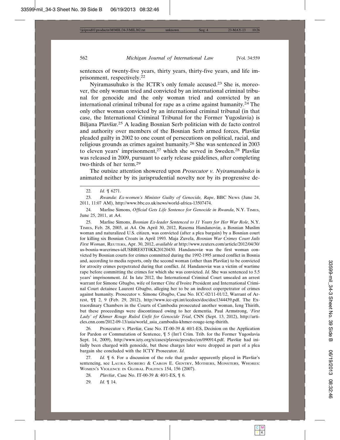\\jciprod01\productn\M\MIL\34-3\MIL302.txt unknown Seq: 4 23-MAY-13 10:26

562 *Michigan Journal of International Law* [Vol. 34:559

C M Y | K

sentences of twenty-five years, thirty years, thirty-five years, and life imprisonment, respectively.22

Nyiramasuhuko is the ICTR's only female accused.23 She is, moreover, the only woman tried and convicted by an international criminal tribunal for genocide and the only woman tried and convicted by an international criminal tribunal for rape as a crime against humanity.24 The only other woman convicted by an international criminal tribunal (in that case, the International Criminal Tribunal for the Former Yugoslavia) is Biljana Plavšiæ.<sup>25</sup> A leading Bosnian Serb politician with de facto control and authority over members of the Bosnian Serb armed forces, Plavšiæ pleaded guilty in 2002 to one count of persecutions on political, racial, and religious grounds as crimes against humanity.26 She was sentenced in 2003 to eleven years' imprisonment,<sup>27</sup> which she served in Sweden.<sup>28</sup> Plavšiæ was released in 2009, pursuant to early release guidelines, after completing two-thirds of her term.29

The outsize attention showered upon *Prosecutor v. Nyiramasuhuko* is animated neither by its jurisprudential novelty nor by its progressive de-

23. *Rwanda: Ex-women's Minister Guilty of Genocide, Rape*, BBC NEWS (June 24, 2011, 11:07 AM), http://www.bbc.co.uk/news/world-africa-13507474.

24. Marlise Simons, *Official Gets Life Sentence for Genocide in Rwanda*, N.Y. TIMES, June 25, 2011, at A4.

25. Marlise Simons, *Bosnian Ex-leader Sentenced to 11 Years for Her War Role*, N.Y. TIMES, Feb. 28, 2003, at A4. On April 30, 2012, Rasema Handanoviæ, a Bosnian Muslim woman and naturalized U.S. citizen, was convicted (after a plea bargain) by a Bosnian court for killing six Bosnian Croats in April 1993. Maja Zuvela, *Bosnian War Crimes Court Jails First Woman*, REUTERS, Apr. 30, 2012, *available at* http://www.reuters.com/article/2012/04/30/ us-bosnia-warcrimes-idUSBRE83T0KK20120430. Handanoviæ was the first woman convicted by Bosnian courts for crimes committed during the 1992-1995 armed conflict in Bosnia and, according to media reports, only the second woman (other than Plavšiæ) to be convicted for atrocity crimes perpetrated during that conflict. *Id.* Handanoviæ was a victim of wartime rape before committing the crimes for which she was convicted. *Id.* She was sentenced to 5.5 years' imprisonment. *Id.* In late 2012, the International Criminal Court unsealed an arrest warrant for Simone Gbagbo, wife of former Côte d'Ivoire President and International Criminal Court detainee Laurent Gbagbo, alleging her to be an indirect coperpetrator of crimes against humanity. Prosecutor v. Simone Gbagbo, Case No. ICC-02/11-01/12, Warrant of Arrest, ¶¶ 2, 9 (Feb. 29, 2012), http://www.icc-cpi.int/iccdocs/doc/doc1344439.pdf. The Extraordinary Chambers in the Courts of Cambodia prosecuted another woman, Ieng Thirith, but these proceedings were discontinued owing to her dementia. Paul Armstrong, *'First Lady' of Khmer Rouge Ruled Unfit for Genocide Trial*, CNN (Sept. 13, 2012), http://articles.cnn.com/2012-09-13/asia/world\_asia\_cambodia-khmer-rouge-ieng-thirith.

26. Prosecutor v. Plavšiæ, Case No. IT-00-39  $& 40/1$ -ES, Decision on the Application for Pardon or Commutation of Sentence, ¶ 5 (Int'l Crim. Trib. for the Former Yugoslavia Sept. 14, 2009), http://www.icty.org/x/cases/plavsic/presdec/en/090914.pdf. Plavšiæ had initially been charged with genocide, but these charges later were dropped as part of a plea bargain she concluded with the ICTY Prosecutor. *Id.*

27. *Id.*  $\parallel$  6. For a discussion of the role that gender apparently played in Plavšiæ's sentencing, see LAURA SJOBERG & CARON E. GENTRY, MOTHERS, MONSTERS, WHORES: WOMEN'S VIOLENCE IN GLOBAL POLITICS 154, 156 (2007).

28. *Plav˘siæ*, Case No. IT-00-39 & 40/1-ES, ¶ 6.

29. *Id.* ¶ 14.

<sup>22.</sup> *Id.* ¶ 6271.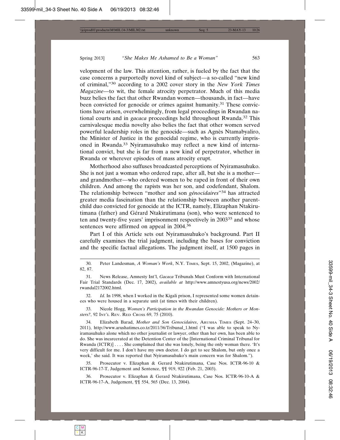C M Y | K

\\jciprod01\productn\M\MIL\34-3\MIL302.txt unknown Seq: 5 23-MAY-13 10:26

Spring 2013] *"She Makes Me Ashamed to Be a Woman"* 563

velopment of the law. This attention, rather, is fueled by the fact that the case concerns a purportedly novel kind of subject—a so-called "new kind of criminal,"30 according to a 2002 cover story in the *New York Times Magazine*—to wit, the female atrocity perpetrator. Much of this media buzz belies the fact that other Rwandan women—thousands, in fact—have been convicted for genocide or crimes against humanity.<sup>31</sup> These convictions have arisen, overwhelmingly, from legal proceedings in Rwandan national courts and in *gacaca* proceedings held throughout Rwanda.32 This carnivalesque media novelty also belies the fact that other women served powerful leadership roles in the genocide—such as Agnès Ntamabyaliro, the Minister of Justice in the genocidal regime, who is currently imprisoned in Rwanda.33 Nyiramasuhuko may reflect a new kind of international convict, but she is far from a new kind of perpetrator, whether in Rwanda or wherever episodes of mass atrocity erupt.

Motherhood also suffuses broadcasted perceptions of Nyiramasuhuko. She is not just a woman who ordered rape, after all, but she is a mother and grandmother—who ordered women to be raped in front of their own children. And among the rapists was her son, and codefendant, Shalom. The relationship between "mother and son *génocidaires*"<sup>34</sup> has attracted greater media fascination than the relationship between another parentchild duo convicted for genocide at the ICTR, namely, Elizaphan Ntakirutimana (father) and Gérard Ntakirutimana (son), who were sentenced to ten and twenty-five years' imprisonment respectively in 200335 and whose sentences were affirmed on appeal in 2004.<sup>36</sup>

Part I of this Article sets out Nyiramasuhuko's background. Part II carefully examines the trial judgment, including the bases for conviction and the specific factual allegations. The judgment itself, at 1500 pages in

32. *Id.* In 1998, when I worked in the Kigali prison, I represented some women detainees who were housed in a separate unit (at times with their children).

33. Nicole Hogg, *Women's Participation in the Rwandan Genocide: Mothers or Monsters?*, 92 INT'L REV. RED CROSS 69, 75 (2010).

34. Elizabeth Barad, *Mother and Son Genocidaires*, ARUSHA TIMES (Sept. 24–30, 2011), http://www.arushatimes.co.tz/2011/36/Tribunal\_1.html ("I was able to speak to Nyiramasuhuko alone which no other journalist or lawyer, other than her own, has been able to do. She was incarcerated at the Detention Center of the [International Criminal Tribunal for Rwanda (ICTR)] . . . . She complained that she was lonely, being the only woman there. 'It's very difficult for me. I don't have my own doctor. I do get to see Shalom, but only once a week,' she said. It was reported that Nyiramasuhuko's main concern was for Shalom.").

35. Prosecutor v. Elizaphan & Gerard Ntakirutimana, Case Nos. ICTR-96-10 & ICTR-96-17-T, Judgement and Sentence, ¶¶ 919, 922 (Feb. 21, 2003).

36. Prosecutor v. Elizaphan & Gerard Ntakirutimana, Case Nos. ICTR-96-10-A & ICTR-96-17-A, Judgement, ¶¶ 554, 565 (Dec. 13, 2004).

<sup>30.</sup> Peter Landesman, *A Woman's Work*, N.Y. TIMES, Sept. 15, 2002, (Magazine), at 82, 87.

<sup>31.</sup> News Release, Amnesty Int'l, *Gacaca* Tribunals Must Conform with International Fair Trial Standards (Dec. 17, 2002), *available at* http://www.amnestyusa.org/news/2002/ rwandal2172002.html.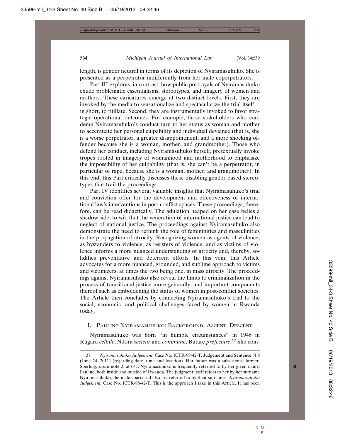\\jciprod01\productn\M\MIL\34-3\MIL302.txt unknown Seq: 6 23-MAY-13 10:26

## 564 *Michigan Journal of International Law* [Vol. 34:559

length, is gender neutral in terms of its depiction of Nyiramasuhuko. She is presented as a perpetrator indifferently from her male coperpetrators.

Part III explores, in contrast, how public portrayals of Nyiramasuhuko exude problematic essentialisms, stereotypes, and imagery of women and mothers. These caricatures emerge at two distinct levels. First, they are invoked by the media to sensationalize and spectacularize the trial itself in short, to titillate. Second, they are instrumentally invoked to favor strategic operational outcomes. For example, those stakeholders who condemn Nyiramasuhuko's conduct turn to her status as woman and mother to accentuate her personal culpability and individual deviance (that is, she is a worse perpetrator, a greater disappointment, and a more shocking offender because she is a woman, mother, and grandmother). Those who defend her conduct, including Nyiramasuhuko herself, pretextually invoke tropes rooted in imagery of womanhood and motherhood to emphasize the impossibility of her culpability (that is, she can't be a perpetrator, in particular of rape, because she is a woman, mother, and grandmother). In this end, this Part critically discusses these disabling gender-based stereotypes that trail the proceedings.

Part IV identifies several valuable insights that Nyiramasuhuko's trial and conviction offer for the development and effectiveness of international law's interventions in post-conflict spaces. These proceedings, therefore, can be read didactically. The adulation heaped on her case belies a shadow side, to wit, that the veneration of international justice can lead to neglect of national justice. The proceedings against Nyiramasuhuko also demonstrate the need to rethink the role of femininities and masculinities in the propagation of atrocity. Recognizing women as agents of violence, as bystanders to violence, as resisters of violence, and as victims of violence informs a more nuanced understanding of atrocity and, thereby, solidifies preventative and deterrent efforts. In this vein, this Article advocates for a more nuanced, grounded, and sublime approach to victims and victimizers, at times the two being one, in mass atrocity. The proceedings against Nyiramasuhuko also reveal the limits to criminalization in the process of transitional justice more generally, and important components thereof such as emboldening the status of women in post-conflict societies. The Article then concludes by connecting Nyiramasuhuko's trial to the social, economic, and political challenges faced by women in Rwanda today.

#### I. PAULINE NYIRAMASUHUKO: BACKGROUND, ASCENT, DESCENT

Nyiramasuhuko was born "in humble circumstances" in 1946 in Rugara *cellule*, Ndora *secteur* and *commune*, Butare *préfecture*.<sup>37</sup> She com-

<sup>37.</sup> *Nyiramasuhuko Judgement*, Case No. ICTR-98-42-T, Judgement and Sentence, ¶ 8 (June 24, 2011) (regarding date, time and location). Her father was a subsistence farmer. Sperling, *supra* note 2, at 647. Nyiramasuhuko is frequently referred to by her given name, **R** Pauline, both inside and outside of Rwanda. The judgment itself refers to her by her surname Nyiramasuhuko; the male coaccused also are referred to by their surnames. *Nyiramasuhuko Judgement*, Case No. ICTR-98-42-T. This is the approach I take in this Article. It has been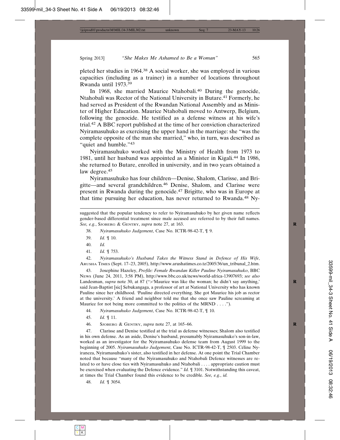\\jciprod01\productn\M\MIL\34-3\MIL302.txt unknown Seq: 7 23-MAY-13 10:26

#### Spring 2013] *"She Makes Me Ashamed to Be a Woman"* 565

pleted her studies in 1964.38 A social worker, she was employed in various capacities (including as a trainer) in a number of locations throughout Rwanda until 1973.39

In 1968, she married Maurice Ntahobali.<sup>40</sup> During the genocide, Ntahobali was Rector of the National University in Butare.41 Formerly, he had served as President of the Rwandan National Assembly and as Minister of Higher Education. Maurice Ntahobali moved to Antwerp, Belgium, following the genocide. He testified as a defense witness at his wife's trial.42 A BBC report published at the time of her conviction characterized Nyiramasuhuko as exercising the upper hand in the marriage: she "was the complete opposite of the man she married," who, in turn, was described as "quiet and humble."43

Nyiramasuhuko worked with the Ministry of Health from 1973 to 1981, until her husband was appointed as a Minister in Kigali.44 In 1986, she returned to Butare, enrolled in university, and in two years obtained a law degree.<sup>45</sup>

Nyiramasuhuko has four children—Denise, Shalom, Clarisse, and Brigitte—and several grandchildren.46 Denise, Shalom, and Clarisse were present in Rwanda during the genocide.47 Brigitte, who was in Europe at that time pursuing her education, has never returned to Rwanda.<sup>48</sup> Ny-

- 38. *Nyiramasuhuko Judgement*, Case No. ICTR-98-42-T, ¶ 9.
- 39. *Id.* ¶ 10.
- 40. *Id.*
- 41. *Id.* ¶ 753.

42. *Nyiramasuhuko's Husband Takes the Witness Stand in Defence of His Wife*, ARUSHA TIMES (Sept. 17–23, 2005), http://www.arushatimes.co.tz/2005/36/un\_tribunal\_2.htm.

43. Josephine Hazeley, *Profile: Female Rwandan Killer Pauline Nyiramasuhuko*, BBC NEWS (June 24, 2011, 3:58 PM), http://www.bbc.co.uk/news/world-africa-13907693; *see also* Landesman, *supra* note 30, at 87 (">'Maurice was like the woman; he didn't say anything,' said Jean-Baptist [sic] Sebukangaga, a professor of art at National University who has known Pauline since her childhood. 'Pauline directed everything. She got Maurice his job as rector at the university.' A friend and neighbor told me that she once saw Pauline screaming at Maurice for not being more committed to the politics of the MRND . . . .").

- 44. *Nyiramasuhuko Judgement*, Case No. ICTR-98-42-T, ¶ 10.
- 45. *Id.* ¶ 11.
- 46. SJOBERG & GENTRY, *supra* note 27, at 165–66. **R**

47. Clarisse and Denise testified at the trial as defense witnesses; Shalom also testified in his own defense. As an aside, Denise's husband, presumably Nyiramasuhuko's son-in-law, worked as an investigator for the Nyiramasuhuko defense team from August 1999 to the beginning of 2005. *Nyiramasuhuko Judgement*, Case No. ICTR-98-42-T,  $\parallel$  2503. Céline Nyiraneza, Nyiramasuhuko's sister, also testified in her defense. At one point the Trial Chamber noted that because "many of the Nyiramasuhuko and Ntahobali Defence witnesses are related to or have close ties with Nyiramasuhuko and Ntahobali . . . . appropriate caution must be exercised when evaluating the Defence evidence." *Id.* ¶ 3101. Notwithstanding this caveat, at times the Trial Chamber found this evidence to be credible. *See, e.g.*, *id.*

48. *Id.* ¶ 3054.

suggested that the popular tendency to refer to Nyiramasuhuko by her given name reflects gender-based differential treatment since male accused are referred to by their full names. *See, e.g.*, SJOBERG & GENTRY, *supra* note 27, at 163. **R**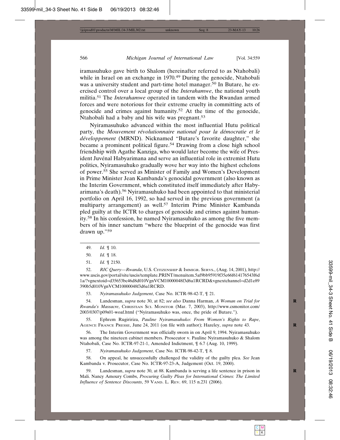\\jciprod01\productn\M\MIL\34-3\MIL302.txt unknown Seq: 8 23-MAY-13 10:26

## 566 *Michigan Journal of International Law* [Vol. 34:559

iramasuhuko gave birth to Shalom (hereinafter referred to as Ntahobali) while in Israel on an exchange in 1970.<sup>49</sup> During the genocide, Ntahobali was a university student and part-time hotel manager.<sup>50</sup> In Butare, he exercised control over a local group of the *Interahamwe*, the national youth militia.51 The *Interahamwe* operated in tandem with the Rwandan armed forces and were notorious for their extreme cruelty in committing acts of genocide and crimes against humanity.52 At the time of the genocide, Ntahobali had a baby and his wife was pregnant.<sup>53</sup>

Nyiramasuhuko advanced within the most influential Hutu political party, the *Mouvement révolutionnaire national pour la démocratie et le d´eveloppement* (MRND). Nicknamed "Butare's favorite daughter," she became a prominent political figure.<sup>54</sup> Drawing from a close high school friendship with Agathe Kanziga, who would later become the wife of President Juvénal Habyarimana and serve an influential role in extremist Hutu politics, Nyiramasuhuko gradually wove her way into the highest echelons of power.55 She served as Minister of Family and Women's Development in Prime Minister Jean Kambanda's genocidal government (also known as the Interim Government, which constituted itself immediately after Habyarimana's death).56 Nyiramasuhuko had been appointed to that ministerial portfolio on April 16, 1992, so had served in the previous government (a multiparty arrangement) as well.57 Interim Prime Minister Kambanda pled guilty at the ICTR to charges of genocide and crimes against humanity.58 In his confession, he named Nyiramasuhuko as among the five members of his inner sanctum "where the blueprint of the genocide was first drawn up."59

52. *RIC Query—Rwanda*, U.S. CITIZENSHIP & IMMIGR. SERVS., (Aug. 14, 2001), http:// www.uscis.gov/portal/site/uscis/template.PRINT/menuitem.5af9bb95919f35e66f614176543f6d 1a/?vgnextoid=d35653bc46d8d010VgnVCM10000048f3d6a1RCRD&vgnextchannel=d2d1e89 390b5d010VgnVCM10000048f3d6a1RCRD.

53. *Nyiramasuhuko Judgement*, Case No. ICTR-98-42-T, ¶ 21.

54. Landesman, *supra* note 30, at 82; *see also* Danna Harman, *A Woman on Trial for* **R** *Rwanda's Massacre*, CHRISTIAN SCI. MONITOR (Mar. 7, 2003), http://www.csmonitor.com/ 2003/0307/p09s01-woaf.html ("Nyiramasuhuko was, once, the pride of Butare.").

55. Ephrem Rugiririza, *Pauline Nyiramasuhuko: From Women's Rights to Rape*, AGENCE FRANCE PRESSE, June 24, 2011 (on file with author); Hazeley, *supra* note 43. **R**

56. The Interim Government was officially sworn in on April 9, 1994. Nyiramasuhuko was among the nineteen cabinet members. Prosecutor v. Pauline Nyiramasuhuko & Shalom Ntahobali, Case No. ICTR-97-21-1, Amended Indictment, ¶ 6.7 (Aug. 10, 1999).

57. *Nyiramasuhuko Judgement*, Case No. ICTR-98-42-T, ¶ 8.

58. On appeal, he unsuccessfully challenged the validity of the guilty plea. *See* Jean Kambanda v. Prosecutor, Case No. ICTR-97-23-A, Judgement (Oct. 19, 2000).

59. Landesman, *supra* note 30, at 88. Kambanda is serving a life sentence in prison in **R** Mali. Nancy Amoury Combs, *Procuring Guilty Pleas for International Crimes: The Limited Influence of Sentence Discounts*, 59 VAND. L. REV. 69, 115 n.231 (2006).

<sup>49.</sup> *Id.* ¶ 10.

<sup>50.</sup> *Id.* ¶ 18.

<sup>51.</sup> *Id.* ¶ 2150.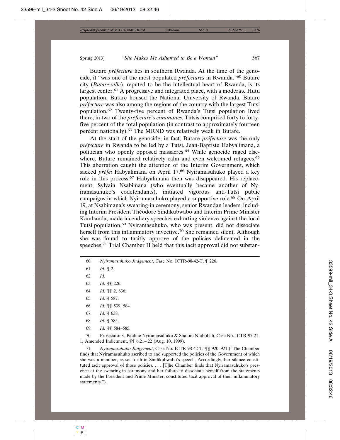\\jciprod01\productn\M\MIL\34-3\MIL302.txt unknown Seq: 9 23-MAY-13 10:26

Spring 2013] *"She Makes Me Ashamed to Be a Woman"* 567

Butare *préfecture* lies in southern Rwanda. At the time of the genocide, it "was one of the most populated *préfectures* in Rwanda."<sup>60</sup> Butare city (*Butare-ville*), reputed to be the intellectual heart of Rwanda, is its largest center.<sup>61</sup> A progressive and integrated place, with a moderate Hutu population, Butare housed the National University of Rwanda. Butare *préfecture* was also among the regions of the country with the largest Tutsi population.62 Twenty-five percent of Rwanda's Tutsi population lived there; in two of the *préfecture's communes*, Tutsis comprised forty to fortyfive percent of the total population (in contrast to approximately fourteen percent nationally).63 The MRND was relatively weak in Butare.

At the start of the genocide, in fact, Butare *préfecture* was the only *préfecture* in Rwanda to be led by a Tutsi, Jean-Baptiste Habyalimana, a politician who openly opposed massacres.<sup>64</sup> While genocide raged elsewhere, Butare remained relatively calm and even welcomed refugees.<sup>65</sup> This aberration caught the attention of the Interim Government, which sacked *préfet* Habyalimana on April 17.<sup>66</sup> Nyiramasuhuko played a key role in this process.67 Habyalimana then was disappeared. His replacement, Sylvain Nsabimana (who eventually became another of Nyiramasuhuko's codefendants), initiated vigorous anti-Tutsi public campaigns in which Nyiramasuhuko played a supportive role.68 On April 19, at Nsabimana's swearing-in ceremony, senior Rwandan leaders, including Interim President Théodore Sindikubwabo and Interim Prime Minister Kambanda, made incendiary speeches exhorting violence against the local Tutsi population.69 Nyiramasuhuko, who was present, did not dissociate herself from this inflammatory invective.<sup>70</sup> She remained silent. Although she was found to tacitly approve of the policies delineated in the speeches,<sup>71</sup> Trial Chamber II held that this tacit approval did not substan-

- 60. *Nyiramasuhuko Judgement*, Case No. ICTR-98-42-T, ¶ 226.
- 61. *Id.* ¶ 2.
- 62. *Id.*
- 63. *Id.* ¶¶ 226.
- 64. *Id.* ¶¶ 2, 636.
- 65. *Id.* ¶ 587.
- 66. *Id.* ¶¶ 539, 584.
- 67. *Id.* ¶ 638.
- 68. *Id.* ¶ 585.

C M Y | K

69. *Id.* ¶¶ 584–585.

70. Prosecutor v. Pauline Nyiramasuhuko & Shalom Ntahobali, Case No. ICTR-97-21- 1, Amended Indictment, ¶¶ 6.21–.22 (Aug. 10, 1999).

71. *Nyiramasuhuko Judgement*, Case No. ICTR-98-42-T, ¶¶ 920–921 ("The Chamber finds that Nyiramasuhuko ascribed to and supported the policies of the Government of which she was a member, as set forth in Sindikubwabo's speech. Accordingly, her silence constituted tacit approval of those policies. . . . [T]he Chamber finds that Nyiramasuhuko's presence at the swearing-in ceremony and her failure to dissociate herself from the statements made by the President and Prime Minister, constituted tacit approval of their inflammatory statements.").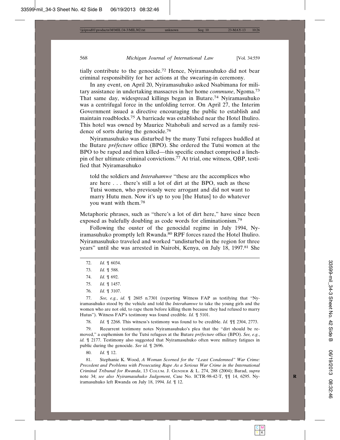\\jciprod01\productn\M\MIL\34-3\MIL302.txt unknown Seq: 10 23-MAY-13 10:26

568 *Michigan Journal of International Law* [Vol. 34:559

tially contribute to the genocide.72 Hence, Nyiramasuhuko did not bear criminal responsibility for her actions at the swearing-in ceremony.

In any event, on April 20, Nyiramasuhuko asked Nsabimana for military assistance in undertaking massacres in her home *commune*, Ngoma.<sup>73</sup> That same day, widespread killings began in Butare.74 Nyiramasuhuko was a centrifugal force in the unfolding terror. On April 27, the Interim Government issued a directive encouraging the public to establish and maintain roadblocks.75 A barricade was established near the Hotel Ihuliro. This hotel was owned by Maurice Ntahobali and served as a family residence of sorts during the genocide.76

Nyiramasuhuko was disturbed by the many Tutsi refugees huddled at the Butare *préfecture* office (BPO). She ordered the Tutsi women at the BPO to be raped and then killed—this specific conduct comprised a linchpin of her ultimate criminal convictions.77 At trial, one witness, QBP, testified that Nyiramasuhuko

told the soldiers and *Interahamwe* "these are the accomplices who are here . . . there's still a lot of dirt at the BPO, such as these Tutsi women, who previously were arrogant and did not want to marry Hutu men. Now it's up to you [the Hutus] to do whatever you want with them.78

Metaphoric phrases, such as "there's a lot of dirt here," have since been exposed as balefully doubling as code words for eliminationism.79

Following the ouster of the genocidal regime in July 1994, Nyiramasuhuko promptly left Rwanda.80 RPF forces razed the Hotel Ihuliro. Nyiramasuhuko traveled and worked "undisturbed in the region for three years" until she was arrested in Nairobi, Kenya, on July 18, 1997.<sup>81</sup> She

77. *See, e.g.*, *id.* ¶ 2605 n.7301 (reporting Witness FAP as testifying that "Nyiramasuhuko stood by the vehicle and told the *Interahamwe* to take the young girls and the women who are not old, to rape them before killing them because they had refused to marry Hutus"). Witness FAP's testimony was found credible. *Id.* ¶ 5101.

78. *Id.* ¶ 2268. This witness's testimony was found to be credible. *Id.* ¶¶ 2304, 2773.

79. Recurrent testimony notes Nyiramasuhuko's plea that the "dirt should be removed," a euphemism for the Tutsi refugees at the Butare *préfecture* office (BPO). *See, e.g.*, *id.*  $\parallel$  2177. Testimony also suggested that Nyiramasuhuko often wore military fatigues in public during the genocide. *See id.* ¶ 2696.

80. *Id.* ¶ 12.

81. Stephanie K. Wood, *A Woman Scorned for the "Least Condemned" War Crime: Precedent and Problems with Prosecuting Rape As a Serious War Crime in the International Criminal Tribunal for Rwanda*, 13 COLUM. J. GENDER & L. 274, 288 (2004); Barad, *supra* note 34; *see also Nyiramasuhuko Judgement*, Case No. ICTR-98-42-T, ¶¶ 14, 6295. Ny- **R** iramasuhuko left Rwanda on July 18, 1994. *Id.* ¶ 12.



<sup>72.</sup> *Id.* ¶ 6034.

<sup>73.</sup> *Id.* ¶ 588.

<sup>74.</sup> *Id.* ¶ 692.

<sup>75.</sup> *Id.* ¶ 1457.

<sup>76.</sup> *Id.* ¶ 3107.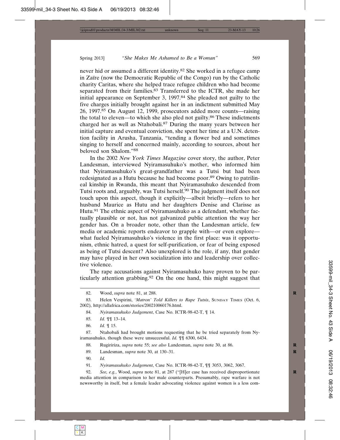\\jciprod01\productn\M\MIL\34-3\MIL302.txt unknown Seq: 11 23-MAY-13 10:26

## Spring 2013] *"She Makes Me Ashamed to Be a Woman"* 569

never hid or assumed a different identity.82 She worked in a refugee camp in Zaïre (now the Democratic Republic of the Congo) run by the Catholic charity Caritas, where she helped trace refugee children who had become separated from their families.83 Transferred to the ICTR, she made her initial appearance on September 3, 1997.<sup>84</sup> She pleaded not guilty to the five charges initially brought against her in an indictment submitted May 26, 1997.85 On August 12, 1999, prosecutors added more counts—raising the total to eleven—to which she also pled not guilty.86 These indictments charged her as well as Ntahobali.87 During the many years between her initial capture and eventual conviction, she spent her time at a U.N. detention facility in Arusha, Tanzania, "tending a flower bed and sometimes singing to herself and concerned mainly, according to sources, about her beloved son Shalom."88

In the 2002 *New York Times Magazine* cover story, the author, Peter Landesman, interviewed Nyiramasuhuko's mother, who informed him that Nyiramasuhuko's great-grandfather was a Tutsi but had been redesignated as a Hutu because he had become poor.89 Owing to patrilineal kinship in Rwanda, this meant that Nyiramasuhuko descended from Tutsi roots and, arguably, was Tutsi herself.<sup>90</sup> The judgment itself does not touch upon this aspect, though it explicitly—albeit briefly—refers to her husband Maurice as Hutu and her daughters Denise and Clarisse as Hutu.<sup>91</sup> The ethnic aspect of Nyiramasuhuko as a defendant, whether factually plausible or not, has not galvanized public attention the way her gender has. On a broader note, other than the Landesman article, few media or academic reports endeavor to grapple with—or even explore what fueled Nyiramasuhuko's violence in the first place: was it opportunism, ethnic hatred, a quest for self-purification, or fear of being exposed as being of Tutsi descent? Also unexplored is the role, if any, that gender may have played in her own socialization into and leadership over collective violence.

The rape accusations against Nyiramasuhuko have proven to be particularly attention grabbing.92 On the one hand, this might suggest that

- 89. Landesman, *supra* note 30, at 130–31. **R**
- 90. *Id.*

<sup>82.</sup> Wood, *supra* note 81, at 288. **R**

<sup>83.</sup> Helen Vespirini, *'Matron' Told Killers to Rape Tutsis*, SUNDAY TIMES (Oct. 6, 2002), http://allafrica.com/stories/200210060176.html.

<sup>84.</sup> *Nyiramasuhuko Judgement*, Case No. ICTR-98-42-T, ¶ 14.

<sup>85.</sup> *Id.* ¶¶ 13–14.

<sup>86.</sup> *Id.* ¶ 15.

<sup>87.</sup> Ntahobali had brought motions requesting that he be tried separately from Nyiramasuhuko, though these were unsuccessful. *Id.* ¶¶ 6300, 6434.

<sup>88.</sup> Rugiririza, *supra* note 55; *see also* Landesman, *supra* note 30, at 86. **R**

<sup>91.</sup> *Nyiramasuhuko Judgement*, Case No. ICTR-98-42-T, ¶¶ 3053, 3062, 3067.

<sup>92.</sup> *See, e.g.*, Wood, *supra* note 81, at 287 ("[H]er case has received disproportionate **R** media attention in comparison to her male counterparts. Presumably, rape warfare is not newsworthy in itself, but a female leader advocating violence against women is a less com-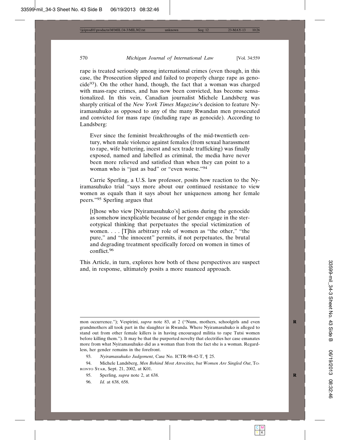\\jciprod01\productn\M\MIL\34-3\MIL302.txt unknown Seq: 12 23-MAY-13 10:26

# 570 *Michigan Journal of International Law* [Vol. 34:559

rape is treated seriously among international crimes (even though, in this case, the Prosecution slipped and failed to properly charge rape as genocide93). On the other hand, though, the fact that a woman was charged with mass-rape crimes, and has now been convicted, has become sensationalized. In this vein, Canadian journalist Michele Landsberg was sharply critical of the *New York Times Magazine*'s decision to feature Nyiramasuhuko as opposed to any of the many Rwandan men prosecuted and convicted for mass rape (including rape as genocide). According to Landsberg:

Ever since the feminist breakthroughs of the mid-twentieth century, when male violence against females (from sexual harassment to rape, wife battering, incest and sex trade trafficking) was finally exposed, named and labelled as criminal, the media have never been more relieved and satisfied than when they can point to a woman who is "just as bad" or "even worse."<sup>94</sup>

Carrie Sperling, a U.S. law professor, posits how reaction to the Nyiramasuhuko trial "says more about our continued resistance to view women as equals than it says about her uniqueness among her female peers."95 Sperling argues that

[t]hose who view [Nyiramasuhuko's] actions during the genocide as somehow inexplicable because of her gender engage in the stereotypical thinking that perpetuates the special victimization of women. . . . [T]his arbitrary role of women as "the other," "the pure," and "the innocent" permits, if not perpetuates, the brutal and degrading treatment specifically forced on women in times of conflict.<sup>96</sup>

This Article, in turn, explores how both of these perspectives are suspect and, in response, ultimately posits a more nuanced approach.

mon occurrence."); Vespirini, *supra* note 83, at 2 ("Nuns, mothers, schoolgirls and even **R** grandmothers all took part in the slaughter in Rwanda. Where Nyiramasuhuko is alleged to stand out from other female killers is in having encouraged militia to rape Tutsi women before killing them."). It may be that the purported novelty that electrifies her case emanates more from what Nyiramasuhuko did as a woman than from the fact she is a woman. Regardless, her gender remains in the forefront.

93. *Nyiramasuhuko Judgement*, Case No. ICTR-98-42-T, ¶ 25.

94. Michele Landsberg, *Men Behind Most Atrocities, but Women Are Singled Out*, TO-RONTO STAR, Sept. 21, 2002, at K01.

95. Sperling, *supra* note 2, at 638. **R**

96. *Id.* at 638, 658.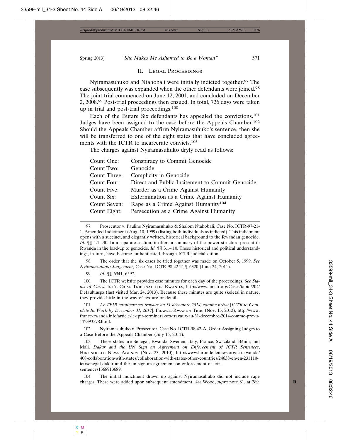\\jciprod01\productn\M\MIL\34-3\MIL302.txt unknown Seq: 13 23-MAY-13 10:26

# Spring 2013] *"She Makes Me Ashamed to Be a Woman"* 571

### II. LEGAL PROCEEDINGS

Nyiramasuhuko and Ntahobali were initially indicted together.97 The case subsequently was expanded when the other defendants were joined.98 The joint trial commenced on June 12, 2001, and concluded on December 2, 2008.99 Post-trial proceedings then ensued. In total, 726 days were taken up in trial and post-trial proceedings.100

Each of the Butare Six defendants has appealed the convictions.101 Judges have been assigned to the case before the Appeals Chamber.102 Should the Appeals Chamber affirm Nyiramasuhuko's sentence, then she will be transferred to one of the eight states that have concluded agreements with the ICTR to incarcerate convicts.<sup>103</sup>

The charges against Nyiramasuhuko dryly read as follows:

| Conspiracy to Commit Genocide                   |
|-------------------------------------------------|
| Genocide                                        |
| Complicity in Genocide                          |
| Direct and Public Incitement to Commit Genocide |
| Murder as a Crime Against Humanity              |
| Extermination as a Crime Against Humanity       |
| Rape as a Crime Against Humanity <sup>104</sup> |
| Persecution as a Crime Against Humanity         |
|                                                 |

97. Prosecutor v. Pauline Nyiramasuhuko & Shalom Ntahobali, Case No. ICTR-97-21- 1, Amended Indictment (Aug. 10, 1999) (listing both individuals as indicted). This indictment opens with a succinct, and elegantly written, historical background to the Rwandan genocide. *Id.*  $\P$  1.1–.30. In a separate section, it offers a summary of the power structure present in Rwanda in the lead-up to genocide. *Id.* ¶¶ 3.1–.10. These historical and political understandings, in turn, have become authenticated through ICTR judicialization.

98. The order that the six cases be tried together was made on October 5, 1999. *See Nyiramasuhuko Judgement*, Case No. ICTR-98-42-T, ¶ 6320 (June 24, 2011).

99. *Id.* ¶¶ 6341, 6597.

C M Y | K

100. The ICTR website provides case minutes for each day of the proceedings. *See Status of Cases*, INT'L CRIM. TRIBUNAL FOR RWANDA, http://www.unictr.org/Cases/tabid/204/ Default.aspx (last visited Mar. 24, 2013). Because these minutes are quite skeletal in nature, they provide little in the way of texture or detail.

101. Le TPIR terminera ses travaux au 31 décembre 2014, comme prévu [ICTR to Com*plete Its Work by December 31, 2014*], FRANCE-RWANDA TRIB. (Nov. 13, 2012), http://www. france-rwanda.info/article-le-tpir-terminera-ses-travaux-au-31-decembre-2014-comme-prevu-112393578.html.

102. Nyiramasuhuko v. Prosecutor, Case No. ICTR-98-42-A, Order Assigning Judges to a Case Before the Appeals Chamber (July 15, 2011).

103. These states are Senegal, Rwanda, Sweden, Italy, France, Swaziland, Bénin, and Mali. *Dakar and the UN Sign an Agreement on Enforcement of ICTR Sentences*, HIRONDELLE NEWS AGENCY (Nov. 23, 2010), http://www.hirondellenews.org/ictr-rwanda/ 408-collaboration-with-states/collaboration-with-states-other-countries/24638-en-en-231110 ictrsenegal-dakar-and-the-un-sign-an-agreement-on-enforcement-of-ictrsentences1368913689.

104. The initial indictment drawn up against Nyiramasuhuko did not include rape charges. These were added upon subsequent amendment. *See* Wood, *supra* note 81, at 289. **R**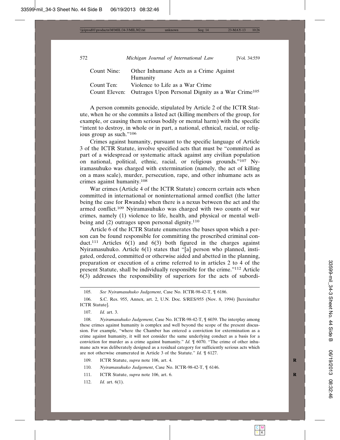\\jciprod01\productn\M\MIL\34-3\MIL302.txt unknown Seq: 14 23-MAY-13 10:26

572 *Michigan Journal of International Law* [Vol. 34:559 Count Nine: Other Inhumane Acts as a Crime Against Humanity Count Ten: Violence to Life as a War Crime Count Eleven: Outrages Upon Personal Dignity as a War Crime105

A person commits genocide, stipulated by Article 2 of the ICTR Statute, when he or she commits a listed act (killing members of the group, for example, or causing them serious bodily or mental harm) with the specific "intent to destroy, in whole or in part, a national, ethnical, racial, or religious group as such."106

Crimes against humanity, pursuant to the specific language of Article 3 of the ICTR Statute, involve specified acts that must be "committed as part of a widespread or systematic attack against any civilian population on national, political, ethnic, racial, or religious grounds."107 Nyiramasuhuko was charged with extermination (namely, the act of killing on a mass scale), murder, persecution, rape, and other inhumane acts as crimes against humanity.108

War crimes (Article 4 of the ICTR Statute) concern certain acts when committed in international or noninternational armed conflict (the latter being the case for Rwanda) when there is a nexus between the act and the armed conflict.109 Nyiramasuhuko was charged with two counts of war crimes, namely (1) violence to life, health, and physical or mental wellbeing and (2) outrages upon personal dignity.<sup>110</sup>

Article 6 of the ICTR Statute enumerates the bases upon which a person can be found responsible for committing the proscribed criminal conduct.<sup>111</sup> Articles  $6(1)$  and  $6(3)$  both figured in the charges against Nyiramasuhuko. Article 6(1) states that "[a] person who planned, instigated, ordered, committed or otherwise aided and abetted in the planning, preparation or execution of a crime referred to in articles 2 to 4 of the present Statute, shall be individually responsible for the crime."112 Article 6(3) addresses the responsibility of superiors for the acts of subordi-

- 110. *Nyiramasuhuko Judgement*, Case No. ICTR-98-42-T, ¶ 6146.
- 111. ICTR Statute, *supra* note 106, art. 6. **R**
- 112. *Id.* art. 6(1).

C M Y | K

33599-mil\_34-3 Sheet No. 44 Side B 06/19/2013 08:32:46

 $\pmb{\varpi}$ 

06/19/2013 08:32:46

33599-mil\_34-3 Sheet No. 44 Side

<sup>105.</sup> *See Nyiramasuhuko Judgement*, Case No. ICTR-98-42-T, ¶ 6186.

<sup>106.</sup> S.C. Res. 955, Annex, art. 2, U.N. Doc. S/RES/955 (Nov. 8, 1994) [hereinafter ICTR Statute].

<sup>107.</sup> *Id.* art. 3.

<sup>108.</sup> *Nyiramasuhuko Judgement*, Case No. ICTR-98-42-T, ¶ 6039. The interplay among these crimes against humanity is complex and well beyond the scope of the present discussion. For example, "where the Chamber has entered a conviction for extermination as a crime against humanity, it will not consider the same underlying conduct as a basis for a conviction for murder as a crime against humanity." *Id.* ¶ 6070. "The crime of other inhumane acts was deliberately designed as a residual category for sufficiently serious acts which are not otherwise enumerated in Article 3 of the Statute." *Id.* ¶ 6127.

<sup>109.</sup> ICTR Statute, *supra* note 106, art. 4. **R**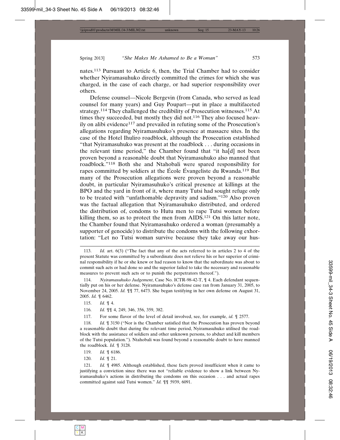\\jciprod01\productn\M\MIL\34-3\MIL302.txt unknown Seq: 15 23-MAY-13 10:26

## Spring 2013] *"She Makes Me Ashamed to Be a Woman"* 573

nates.113 Pursuant to Article 6, then, the Trial Chamber had to consider whether Nyiramasuhuko directly committed the crimes for which she was charged, in the case of each charge, or had superior responsibility over others.

Defense counsel—Nicole Bergevin (from Canada, who served as lead counsel for many years) and Guy Poupart—put in place a multifaceted strategy.<sup>114</sup> They challenged the credibility of Prosecution witnesses.<sup>115</sup> At times they succeeded, but mostly they did not.<sup>116</sup> They also focused heavily on alibi evidence<sup>117</sup> and prevailed in refuting some of the Prosecution's allegations regarding Nyiramasuhuko's presence at massacre sites. In the case of the Hotel Ihuliro roadblock, although the Prosecution established "that Nyiramasuhuko was present at the roadblock . . . during occasions in the relevant time period," the Chamber found that "it ha[d] not been proven beyond a reasonable doubt that Nyiramasuhuko also manned that roadblock."118 Both she and Ntahobali were spared responsibility for rapes committed by soldiers at the École Évangeliste du Rwanda.<sup>119</sup> But many of the Prosecution allegations were proven beyond a reasonable doubt, in particular Nyiramasuhuko's critical presence at killings at the BPO and the yard in front of it, where many Tutsi had sought refuge only to be treated with "unfathomable depravity and sadism."120 Also proven was the factual allegation that Nyiramasuhuko distributed, and ordered the distribution of, condoms to Hutu men to rape Tutsi women before killing them, so as to protect the men from AIDS.<sup>121</sup> On this latter note, the Chamber found that Nyiramasuhuko ordered a woman (presumably a supporter of genocide) to distribute the condoms with the following exhortation: "Let no Tutsi woman survive because they take away our hus-

- 116. *Id.* ¶¶ 4, 249, 346, 356, 359, 382.
- 117. For some flavor of the level of detail involved, see, for example, *id.* ¶ 2577.

118. *Id.* ¶ 3150 ("Nor is the Chamber satisfied that the Prosecution has proven beyond a reasonable doubt that during the relevant time period, Nyiramasuhuko utilised the roadblock with the assistance of soldiers and other unknown persons, to abduct and kill members of the Tutsi population."). Ntahobali was found beyond a reasonable doubt to have manned the roadblock. *Id.* ¶ 3128.

- 119. *Id.* ¶ 6186.
- 120. *Id.* ¶ 21.

C M Y | K

121. *Id.* ¶ 4985. Although established, these facts proved insufficient when it came to justifying a conviction since there was not "reliable evidence to show a link between Nyiramasuhuko's actions in distributing the condoms on this occasion . . . and actual rapes committed against said Tutsi women." *Id.* ¶¶ 5939, 6091.

<sup>113.</sup> *Id.* art. 6(3) ("The fact that any of the acts referred to in articles 2 to 4 of the present Statute was committed by a subordinate does not relieve his or her superior of criminal responsibility if he or she knew or had reason to know that the subordinate was about to commit such acts or had done so and the superior failed to take the necessary and reasonable measures to prevent such acts or to punish the perpetrators thereof.").

<sup>114.</sup> *Nyiramasuhuko Judgement*, Case No. ICTR-98-42-T, ¶ 4. Each defendant sequentially put on his or her defense. Nyiramasuhuko's defense case ran from January 31, 2005, to November 24, 2005. *Id.*  $\P$  $\P$  77, 6473. She began testifying in her own defense on August 31, 2005. *Id.* ¶ 6462.

<sup>115.</sup> *Id.* ¶ 4.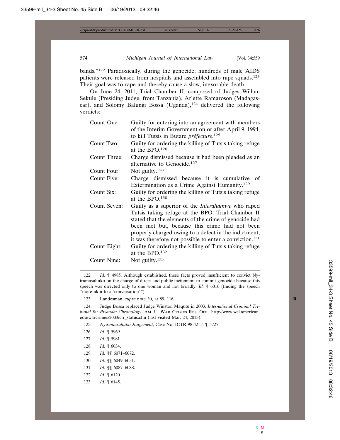\)\iciprod01\productn\M\MIL\34-3\MIL302.txt unknown Seq: 16 23-MAY-13 10:26

# 574 *Michigan Journal of International Law* [Vol. 34:559

bands."122 Paradoxically, during the genocide, hundreds of male AIDS patients were released from hospitals and assembled into rape squads.123 Their goal was to rape and thereby cause a slow, inexorable death.

On June 24, 2011, Trial Chamber II, composed of Judges Willam Sekule (Presiding Judge, from Tanzania), Arlette Ramaroson (Madagascar), and Solomy Balungi Bossa (Uganda),124 delivered the following verdicts:

| Count One:   | Guilty for entering into an agreement with members<br>of the Interim Government on or after April 9, 1994,<br>to kill Tutsis in Butare préfecture. <sup>125</sup>                                                                                                                                                                                       |
|--------------|---------------------------------------------------------------------------------------------------------------------------------------------------------------------------------------------------------------------------------------------------------------------------------------------------------------------------------------------------------|
| Count Two:   | Guilty for ordering the killing of Tutsis taking refuge<br>at the BPO. $126$                                                                                                                                                                                                                                                                            |
| Count Three: | Charge dismissed because it had been pleaded as an<br>alternative to Genocide. <sup>127</sup>                                                                                                                                                                                                                                                           |
| Count Four:  | Not guilty. $128$                                                                                                                                                                                                                                                                                                                                       |
| Count Five:  | Charge dismissed because it is cumulative of<br>Extermination as a Crime Against Humanity. <sup>129</sup>                                                                                                                                                                                                                                               |
| Count Six:   | Guilty for ordering the killing of Tutsis taking refuge<br>at the BPO. <sup>130</sup>                                                                                                                                                                                                                                                                   |
| Count Seven: | Guilty as a superior of the <i>Interahamwe</i> who raped<br>Tutsis taking refuge at the BPO. Trial Chamber II<br>stated that the elements of the crime of genocide had<br>been met but, because this crime had not been<br>properly charged owing to a defect in the indictment,<br>it was therefore not possible to enter a conviction. <sup>131</sup> |
| Count Eight: | Guilty for ordering the killing of Tutsis taking refuge<br>at the BPO. <sup>132</sup>                                                                                                                                                                                                                                                                   |
| Count Nine:  | Not guilty. $133$                                                                                                                                                                                                                                                                                                                                       |

122. *Id.* ¶ 4985. Although established, these facts proved insufficient to convict Nyiramasuhuko on the charge of direct and public incitement to commit genocide because this speech was directed only to one woman and not broadly. *Id.* ¶ 6016 (finding the speech "more akin to a 'conversation'").

123. Landesman, *supra* note 30, at 89, 116. **R**

124. Judge Bossa replaced Judge Winston Maqutu in 2003. *International Criminal Tribunal for Rwanda: Chronology*, AM. U. WAR CRIMES RES. OFF., http://www.wcl.american. edu/warcrimes/2003ictr\_status.cfm (last visited Mar. 24, 2013).

- 125. *Nyiramasuhuko Judgement*, Case No. ICTR-98-42-T, ¶ 5727.
- 126. *Id.* ¶ 5969.
- 127. *Id.* ¶ 5981.
- 128. *Id.* ¶ 6034.
- 129. *Id.* ¶¶ 6071–6072.
- 130. *Id.* ¶¶ 6049–6051.
- 131. *Id.* ¶¶ 6087–6088.
- 132. *Id.* ¶ 6120.
- 
- 133. *Id.* ¶ 6145.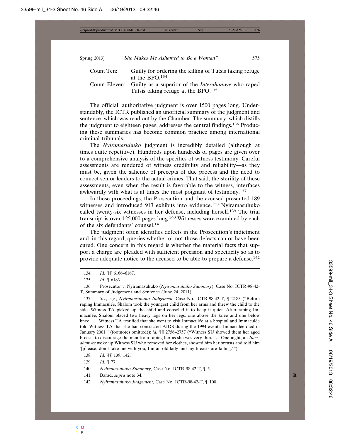| Spring $2013$ | "She Makes Me Ashamed to Be a Woman"                                                  | 575 |
|---------------|---------------------------------------------------------------------------------------|-----|
| Count Ten:    | Guilty for ordering the killing of Tutsis taking refuge<br>at the BPO. <sup>134</sup> |     |

\\jciprod01\productn\M\MIL\34-3\MIL302.txt unknown Seq: 17 23-MAY-13 10:26

Count Eleven: Guilty as a superior of the *Interahamwe* who raped Tutsis taking refuge at the BPO.135

The official, authoritative judgment is over 1500 pages long. Understandably, the ICTR published an unofficial summary of the judgment and sentence, which was read out by the Chamber. The summary, which distills the judgment to eighteen pages, addresses the central findings.136 Producing these summaries has become common practice among international criminal tribunals.

The *Nyiramasuhuko* judgment is incredibly detailed (although at times quite repetitive). Hundreds upon hundreds of pages are given over to a comprehensive analysis of the specifics of witness testimony. Careful assessments are rendered of witness credibility and reliability—as they must be, given the salience of precepts of due process and the need to connect senior leaders to the actual crimes. That said, the sterility of these assessments, even when the result is favorable to the witness, interfaces awkwardly with what is at times the most poignant of testimony.137

In these proceedings, the Prosecution and the accused presented 189 witnesses and introduced 913 exhibits into evidence.<sup>138</sup> Nyiramasuhuko called twenty-six witnesses in her defense, including herself.139 The trial transcript is over 125,000 pages long.140 Witnesses were examined by each of the six defendants' counsel.141

The judgment often identifies defects in the Prosecution's indictment and, in this regard, queries whether or not those defects can or have been cured. One concern in this regard is whether the material facts that support a charge are pleaded with sufficient precision and specificity so as to provide adequate notice to the accused to be able to prepare a defense.142

- 140. *Nyiramasuhuko Summary*, Case No. ICTR-98-42-T, ¶ 5.
- 141. Barad, *supra* note 34. **R**
- 142. *Nyiramasuhuko Judgement*, Case No. ICTR-98-42-T, ¶ 100.

<sup>134.</sup> *Id.* ¶¶ 6166–6167.

<sup>135.</sup> *Id.* ¶ 6183.

<sup>136.</sup> Prosecutor v. Nyiramasuhuko (*Nyiramasuhuko Summary*), Case No. ICTR-98-42- T, Summary of Judgement and Sentence (June 24, 2011).

<sup>137.</sup> *See, e.g.*, *Nyiramasuhuko Judgement*, Case No. ICTR-98-42-T, ¶ 2185 ("Before raping Immaculée, Shalom took the youngest child from her arms and threw the child to the side. Witness TA picked up the child and consoled it to keep it quiet. After raping Immaculée, Shalom placed two heavy logs on her legs, one above the knee and one below knee.... Witness TA testified that she went to visit Immaculée at a hospital and Immaculée told Witness TA that she had contracted AIDS during the 1994 events. Immaculée died in January 2001." (footnotes omitted)); *id.* ¶¶ 2756–2757 ("Witness SU showed them her aged breasts to discourage the men from raping her as she was very thin. . . . One night, an *Interahamwe* woke up Witness SU who removed her clothes, showed him her breasts and told him '[p]lease, don't take me with you, I'm an old lady and my breasts are falling.'").

<sup>138.</sup> *Id.* ¶¶ 139, 142.

<sup>139.</sup> *Id.* ¶ 77.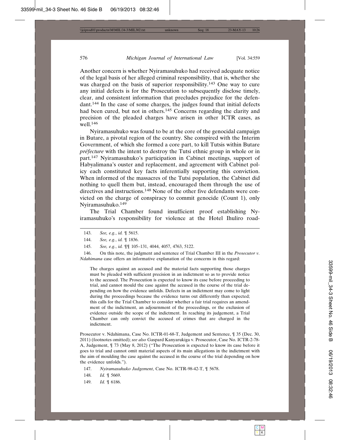\\jciprod01\productn\M\MIL\34-3\MIL302.txt unknown Seq: 18 23-MAY-13 10:26

# 576 *Michigan Journal of International Law* [Vol. 34:559

Another concern is whether Nyiramasuhuko had received adequate notice of the legal basis of her alleged criminal responsibility, that is, whether she was charged on the basis of superior responsibility.143 One way to cure any initial defects is for the Prosecution to subsequently disclose timely, clear, and consistent information that precludes prejudice for the defendant.144 In the case of some charges, the judges found that initial defects had been cured, but not in others.145 Concerns regarding the clarity and precision of the pleaded charges have arisen in other ICTR cases, as well.<sup>146</sup>

Nyiramasuhuko was found to be at the core of the genocidal campaign in Butare, a pivotal region of the country. She conspired with the Interim Government, of which she formed a core part, to kill Tutsis within Butare *préfecture* with the intent to destroy the Tutsi ethnic group in whole or in part.147 Nyiramasuhuko's participation in Cabinet meetings, support of Habyalimana's ouster and replacement, and agreement with Cabinet policy each constituted key facts inferentially supporting this conviction. When informed of the massacres of the Tutsi population, the Cabinet did nothing to quell them but, instead, encouraged them through the use of directives and instructions.148 None of the other five defendants were convicted on the charge of conspiracy to commit genocide (Count 1), only Nyiramasuhuko.<sup>149</sup>

The Trial Chamber found insufficient proof establishing Nyiramasuhuko's responsibility for violence at the Hotel Ihuliro road-

146. On this note, the judgment and sentence of Trial Chamber III in the *Prosecutor v. Ndahimana* case offers an informative explanation of the concerns in this regard:

The charges against an accused and the material facts supporting those charges must be pleaded with sufficient precision in an indictment so as to provide notice to the accused. The Prosecution is expected to know its case before proceeding to trial, and cannot mould the case against the accused in the course of the trial depending on how the evidence unfolds. Defects in an indictment may come to light during the proceedings because the evidence turns out differently than expected; this calls for the Trial Chamber to consider whether a fair trial requires an amendment of the indictment, an adjournment of the proceedings, or the exclusion of evidence outside the scope of the indictment. In reaching its judgement, a Trial Chamber can only convict the accused of crimes that are charged in the indictment.

Prosecutor v. Ndahimana, Case No. ICTR-01-68-T, Judgement and Sentence, ¶ 35 (Dec. 30, 2011) (footnotes omitted); *see also* Gaspard Kanyarukiga v. Prosecutor, Case No. ICTR-2-78- A, Judgement, ¶ 73 (May 8, 2012) ("The Prosecution is expected to know its case before it goes to trial and cannot omit material aspects of its main allegations in the indictment with the aim of moulding the case against the accused in the course of the trial depending on how the evidence unfolds.").

- 147. *Nyiramasuhuko Judgement*, Case No. ICTR-98-42-T, ¶ 5678.
- 148. *Id.* ¶ 5669.
- 149. *Id.* ¶ 6186.

<sup>143.</sup> *See, e.g.*, *id.* ¶ 5615.

<sup>144.</sup> *See, e.g.*, *id.* ¶ 1836.

<sup>145.</sup> *See, e.g.*, *id.* ¶¶ 105–131, 4044, 4057, 4763, 5122.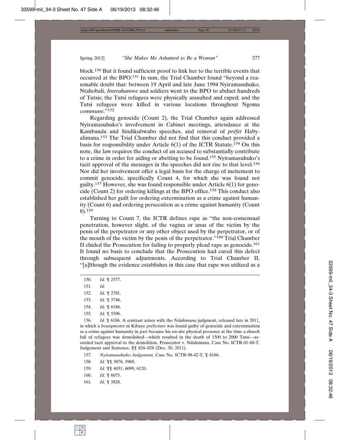\\jciprod01\productn\M\MIL\34-3\MIL302.txt unknown Seq: 19 23-MAY-13 10:26

#### Spring 2013] *"She Makes Me Ashamed to Be a Woman"* 577

block.150 But it found sufficient proof to link her to the terrible events that occurred at the BPO.151 In sum, the Trial Chamber found "beyond a reasonable doubt that: between 19 April and late June 1994 Nyiramasuhuko, Ntahobali, *Interahamwe* and soldiers went to the BPO to abduct hundreds of Tutsis; the Tutsi refugees were physically assaulted and raped; and the Tutsi refugees were killed in various locations throughout Ngoma *commune*."<sup>152</sup>

Regarding genocide (Count 2), the Trial Chamber again addressed Nyiramasuhuko's involvement in Cabinet meetings, attendance at the Kambanda and Sindikubwabo speeches, and removal of *préfet* Habyalimana.153 The Trial Chamber did not find that this conduct provided a basis for responsibility under Article 6(1) of the ICTR Statute.154 On this note, the law requires the conduct of an accused to substantially contribute to a crime in order for aiding or abetting to be found.155 Nyiramasuhuko's tacit approval of the messages in the speeches did not rise to that level.156 Nor did her involvement offer a legal basis for the charge of incitement to commit genocide, specifically Count 4, for which she was found not guilty.<sup>157</sup> However, she was found responsible under Article  $6(1)$  for genocide (Count 2) for ordering killings at the BPO office.158 This conduct also established her guilt for ordering extermination as a crime against humanity (Count 6) and ordering persecution as a crime against humanity (Count 8).<sup>159</sup>

Turning to Count 7, the ICTR defines rape as "the non-consensual penetration, however slight, of the vagina or anus of the victim by the penis of the perpetrator or any other object used by the perpetrator, or of the mouth of the victim by the penis of the perpetrator."160 Trial Chamber II chided the Prosecution for failing to properly plead rape as genocide.161 It found no basis to conclude that the Prosecution had cured this defect through subsequent adjustments. According to Trial Chamber II, "[a]lthough the evidence establishes in this case that rape was utilized as a

156. *Id.* ¶ 6186. A contrast arises with the *Ndahimana* judgment, released late in 2011, in which a *bourgmestre* in Kibuye *préfecture* was found guilty of genocide and extermination as a crime against humanity in part because his on-site physical presence at the time a church full of refugees was demolished—which resulted in the death of 1500 to 2000 Tutsi—accorded tacit approval to the demolition. Prosecutor v. Ndahimana, Case No. ICTR-01-68-T, Judgement and Sentence, ¶¶ 824–828 (Dec. 30, 2011).

157. *Nyiramasuhuko Judgement*, Case No. ICTR-98-42-T, ¶ 6186.

- 158. *Id.* ¶¶ 5876, 5969.
- 159. *Id.* ¶¶ 6051, 6099, 6120.
- 160. *Id.* ¶ 6075.
- 161. *Id.* ¶ 5828.

<sup>150.</sup> *Id.* ¶ 2577.

<sup>151.</sup> *Id.*

<sup>152.</sup> *Id.* ¶ 2781.

<sup>153.</sup> *Id.* ¶ 5746.

<sup>154.</sup> *Id.* ¶ 6186.

<sup>155.</sup> *Id.* ¶ 5596.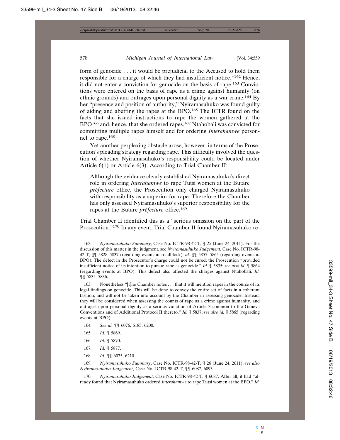\\jciprod01\productn\M\MIL\34-3\MIL302.txt unknown Seq: 20 23-MAY-13 10:26

# 578 *Michigan Journal of International Law* [Vol. 34:559

C M Y | K

form of genocide . . . it would be prejudicial to the Accused to hold them responsible for a charge of which they had insufficient notice."162 Hence, it did not enter a conviction for genocide on the basis of rape.163 Convictions were entered on the basis of rape as a crime against humanity (on ethnic grounds) and outrages upon personal dignity as a war crime.164 By her "presence and position of authority," Nyiramasuhuko was found guilty of aiding and abetting the rapes at the BPO.165 The ICTR found on the facts that she issued instructions to rape the women gathered at the BPO<sup>166</sup> and, hence, that she ordered rapes.<sup>167</sup> Ntahobali was convicted for committing multiple rapes himself and for ordering *Interahamwe* personnel to rape.168

Yet another perplexing obstacle arose, however, in terms of the Prosecution's pleading strategy regarding rape. This difficulty involved the question of whether Nyiramasuhuko's responsibility could be located under Article 6(1) or Article 6(3). According to Trial Chamber II:

Although the evidence clearly established Nyiramasuhuko's direct role in ordering *Interahamwe* to rape Tutsi women at the Butare *préfecture* office, the Prosecution only charged Nyiramasuhuko with responsibility as a superior for rape. Therefore the Chamber has only assessed Nyiramasuhuko's superior responsibility for the rapes at the Butare *préfecture* office.<sup>169</sup>

Trial Chamber II identified this as a "serious omission on the part of the Prosecution."170 In any event, Trial Chamber II found Nyiramasuhuko re-

163. Nonetheless "[t]he Chamber notes . . . that it will mention rapes in the course of its legal findings on genocide. This will be done to convey the entire set of facts in a coherent fashion, and will not be taken into account by the Chamber in assessing genocide. Instead, they will be considered when assessing the counts of rape as a crime against humanity, and outrages upon personal dignity as a serious violation of Article 3 common to the Geneva Conventions and of Additional Protocol II thereto." *Id.* ¶ 5837; *see also id.* ¶ 5865 (regarding events at BPO).

- 164. *See id.* ¶¶ 6076, 6185, 6200.
- 165. *Id.* ¶ 5869.
- 166. *Id.* ¶ 5870.
- 167. *Id.* ¶ 5877.
- 168. *Id.* ¶¶ 6075, 6210.

169. *Nyiramasuhuko Summary*, Case No. ICTR-98-42-T, ¶ 26 (June 24, 2011); *see also Nyiramasuhuko Judgement*, Case No. ICTR-98-42-T, ¶¶ 6087, 6093.

170. *Nyiramasuhuko Judgement*, Case No. ICTR-98-42-T, ¶ 6087. After all, it had "already found that Nyiramasuhuko ordered *Interahamwe* to rape Tutsi women at the BPO." *Id.*

<sup>162.</sup> *Nyiramasuhuko Summary*, Case No. ICTR-98-42-T, ¶ 25 (June 24, 2011). For the discussion of this matter in the judgment, see *Nyiramasuhuko Judgement*, Case No. ICTR-98- 42-T, ¶¶ 5828–5837 (regarding events at roadblock); *id.* ¶¶ 5857–5865 (regarding events at BPO). The defect in the Prosecutor's charge could not be cured; the Prosecution "provided insufficient notice of its intention to pursue rape as genocide." *Id.* ¶ 5835; *see also id.* ¶ 5864 (regarding events at BPO). This defect also affected the charges against Ntahobali. *Id.* ¶¶ 5835–5836.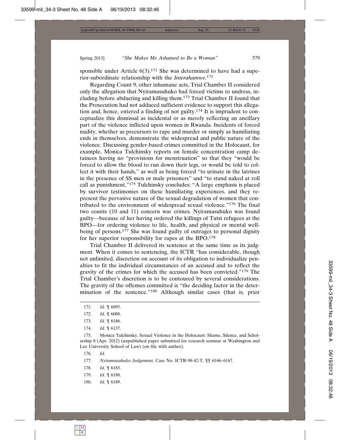\\jciprod01\productn\M\MIL\34-3\MIL302.txt unknown Seq: 21 23-MAY-13 10:26

#### Spring 2013] *"She Makes Me Ashamed to Be a Woman"* 579

sponsible under Article  $6(3)$ .<sup>171</sup> She was determined to have had a superior-subordinate relationship with the *Interahamwe*. 172

Regarding Count 9, other inhumane acts, Trial Chamber II considered only the allegation that Nyiramasuhuko had forced victims to undress, including before abducting and killing them.173 Trial Chamber II found that the Prosecution had not adduced sufficient evidence to support this allegation and, hence, entered a finding of not guilty.174 It is imprudent to conceptualize this dismissal as incidental or as merely reflecting an ancillary part of the violence inflicted upon women in Rwanda. Incidents of forced nudity, whether as precursors to rape and murder or simply as humiliating ends in themselves, demonstrate the widespread and public nature of the violence. Discussing gender-based crimes committed in the Holocaust, for example, Monica Tulchinsky reports on female concentration camp detainees having no "provisions for menstruation" so that they "would be forced to allow the blood to run down their legs, or would be told to collect it with their hands," as well as being forced "to urinate in the latrines in the presence of SS men or male prisoners" and "to stand naked at roll call as punishment."175 Tulchinsky concludes: "A large emphasis is placed by survivor testimonies on these humiliating experiences, and they represent the pervasive nature of the sexual degradation of women that contributed to the environment of widespread sexual violence."176 The final two counts (10 and 11) concern war crimes. Nyiramasuhuko was found guilty—because of her having ordered the killings of Tutsi refugees at the BPO—for ordering violence to life, health, and physical or mental wellbeing of persons.177 She was found guilty of outrages to personal dignity for her superior responsibility for rapes at the BPO.178

Trial Chamber II delivered its sentence at the same time as its judgment. When it comes to sentencing, the ICTR "has considerable, though not unlimited, discretion on account of its obligation to individualize penalties to fit the individual circumstances of an accused and to reflect the gravity of the crimes for which the accused has been convicted."179 The Trial Chamber's discretion is to be contoured by several considerations. The gravity of the offenses committed is "the deciding factor in the determination of the sentence."180 Although similar cases (that is, prior

175. Monica Tulchinsky, Sexual Violence in the Holocaust: Shame, Silence, and Scholarship 8 (Apr. 2012) (unpublished paper submitted for research seminar at Washington and Lee University School of Law) (on file with author).

176. *Id.*

C M Y | K

177. *Nyiramasuhuko Judgement*, Case No. ICTR-98-42-T, ¶¶ 6166–6167.

- 178. *Id.* ¶ 6183.
- 179. *Id.* ¶ 6188.
- 180. *Id.* ¶ 6189.

<sup>171.</sup> *Id.* ¶ 6093.

<sup>172.</sup> *Id.* ¶ 6088.

<sup>173.</sup> *Id.* ¶ 6186.

<sup>174.</sup> *Id.* ¶ 6137.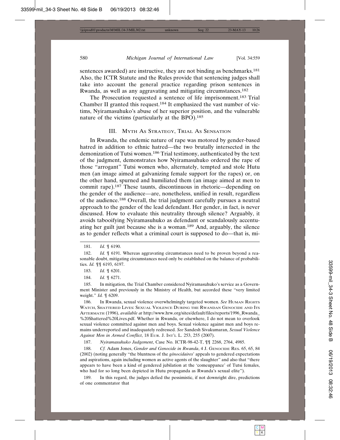\\jciprod01\productn\M\MIL\34-3\MIL302.txt unknown Seq: 22 23-MAY-13 10:26

580 *Michigan Journal of International Law* [Vol. 34:559

sentences awarded) are instructive, they are not binding as benchmarks.<sup>181</sup> Also, the ICTR Statute and the Rules provide that sentencing judges shall take into account the general practice regarding prison sentences in Rwanda, as well as any aggravating and mitigating circumstances.182

The Prosecution requested a sentence of life imprisonment.183 Trial Chamber II granted this request.<sup>184</sup> It emphasized the vast number of victims, Nyiramasuhuko's abuse of her superior position, and the vulnerable nature of the victims (particularly at the BPO).<sup>185</sup>

#### III. MYTH AS STRATEGY, TRIAL AS SENSATION

In Rwanda, the endemic nature of rape was motored by gender-based hatred in addition to ethnic hatred—the two brutally intersected in the demonization of Tutsi women.186 Trial testimony, authenticated by the text of the judgment, demonstrates how Nyiramasuhuko ordered the rape of those "arrogant" Tutsi women who, alternately, tempted and stole Hutu men (an image aimed at galvanizing female support for the rapes) or, on the other hand, spurned and humiliated them (an image aimed at men to commit rape).187 These taunts, discontinuous in rhetoric—depending on the gender of the audience—are, nonetheless, unified in result, regardless of the audience.188 Overall, the trial judgment carefully pursues a neutral approach to the gender of the lead defendant. Her gender, in fact, is never discussed. How to evaluate this neutrality through silence? Arguably, it avoids tabooifying Nyiramasuhuko as defendant or scandalously accentuating her guilt just because she is a woman.189 And, arguably, the silence as to gender reflects what a criminal court is supposed to do—that is, mi-

184. *Id.* ¶ 6271.

185. In mitigation, the Trial Chamber considered Nyiramasuhuko's service as a Government Minister and previously in the Ministry of Health, but accorded these "very limited weight." *Id.* ¶ 6209.

186. In Rwanda, sexual violence overwhelmingly targeted women. *See* HUMAN RIGHTS WATCH, SHATTERED LIVES: SEXUAL VIOLENCE DURING THE RWANDAN GENOCIDE AND ITS AFTERMATH (1996), *available at* http://www.hrw.org/sites/default/files/reports/1996\_Rwanda\_ %20Shattered%20Lives.pdf. Whether in Rwanda, or elsewhere, I do not mean to overlook sexual violence committed against men and boys. Sexual violence against men and boys remains underreported and inadequately redressed. *See* Sandesh Sivakumaran, *Sexual Violence Against Men in Armed Conflict*, 18 EUR. J. INT'L L. 253, 255 (2007).

187. *Nyiramasuhuko Judgement*, Case No. ICTR-98-42-T, ¶¶ 2268, 2764, 4985.

188. *Cf.* Adam Jones, *Gender and Genocide in Rwanda*, 4 J. GENOCIDE RES. 65, 65, 84 (2002) (noting generally "the bluntness of the *g´enocidaires*' appeals to gendered expectations and aspirations, again including women as active agents of the slaughter" and also that "there appears to have been a kind of gendered jubilation at the 'comeuppance' of Tutsi females, who had for so long been depicted in Hutu propaganda as Rwanda's sexual elite").

189. In this regard, the judges defied the pessimistic, if not downright dire, predictions of one commentator that

<sup>181.</sup> *Id.* ¶ 6190.

<sup>182.</sup> *Id.* ¶ 6191. Whereas aggravating circumstances need to be proven beyond a reasonable doubt, mitigating circumstances need only be established on the balance of probabilities. *Id.* ¶¶ 6193, 6197.

<sup>183.</sup> *Id.* ¶ 6201.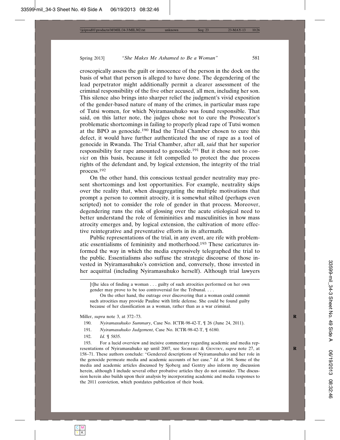\\jciprod01\productn\M\MIL\34-3\MIL302.txt unknown Seq: 23 23-MAY-13 10:26

## Spring 2013] *"She Makes Me Ashamed to Be a Woman"* 581

croscopically assess the guilt or innocence of the person in the dock on the basis of what that person is alleged to have done. The degendering of the lead perpetrator might additionally permit a clearer assessment of the criminal responsibility of the five other accused, all men, including her son. This silence also brings into sharper relief the judgment's vivid exposition of the gender-based nature of many of the crimes, in particular mass rape of Tutsi women, for which Nyiramasuhuko was found responsible. That said, on this latter note, the judges chose not to cure the Prosecutor's problematic shortcomings in failing to properly plead rape of Tutsi women at the BPO as genocide.190 Had the Trial Chamber chosen to cure this defect, it would have further authenticated the use of rape as a tool of genocide in Rwanda. The Trial Chamber, after all, *said* that her superior responsibility for rape amounted to genocide.191 But it chose not to *convict* on this basis, because it felt compelled to protect the due process rights of the defendant and, by logical extension, the integrity of the trial process.<sup>192</sup>

On the other hand, this conscious textual gender neutrality may present shortcomings and lost opportunities. For example, neutrality skips over the reality that, when disaggregating the multiple motivations that prompt a person to commit atrocity, it is somewhat stilted (perhaps even scripted) not to consider the role of gender in that process. Moreover, degendering runs the risk of glossing over the acute etiological need to better understand the role of femininities and masculinities in how mass atrocity emerges and, by logical extension, the cultivation of more effective reintegrative and preventative efforts in its aftermath.

Public representations of the trial, in any event, are rife with problematic essentialisms of femininity and motherhood.193 These caricatures informed the way in which the media expressively telegraphed the trial to the public. Essentialisms also suffuse the strategic discourse of those invested in Nyiramasuhuko's conviction and, conversely, those invested in her acquittal (including Nyiramasuhuko herself). Although trial lawyers

Miller, *supra* note 3, at 372–73. **R**

- 190. *Nyiramasuhuko Summary*, Case No. ICTR-98-42-T, ¶ 26 (June 24, 2011).
- 191. *Nyiramasuhuko Judgement*, Case No. ICTR-98-42-T, ¶ 6180.
- 192. *Id.* ¶ 5835.

C M Y | K

193. For a lucid overview and incisive commentary regarding academic and media representations of Nyiramasuhuko up until 2007, see SJOBERG & GENTRY, *supra* note 27, at **R** 158–71. These authors conclude: "Gendered descriptions of Nyiramasuhuko and her role in the genocide permeate media and academic accounts of her case." *Id.* at 164. Some of the media and academic articles discussed by Sjoberg and Gentry also inform my discussion herein, although I include several other probative articles they do not consider. The discussion herein also builds upon their analysis by incorporating academic and media responses to the 2011 conviction, which postdates publication of their book.

<sup>[</sup>t]he idea of finding a woman . . . guilty of such atrocities performed on her own gender may prove to be too controversial for the Tribunal. . . .

On the other hand, the outrage over discovering that a woman could commit such atrocities may provide Pauline with little defense. She could be found guilty because of her classification as a woman, rather than as a war criminal.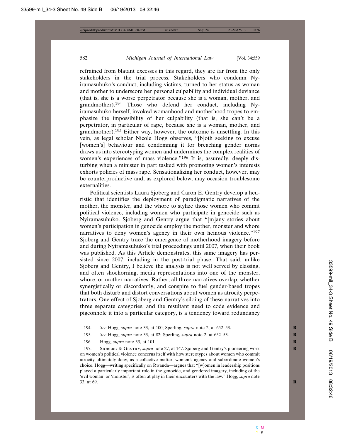\\jciprod01\productn\M\MIL\34-3\MIL302.txt unknown Seq: 24 23-MAY-13 10:26

# 582 *Michigan Journal of International Law* [Vol. 34:559

refrained from blatant excesses in this regard, they are far from the only stakeholders in the trial process. Stakeholders who condemn Nyiramasuhuko's conduct, including victims, turned to her status as woman and mother to underscore her personal culpability and individual deviance (that is, she is a worse perpetrator because she is a woman, mother, and grandmother).194 Those who defend her conduct, including Nyiramasuhuko herself, invoked womanhood and motherhood tropes to emphasize the impossibility of her culpability (that is, she can't be a perpetrator, in particular of rape, because she is a woman, mother, and grandmother).195 Either way, however, the outcome is unsettling. In this vein, as legal scholar Nicole Hogg observes, "[b]oth seeking to excuse [women's] behaviour and condemning it for breaching gender norms draws us into stereotyping women and undermines the complex realities of women's experiences of mass violence."<sup>196</sup> It is, assuredly, deeply disturbing when a minister in part tasked with promoting women's interests exhorts policies of mass rape. Sensationalizing her conduct, however, may be counterproductive and, as explored below, may occasion troublesome externalities.

Political scientists Laura Sjoberg and Caron E. Gentry develop a heuristic that identifies the deployment of paradigmatic narratives of the mother, the monster, and the whore to stylize those women who commit political violence, including women who participate in genocide such as Nyiramasuhuko. Sjoberg and Gentry argue that "[m]any stories about women's participation in genocide employ the mother, monster and whore narratives to deny women's agency in their own heinous violence."<sup>197</sup> Sjoberg and Gentry trace the emergence of motherhood imagery before and during Nyiramasuhuko's trial proceedings until 2007, when their book was published. As this Article demonstrates, this same imagery has persisted since 2007, including in the post-trial phase. That said, unlike Sjoberg and Gentry, I believe the analysis is not well served by classing, and often shoehorning, media representations into one of the monster, whore, or mother narratives. Rather, all three narratives overlap, whether synergistically or discordantly, and conspire to fuel gender-based tropes that both disturb and distort conversations about women as atrocity perpetrators. One effect of Sjoberg and Gentry's siloing of these narratives into three separate categories, and the resultant need to code evidence and pigeonhole it into a particular category, is a tendency toward redundancy

197. SJOBERG & GENTRY, *supra* note 27, at 147. Sjoberg and Gentry's pioneering work **R** on women's political violence concerns itself with how stereotypes about women who commit atrocity ultimately deny, as a collective matter, women's agency and subordinate women's choice. Hogg—writing specifically on Rwanda—argues that "[w]omen in leadership positions played a particularly important role in the genocide, and gendered imagery, including of the 'evil woman' or 'monster', is often at play in their encounters with the law." Hogg, *supra* note 33, at 69. **R**

<sup>194.</sup> *See* Hogg, *supra* note 33, at 100; Sperling, *supra* note 2, at 652–53. **R**

<sup>195.</sup> *See* Hogg, *supra* note 33, at 82; Sperling, *supra* note 2, at 652–53. **R**

<sup>196.</sup> Hogg, *supra* note 33, at 101. **R**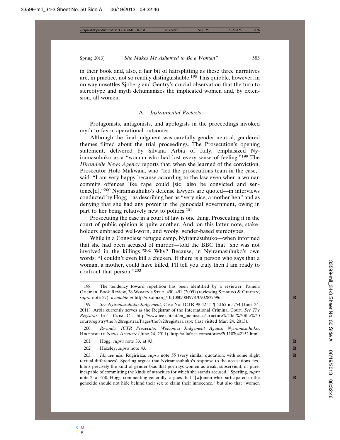\\jciprod01\productn\M\MIL\34-3\MIL302.txt unknown Seq: 25 23-MAY-13 10:26

# Spring 2013] *"She Makes Me Ashamed to Be a Woman"* 583

in their book and, also, a fair bit of hairsplitting as these three narratives are, in practice, not so readily distinguishable.198 This quibble, however, in no way unsettles Sjoberg and Gentry's crucial observation that the turn to stereotype and myth dehumanizes the implicated women and, by extension, all women.

### A. *Instrumental Pretexts*

Protagonists, antagonists, and apologists in the proceedings invoked myth to favor operational outcomes.

Although the final judgment was carefully gender neutral, gendered themes flitted about the trial proceedings. The Prosecution's opening statement, delivered by Silvana Arbia of Italy, emphasized Nyiramasuhuko as a "woman who had lost every sense of feeling."199 The *Hirondelle News Agency* reports that, when she learned of the conviction, Prosecutor Holo Makwaia, who "led the prosecutions team in the case," said: "I am very happy because according to the law even when a woman commits offences like rape could [sic] also be convicted and sentence[d]."200 Nyiramasuhuko's defense lawyers are quoted—in interviews conducted by Hogg—as describing her as "very nice, a mother hen" and as denying that she had any power in the genocidal government, owing in part to her being relatively new to politics.201

Prosecuting the case in a court of law is one thing. Prosecuting it in the court of public opinion is quite another. And, on this latter note, stakeholders embraced well-worn, and wooly, gender-based stereotypes.

While in a Congolese refugee camp, Nyiramasuhuko—when informed that she had been accused of murder—told the BBC that "she was not involved in the killings."202 Why? Because, in Nyiramasuhuko's own words: "I couldn't even kill a chicken. If there is a person who says that a woman, a mother, could have killed, I'll tell you truly then I am ready to confront that person."203

200. *Rwanda: ICTR Prosecutor Welcomes Judgement Against Nyiramasuhuko*, HIRONDELLE NEWS AGENCY (June 24, 2011), http://allafrica.com/stories/201107042152.html.

- 201. Hogg, *supra* note 33, at 93. **R**
- 202. Hazeley, *supra* note 43. **R**

C M Y | K

203. *Id.*; *see also* Rugiririza, *supra* note 55 (very similar quotation, with some slight **R** textual differences). Sperling argues that Nyiramasuhuko's response to the accusations "exhibits precisely the kind of gender bias that portrays women as weak, subservient, or pure, incapable of committing the kinds of atrocities for which she stands accused." Sperling, *supra* note 2, at 650. Hogg, commenting generally, argues that "[w]omen who participated in the **R** genocide should not hide behind their sex to claim their innocence," but also that "women

<sup>198.</sup> The tendency toward repetition has been identified by a reviewer. Pamela Grieman, Book Review, 38 WOMEN'S STUD. 490, 491 (2009) (reviewing SJOBERG & GENTRY, *supra* note 27), *available at* http://dx.doi.org/10.1080/00497870902837596. **R**

<sup>199.</sup> *See Nyiramasuhuko Judgement*, Case No. ICTR-98-42-T, ¶ 2165 n.5754 (June 24, 2011). Arbia currently serves as the Registrar of the International Criminal Court. *See The Registrar*, INT'L CRIM. CT., http://www.icc-cpi.int/en\_menus/icc/structure%20of%20the%20 court/registry/the%20registrar/Pages/the%20registrar.aspx (last visited Mar. 24, 2013).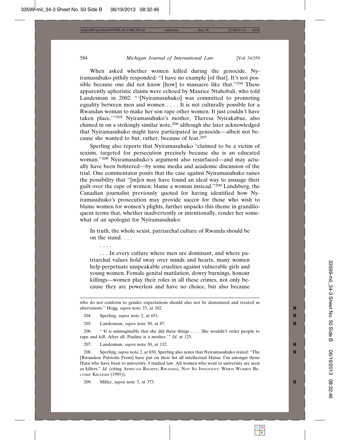\\jciprod01\productn\M\MIL\34-3\MIL302.txt unknown Seq: 26 23-MAY-13 10:26

# 584 *Michigan Journal of International Law* [Vol. 34:559

When asked whether women killed during the genocide, Nyiramasuhuko pithily responded: "I have no example [of that]. It's not possible because one did not know [how] to massacre like that."204 These apparently aphoristic claims were echoed by Maurice Ntahobali, who told Landesman in 2002: "'[Nyiramasuhuko] was committed to promoting equality between men and women . . . . It is not culturally possible for a Rwandan woman to make her son rape other women. It just couldn't have taken place.'"205 Nyiramasuhuko's mother, Theresa Nyirakabue, also chimed in on a strikingly similar note,<sup>206</sup> although she later acknowledged that Nyiramasuhuko might have participated in genocide—albeit not because she wanted to but, rather, because of fear.207

Sperling also reports that Nyiramasuhuko "claimed to be a victim of sexism, targeted for persecution precisely because she is an educated woman."208 Nyiramasuhuko's argument also resurfaced—and may actually have been bolstered—by some media and academic discussion of the trial. One commentator posits that the case against Nyiramasuhuko raises the possibility that "[m]en may have found an ideal way to assuage their guilt over the rape of women: blame a woman instead."209 Landsberg, the Canadian journalist previously quoted for having identified how Nyiramasuhuko's prosecution may provide succor for those who wish to blame women for women's plights, further unpacks this theme in grandiloquent terms that, whether inadvertently or intentionally, render her somewhat of an apologist for Nyiramasuhuko:

In truth, the whole sexist, patriarchal culture of Rwanda should be on the stand. . . .

. . . In every culture where men are dominant, and where patriarchal values hold sway over minds and hearts, many women help perpetuate unspeakable cruelties against vulnerable girls and young women. Female genital mutilation, dowry burnings, honour killings—women play their roles in all these crimes, not only because they are powerless and have no choice, but also because

who do not conform to gender expectations should also not be demonized and treated as aberrations." Hogg, *supra* note 33, at 102. **R**

204. Sperling, *supra* note 2, at 651. **R**

. . . .

205. Landesman, *supra* note 30, at 87. **R**

206. "'It is unimaginable that she did these things . . . . She wouldn't order people to rape and kill. After all, Pauline is a mother.'" *Id.* at 125.

207. Landesman, *supra* note 30, at 132. **R**

208. Sperling, *supra* note 2, at 650. Sperling also notes that Nyiramasuhuko stated: "The **R** [Rwandese Patriotic Front] have put on their list all intellectual Hutus. I'm amongst those Hutu who have been to university. I studied law. All women who went to university are seen as killers." *Id.* (citing AFRICAN RIGHTS, RWANDA, NOT SO INNOCENT: WHEN WOMEN BE-COME KILLERS (1995)).

209. Miller, *supra* note 3, at 373. **R**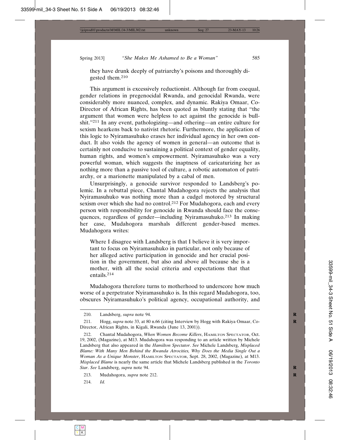\\jciprod01\productn\M\MIL\34-3\MIL302.txt unknown Seq: 27 23-MAY-13 10:26

# Spring 2013] *"She Makes Me Ashamed to Be a Woman"* 585

they have drunk deeply of patriarchy's poisons and thoroughly digested them.210

This argument is excessively reductionist. Although far from coequal, gender relations in pregenocidal Rwanda, and genocidal Rwanda, were considerably more nuanced, complex, and dynamic. Rakiya Omaar, Co-Director of African Rights, has been quoted as bluntly stating that "the argument that women were helpless to act against the genocide is bullshit."211 In any event, pathologizing—and othering—an entire culture for sexism hearkens back to nativist rhetoric. Furthermore, the application of this logic to Nyiramasuhuko erases her individual agency in her own conduct. It also voids the agency of women in general—an outcome that is certainly not conducive to sustaining a political context of gender equality, human rights, and women's empowerment. Nyiramasuhuko was a very powerful woman, which suggests the inaptness of caricaturizing her as nothing more than a passive tool of culture, a robotic automaton of patriarchy, or a marionette manipulated by a cabal of men.

Unsurprisingly, a genocide survivor responded to Landsberg's polemic. In a rebuttal piece, Chantal Mudahogora rejects the analysis that Nyiramasuhuko was nothing more than a cudgel motored by structural sexism over which she had no control.<sup>212</sup> For Mudahogora, each and every person with responsibility for genocide in Rwanda should face the consequences, regardless of gender—including Nyiramasuhuko.213 In making her case, Mudahogora marshals different gender-based memes. Mudahogora writes:

Where I disagree with Landsberg is that I believe it is very important to focus on Nyiramasuhuko in particular, not only because of her alleged active participation in genocide and her crucial position in the government, but also and above all because she is a mother, with all the social criteria and expectations that that entails.214

Mudahogora therefore turns to motherhood to underscore how much worse of a perpetrator Nyiramasuhuko is. In this regard Mudahogora, too, obscures Nyiramasuhuko's political agency, occupational authority, and

213. Mudahogora, *supra* note 212. **R**

214. *Id.*

<sup>210.</sup> Landsberg, *supra* note 94. **R**

<sup>211.</sup> Hogg, *supra* note 33, at 80 n.66 (citing Interview by Hogg with Rakiya Omaar, Co- **R** Director, African Rights, in Kigali, Rwanda (June 13, 2001)).

<sup>212.</sup> Chantal Mudahogora, *When Women Become Killers*, HAMILTON SPECTATOR, Oct. 19, 2002, (Magazine), at M13. Mudahogora was responding to an article written by Michele Landsberg that also appeared in the *Hamilton Spectator*. *See* Michele Landsberg, *Misplaced Blame: With Many Men Behind the Rwanda Atrocities, Why Does the Media Single Out a Woman As a Unique Monster*, HAMILTON SPECTATOR, Sept. 28, 2002, (Magazine), at M13. *Misplaced Blame* is nearly the same article that Michele Landsberg published in the *Toronto Star*. *See* Landsberg, *supra* note 94. **R**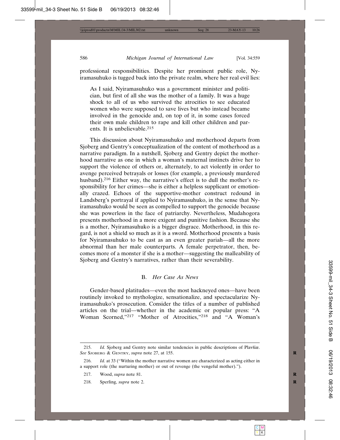\\jciprod01\productn\M\MIL\34-3\MIL302.txt unknown Seq: 28 23-MAY-13 10:26

## 586 *Michigan Journal of International Law* [Vol. 34:559

professional responsibilities. Despite her prominent public role, Nyiramasuhuko is tugged back into the private realm, where her real evil lies:

As I said, Nyiramasuhuko was a government minister and politician, but first of all she was the mother of a family. It was a huge shock to all of us who survived the atrocities to see educated women who were supposed to save lives but who instead became involved in the genocide and, on top of it, in some cases forced their own male children to rape and kill other children and parents. It is unbelievable.<sup>215</sup>

This discussion about Nyiramasuhuko and motherhood departs from Sjoberg and Gentry's conceptualization of the content of motherhood as a narrative paradigm. In a nutshell, Sjoberg and Gentry depict the motherhood narrative as one in which a woman's maternal instincts drive her to support the violence of others or, alternately, to act violently in order to avenge perceived betrayals or losses (for example, a previously murdered husband).216 Either way, the narrative's effect is to dull the mother's responsibility for her crimes—she is either a helpless supplicant or emotionally crazed. Echoes of the supportive-mother construct redound in Landsberg's portrayal if applied to Nyiramasuhuko, in the sense that Nyiramasuhuko would be seen as compelled to support the genocide because she was powerless in the face of patriarchy. Nevertheless, Mudahogora presents motherhood in a more exigent and punitive fashion. Because she is a mother, Nyiramasuhuko is a bigger disgrace. Motherhood, in this regard, is not a shield so much as it is a sword. Motherhood presents a basis for Nyiramasuhuko to be cast as an even greater pariah—all the more abnormal than her male counterparts. A female perpetrator, then, becomes more of a monster if she is a mother—suggesting the malleability of Sjoberg and Gentry's narratives, rather than their severability.

# B. *Her Case As News*

Gender-based platitudes—even the most hackneyed ones—have been routinely invoked to mythologize, sensationalize, and spectacularize Nyiramasuhuko's prosecution. Consider the titles of a number of published articles on the trial—whether in the academic or popular press: "A Woman Scorned,"217 "Mother of Atrocities,"218 and "A Woman's

<sup>215.</sup> *Id.* Sjoberg and Gentry note similar tendencies in public descriptions of Plavšiæ. *See* SJOBERG & GENTRY, *supra* note 27, at 155. **R**

<sup>216.</sup> *Id.* at 33 ("Within the mother narrative women are characterized as acting either in a support role (the nurturing mother) or out of revenge (the vengeful mother).").

<sup>217.</sup> Wood, *supra* note 81. **R**

<sup>218.</sup> Sperling, *supra* note 2. **R**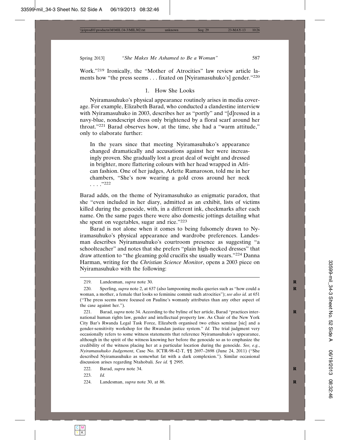\\jciprod01\productn\M\MIL\34-3\MIL302.txt unknown Seq: 29 23-MAY-13 10:26

### Spring 2013] *"She Makes Me Ashamed to Be a Woman"* 587

Work."219 Ironically, the "Mother of Atrocities" law review article laments how "the press seems . . . fixated on [Nyiramasuhuko's] gender."220

## 1. How She Looks

Nyiramasuhuko's physical appearance routinely arises in media coverage. For example, Elizabeth Barad, who conducted a clandestine interview with Nyiramasuhuko in 2003, describes her as "portly" and "[d]ressed in a navy-blue, nondescript dress only brightened by a floral scarf around her throat."221 Barad observes how, at the time, she had a "warm attitude," only to elaborate further:

In the years since that meeting Nyiramasuhuko's appearance changed dramatically and accusations against her were increasingly proven. She gradually lost a great deal of weight and dressed in brighter, more flattering colours with her head wrapped in African fashion. One of her judges, Arlette Ramaroson, told me in her chambers, "She's now wearing a gold cross around her neck . . . ."222

Barad adds, on the theme of Nyiramasuhuko as enigmatic paradox, that she "even included in her diary, admitted as an exhibit, lists of victims killed during the genocide, with, in a different ink, checkmarks after each name. On the same pages there were also domestic jottings detailing what she spent on vegetables, sugar and rice."223

Barad is not alone when it comes to being fulsomely drawn to Nyiramasuhuko's physical appearance and wardrobe preferences. Landesman describes Nyiramasuhuko's courtroom presence as suggesting "a schoolteacher" and notes that she prefers "plain high-necked dresses" that draw attention to "the gleaming gold crucifix she usually wears."224 Danna Harman, writing for the *Christian Science Monitor*, opens a 2003 piece on Nyiramasuhuko with the following:

221. Barad, *supra* note 34. According to the byline of her article, Barad "practices inter- **R** national human rights law, gender and intellectual property law. As Chair of the New York City Bar's Rwanda Legal Task Force, Elizabeth organised two ethics seminar [sic] and a gender-sensitivity workshop for the Rwandan justice system." *Id.* The trial judgment very occasionally refers to some witness statements that reference Nyiramasuhuko's appearance, although in the spirit of the witness knowing her before the genocide so as to emphasize the credibility of the witness placing her at a particular location during the genocide. *See, e.g.*, *Nyiramasuhuko Judgement*, Case No. ICTR-98-42-T, ¶¶ 2697–2698 (June 24, 2011) ("She described Nyiramasuhuko as somewhat fat with a dark complexion."). Similar occasional discussion arises regarding Ntahobali. *See id.* ¶ 2995.

222. Barad, *supra* note 34. **R**

223. *Id.*

C M Y | K

224. Landesman, *supra* note 30, at 86. **R**

<sup>219.</sup> Landesman, *supra* note 30. **R**

<sup>220.</sup> Sperling, *supra* note 2, at 637 (also lampooning media queries such as "how could a **R** woman, a mother, a female that looks so feminine commit such atrocities"); *see also id.* at 651 ("The press seems more focused on Pauline's womanly attributes than any other aspect of the case against her.").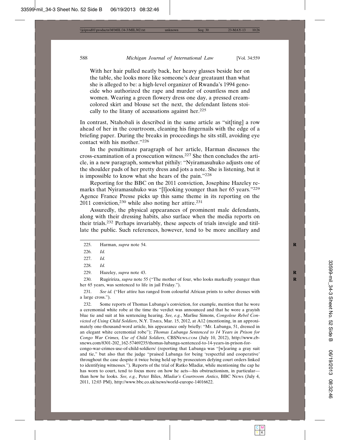\\jciprod01\productn\M\MIL\34-3\MIL302.txt unknown Seq: 30 23-MAY-13 10:26

# 588 *Michigan Journal of International Law* [Vol. 34:559

With her hair pulled neatly back, her heavy glasses beside her on the table, she looks more like someone's dear greataunt than what she is alleged to be: a high-level organizer of Rwanda's 1994 genocide who authorized the rape and murder of countless men and women. Wearing a green flowery dress one day, a pressed creamcolored skirt and blouse set the next, the defendant listens stoically to the litany of accusations against her. $225$ 

In contrast, Ntahobali is described in the same article as "sit[ting] a row ahead of her in the courtroom, cleaning his fingernails with the edge of a briefing paper. During the breaks in proceedings he sits still, avoiding eye contact with his mother."226

In the penultimate paragraph of her article, Harman discusses the cross-examination of a prosecution witness.227 She then concludes the article, in a new paragraph, somewhat pithily: "Nyiramasuhuko adjusts one of the shoulder pads of her pretty dress and jots a note. She is listening, but it is impossible to know what she hears of the pain."228

Reporting for the BBC on the 2011 conviction, Josephine Hazeley remarks that Nyiramasuhuko was "[l]ooking younger than her 65 years."229 Agence France Presse picks up this same theme in its reporting on the 2011 conviction,230 while also noting her attire.231

Assuredly, the physical appearances of prominent male defendants, along with their dressing habits, also surface when the media reports on their trials.232 Perhaps invariably, these aspects of trials inveigle and titillate the public. Such references, however, tend to be more ancillary and

229. Hazeley, *supra* note 43. **R**

230. Rugiririza, *supra* note 55 ("The mother of four, who looks markedly younger than **R** her 65 years, was sentenced to life in jail Friday.").

231. *See id.* ("Her attire has ranged from colourful African prints to sober dresses with a large cross.").

232. Some reports of Thomas Lubanga's conviction, for example, mention that he wore a ceremonial white robe at the time the verdict was announced and that he wore a grayish blue tie and suit at his sentencing hearing. *See, e.g.*, Marlise Simons, *Congolese Rebel Convicted of Using Child Soldiers*, N.Y. TIMES, Mar. 15, 2012, at A12 (mentioning, in an approximately one-thousand-word article, his appearance only briefly: "Mr. Lubanga, 51, dressed in an elegant white ceremonial robe"); *Thomas Lubanga Sentenced to 14 Years in Prison for Congo War Crimes, Use of Child Soldiers*, CBSNEWS.COM (July 10, 2012), http://www.cbsnews.com/8301-202\_162-57469235/thomas-lubanga-sentenced-to-14-years-in-prison-forcongo-war-crimes-use-of-child-soldiers/ (reporting that Lubanga was "[w]earing a gray suit and tie," but also that the judge "praised Lubanga for being 'respectful and cooperative' throughout the case despite it twice being held up by prosecutors defying court orders linked to identifying witnesses."). Reports of the trial of Ratko Mladiæ, while mentioning the cap he has worn to court, tend to focus more on how he acts—his obstructionism, in particular than how he looks. *See, e.g.*, Peter Biles, *Mladiæ's Courtroom Antics*, BBC NEWS (July 4, 2011, 12:03 PM), http://www.bbc.co.uk/news/world-europe-14016622.

<sup>225.</sup> Harman, *supra* note 54. **R**

<sup>226.</sup> *Id.*

<sup>227.</sup> *Id.*

<sup>228.</sup> *Id.*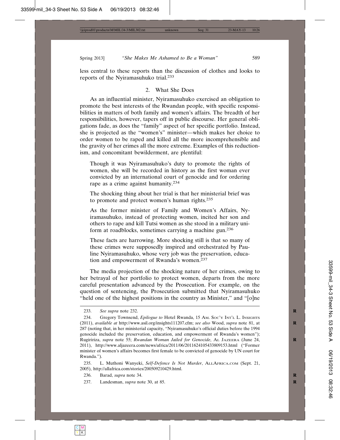\\jciprod01\productn\M\MIL\34-3\MIL302.txt unknown Seq: 31 23-MAY-13 10:26

#### Spring 2013] *"She Makes Me Ashamed to Be a Woman"* 589

less central to these reports than the discussion of clothes and looks to reports of the Nyiramasuhuko trial.233

## 2. What She Does

As an influential minister, Nyiramasuhuko exercised an obligation to promote the best interests of the Rwandan people, with specific responsibilities in matters of both family and women's affairs. The breadth of her responsibilities, however, tapers off in public discourse. Her general obligations fade, as does the "family" aspect of her specific portfolio. Instead, she is projected as the "women's" minister—which makes her choice to order women to be raped and killed all the more incomprehensible and the gravity of her crimes all the more extreme. Examples of this reductionism, and concomitant bewilderment, are plentiful:

Though it was Nyiramasuhuko's duty to promote the rights of women, she will be recorded in history as the first woman ever convicted by an international court of genocide and for ordering rape as a crime against humanity.234

The shocking thing about her trial is that her ministerial brief was to promote and protect women's human rights.235

As the former minister of Family and Women's Affairs, Nyiramasuhuko, instead of protecting women, incited her son and others to rape and kill Tutsi women as she stood in a military uniform at roadblocks, sometimes carrying a machine gun.236

These facts are harrowing. More shocking still is that so many of these crimes were supposedly inspired and orchestrated by Pauline Nyiramasuhuko, whose very job was the preservation, education and empowerment of Rwanda's women.237

The media projection of the shocking nature of her crimes, owing to her betrayal of her portfolio to protect women, departs from the more careful presentation advanced by the Prosecution. For example, on the question of sentencing, the Prosecution submitted that Nyiramasuhuko "held one of the highest positions in the country as Minister," and "[o]ne

235. L. Muthoni Wanyeki, *Self-Defence Is Not Murder*, ALLAFRICA.COM (Sept. 21, 2005), http://allafrica.com/stories/200509210429.html.

236. Barad, *supra* note 34. **R**

C M Y | K

237. Landesman, *supra* note 30, at 85. **R**

<sup>233.</sup> *See supra* note 232. **R**

<sup>234.</sup> Gregory Townsend, *Epilogue to* Hotel Rwanda, 15 AM. SOC'Y INT'L L. INSIGHTS (2011), *available at* http://www.asil.org/insights111207.cfm; *see also* Wood, *supra* note 81, at **R** 287 (noting that, in her ministerial capacity, "Nyiramasuhuko's official duties before the 1994 genocide included the preservation, education, and empowerment of Rwanda's women"); Rugiririza, *supra* note 55; *Rwandan Woman Jailed for Genocide*, AL JAZEERA (June 24, **R** 2011), http://www.aljazeera.com/news/africa/2011/06/2011624105433809153.html ("Former minister of women's affairs becomes first female to be convicted of genocide by UN court for Rwanda.").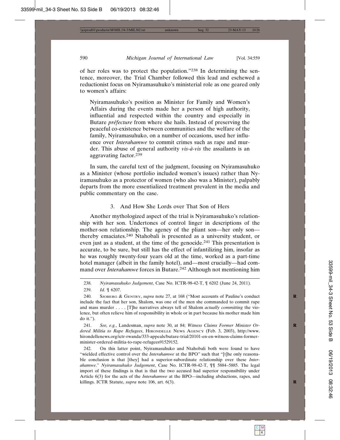\\jciprod01\productn\M\MIL\34-3\MIL302.txt unknown Seq: 32 23-MAY-13 10:26

590 *Michigan Journal of International Law* [Vol. 34:559

of her roles was to protect the population."238 In determining the sentence, moreover, the Trial Chamber followed this lead and eschewed a reductionist focus on Nyiramasuhuko's ministerial role as one geared only to women's affairs:

Nyiramasuhuko's position as Minister for Family and Women's Affairs during the events made her a person of high authority, influential and respected within the country and especially in Butare *préfecture* from where she hails. Instead of preserving the peaceful co-existence between communities and the welfare of the family, Nyiramasuhuko, on a number of occasions, used her influence over *Interahamwe* to commit crimes such as rape and murder. This abuse of general authority *vis-à-vis* the assailants is an aggravating factor.239

In sum, the careful text of the judgment, focusing on Nyiramasuhuko as a Minister (whose portfolio included women's issues) rather than Nyiramasuhuko as a protector of women (who also was a Minister), palpably departs from the more essentialized treatment prevalent in the media and public commentary on the case.

#### 3. And How She Lords over That Son of Hers

Another mythologized aspect of the trial is Nyiramasuhuko's relationship with her son. Undertones of control linger in descriptions of the mother-son relationship. The agency of the pliant son—her only son thereby emaciates.240 Ntahobali is presented as a university student, or even just as a student, at the time of the genocide.<sup>241</sup> This presentation is accurate, to be sure, but still has the effect of infantilizing him, insofar as he was roughly twenty-four years old at the time, worked as a part-time hotel manager (albeit in the family hotel), and—most crucially—had command over *Interahamwe* forces in Butare.<sup>242</sup> Although not mentioning him

241. *See, e.g.*, Landesman, *supra* note 30, at 84; *Witness Claims Former Minister Or-* **R** *dered Militia to Rape Refugees*, HIRONDELLE NEWS AGENCY (Feb. 3, 2003), http://www. hirondellenews.org/ictr-rwanda/333-appeals/butare-trial/20101-en-en-witness-claims-formerminister-ordered-militia-to-rape-refugees91529152.

242. On this latter point, Nyiramasuhuko and Ntahobali both were found to have "wielded effective control over the *Interahamwe* at the BPO" such that "[t]he only reasonable conclusion is that [they] had a superior-subordinate relationship over these *Interahamwe*." *Nyiramasuhuko Judgement*, Case No. ICTR-98-42-T, ¶¶ 5884–5885. The legal import of these findings is that is that the two accused had superior responsibility under Article 6(3) for the acts of the *Interahamwe* at the BPO—including abductions, rapes, and killings. ICTR Statute, *supra* note 106, art. 6(3). **R** 33599-mil\_34-3 Sheet No. 53 Side B 06/19/2013 08:32:46

06/19/2013 08:32:46

33599-mil\_34-3 Sheet No. 53 Side B

<sup>238.</sup> *Nyiramasuhuko Judgement*, Case No. ICTR-98-42-T, ¶ 6202 (June 24, 2011). 239. *Id.* ¶ 6207.

<sup>240.</sup> SJOBERG & GENTRY, *supra* note 27, at 168 ("Most accounts of Pauline's conduct **R** include the fact that her son, Shalom, was one of the men she commanded to commit rape and mass murder . . . . [T]he narratives always tell of Shalom *actually committing* the violence, but often relieve him of responsibility in whole or in part because his mother made him do it.").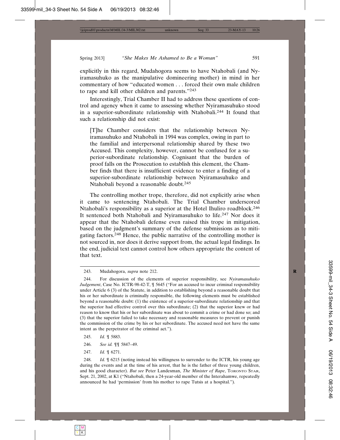\\jciprod01\productn\M\MIL\34-3\MIL302.txt unknown Seq: 33 23-MAY-13 10:26

Spring 2013] *"She Makes Me Ashamed to Be a Woman"* 591

explicitly in this regard, Mudahogora seems to have Ntahobali (and Nyiramasuhuko as the manipulative domineering mother) in mind in her commentary of how "educated women . . . forced their own male children to rape and kill other children and parents."243

Interestingly, Trial Chamber II had to address these questions of control and agency when it came to assessing whether Nyiramasuhuko stood in a superior-subordinate relationship with Ntahobali.244 It found that such a relationship did not exist:

[T]he Chamber considers that the relationship between Nyiramasuhuko and Ntahobali in 1994 was complex, owing in part to the familial and interpersonal relationship shared by these two Accused. This complexity, however, cannot be confused for a superior-subordinate relationship. Cognisant that the burden of proof falls on the Prosecution to establish this element, the Chamber finds that there is insufficient evidence to enter a finding of a superior-subordinate relationship between Nyiramasuhuko and Ntahobali beyond a reasonable doubt.245

The controlling mother trope, therefore, did not explicitly arise when it came to sentencing Ntahobali. The Trial Chamber underscored Ntahobali's responsibility as a superior at the Hotel Ihuliro roadblock.246 It sentenced both Ntahobali and Nyiramasuhuko to life.<sup>247</sup> Nor does it appear that the Ntahobali defense even raised this trope in mitigation, based on the judgment's summary of the defense submissions as to mitigating factors.248 Hence, the public narrative of the controlling mother is not sourced in, nor does it derive support from, the actual legal findings. In the end, judicial text cannot control how others appropriate the content of that text.

- 245. *Id.* ¶ 5883.
- 246. *See id.* ¶¶ 5847–49.
- 247. *Id.* ¶ 6271.

C M Y | K

248. *Id.* ¶ 6215 (noting instead his willingness to surrender to the ICTR, his young age during the events and at the time of his arrest, that he is the father of three young children, and his good character). *But see* Peter Landesman, *The Minister of Rape*, TORONTO STAR, Sept. 21, 2002, at K1 ("Ntahobali, then a 24-year-old member of the Interahamwe, repeatedly announced he had 'permission' from his mother to rape Tutsis at a hospital.").

<sup>243.</sup> Mudahogora, *supra* note 212. **R**

<sup>244.</sup> For discussion of the elements of superior responsibility, see *Nyiramasuhuko Judgement*, Case No. ICTR-98-42-T, ¶ 5645 ("For an accused to incur criminal responsibility under Article 6 (3) of the Statute, in addition to establishing beyond a reasonable doubt that his or her subordinate is criminally responsible, the following elements must be established beyond a reasonable doubt: (1) the existence of a superior-subordinate relationship and that the superior had effective control over this subordinate; (2) that the superior knew or had reason to know that his or her subordinate was about to commit a crime or had done so; and (3) that the superior failed to take necessary and reasonable measures to prevent or punish the commission of the crime by his or her subordinate. The accused need not have the same intent as the perpetrator of the criminal act.").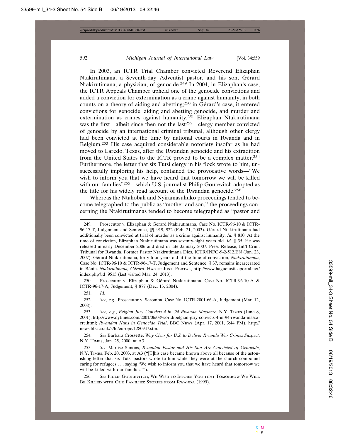\\jciprod01\productn\M\MIL\34-3\MIL302.txt unknown Seq: 34 23-MAY-13 10:26

# 592 *Michigan Journal of International Law* [Vol. 34:559

In 2003, an ICTR Trial Chamber convicted Reverend Elizaphan Ntakirutimana, a Seventh-day Adventist pastor, and his son, Gérard Ntakirutimana, a physician, of genocide.249 In 2004, in Elizaphan's case, the ICTR Appeals Chamber upheld one of the genocide convictions and added a conviction for extermination as a crime against humanity, in both counts on a theory of aiding and abetting; $250$  in Gérard's case, it entered convictions for genocide, aiding and abetting genocide, and murder and extermination as crimes against humanity.251 Elizaphan Ntakirutimana was the first—albeit since then not the last<sup>252</sup>—clergy member convicted of genocide by an international criminal tribunal, although other clergy had been convicted at the time by national courts in Rwanda and in Belgium.253 His case acquired considerable notoriety insofar as he had moved to Laredo, Texas, after the Rwandan genocide and his extradition from the United States to the ICTR proved to be a complex matter.254 Furthermore, the letter that six Tutsi clergy in his flock wrote to him, unsuccessfully imploring his help, contained the provocative words—"We wish to inform you that we have heard that tomorrow we will be killed with our families"<sup>255</sup>—which U.S. journalist Philip Gourevitch adopted as the title for his widely read account of the Rwandan genocide.256

Whereas the Ntahobali and Nyiramasuhuko proceedings tended to become telegraphed to the public as "mother and son," the proceedings concerning the Ntakirutimanas tended to become telegraphed as "pastor and

250. Prosecutor v. Elizaphan & Gérard Ntakirutimana, Case No. ICTR-96-10-A & ICTR-96-17-A, Judgement, ¶ 877 (Dec. 13, 2004).

251. *Id.*

252. *See, e.g.*, Prosecutor v. Seromba, Case No. ICTR-2001-66-A, Judgement (Mar. 12, 2008).

254. *See* Barbara Crossette, *Way Clear for U.S. to Deliver Rwanda War Crimes Suspect*, N.Y. TIMES, Jan. 25, 2000, at A3.

255. *See* Marlise Simons, *Rwandan Pastor and His Son Are Convicted of Genocide*, N.Y. TIMES, Feb. 20, 2003, at A3 ("[T]his case became known above all because of the astonishing letter that six Tutsi pastors wrote to him while they were at the church compound caring for refugees . . . saying 'We wish to inform you that we have heard that tomorrow we will be killed with our families.'").

256. *See* PHILIP GOUREVITCH, WE WISH TO INFORM YOU THAT TOMORROW WE WILL BE KILLED WITH OUR FAMILIES: STORIES FROM RWANDA (1999).

<sup>249.</sup> Prosecutor v. Elizaphan & Gérard Ntakirutimana, Case No. ICTR-96-10 & ICTR-96-17-T, Judgement and Sentence,  $\P$  919, 922 (Feb. 21, 2003). Gérard Ntakirutimana had additionally been convicted at trial of murder as a crime against humanity. *Id.* ¶ 810. At the time of conviction, Elizaphan Ntakirutimana was seventy-eight years old. *Id.* ¶ 35. He was released in early December 2006 and died in late January 2007. Press Release, Int'l Crim. Tribunal for Rwanda, Former Pastor Ntakirutimana Dies, ICTR/INFO-9-2-512.EN (Jan. 23, 2007). Gérard Ntakirutimana, forty-four years old at the time of conviction, *Ntakirutimana*, Case No. ICTR-96-10 & ICTR-96-17-T, Judgement and Sentence, ¶ 37, remains incarcerated in Bénin. *Ntakirutimana, Gérard*, HAGUE JUST. PORTAL, http://www.haguejusticeportal.net/ index.php?id=9515 (last visited Mar. 24, 2013).

<sup>253.</sup> *See, e.g.*, *Belgian Jury Convicts 4 in '94 Rwanda Massacre*, N.Y. TIMES (June 8, 2001), http://www.nytimes.com/2001/06/08/world/belgian-jury-convicts-4-in-94-rwanda-massacre.html; *Rwandan Nuns in Genocide Trial*, BBC NEWS (Apr. 17, 2001, 3:44 PM), http:// news.bbc.co.uk/2/hi/europe/1280947.stm.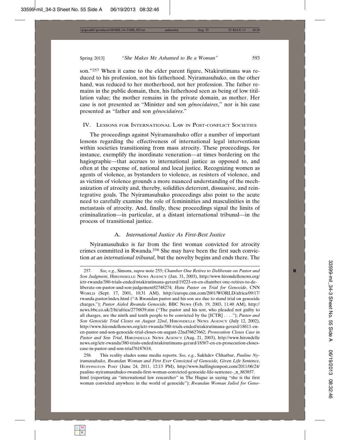\\jciprod01\productn\M\MIL\34-3\MIL302.txt unknown Seq: 35 23-MAY-13 10:26

C M Y | K

# Spring 2013] *"She Makes Me Ashamed to Be a Woman"* 593

son."257 When it came to the elder parent figure, Ntakirutimana was reduced to his profession, not his fatherhood. Nyiramasuhuko, on the other hand, was reduced to her motherhood, not her profession. The father remains in the public domain, then, his fatherhood seen as being of low titillation value; the mother remains in the private domain, as mother. Her case is not presented as "Minister and son *g´enocidaires*," nor is his case presented as "father and son *génocidaires*."

#### IV. LESSONS FOR INTERNATIONAL LAW IN POST-CONFLICT SOCIETIES

The proceedings against Nyiramasuhuko offer a number of important lessons regarding the effectiveness of international legal interventions within societies transitioning from mass atrocity. These proceedings, for instance, exemplify the inordinate veneration—at times bordering on the hagiographic—that accrues to international justice as opposed to, and often at the expense of, national and local justice. Recognizing women as agents of violence, as bystanders to violence, as resisters of violence, and as victims of violence grounds a more nuanced understanding of the mechanization of atrocity and, thereby, solidifies deterrent, dissuasive, and reintegrative goals. The Nyiramasuhuko proceedings also point to the acute need to carefully examine the role of femininities and masculinities in the metastasis of atrocity. And, finally, these proceedings signal the limits of criminalization—in particular, at a distant international tribunal—in the process of transitional justice.

# A. *International Justice As First-Best Justice*

Nyiramasuhuko is far from the first woman convicted for atrocity crimes committed in Rwanda.258 She may have been the first such conviction *at an international tribunal*, but the novelty begins and ends there. The

258. This reality eludes some media reports. *See, e.g.*, Sukhdev Chhatbar, *Pauline Nyiramasuhuko, Rwandan Woman and First Ever Convicted of Genocide, Given Life Sentence*, HUFFINGTON POST (June 24, 2011, 12:13 PM), http://www.huffingtonpost.com/2011/06/24/ pauline-nyiramasuhuko-rwanda-first-woman-convicted-genocide-life-sentence-\_n\_883857. html (reporting an "international law researcher" in The Hague as saying "she is the first woman convicted anywhere in the world of genocide"); *Rwandan Woman Jailed for Geno-*

<sup>257.</sup> *See, e.g.*, Simons, *supra* note 255; *Chamber One Retires to Deliberate on Pastor and* **R** *Son Judgment*, HIRONDELLE NEWS AGENCY (Jan. 31, 2003), http://www.hirondellenews.org/ ictr-rwanda/380-trials-ended/ntakirutimana-gerard/19223-en-en-chamber-one-retires-to-deliberate-on-pastor-and-son-judgement82748274; *Hutu Pastor on Trial for Genocide*, CNN WORLD (Sept. 17, 2001, 10:31 AM), http://europe.cnn.com/2001/WORLD/africa/09/17/ rwanda.pastor/index.html ("A Rwandan pastor and his son are due to stand trial on genocide charges."); *Pastor Aided Rwanda Genocide*, BBC NEWS (Feb. 19, 2003, 11:40 AM), http:// news.bbc.co.uk/2/hi/africa/2778839.stm ("The pastor and his son, who pleaded not guilty to all charges, are the ninth and tenth people to be convicted by the [ICTR] . . . ."); *Pastor and Son Genocide Trial Closes on August 22nd*, HIRONDELLE NEWS AGENCY (July 12, 2002), http://www.hirondellenews.org/ictr-rwanda/380-trials-ended/ntakirutimana-gerard/18611-enen-pastor-and-son-genocide-trial-closes-on-august-22nd76627662; *Prosecution Closes Case in Pastor and Son Trial*, HIRONDELLE NEWS AGENCY (Aug. 21, 2003), http://www.hirondelle news.org/ictr-rwanda/380-trials-ended/ntakirutimana-gerard/18567-en-en-prosecution-closescase-in-pastor-and-son-trial76187618.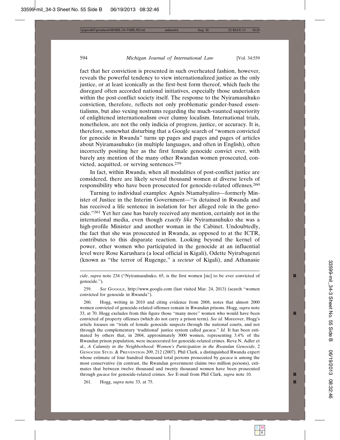\\jciprod01\productn\M\MIL\34-3\MIL302.txt unknown Seq: 36 23-MAY-13 10:26

# 594 *Michigan Journal of International Law* [Vol. 34:559

fact that her conviction is presented in such overheated fashion, however, reveals the powerful tendency to view internationalized justice as the only justice, or at least iconically as the first-best form thereof, which fuels the disregard often accorded national initiatives, especially those undertaken within the post-conflict society itself. The response to the Nyiramasuhuko conviction, therefore, reflects not only problematic gender-based essentialisms, but also vexing nostrums regarding the much-vaunted superiority of enlightened internationalism over clumsy localism. International trials, nonetheless, are not the only indicia of progress, justice, or accuracy. It is, therefore, somewhat disturbing that a Google search of "women convicted for genocide in Rwanda" turns up pages and pages and pages of articles about Nyiramasuhuko (in multiple languages, and often in English), often incorrectly positing her as the first female genocide convict ever, with barely any mention of the many other Rwandan women prosecuted, convicted, acquitted, or serving sentences.259

In fact, within Rwanda, when all modalities of post-conflict justice are considered, there are likely several thousand women at diverse levels of responsibility who have been prosecuted for genocide-related offenses.260

Turning to individual examples: Agnès Ntamabyaliro—formerly Minister of Justice in the Interim Government—"is detained in Rwanda and has received a life sentence in isolation for her alleged role in the genocide."261 Yet her case has barely received any mention, certainly not in the international media, even though *exactly like* Nyiramasuhuko she was a high-profile Minister and another woman in the Cabinet. Undoubtedly, the fact that she was prosecuted in Rwanda, as opposed to at the ICTR, contributes to this disparate reaction. Looking beyond the kernel of power, other women who participated in the genocide at an influential level were Rose Karushara (a local official in Kigali), Odette Nyirabagenzi (known as "the terror of Rugenge," a *secteur* of Kigali), and Athanasie

259. *See* GOOGLE, http://www.google.com (last visited Mar. 24, 2013) (search "women convicted for genocide in Rwanda").

260. Hogg, writing in 2010 and citing evidence from 2008, notes that almost 2000 women convicted of genocide-related offenses remain in Rwandan prisons. Hogg, *supra* note 33, at 70. Hogg excludes from this figure those "many more" women who would have been **R** convicted of property offenses (which do not carry a prison term). *See id.* Moreover, Hogg's article focuses on "trials of female genocide suspects through the national courts, and not through the complementary 'traditional' justice system called *gacaca*." *Id.* It has been estimated by others that, in 2004, approximately 3000 women, representing 3.4% of the Rwandan prison population, were incarcerated for genocide-related crimes. Reva N. Adler et al., *A Calamity in the Neighborhood: Women's Participation in the Rwandan Genocide*, 2 GENOCIDE STUD. & PREVENTION 209, 212 (2007). Phil Clark, a distinguished Rwanda expert whose estimate of four hundred thousand total persons prosecuted by *gacaca* is among the most conservative (in contrast, the Rwandan government claims two million persons), estimates that between twelve thousand and twenty thousand women have been prosecuted through *gacaca* for genocide-related crimes. *See* E-mail from Phil Clark, *supra* note 10. **R**

261. Hogg, *supra* note 33, at 75. **R**

*cide*, *supra* note 234 ("Nyiramasuhuko, 65, is the first women [sic] to be ever convicted of **R** genocide.").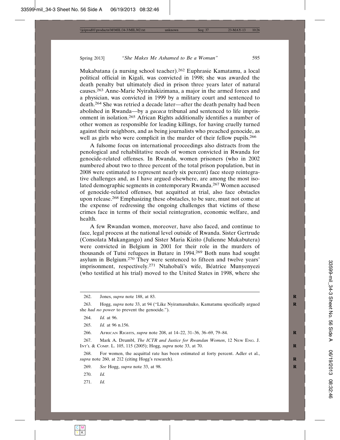\\jciprod01\productn\M\MIL\34-3\MIL302.txt unknown Seq: 37 23-MAY-13 10:26

Spring 2013] *"She Makes Me Ashamed to Be a Woman"* 595

Mukabatana (a nursing school teacher).262 Euphrasie Kamatamu, a local political official in Kigali, was convicted in 1998; she was awarded the death penalty but ultimately died in prison three years later of natural causes.263 Anne-Marie Nyirahakizimana, a major in the armed forces and a physician, was convicted in 1999 by a military court and sentenced to death.264 She was retried a decade later—after the death penalty had been abolished in Rwanda—by a *gacaca* tribunal and sentenced to life imprisonment in isolation.265 African Rights additionally identifies a number of other women as responsible for leading killings, for having cruelly turned against their neighbors, and as being journalists who preached genocide, as well as girls who were complicit in the murder of their fellow pupils.<sup>266</sup>

A fulsome focus on international proceedings also distracts from the penological and rehabilitative needs of women convicted in Rwanda for genocide-related offenses. In Rwanda, women prisoners (who in 2002 numbered about two to three percent of the total prison population, but in 2008 were estimated to represent nearly six percent) face steep reintegrative challenges and, as I have argued elsewhere, are among the most isolated demographic segments in contemporary Rwanda.267 Women accused of genocide-related offenses, but acquitted at trial, also face obstacles upon release.<sup>268</sup> Emphasizing these obstacles, to be sure, must not come at the expense of redressing the ongoing challenges that victims of these crimes face in terms of their social reintegration, economic welfare, and health.

A few Rwandan women, moreover, have also faced, and continue to face, legal process at the national level outside of Rwanda. Sister Gertrude (Consolata Mukangango) and Sister Maria Kizito (Julienne Mukabutera) were convicted in Belgium in 2001 for their role in the murders of thousands of Tutsi refugees in Butare in 1994.269 Both nuns had sought asylum in Belgium.270 They were sentenced to fifteen and twelve years' imprisonment, respectively.<sup>271</sup> Ntahobali's wife, Béatrice Munyenyezi (who testified at his trial) moved to the United States in 1998, where she

<sup>262.</sup> Jones, *supra* note 188, at 83. **R**

<sup>263.</sup> Hogg, *supra* note 33, at 94 ("Like Nyiramasuhuko, Kamatamu specifically argued **R** she *had no power* to prevent the genocide.").

<sup>264.</sup> *Id.* at 96.

<sup>265.</sup> *Id.* at 96 n.156.

<sup>266.</sup> AFRICAN RIGHTS, *supra* note 208, at 14–22, 31–36, 36–69, 79–84. **R**

<sup>267.</sup> Mark A. Drumbl, *The ICTR and Justice for Rwandan Women*, 12 NEW ENG. J. INT'L & COMP. L. 105, 115 (2005); Hogg, *supra* note 33, at 70. **R**

<sup>268.</sup> For women, the acquittal rate has been estimated at forty percent. Adler et al., *supra* note 260, at 212 (citing Hogg's research). **R**

<sup>269.</sup> *See* Hogg, *supra* note 33, at 98. **R**

<sup>270.</sup> *Id.*

<sup>271.</sup> *Id.*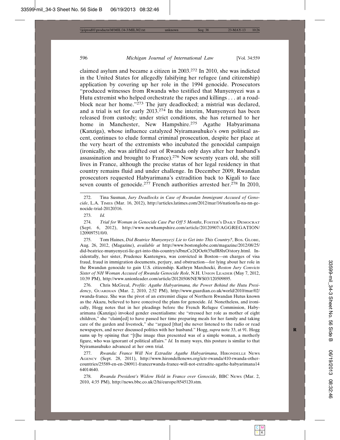\\jciprod01\productn\M\MIL\34-3\MIL302.txt unknown Seq: 38 23-MAY-13 10:26

#### 596 *Michigan Journal of International Law* [Vol. 34:559

claimed asylum and became a citizen in 2003.272 In 2010, she was indicted in the United States for allegedly falsifying her refugee (and citizenship) application by covering up her role in the 1994 genocide. Prosecutors "produced witnesses from Rwanda who testified that Munyenyezi was a Hutu extremist who helped orchestrate the rapes and killings . . . at a roadblock near her home."273 The jury deadlocked; a mistrial was declared, and a trial is set for early 2013.274 In the interim, Munyenyezi has been released from custody; under strict conditions, she has returned to her home in Manchester, New Hampshire.275 Agathe Habyarimana (Kanziga), whose influence catalyzed Nyiramasuhuko's own political ascent, continues to elude formal criminal prosecution, despite her place at the very heart of the extremists who incubated the genocidal campaign (ironically, she was airlifted out of Rwanda only days after her husband's assassination and brought to France).276 Now seventy years old, she still lives in France, although the precise status of her legal residency in that country remains fluid and under challenge. In December 2009, Rwandan prosecutors requested Habyarimana's extradition back to Kigali to face seven counts of genocide.<sup>277</sup> French authorities arrested her.<sup>278</sup> In 2010,

273. *Id.*

274. *Trial for Woman in Genocide Case Put Off 5 Months*, FOSTER'S DAILY DEMOCRAT (Sept. 6, 2012), http://www.newhampshire.com/article/20120907/AGGREGATION/ 120909751/0/0.

275. Tom Haines, *Did Beatrice Munyenyezi Lie to Get into This Country?*, Bos. GLOBE, Aug. 26, 2012, (Magazine), *available at* http://www.bostonglobe.com/magazine/2012/08/25/ did-beatrice-munyenyezi-lie-get-into-this-country/sJbnzCe2QOc6t35ufR8lxO/story.html. Incidentally, her sister, Prudence Kantengwa, was convicted in Boston—on charges of visa fraud, fraud in immigration documents, perjury, and obstruction—for lying about her role in the Rwandan genocide to gain U.S. citizenship. Kathryn Marchocki, *Boston Jury Convicts Sister of NH Woman Accused of Rwanda Genocide Role*, N.H. UNION LEADER (May 7, 2012, 10:39 PM), http://www.unionleader.com/article/20120508/NEWS03/120509895.

276. Chris McGreal, *Profile: Agathe Habyarimana, the Power Behind the Hutu Presidency*, GUARDIAN (Mar. 2, 2010, 2:52 PM), http://www.guardian.co.uk/world/2010/mar/02/ rwanda-france. She was the pivot of an extremist clique of Northern Rwandan Hutus known as the Akazu, believed to have conceived the plans for genocide. *Id.* Nonetheless, and ironically, Hogg notes that in her pleadings before the French Refugee Commission, Habyarimana (Kanziga) invoked gender essentialisms: she "stressed her role as mother of eight children," she "claim[ed] to have passed her time preparing meals for her family and taking care of the garden and livestock," she "argued [that] she never listened to the radio or read newspapers, and never discussed politics with her husband." Hogg, *supra* note 33, at 91. Hogg **R** sums up by opining that "[t]he image thus presented was of a simple woman, a motherly figure, who was ignorant of political affairs." *Id.* In many ways, this posture is similar to that Nyiramasuhuko advanced at her own trial.

277. *Rwanda: France Will Not Extradite Agathe Habyarimana*, HIRONDELLE NEWS AGENCY (Sept. 28, 2011), http://www.hirondellenews.org/ictr-rwanda/410-rwanda-othercountries/25589-en-en-280911-francerwanda-france-will-not-extradite-agathe-habyarimana14 64014640.

278. *Rwanda President's Widow Held in France over Genocide*, BBC NEWS (Mar. 2, 2010, 4:35 PM), http://news.bbc.co.uk/2/hi/europe/8545120.stm.

<sup>272.</sup> Tina Susman, *Jury Deadlocks in Case of Rwandan Immigrant Accused of Genocide*, L.A. TIMES (Mar. 16, 2012), http://articles.latimes.com/2012/mar/16/nation/la-na-nn-genocide-trial-20120316.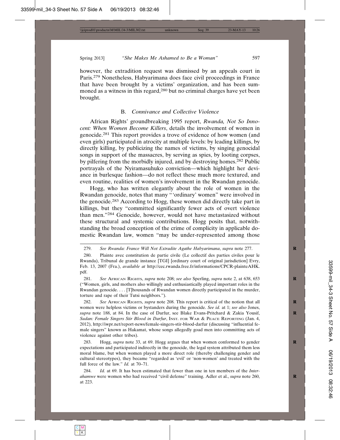\\jciprod01\productn\M\MIL\34-3\MIL302.txt unknown Seq: 39 23-MAY-13 10:26

C M Y | K

# Spring 2013] *"She Makes Me Ashamed to Be a Woman"* 597

however, the extradition request was dismissed by an appeals court in Paris.279 Nonetheless, Habyarimana does face civil proceedings in France that have been brought by a victims' organization, and has been summoned as a witness in this regard,<sup>280</sup> but no criminal charges have yet been brought.

#### B. *Connivance and Collective Violence*

African Rights' groundbreaking 1995 report, *Rwanda, Not So Innocent: When Women Become Killers*, details the involvement of women in genocide.281 This report provides a trove of evidence of how women (and even girls) participated in atrocity at multiple levels: by leading killings, by directly killing, by publicizing the names of victims, by singing genocidal songs in support of the massacres, by serving as spies, by looting corpses, by pilfering from the morbidly injured, and by destroying homes.282 Public portrayals of the Nyiramasuhuko conviction—which highlight her deviance in burlesque fashion—do not reflect these much more textured, and even routine, realities of women's involvement in the Rwandan genocide.

Hogg, who has written elegantly about the role of women in the Rwandan genocide, notes that many "'ordinary' women" were involved in the genocide.283 According to Hogg, these women did directly take part in killings, but they "committed significantly fewer acts of overt violence than men."284 Genocide, however, would not have metastasized without these structural and systemic contributions. Hogg posits that, notwithstanding the broad conception of the crime of complicity in applicable domestic Rwandan law, women "may be under-represented among those

282. *See* AFRICAN RIGHTS, *supra* note 208. This report is critical of the notion that all **R** women were helpless victims or bystanders during the genocide. *See id.* at 1; *see also* Jones, *supra* note 188, at 84. In the case of Darfur, see Blake Evans-Pritchard & Zakia Yousif, **R** *Sudan: Female Singers Stir Blood in Darfur*, INST. FOR WAR & PEACE REPORTING (Jan. 4, 2012), http://iwpr.net/report-news/female-singers-stir-blood-darfur (discussing "influential female singers" known as Hakamat, whose songs allegedly goad men into committing acts of violence against other tribes).

283. Hogg, *supra* note 33, at 69. Hogg argues that when women conformed to gender **R** expectations and participated indirectly in the genocide, the legal system attributed them less moral blame, but when women played a more direct role (thereby challenging gender and cultural stereotypes), they became "regarded as 'evil' or 'non-women' and treated with the full force of the law." *Id.* at 70–71.

284. *Id.* at 69. It has been estimated that fewer than one in ten members of the *Interahamwe* were women who had received "civil defense" training. Adler et al., *supra* note 260, at 223.

<sup>279.</sup> *See Rwanda: France Will Not Extradite Agathe Habyarimana*, *supra* note 277. **R**

<sup>280.</sup> Plainte avec constitution de partie civile (Le collectif des parties civiles pour le Rwanda), Tribunal de grande instance [TGI] [ordinary court of original jurisdiction] Evry, Feb. 13, 2007 (Fra.), *available at* http://cec.rwanda.free.fr/informations/CPCR-plainteAHK. pdf.

<sup>281.</sup> *See* AFRICAN RIGHTS, *supra* note 208; *see also* Sperling, *supra* note 2, at 638, 653 **R** ("Women, girls, and mothers also willingly and enthusiastically played important roles in the Rwandan genocide. . . . [T]housands of Rwandan women directly participated in the murder, torture and rape of their Tutsi neighbors.").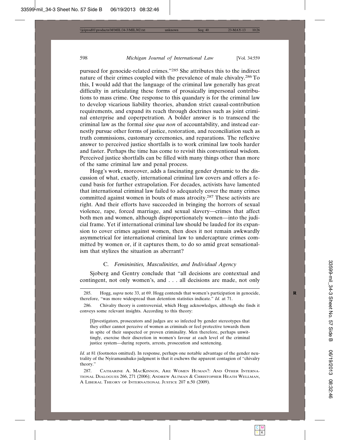\\jciprod01\productn\M\MIL\34-3\MIL302.txt unknown Seq: 40 23-MAY-13 10:26

#### 598 *Michigan Journal of International Law* [Vol. 34:559

pursued for genocide-related crimes."285 She attributes this to the indirect nature of their crimes coupled with the prevalence of male chivalry.286 To this, I would add that the language of the criminal law generally has great difficulty in articulating these forms of prosaically impersonal contributions to mass crime. One response to this quandary is for the criminal law to develop vicarious liability theories, abandon strict causal-contribution requirements, and expand its reach through doctrines such as joint criminal enterprise and coperpetration. A bolder answer is to transcend the criminal law as the formal *sine qua non* of accountability, and instead earnestly pursue other forms of justice, restoration, and reconciliation such as truth commissions, customary ceremonies, and reparations. The reflexive answer to perceived justice shortfalls is to work criminal law tools harder and faster. Perhaps the time has come to revisit this conventional wisdom. Perceived justice shortfalls can be filled with many things other than more of the same criminal law and penal process.

Hogg's work, moreover, adds a fascinating gender dynamic to the discussion of what, exactly, international criminal law covers and offers a fecund basis for further extrapolation. For decades, activists have lamented that international criminal law failed to adequately cover the many crimes committed against women in bouts of mass atrocity.287 These activists are right. And their efforts have succeeded in bringing the horrors of sexual violence, rape, forced marriage, and sexual slavery—crimes that affect both men and women, although disproportionately women—into the judicial frame. Yet if international criminal law should be lauded for its expansion to cover crimes against women, then does it not remain awkwardly asymmetrical for international criminal law to undercapture crimes committed by women or, if it captures them, to do so amid great sensationalism that stylizes the situation as aberrant?

#### C. *Femininities, Masculinities, and Individual Agency*

Sjoberg and Gentry conclude that "all decisions are contextual and contingent, not only women's, and . . . all decisions are made, not only

[I]nvestigators, prosecutors and judges are so infected by gender stereotypes that they either cannot perceive of women as criminals or feel protective towards them in spite of their suspected or proven criminality. Men therefore, perhaps unwittingly, exercise their discretion in women's favour at each level of the criminal justice system—during reports, arrests, prosecution and sentencing.

*Id.* at 81 (footnotes omitted). In response, perhaps one notable advantage of the gender neutrality of the Nyiramasuhuko judgment is that it eschews the apparent contagion of "chivalry theory."

287. CATHARINE A. MACKINNON, ARE WOMEN HUMAN?: AND OTHER INTERNA-TIONAL DIALOGUES 266, 271 (2006); ANDREW ALTMAN & CHRISTOPHER HEATH WELLMAN, A LIBERAL THEORY OF INTERNATIONAL JUSTICE 207 n.50 (2009).

33599-mil\_34-3 Sheet No. 57 Side B 06/19/2013 08:32:46

 $\pmb{\varpi}$ 

06/19/2013 08:32:46

33599-mil\_34-3 Sheet No. 57 Side

<sup>285.</sup> Hogg, *supra* note 33, at 69. Hogg contends that women's participation in genocide, **R** therefore, "was more widespread than detention statistics indicate." *Id.* at 71.

<sup>286.</sup> Chivalry theory is controversial, which Hogg acknowledges, although she finds it conveys some relevant insights. According to this theory: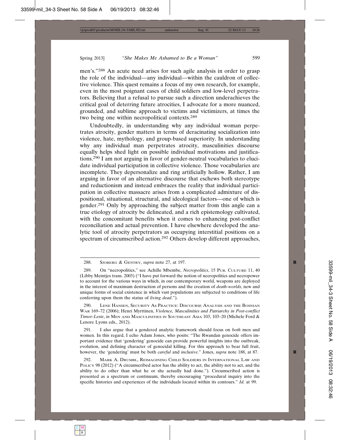\\jciprod01\productn\M\MIL\34-3\MIL302.txt unknown Seq: 41 23-MAY-13 10:26

# Spring 2013] *"She Makes Me Ashamed to Be a Woman"* 599

men's."288 An acute need arises for such agile analysis in order to grasp the role of the individual—any individual—within the cauldron of collective violence. This quest remains a focus of my own research, for example, even in the most poignant cases of child soldiers and low-level perpetrators. Believing that a refusal to pursue such a direction underachieves the critical goal of deterring future atrocities, I advocate for a more nuanced, grounded, and sublime approach to victims and victimizers, at times the two being one within necropolitical contexts.289

Undoubtedly, in understanding why any individual woman perpetrates atrocity, gender matters in terms of deracinating socialization into violence, hate, mythology, and group-based superiority. In understanding why any individual man perpetrates atrocity, masculinities discourse equally helps shed light on possible individual motivations and justifications.290 I am not arguing in favor of gender-neutral vocabularies to elucidate individual participation in collective violence. Those vocabularies are incomplete. They depersonalize and ring artificially hollow. Rather, I am arguing in favor of an alternative discourse that eschews both stereotype and reductionism and instead embraces the reality that individual participation in collective massacre arises from a complicated admixture of dispositional, situational, structural, and ideological factors—one of which is gender.291 Only by approaching the subject matter from this angle can a true etiology of atrocity be delineated, and a rich epistemology cultivated, with the concomitant benefits when it comes to enhancing post-conflict reconciliation and actual prevention. I have elsewhere developed the analytic tool of atrocity perpetrators as occupying interstitial positions on a spectrum of circumscribed action.292 Others develop different approaches,

C M Y | K

290. LENE HANSEN, SECURITY AS PRACTICE: DISCOURSE ANALYSIS AND THE BOSNIAN WAR 169–72 (2006); Henri Myrttinen, *Violence, Masculinities and Patriarchy in Post-conflict Timor-Leste*, *in* MEN AND MASCULINITIES IN SOUTHEAST ASIA 103, 103–20 (Michele Ford & Lenore Lyons eds., 2012).

291. I also argue that a gendered analytic framework should focus on *both* men and women. In this regard, I echo Adam Jones, who posits: "The Rwandan genocide offers important evidence that 'gendering' genocide can provide powerful insights into the outbreak, evolution, and defining character of genocidal killing. For this approach to bear full fruit, however, the 'gendering' must be both *careful* and *inclusive*." Jones, *supra* note 188, at 87. **R**

292. MARK A. DRUMBL, REIMAGINING CHILD SOLDIERS IN INTERNATIONAL LAW AND POLICY 98 (2012) ("A circumscribed actor has the ability to act, the ability not to act, and the ability to do other than what he or she actually had done."). Circumscribed action is presented as a spectrum or continuum, thereby encouraging "procedural inquiry into the specific histories and experiences of the individuals located within its contours." *Id.* at 99.

<sup>288.</sup> SJOBERG & GENTRY, *supra* note 27, at 197. **R**

<sup>289.</sup> On "necropolitics," see Achille Mbembe, *Necropolitics*, 15 PUB. CULTURE 11, 40 (Libby Meintjes trans. 2003) ("I have put forward the notion of necropolitics and necropower to account for the various ways in which, in our contemporary world, weapons are deployed in the interest of maximum destruction of persons and the creation of *death-worlds*, new and unique forms of social existence in which vast populations are subjected to conditions of life conferring upon them the status of *living dead*.").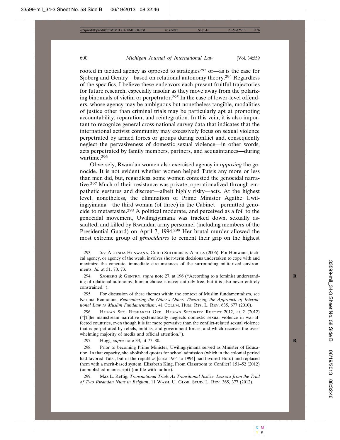\\jciprod01\productn\M\MIL\34-3\MIL302.txt unknown Seq: 42 23-MAY-13 10:26

#### 600 *Michigan Journal of International Law* [Vol. 34:559

rooted in tactical agency as opposed to strategies<sup>293</sup> or—as is the case for Sjoberg and Gentry—based on relational autonomy theory.294 Regardless of the specifics, I believe these endeavors each present fruitful trajectories for future research, especially insofar as they move away from the polarizing binomials of victim or perpetrator.295 In the case of lower-level offenders, whose agency may be ambiguous but nonetheless tangible, modalities of justice other than criminal trials may be particularly apt at promoting accountability, reparation, and reintegration. In this vein, it is also important to recognize general cross-national survey data that indicates that the international activist community may excessively focus on sexual violence perpetrated by armed forces or groups during conflict and, consequently neglect the pervasiveness of domestic sexual violence—in other words, acts perpetrated by family members, partners, and acquaintances—during wartime.<sup>296</sup>

Obversely, Rwandan women also exercised agency in *opposing* the genocide. It is not evident whether women helped Tutsis any more or less than men did, but, regardless, some women contested the genocidal narrative.297 Much of their resistance was private, operationalized through empathetic gestures and discreet—albeit highly risky—acts. At the highest level, nonetheless, the elimination of Prime Minister Agathe Uwilingiyimana—the third woman (of three) in the Cabinet—permitted genocide to metastasize.298 A political moderate, and perceived as a foil to the genocidal movement, Uwilingiyimana was tracked down, sexually assaulted, and killed by Rwandan army personnel (including members of the Presidential Guard) on April 7, 1994.299 Her brutal murder allowed the most extreme group of *g´enocidaires* to cement their grip on the highest

295. For discussion of these themes within the context of Muslim fundamentalism, see Karima Bennoune, *Remembering the Other's Other: Theorizing the Approach of International Law to Muslim Fundamentalism*, 41 COLUM. HUM. RTS. L. REV. 635, 677 (2010).

296. HUMAN SEC. RESEARCH GRP., HUMAN SECURITY REPORT 2012, at 2 (2012) ("[T]he mainstream narrative systematically neglects domestic sexual violence in war-affected countries, even though it is far more pervasive than the conflict-related sexual violence that is perpetrated by rebels, militias, and government forces, and which receives the overwhelming majority of media and official attention.").

297. Hogg, *supra* note 33, at 77–80. **R**

298. Prior to becoming Prime Minister, Uwilingiyimana served as Minister of Education. In that capacity, she abolished quotas for school admission (which in the colonial period had favored Tutsi, but in the republics [circa 1964 to 1994] had favored Hutu) and replaced them with a merit-based system. Elisabeth King, From Classroom to Conflict? 151–52 (2012) (unpublished manuscript) (on file with author).

299. Max L. Rettig, *Transnational Trials As Transitional Justice: Lessons from the Trial of Two Rwandan Nuns in Belgium*, 11 WASH. U. GLOB. STUD. L. REV. 365, 377 (2012).

<sup>293.</sup> *See* ALCINDA HONWANA, CHILD SOLDIERS IN AFRICA (2006). For Honwana, tactical agency, or agency of the weak, involves short-term decisions undertaken to cope with and maximize the concrete, immediate circumstances of the surrounding militarized environments. *Id.* at 51, 70, 73.

<sup>294.</sup> SJOBERG & GENTRY, *supra* note 27, at 196 ("According to a feminist understand- **R** ing of relational autonomy, human choice is never entirely free, but it is also never entirely constrained.").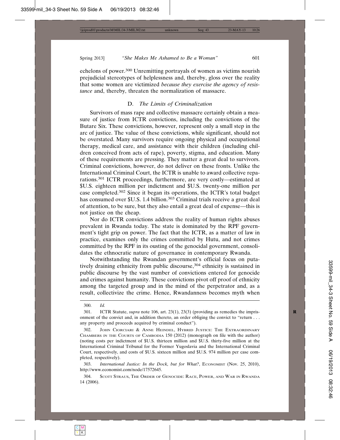\\jciprod01\productn\M\MIL\34-3\MIL302.txt unknown Seq: 43 23-MAY-13 10:26

#### Spring 2013] *"She Makes Me Ashamed to Be a Woman"* 601

echelons of power.300 Unremitting portrayals of women as victims nourish prejudicial stereotypes of helplessness and, thereby, gloss over the reality that some women are victimized *because they exercise the agency of resistance* and, thereby, threaten the normalization of massacre.

### D. *The Limits of Criminalization*

Survivors of mass rape and collective massacre certainly obtain a measure of justice from ICTR convictions, including the convictions of the Butare Six. These convictions, however, represent only a small step in the arc of justice. The value of these convictions, while significant, should not be overstated. Many survivors require ongoing physical and occupational therapy, medical care, and assistance with their children (including children conceived from acts of rape), poverty, stigma, and education. Many of these requirements are pressing. They matter a great deal to survivors. Criminal convictions, however, do not deliver on these fronts. Unlike the International Criminal Court, the ICTR is unable to award collective reparations.301 ICTR proceedings, furthermore, are very costly—estimated at \$U.S. eighteen million per indictment and \$U.S. twenty-one million per case completed.302 Since it began its operations, the ICTR's total budget has consumed over \$U.S. 1.4 billion.<sup>303</sup> Criminal trials receive a great deal of attention, to be sure, but they also entail a great deal of expense—this is not justice on the cheap.

Nor do ICTR convictions address the reality of human rights abuses prevalent in Rwanda today. The state is dominated by the RPF government's tight grip on power. The fact that the ICTR, as a matter of law in practice, examines only the crimes committed by Hutu, and not crimes committed by the RPF in its ousting of the genocidal government, consolidates the ethnocratic nature of governance in contemporary Rwanda.

Notwithstanding the Rwandan government's official focus on putatively draining ethnicity from public discourse,<sup>304</sup> ethnicity is sustained in public discourse by the vast number of convictions entered for genocide and crimes against humanity. These convictions pivot off proof of ethnicity among the targeted group and in the mind of the perpetrator and, as a result, collectivize the crime. Hence, Rwandanness becomes myth when

<sup>300.</sup> *Id.*

<sup>301.</sup> ICTR Statute, *supra* note 106, art. 23(1), 23(3) (providing as remedies the impris- **R** onment of the convict and, in addition thereto, an order obliging the convict to "return . . . any property and proceeds acquired by criminal conduct").

<sup>302.</sup> JOHN CIORCIARI & ANNE HEINDEL, HYBRID JUSTICE: THE EXTRAORDINARY CHAMBERS IN THE COURTS OF CAMBODIA 150 (2012) (monograph on file with the author) (noting costs per indictment of \$U.S. thirteen million and \$U.S. thirty-five million at the International Criminal Tribunal for the Former Yugoslavia and the International Criminal Court, respectively, and costs of \$U.S. sixteen million and \$U.S. 974 million per case completed, respectively).

<sup>303.</sup> *International Justice: In the Dock, but for What?*, ECONOMIST (Nov. 25, 2010), http://www.economist.com/node/17572645.

<sup>304.</sup> SCOTT STRAUS, THE ORDER OF GENOCIDE: RACE, POWER, AND WAR IN RWANDA 14 (2006).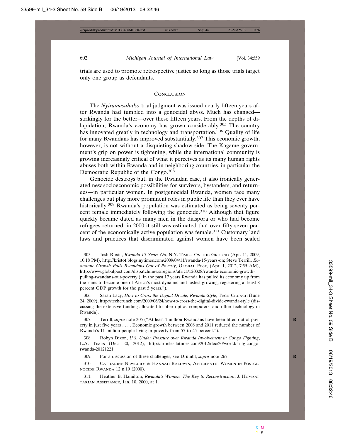\\jciprod01\productn\M\MIL\34-3\MIL302.txt unknown Seq: 44 23-MAY-13 10:26

602 *Michigan Journal of International Law* [Vol. 34:559

trials are used to promote retrospective justice so long as those trials target only one group as defendants.

#### **CONCLUSION**

The *Nyiramasuhuko* trial judgment was issued nearly fifteen years after Rwanda had tumbled into a genocidal abyss. Much has changed strikingly for the better—over these fifteen years. From the depths of dilapidation, Rwanda's economy has grown considerably.305 The country has innovated greatly in technology and transportation.<sup>306</sup> Quality of life for many Rwandans has improved substantially.307 This economic growth, however, is not without a disquieting shadow side. The Kagame government's grip on power is tightening, while the international community is growing increasingly critical of what it perceives as its many human rights abuses both within Rwanda and in neighboring countries, in particular the Democratic Republic of the Congo.308

Genocide destroys but, in the Rwandan case, it also ironically generated new socioeconomic possibilities for survivors, bystanders, and returnees—in particular women. In postgenocidal Rwanda, women face many challenges but play more prominent roles in public life than they ever have historically.309 Rwanda's population was estimated as being seventy percent female immediately following the genocide.310 Although that figure quickly became dated as many men in the diaspora or who had become refugees returned, in 2000 it still was estimated that over fifty-seven percent of the economically active population was female.311 Customary land laws and practices that discriminated against women have been scaled

306. Sarah Lacy, *How to Cross the Digital Divide, Rwanda-Style*, TECH CRUNCH (June 24, 2009), http://techcrunch.com/2009/06/24/how-to-cross-the-digital-divide-rwanda-style (discussing the extensive funding allocated to fiber optics, computers, and other technology in Rwanda).

307. Terrill, *supra* note 305 ("At least 1 million Rwandans have been lifted out of pov- **R** erty in just five years . . . . Economic growth between 2006 and 2011 reduced the number of Rwanda's 11 million people living in poverty from 57 to 45 percent.").

308. Robyn Dixon, *U.S. Under Pressure over Rwanda Involvement in Congo Fighting*, L.A. TIMES (Dec. 20, 2012), http://articles.latimes.com/2012/dec/20/world/la-fg-congorwanda-20121221.

309. For a discussion of these challenges, see Drumbl, *supra* note 267. **R**

310. CATHARINE NEWBURY & HANNAH BALDWIN, AFTERMATH: WOMEN IN POSTGE-NOCIDE RWANDA 12 n.19 (2000).

311. Heather B. Hamilton, *Rwanda's Women: The Key to Reconstruction*, J. HUMANI-TARIAN ASSISTANCE, Jan. 10, 2000, at 1.

<sup>305.</sup> Josh Ruxin, *Rwanda 15 Years On*, N.Y. TIMES: ON THE GROUND (Apr. 11, 2009, 10:18 PM), http://kristof.blogs.nytimes.com/2009/04/11/rwanda-15-years-on; Steve Terrill, *Economic Growth Pulls Rwandans Out of Poverty*, GLOBAL POST, (Apr. 1, 2012, 7:55 AM), http://www.globalpost.com/dispatch/news/regions/africa/120328/rwanda-economic-growthpulling-rwandans-out-poverty ("In the past 17 years Rwanda has pulled its economy up from the ruins to become one of Africa's most dynamic and fastest growing, registering at least 8 percent GDP growth for the past 5 years.").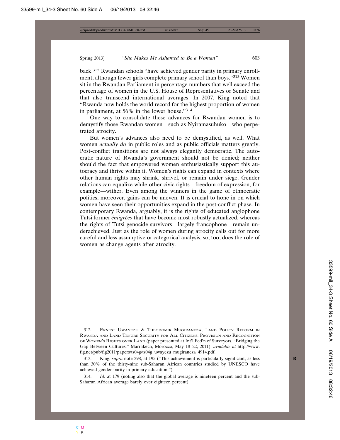C M Y | K

\\jciprod01\productn\M\MIL\34-3\MIL302.txt unknown Seq: 45 23-MAY-13 10:26

Spring 2013] *"She Makes Me Ashamed to Be a Woman"* 603

back.312 Rwandan schools "have achieved gender parity in primary enrollment, although fewer girls complete primary school than boys."313 Women sit in the Rwandan Parliament in percentage numbers that well exceed the percentage of women in the U.S. House of Representatives or Senate and that also transcend international averages. In 2007, King noted that "Rwanda now holds the world record for the highest proportion of women in parliament, at 56% in the lower house."314

One way to consolidate these advances for Rwandan women is to demystify those Rwandan women—such as Nyiramasuhuko—who perpetrated atrocity.

But women's advances also need to be demystified, as well. What women *actually do* in public roles and as public officials matters greatly. Post-conflict transitions are not always elegantly democratic. The autocratic nature of Rwanda's government should not be denied; neither should the fact that empowered women enthusiastically support this autocracy and thrive within it. Women's rights can expand in contexts where other human rights may shrink, shrivel, or remain under siege. Gender relations can equalize while other civic rights—freedom of expression, for example—wither. Even among the winners in the game of ethnocratic politics, moreover, gains can be uneven. It is crucial to hone in on which women have seen their opportunities expand in the post-conflict phase. In contemporary Rwanda, arguably, it is the rights of educated anglophone Tutsi former *émigrées* that have become most robustly actualized, whereas the rights of Tutsi genocide survivors—largely francophone—remain underachieved. Just as the role of women during atrocity calls out for more careful and less assumptive or categorical analysis, so, too, does the role of women as change agents after atrocity.

<sup>312.</sup> ERNEST UWAYEZU & THEODOMIR MUGIRANEZA, LAND POLICY REFORM IN RWANDA AND LAND TENURE SECURITY FOR ALL CITIZENS: PROVISION AND RECOGNITION OF WOMEN'S RIGHTS OVER LAND (paper presented at Int'l Fed'n of Surveyors, "Bridging the Gap Between Cultures," Marrakech, Morocco, May 18–22, 2011), *available at* http://www. fig.net/pub/fig2011/papers/ts04g/ts04g\_uwayezu\_mugiraneza\_4914.pdf.

<sup>313.</sup> King, *supra* note 298, at 195 ("This achievement is particularly significant, as less **R** than 30% of the thirty-nine sub-Saharan African countries studied by UNESCO have achieved gender parity in primary education.").

<sup>314.</sup> *Id.* at 179 (noting also that the global average is nineteen percent and the sub-Saharan African average barely over eighteen percent).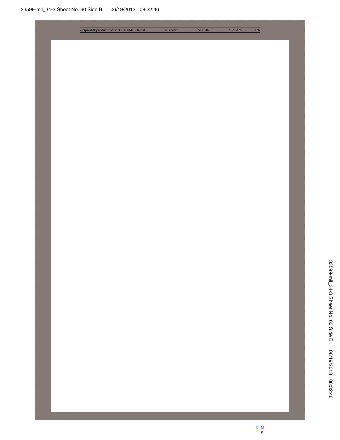|  | \\jciprod01\productn\M\MIL\34-3\MIL302.txt | unknown | Seq: 46 | $23-MAY-13$<br>10:26 |       |  |
|--|--------------------------------------------|---------|---------|----------------------|-------|--|
|  |                                            |         |         |                      |       |  |
|  |                                            |         |         |                      |       |  |
|  |                                            |         |         |                      |       |  |
|  |                                            |         |         |                      |       |  |
|  |                                            |         |         |                      |       |  |
|  |                                            |         |         |                      |       |  |
|  |                                            |         |         |                      |       |  |
|  |                                            |         |         |                      |       |  |
|  |                                            |         |         |                      |       |  |
|  |                                            |         |         |                      |       |  |
|  |                                            |         |         |                      |       |  |
|  |                                            |         |         |                      |       |  |
|  |                                            |         |         |                      |       |  |
|  |                                            |         |         |                      |       |  |
|  |                                            |         |         |                      |       |  |
|  |                                            |         |         |                      |       |  |
|  |                                            |         |         |                      |       |  |
|  |                                            |         |         |                      |       |  |
|  |                                            |         |         |                      |       |  |
|  |                                            |         |         |                      |       |  |
|  |                                            |         |         |                      |       |  |
|  |                                            |         |         |                      |       |  |
|  |                                            |         |         |                      |       |  |
|  |                                            |         |         |                      |       |  |
|  |                                            |         |         |                      |       |  |
|  |                                            |         |         |                      |       |  |
|  |                                            |         |         |                      |       |  |
|  |                                            |         |         |                      |       |  |
|  |                                            |         |         |                      |       |  |
|  |                                            |         |         |                      |       |  |
|  |                                            |         |         |                      |       |  |
|  |                                            |         |         |                      |       |  |
|  |                                            |         |         |                      |       |  |
|  |                                            |         |         |                      |       |  |
|  |                                            |         |         |                      |       |  |
|  |                                            |         |         |                      |       |  |
|  |                                            |         |         |                      |       |  |
|  |                                            |         |         |                      | $C$ M |  |

Y | K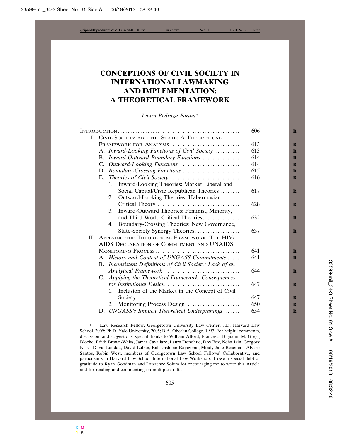C M Y | K

# **CONCEPTIONS OF CIVIL SOCIETY IN INTERNATIONAL LAWMAKING AND IMPLEMENTATION: A THEORETICAL FRAMEWORK**

 $\overline{\text{Niciprodl}}$  10-JUN-13 12:22

*Laura Pedraza-Fari ˜na\**

|                                                            | 606 | R |
|------------------------------------------------------------|-----|---|
| I. CIVIL SOCIETY AND THE STATE: A THEORETICAL              |     |   |
| FRAMEWORK FOR ANALYSIS                                     | 613 | R |
| A. Inward-Looking Functions of Civil Society               | 613 | R |
| B. Inward-Outward Boundary Functions                       | 614 | R |
| Outward-Looking Functions<br>C.                            | 614 | R |
| D. Boundary-Crossing Functions                             | 615 | R |
| E.                                                         | 616 | R |
| Inward-Looking Theories: Market Liberal and<br>1.          |     |   |
| Social Capital/Civic Republican Theories                   | 617 | R |
| Outward-Looking Theories: Habermasian<br>2.                |     |   |
|                                                            | 628 | R |
| Inward-Outward Theories: Feminist, Minority,<br>3.         |     |   |
| and Third World Critical Theories                          | 632 | R |
| Boundary-Crossing Theories: New Governance,<br>4.          |     |   |
| State-Society Synergy Theories                             | 637 | R |
| II. APPLYING THE THEORETICAL FRAMEWORK: THE HIV/           |     |   |
| AIDS DECLARATION OF COMMITMENT AND UNAIDS                  |     |   |
| MONITORING PROCESS                                         | 641 | R |
| A. History and Content of UNGASS Commitments               | 641 | R |
| B. Inconsistent Definitions of Civil Society; Lack of an   |     |   |
| Analytical Framework                                       | 644 | R |
| C. Applying the Theoretical Framework: Consequences        |     |   |
|                                                            | 647 | R |
| Inclusion of the Market in the Concept of Civil<br>$1_{-}$ |     |   |
|                                                            | 647 | R |
| Monitoring Process Design<br>2.                            | 650 | R |
| D. UNGASS's Implicit Theoretical Underpinnings             | 654 | R |
|                                                            |     |   |

\* Law Research Fellow, Georgetown University Law Center; J.D. Harvard Law School, 2009; Ph.D. Yale University, 2005; B.A. Oberlin College, 1997. For helpful comments, discussion, and suggestions, special thanks to William Alford, Francesca Bignami, M. Gregg Bloche, Edith Brown-Weiss, James Cavallaro, Laura Donohue, Dov Fox, Neha Jain, Gregory Klass, David Landau, David Luban, Balakrishnan Rajagopal, Mindy Jane Roseman, Alvaro Santos, Robin West, members of Georgetown Law School Fellows' Collaborative, and participants in Harvard Law School International Law Workshop. I owe a special debt of gratitude to Ryan Goodman and Lawrence Solum for encouraging me to write this Article and for reading and commenting on multiple drafts.

33599-mil\_34-3 Sheet No. 61 Side A 06/19/2013 08:32:46

06/19/2013 08:32:46

33599-mil\_34-3 Sheet No. 61 Side A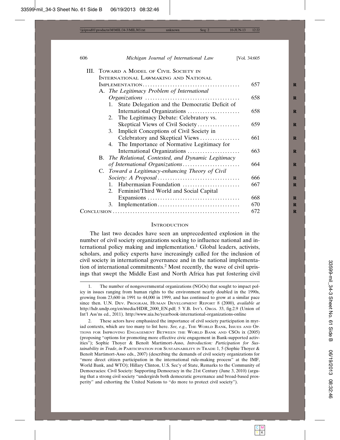| III. TOWARD A MODEL OF CIVIL SOCIETY IN<br>INTERNATIONAL LAWMAKING AND NATIONAL<br>657<br>A. The Legitimacy Problem of International<br>658<br>State Delegation and the Democratic Deficit of<br>$1_{\cdot}$<br>International Organizations<br>658<br>The Legitimacy Debate: Celebratory vs.<br>2.<br>Skeptical Views of Civil Society<br>659<br>Implicit Conceptions of Civil Society in<br>3.<br>Celebratory and Skeptical Views<br>661<br>4. The Importance of Normative Legitimacy for<br>International Organizations<br>663<br>B. The Relational, Contested, and Dynamic Legitimacy<br>of International Organizations<br>664<br>C. Toward a Legitimacy-enhancing Theory of Civil<br>666<br>1. Habermasian Foundation<br>667<br>Feminist/Third World and Social Capital<br>2.<br>668<br>670<br>3. | 606 | Michigan Journal of International Law | [Vol. 34:605] |
|-------------------------------------------------------------------------------------------------------------------------------------------------------------------------------------------------------------------------------------------------------------------------------------------------------------------------------------------------------------------------------------------------------------------------------------------------------------------------------------------------------------------------------------------------------------------------------------------------------------------------------------------------------------------------------------------------------------------------------------------------------------------------------------------------------|-----|---------------------------------------|---------------|
|                                                                                                                                                                                                                                                                                                                                                                                                                                                                                                                                                                                                                                                                                                                                                                                                       |     |                                       |               |
|                                                                                                                                                                                                                                                                                                                                                                                                                                                                                                                                                                                                                                                                                                                                                                                                       |     |                                       |               |
|                                                                                                                                                                                                                                                                                                                                                                                                                                                                                                                                                                                                                                                                                                                                                                                                       |     |                                       |               |
|                                                                                                                                                                                                                                                                                                                                                                                                                                                                                                                                                                                                                                                                                                                                                                                                       |     |                                       |               |
|                                                                                                                                                                                                                                                                                                                                                                                                                                                                                                                                                                                                                                                                                                                                                                                                       |     |                                       |               |
|                                                                                                                                                                                                                                                                                                                                                                                                                                                                                                                                                                                                                                                                                                                                                                                                       |     |                                       |               |
|                                                                                                                                                                                                                                                                                                                                                                                                                                                                                                                                                                                                                                                                                                                                                                                                       |     |                                       |               |
|                                                                                                                                                                                                                                                                                                                                                                                                                                                                                                                                                                                                                                                                                                                                                                                                       |     |                                       |               |
|                                                                                                                                                                                                                                                                                                                                                                                                                                                                                                                                                                                                                                                                                                                                                                                                       |     |                                       |               |
|                                                                                                                                                                                                                                                                                                                                                                                                                                                                                                                                                                                                                                                                                                                                                                                                       |     |                                       |               |
|                                                                                                                                                                                                                                                                                                                                                                                                                                                                                                                                                                                                                                                                                                                                                                                                       |     |                                       |               |
|                                                                                                                                                                                                                                                                                                                                                                                                                                                                                                                                                                                                                                                                                                                                                                                                       |     |                                       |               |
|                                                                                                                                                                                                                                                                                                                                                                                                                                                                                                                                                                                                                                                                                                                                                                                                       |     |                                       |               |
|                                                                                                                                                                                                                                                                                                                                                                                                                                                                                                                                                                                                                                                                                                                                                                                                       |     |                                       |               |
|                                                                                                                                                                                                                                                                                                                                                                                                                                                                                                                                                                                                                                                                                                                                                                                                       |     |                                       |               |
|                                                                                                                                                                                                                                                                                                                                                                                                                                                                                                                                                                                                                                                                                                                                                                                                       |     |                                       |               |
|                                                                                                                                                                                                                                                                                                                                                                                                                                                                                                                                                                                                                                                                                                                                                                                                       |     |                                       |               |
|                                                                                                                                                                                                                                                                                                                                                                                                                                                                                                                                                                                                                                                                                                                                                                                                       |     |                                       |               |
|                                                                                                                                                                                                                                                                                                                                                                                                                                                                                                                                                                                                                                                                                                                                                                                                       |     |                                       |               |
|                                                                                                                                                                                                                                                                                                                                                                                                                                                                                                                                                                                                                                                                                                                                                                                                       |     |                                       |               |
|                                                                                                                                                                                                                                                                                                                                                                                                                                                                                                                                                                                                                                                                                                                                                                                                       |     |                                       | 672           |

### **INTRODUCTION**

The last two decades have seen an unprecedented explosion in the number of civil society organizations seeking to influence national and international policy making and implementation.<sup>1</sup> Global leaders, activists, scholars, and policy experts have increasingly called for the inclusion of civil society in international governance and in the national implementation of international commitments.2 Most recently, the wave of civil uprisings that swept the Middle East and North Africa has put fostering civil

<sup>1.</sup> The number of nongovernmental organizations (NGOs) that sought to impact policy in issues ranging from human rights to the environment nearly doubled in the 1990s, growing from 23,600 in 1991 to 44,000 in 1999, and has continued to grow at a similar pace since then. U.N. DEV. PROGRAM, HUMAN DEVELOPMENT REPORT 8 (2000), *available at* http://hdr.undp.org/en/media/HDR\_2000\_EN.pdf; 5 Y.B. INT'L ORGS. 33, fig.2.9 (Union of Int'l Ass'ns ed., 2011). http://www.uia.be/yearbook-international-organizations-online

<sup>2.</sup> These actors have emphasized the importance of civil society participation in myriad contexts, which are too many to list here. See, e.g., THE WORLD BANK, Issues AND OP-TIONS FOR IMPROVING ENGAGEMENT BETWEEN THE WORLD BANK AND CSOS ix (2005) (proposing "options for promoting more effective civic engagement in Bank-supported activities"); Sophie Thoyer & Benoît Martimort-Asso, *Introduction: Participation for Sustainability in Trade*, *in* PARTICIPATION FOR SUSTAINABILITY IN TRADE 1, 5 (Sophie Thoyer & Benoît Martimort-Asso eds., 2007) (describing the demands of civil society organizations for "more direct citizen participation in the international rule-making process" at the IMF, World Bank, and WTO); Hillary Clinton, U.S. Sec'y of State, Remarks to the Community of Democracies: Civil Society: Supporting Democracy in the 21st Century (June 3, 2010) (arguing that a strong civil society "undergirds both democratic governance and broad-based prosperity" and exhorting the United Nations to "do more to protect civil society").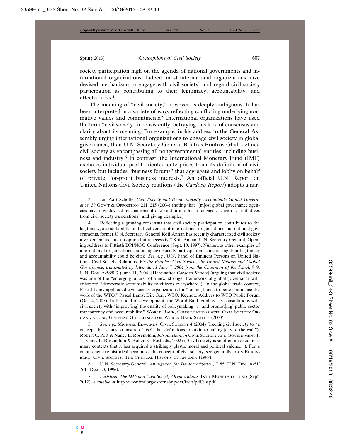\)jciprod01\productn\M\MIL\34-3\MIL303.txt unknown Seq: 3 10-JUN-13

C M Y | K

Spring 2013] *Conceptions of Civil Society* 607

society participation high on the agenda of national governments and international organizations. Indeed, most international organizations have devised mechanisms to engage with civil society<sup>3</sup> and regard civil society participation as contributing to their legitimacy, accountability, and effectiveness.<sup>4</sup>

The meaning of "civil society," however, is deeply ambiguous. It has been interpreted in a variety of ways reflecting conflicting underlying normative values and commitments.<sup>5</sup> International organizations have used the term "civil society" inconsistently, betraying this lack of consensus and clarity about its meaning. For example, in his address to the General Assembly urging international organizations to engage civil society in global governance, then U.N. Secretary-General Boutros Boutros-Ghali defined civil society as encompassing all nongovernmental entities, including business and industry.6 In contrast, the International Monetary Fund (IMF) excludes individual profit-oriented enterprises from its definition of civil society but includes "business forums" that aggregate and lobby on behalf of private, for-profit business interests.7 An official U.N. Report on United Nations-Civil Society relations (the *Cardoso Report*) adopts a nar-

4. Reflecting a growing consensus that civil society participation contributes to the legitimacy, accountability, and effectiveness of international organizations and national governments, former U.N. Secretary General Kofi Annan has recently characterized civil society involvement as "not an option but a necessity." Kofi Annan, U.N. Secretary-General, Opening Address to Fiftieth DPI/NGO Conference (Sept. 10, 1997). Numerous other examples of international organizations endorsing civil society participation as increasing their legitimacy and accountability could be cited. *See, e.g.*, U.N. Panel of Eminent Persons on United Nations–Civil Society Relations, *We the Peoples: Civil Society, the United Nations and Global Governance*, *transmitted by letter dated June 7, 2004 from the Chairman of the Panel*, ¶ 9, U.N. Doc. A/58/817 (June 11, 2004) [Hereinafter *Cardoso Report*] (arguing that civil society was one of the "emerging pillars" of a new, stronger framework of global governance with enhanced "democratic accountability to citizens everywhere"). In the global trade context, Pascal Lamy applauded civil society organizations for "joining hands to better influence the work of the WTO." Pascal Lamy, Dir. Gen., WTO, Keynote Address to WTO Public Forum (Oct. 4, 2007). In the field of development, the World Bank credited its consultations with civil society with "improv[ing] the quality of policymaking . . . and promot[ing] public sector transparency and accountability." WORLD BANK, CONSULTATIONS WITH CIVIL SOCIETY OR-GANIZATIONS, GENERAL GUIDELINES FOR WORLD BANK STAFF 3 (2000).

5. *See, e.g.*, MICHAEL EDWARDS, CIVIL SOCIETY 4 (2004) (likening civil society to "a concept that seems so unsure of itself that definitions are akin to nailing jelly to the wall"); Robert C. Post & Nancy L. Rosenblum, *Introduction*, *in* CIVIL SOCIETY AND GOVERNMENT 1, 1 (Nancy L. Rosenblum & Robert C. Post eds., 2002) ("Civil society is so often invoked in so many contexts that it has acquired a strikingly plastic moral and political valence."). For a comprehensive historical account of the concept of civil society, see generally JOHN EHREN-BERG, CIVIL SOCIETY: THE CRITICAL HISTORY OF AN IDEA (1999).

6. U.N. Secretary-General, *An Agenda for Democratization*, ¶ 85, U.N. Doc. A/51/ 761 (Dec. 20, 1996).

7. *Factsheet: The IMF and Civil Society Organizations*, INT'L MONETARY FUND (Sept. 2012), *available at* http://www.imf.org/external/np/exr/facts/pdf/civ.pdf.

<sup>3.</sup> Jan Aart Scholte, *Civil Society and Democratically Accountable Global Govern*ance, 39 Gov't & Opposition 211, 215 (2004) (noting that "[m]ost global governance agencies have now devised mechanisms of one kind or another to engage . . . with . . . initiatives from civil society associations" and giving examples).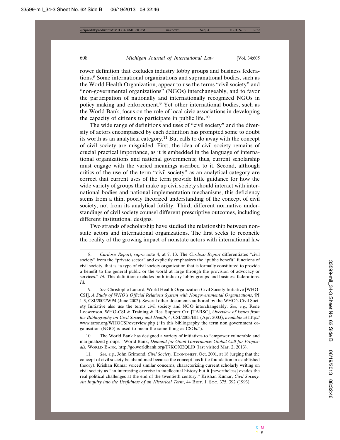\\jciprod01\productn\M\MIL\34-3\MIL303.txt unknown Seq: 4 10-JUN-13

#### 608 *Michigan Journal of International Law* [Vol. 34:605

rower definition that excludes industry lobby groups and business federations.8 Some international organizations and supranational bodies, such as the World Health Organization, appear to use the terms "civil society" and "non-governmental organizations" (NGOs) interchangeably, and to favor the participation of nationally and internationally recognized NGOs in policy making and enforcement.9 Yet other international bodies, such as the World Bank, focus on the role of local civic associations in developing the capacity of citizens to participate in public life.10

The wide range of definitions and uses of "civil society" and the diversity of actors encompassed by each definition has prompted some to doubt its worth as an analytical category.11 But calls to do away with the concept of civil society are misguided. First, the idea of civil society remains of crucial practical importance, as it is embedded in the language of international organizations and national governments; thus, current scholarship must engage with the varied meanings ascribed to it. Second, although critics of the use of the term "civil society" as an analytical category are correct that current uses of the term provide little guidance for how the wide variety of groups that make up civil society should interact with international bodies and national implementation mechanisms, this deficiency stems from a thin, poorly theorized understanding of the concept of civil society, not from its analytical futility. Third, different normative understandings of civil society counsel different prescriptive outcomes, including different institutional designs.

Two strands of scholarship have studied the relationship between nonstate actors and international organizations. The first seeks to reconcile the reality of the growing impact of nonstate actors with international law

9. *See* Christophe Lanord, World Health Organization Civil Society Initiative [WHO-CSI], *A Study of WHO's Official Relations System with Nongovernmental Organizations*, ¶¶ 1-3, CSI/2002/WP4 (June 2002). Several other documents authored by the WHO's Civil Society Initiative also use the terms civil society and NGO interchangeably. *See, e.g.*, Rene Loewenson, WHO-CSI & Training & Res. Support Ctr. [TARSC], *Overview of Issues from the Bibliography on Civil Society and Health*, 4, CSI/2003/BI1 (Apr. 2003), *available at* http:// www.tarsc.org/WHOCSI/overview.php ("In this bibliography the term non government organisation (NGO) is used to mean the same thing as CSOs.").

10. The World Bank has designed a variety of initiatives to "empower vulnerable and marginalized groups." World Bank, *Demand for Good Governance: Global Call for Proposals*, WORLD BANK, http://go.worldbank.org/T7KOXEQLI0 (last visited Mar. 2, 2013).

11. *See, e.g., John Grimond, Civil Society, ECONOMIST, Oct. 2001, at 18 (urging that the* concept of civil society be abandoned because the concept has little foundation in established theory). Krishan Kumar voiced similar concerns, characterizing current scholarly writing on civil society as "an interesting exercise in intellectual history but it [nevertheless] evades the real political challenges at the end of the twentieth century." Krishan Kumar, *Civil Society:* An Inquiry into the Usefulness of an Historical Term, 44 BRIT. J. Soc. 375, 392 (1993).

33599-mil\_34-3 Sheet No. 62 Side B 06/19/2013 08:32:46 33599-mil\_34-3 Sheet No. 62 Side  $\pmb{\varpi}$ 06/19/2013 08:32:46

<sup>8.</sup> *Cardoso Report*, *supra* note 4, at 7, 13. The *Cardoso Report* differentiates "civil society" from the "private sector" and explicitly emphasizes the "public benefit" functions of civil society, that is "a type of civil society organization that is formally constituted to provide a benefit to the general public or the world at large through the provision of advocacy or services." *Id.* This definition excludes both industry lobby groups and business federations. *Id.*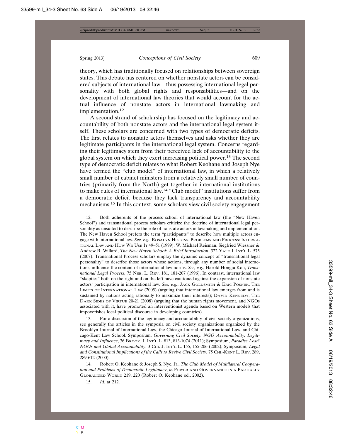\)jciprod01\productn\M\MIL\34-3\MIL303.txt unknown Seq: 5 10-JUN-13

### Spring 2013] *Conceptions of Civil Society* 609

theory, which has traditionally focused on relationships between sovereign states. This debate has centered on whether nonstate actors can be considered subjects of international law—thus possessing international legal personality with both global rights and responsibilities—and on the development of international law theories that would account for the actual influence of nonstate actors in international lawmaking and implementation.<sup>12</sup>

A second strand of scholarship has focused on the legitimacy and accountability of both nonstate actors and the international legal system itself. These scholars are concerned with two types of democratic deficits. The first relates to nonstate actors themselves and asks whether they are legitimate participants in the international legal system. Concerns regarding their legitimacy stem from their perceived lack of accountability to the global system on which they exert increasing political power.13 The second type of democratic deficit relates to what Robert Keohane and Joseph Nye have termed the "club model" of international law, in which a relatively small number of cabinet ministers from a relatively small number of countries (primarily from the North) get together in international institutions to make rules of international law.14 "Club model" institutions suffer from a democratic deficit because they lack transparency and accountability mechanisms.15 In this context, some scholars view civil society engagement

13. For a discussion of the legitimacy and accountability of civil society organizations, see generally the articles in the symposia on civil society organizations organized by the Brooklyn Journal of International Law, the Chicago Journal of International Law, and Chicago-Kent Law School. Symposium, *Governing Civil Society: NGO Accountability, Legitimacy and Influence*, 36 BROOK. J. INT'L L. 813, 813-1074 (2011); Symposium, *Paradise Lost? NGOs and Global Accountability*, 3 CHI. J. INT'L L. 155, 155-206 (2002); Symposium, *Legal and Constitutional Implications of the Calls to Revive Civil Society*, 75 CHI.-KENT L. REV. 289, 289-612 (2000).

14. Robert O. Keohane & Joseph S. Nye, Jr., *The Club Model of Multilateral Cooperation and Problems of Democratic Legitimacy*, *in* POWER AND GOVERNANCE IN A PARTIALLY GLOBALIZED WORLD 219, 220 (Robert O. Keohane ed., 2002).

15. *Id.* at 212.

<sup>12.</sup> Both adherents of the process school of international law (the "New Haven School") and transnational process scholars criticize the doctrine of international legal personality as unsuited to describe the role of nonstate actors in lawmaking and implementation. The New Haven School prefers the term "participants" to describe how multiple actors engage with international law. *See, e.g.*, ROSALYN HIGGINS, PROBLEMS AND PROCESS: INTERNA-TIONAL LAW AND HOW WE USE IT 49–51 (1999); W. Michael Reisman, Siegfried Wiessner & Andrew R. Willard, *The New Haven School: A Brief Introduction*, 322 YALE J. INT'L L. 575 (2007). Transnational Process scholars employ the dynamic concept of "transnational legal personality" to describe those actors whose actions, through any number of social interactions, influence the content of international law norms. *See, e.g.*, Harold Hongju Koh, *Transnational Legal Process*, 75 NEB. L. REV. 181, 181-207 (1996). In contrast, international law "skeptics" both on the right and on the left have cautioned against the expansion of nonstate actors' participation in international law. *See, e.g.*, JACK GOLDSMITH & ERIC POSNER, THE LIMITS OF INTERNATIONAL LAW (2005) (arguing that international law emerges from and is sustained by nations acting rationally to maximize their interests); DAVID KENNEDY, THE DARK SIDES OF VIRTUE 20-21 (2008) (arguing that the human rights movement, and NGOs associated with it, have promoted an interventionist agenda based on Western models that impoverishes local political discourse in developing countries).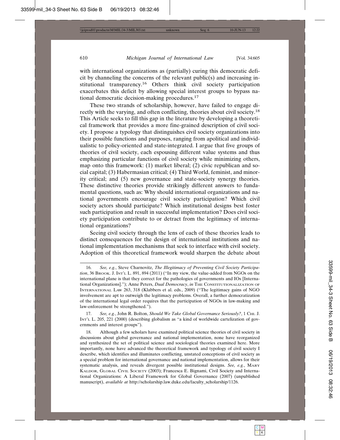\\jciprod01\productn\M\MIL\34-3\MIL303.txt unknown Seq: 6 10-JUN-13 12:22

610 *Michigan Journal of International Law* [Vol. 34:605

with international organizations as (partially) curing this democratic deficit by channeling the concerns of the relevant public(s) and increasing institutional transparency.16 Others think civil society participation exacerbates this deficit by allowing special interest groups to bypass national democratic decision-making procedures.17

These two strands of scholarship, however, have failed to engage directly with the varying, and often conflicting, theories about civil society.18 This Article seeks to fill this gap in the literature by developing a theoretical framework that provides a more fine-grained description of civil society. I propose a typology that distinguishes civil society organizations into their possible functions and purposes, ranging from apolitical and individualistic to policy-oriented and state-integrated. I argue that five groups of theories of civil society, each espousing different value systems and thus emphasizing particular functions of civil society while minimizing others, map onto this framework: (1) market liberal; (2) civic republican and social capital; (3) Habermasian critical; (4) Third World, feminist, and minority critical; and (5) new governance and state-society synergy theories. These distinctive theories provide strikingly different answers to fundamental questions, such as: Why should international organizations and national governments encourage civil society participation? Which civil society actors should participate? Which institutional designs best foster such participation and result in successful implementation? Does civil society participation contribute to or detract from the legitimacy of international organizations?

Seeing civil society through the lens of each of these theories leads to distinct consequences for the design of international institutions and national implementation mechanisms that seek to interface with civil society. Adoption of this theoretical framework would sharpen the debate about

17. *See, e.g.*, John R. Bolton, *Should We Take Global Governance Seriously?*, 1 CHI. J. INT'L L. 205, 221 (2000) (describing globalism as "a kind of worldwide cartelization of governments and interest groups").

18. Although a few scholars have examined political science theories of civil society in discussions about global governance and national implementation, none have reorganized and synthesized the set of political science and sociological theories examined here. More importantly, none have advanced the theoretical framework and typology of civil society I describe, which identifies and illuminates conflicting, unstated conceptions of civil society as a special problem for international governance and national implementation, allows for their systematic analysis, and reveals divergent possible institutional designs. *See, e.g.*, MARY KALDOR, GLOBAL CIVIL SOCIETY (2003); Francesca E. Bignami, Civil Society and International Organizations: A Liberal Framework for Global Governance (2007) (unpublished manuscript), *available at* http://scholarship.law.duke.edu/faculty\_scholarship/1126.

<sup>16.</sup> *See, e.g.*, Steve Charnovitz, *The Illegitimacy of Preventing Civil Society Participation*, 36 BROOK. J. INT'L L. 891, 894 (2011) ("In my view, the value-added from NGOs on the international plane is that they correct for the pathologies of governments and IOs [International Organizations]."); Anne Peters, *Dual Democracy*, *in* THE CONSTITUTIONALIZATION OF INTERNATIONAL LAW 263, 318 (Klabbers et al. eds., 2009) ("The legitimacy gains of NGO involvement are apt to outweigh the legitimacy problems. Overall, a further democratization of the international legal order requires that the participation of NGOs in law-making and law-enforcement be strengthened.").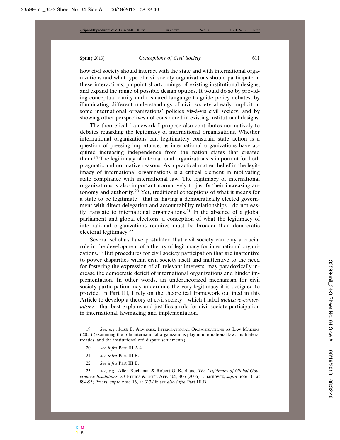\\jciprod01\productn\M\MIL\34-3\MIL303.txt unknown Seq: 7 10-JUN-13 12:22

#### Spring 2013] *Conceptions of Civil Society* 611

how civil society should interact with the state and with international organizations and what type of civil society organizations should participate in these interactions; pinpoint shortcomings of existing institutional designs; and expand the range of possible design options. It would do so by providing conceptual clarity and a shared language to guide policy debates, by illuminating different understandings of civil society already implicit in some international organizations' policies vis-à-vis civil society, and by showing other perspectives not considered in existing institutional designs.

The theoretical framework I propose also contributes normatively to debates regarding the legitimacy of international organizations. Whether international organizations can legitimately constrain state action is a question of pressing importance, as international organizations have acquired increasing independence from the nation states that created them.19 The legitimacy of international organizations is important for both pragmatic and normative reasons. As a practical matter, belief in the legitimacy of international organizations is a critical element in motivating state compliance with international law. The legitimacy of international organizations is also important normatively to justify their increasing autonomy and authority.20 Yet, traditional conceptions of what it means for a state to be legitimate—that is, having a democratically elected government with direct delegation and accountability relationships—do not easily translate to international organizations.<sup>21</sup> In the absence of a global parliament and global elections, a conception of what the legitimacy of international organizations requires must be broader than democratic electoral legitimacy.22

Several scholars have postulated that civil society can play a crucial role in the development of a theory of legitimacy for international organizations.23 But procedures for civil society participation that are inattentive to power disparities within civil society itself and inattentive to the need for fostering the expression of all relevant interests, may paradoxically increase the democratic deficit of international organizations and hinder implementation. In other words, an undertheorized mechanism for civil society participation may undermine the very legitimacy it is designed to provide. In Part III, I rely on the theoretical framework outlined in this Article to develop a theory of civil society—which I label *inclusive-contestatory*—that best explains and justifies a role for civil society participation in international lawmaking and implementation.

- 20. *See infra* Part III.A.4.
- 21. *See infra* Part III.B.
- 22. *See infra* Part III.B.

C M Y | K

23. *See, e.g.*, Allen Buchanan & Robert O. Keohane, *The Legitimacy of Global Governance Institutions*, 20 ETHICS & INT'L AFF. 405, 406 (2006); Charnovitz, *supra* note 16, at 894-95; Peters, *supra* note 16, at 313-18; *see also infra* Part III.B.

<sup>19.</sup> *See, e.g.*, José E. Alvarez, International Organizations as Law Makers (2005) (examining the role international organizations play in international law, multilateral treaties, and the institutionalized dispute settlements).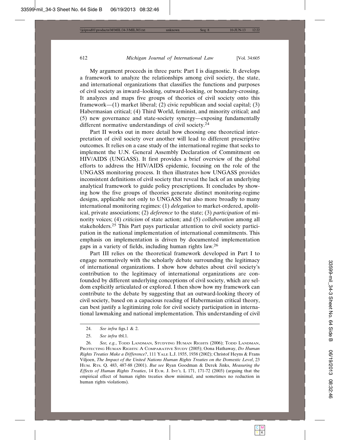\ligiprod01\productn\M\MIL\34-3\MIL303.txt unknown Seq: 8 10-JUN-13 12:22

### 612 *Michigan Journal of International Law* [Vol. 34:605

C M Y | K

My argument proceeds in three parts: Part I is diagnostic. It develops a framework to analyze the relationships among civil society, the state, and international organizations that classifies the functions and purposes of civil society as inward–looking, outward-looking, or boundary-crossing. It analyzes and maps five groups of theories of civil society onto this framework—(1) market liberal; (2) civic republican and social capital; (3) Habermasian critical; (4) Third World, feminist, and minority critical; and (5) new governance and state-society synergy—exposing fundamentally different normative understandings of civil society.24

Part II works out in more detail how choosing one theoretical interpretation of civil society over another will lead to different prescriptive outcomes. It relies on a case study of the international regime that seeks to implement the U.N. General Assembly Declaration of Commitment on HIV/AIDS (UNGASS). It first provides a brief overview of the global efforts to address the HIV/AIDS epidemic, focusing on the role of the UNGASS monitoring process. It then illustrates how UNGASS provides inconsistent definitions of civil society that reveal the lack of an underlying analytical framework to guide policy prescriptions. It concludes by showing how the five groups of theories generate distinct monitoring-regime designs, applicable not only to UNGASS but also more broadly to many international monitoring regimes: (1) *delegation* to market-ordered, apolitical, private associations; (2) *deference* to the state; (3) *participation* of minority voices; (4) *criticism* of state action; and (5) *collaboration* among all stakeholders.25 This Part pays particular attention to civil society participation in the national implementation of international commitments. This emphasis on implementation is driven by documented implementation gaps in a variety of fields, including human rights law.26

Part III relies on the theoretical framework developed in Part I to engage normatively with the scholarly debate surrounding the legitimacy of international organizations. I show how debates about civil society's contribution to the legitimacy of international organizations are confounded by different underlying conceptions of civil society, which are seldom explicitly articulated or explored. I then show how my framework can contribute to the debate by suggesting that an outward-looking theory of civil society, based on a capacious reading of Habermasian critical theory, can best justify a legitimizing role for civil society participation in international lawmaking and national implementation. This understanding of civil

<sup>24.</sup> *See infra* figs.1 & 2.

<sup>25.</sup> *See infra* tbl.1.

<sup>26.</sup> *See, e.g.*, TODD LANDMAN, STUDYING HUMAN RIGHTS (2006); TODD LANDMAN, PROTECTING HUMAN RIGHTS: A COMPARATIVE STUDY (2005); Oona Hathaway, *Do Human Rights Treaties Make a Difference?*, 111 YALE L.J. 1935, 1938 (2002); Christof Heyns & Frans Viljoen, *The Impact of the United Nations Human Rights Treaties on the Domestic Level*, 23 HUM. RTS. Q. 483, 487-88 (2001). *But see* Ryan Goodman & Derek Jinks, *Measuring the Effects of Human Rights Treaties*, 14 EUR. J. INT'L L 171, 171-72 (2003) (arguing that the empirical effect of human rights treaties show minimal, and sometimes no reduction in human rights violations).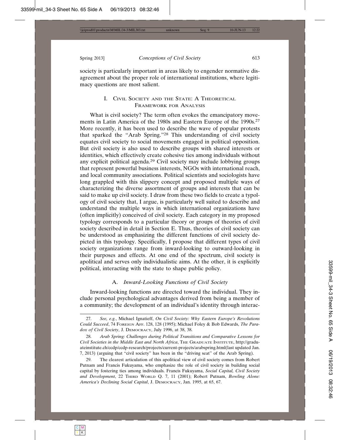\)\jciprod01\productn\M\MIL\34-3\MIL303.txt unknown Seq: 9 10-JUN-13 12:22

C M Y | K

### Spring 2013] *Conceptions of Civil Society* 613

society is particularly important in areas likely to engender normative disagreement about the proper role of international institutions, where legitimacy questions are most salient.

# I. CIVIL SOCIETY AND THE STATE: A THEORETICAL FRAMEWORK FOR ANALYSIS

What is civil society? The term often evokes the emancipatory movements in Latin America of the 1980s and Eastern Europe of the 1990s.27 More recently, it has been used to describe the wave of popular protests that sparked the "Arab Spring."28 This understanding of civil society equates civil society to social movements engaged in political opposition. But civil society is also used to describe groups with shared interests or identities, which effectively create cohesive ties among individuals without any explicit political agenda.29 Civil society may include lobbying groups that represent powerful business interests, NGOs with international reach, and local community associations. Political scientists and sociologists have long grappled with this slippery concept and proposed multiple ways of characterizing the diverse assortment of groups and interests that can be said to make up civil society. I draw from these two fields to create a typology of civil society that, I argue, is particularly well suited to describe and understand the multiple ways in which international organizations have (often implicitly) conceived of civil society. Each category in my proposed typology corresponds to a particular theory or groups of theories of civil society described in detail in Section E. Thus, theories of civil society can be understood as emphasizing the different functions of civil society depicted in this typology. Specifically, I propose that different types of civil society organizations range from inward-looking to outward-looking in their purposes and effects. At one end of the spectrum, civil society is apolitical and serves only individualistic aims. At the other, it is explicitly political, interacting with the state to shape public policy.

#### A. *Inward-Looking Functions of Civil Society*

Inward-looking functions are directed toward the individual. They include personal psychological advantages derived from being a member of a community; the development of an individual's identity through interac-

<sup>27.</sup> *See, e.g.*, Michael Ignatieff, *On Civil Society: Why Eastern Europe's Revolutions Could Succeed*, 74 FOREIGN AFF. 128, 128 (1995); Michael Foley & Bob Edwards, *The Paradox of Civil Society*, J. DEMOCRACY, July 1996, at 38, 38.

<sup>28.</sup> *Arab Spring: Challenges during Political Transitions and Comparative Lessons for Civil Societies in the Middle East and North Africa*, THE GRADUATE INSTITUTE, http://graduateinstitute.ch/ccdp/ccdp-research/projects/current-projects/arabspring.html(last updated Jan. 7, 2013) (arguing that "civil society" has been in the "driving seat" of the Arab Spring).

<sup>29.</sup> The clearest articulation of this apolitical view of civil society comes from Robert Putnam and Francis Fukuyama, who emphasize the role of civil society in building social capital by fostering ties among individuals. Francis Fukuyama, *Social Capital, Civil Society and Development*, 22 THIRD WORLD Q. 7, 11 (2001); Robert Putnam, *Bowling Alone: America's Declining Social Capital*, J. DEMOCRACY, Jan. 1995, at 65, 67.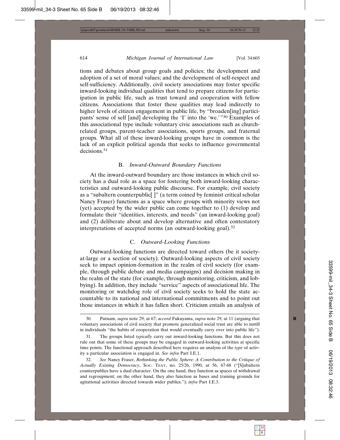\\jciprod01\productn\M\MIL\34-3\MIL303.txt unknown Seq: 10 10-JUN-13 12:22

# 614 *Michigan Journal of International Law* [Vol. 34:605

tions and debates about group goals and policies; the development and adoption of a set of moral values; and the development of self-respect and self-sufficiency. Additionally, civil society associations may foster specific inward-looking individual qualities that tend to prepare citizens for participation in public life, such as trust toward and cooperation with fellow citizens. Associations that foster these qualities may lead indirectly to higher levels of citizen engagement in public life, by "broaden[ing] participants' sense of self [and] developing the 'I' into the 'we.'"30 Examples of this associational type include voluntary civic associations such as churchrelated groups, parent-teacher associations, sports groups, and fraternal groups. What all of these inward-looking groups have in common is the lack of an explicit political agenda that seeks to influence governmental decisions.<sup>31</sup>

# B. *Inward-Outward Boundary Functions*

At the inward-outward boundary are those instances in which civil society has a dual role as a space for fostering both inward-looking characteristics and outward-looking public discourse. For example, civil society as a "subaltern counterpublic[ ]" (a term coined by feminist critical scholar Nancy Fraser) functions as a space where groups with minority views not (yet) accepted by the wider public can come together to (1) develop and formulate their "identities, interests, and needs" (an inward-looking goal) and (2) deliberate about and develop alternative and often contestatory interpretations of accepted norms (an outward-looking goal).32

#### C. *Outward-Looking Functions*

Outward-looking functions are directed toward others (be it societyat-large or a section of society). Outward-looking aspects of civil society seek to impact opinion-formation in the realm of civil society (for example, through public debate and media campaigns) and decision making in the realm of the state (for example, through monitoring, criticism, and lobbying). In addition, they include "service" aspects of associational life. The monitoring or watchdog role of civil society seeks to hold the state accountable to its national and international commitments and to point out those instances in which it has fallen short. Criticism entails an analysis of

<sup>30.</sup> Putnam, *supra* note 29, at 67; *accord* Fukuyama, *supra* note 29, at 11 (arguing that **R** voluntary associations of civil society that promote generalized social trust are able to instill in individuals "the habits of cooperation that would eventually carry over into public life").

<sup>31.</sup> The groups listed *typically* carry out inward-looking functions. But this does not rule out that some of these groups may be engaged in outward-looking activities at specific time points. The functional approach described here requires an analysis of the *type* of activity a particular association is engaged in. *See infra* Part I.E.1.

<sup>32.</sup> *See* Nancy Fraser, *Rethinking the Public Sphere: A Contribution to the Critique of Actually Existing Democracy*, SOC. TEXT, no. 25/26, 1990, at 56, 67-68 ("[S]ubaltern counterpublics have a dual character. On the one hand, they function as spaces of withdrawal and regroupment; on the other hand, they also function as bases and training grounds for agitational activities directed towards wider publics."); *infra* Part I.E.3.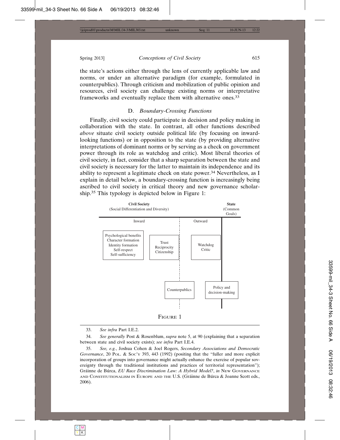\\jciprod01\productn\M\MIL\34-3\MIL303.txt unknown Seq: 11 10-JUN-13 12:22

Spring 2013] *Conceptions of Civil Society* 615

the state's actions either through the lens of currently applicable law and norms, or under an alternative paradigm (for example, formulated in counterpublics). Through criticism and mobilization of public opinion and resources, civil society can challenge existing norms or interpretative frameworks and eventually replace them with alternative ones.33

#### D. *Boundary-Crossing Functions*

Finally, civil society could participate in decision and policy making in collaboration with the state. In contrast, all other functions described *above* situate civil society outside political life (by focusing on inwardlooking functions) or in opposition to the state (by providing alternative interpretations of dominant norms or by serving as a check on government power through its role as watchdog and critic). Most liberal theories of civil society, in fact, consider that a sharp separation between the state and civil society is necessary for the latter to maintain its independence and its ability to represent a legitimate check on state power.34 Nevertheless, as I explain in detail below, a boundary-crossing function is increasingly being ascribed to civil society in critical theory and new governance scholarship.35 This typology is depicted below in Figure 1:



33. *See infra* Part I.E.2.

C M Y | K

34. *See generally* Post & Rosenblum, *supra* note 5, at 90 (explaining that a separation between state and civil society exists); *see infra* Part I.E.4.

35. *See, e.g.*, Joshua Cohen & Joel Rogers, *Secondary Associations and Democratic Governance*, 20 POL. & SOC'Y 393, 443 (1992) (positing that the "fuller and more explicit incorporation of groups into governance might actually enhance the exercise of popular sovereignty through the traditional institutions and practices of territorial representation"); Gráinne de Búrca, *EU Race Discrimination Law: A Hybrid Model?*, *in* NEW GOVERNANCE AND CONSTITUTIONALISM IN EUROPE AND THE U.S. (Gráinne de Búrca & Joanne Scott eds., 2006).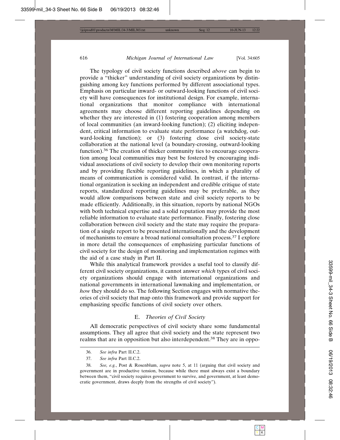\\jciprod01\productn\M\MIL\34-3\MIL303.txt unknown Seq: 12 10-JUN-13 12:22

# 616 *Michigan Journal of International Law* [Vol. 34:605

The typology of civil society functions described *above* can begin to provide a "thicker" understanding of civil society organizations by distinguishing among key functions performed by different associational types. Emphasis on particular inward- or outward-looking functions of civil society will have consequences for institutional design. For example, international organizations that monitor compliance with international agreements may choose different reporting guidelines depending on whether they are interested in  $(1)$  fostering cooperation among members of local communities (an inward-looking function); (2) eliciting independent, critical information to evaluate state performance (a watchdog, outward-looking function); or (3) fostering close civil society-state collaboration at the national level (a boundary-crossing, outward-looking function).<sup>36</sup> The creation of thicker community ties to encourage cooperation among local communities may best be fostered by encouraging individual associations of civil society to develop their own monitoring reports and by providing flexible reporting guidelines, in which a plurality of means of communication is considered valid. In contrast, if the international organization is seeking an independent and credible critique of state reports, standardized reporting guidelines may be preferable, as they would allow comparisons between state and civil society reports to be made efficiently. Additionally, in this situation, reports by national NGOs with both technical expertise and a solid reputation may provide the most reliable information to evaluate state performance. Finally, fostering close collaboration between civil society and the state may require the preparation of a single report to be presented internationally and the development of mechanisms to ensure a broad national consultation process.37 I explore in more detail the consequences of emphasizing particular functions of civil society for the design of monitoring and implementation regimes with the aid of a case study in Part II.

While this analytical framework provides a useful tool to classify different civil society organizations, it cannot answer *which* types of civil society organizations should engage with international organizations and national governments in international lawmaking and implementation, or *how* they should do so. The following Section engages with normative theories of civil society that map onto this framework and provide support for emphasizing specific functions of civil society over others.

# E. *Theories of Civil Society*

All democratic perspectives of civil society share some fundamental assumptions. They all agree that civil society and the state represent two realms that are in opposition but also interdependent.<sup>38</sup> They are in oppo-

<sup>36.</sup> *See infra* Part II.C.2.

<sup>37.</sup> *See infra* Part II.C.2.

<sup>38.</sup> *See, e.g.*, Post & Rosenblum, *supra* note 5, at 11 (arguing that civil society and government are in productive tension, because while there must always exist a boundary between them, "civil society requires government to survive, and government, at least democratic government, draws deeply from the strengths of civil society").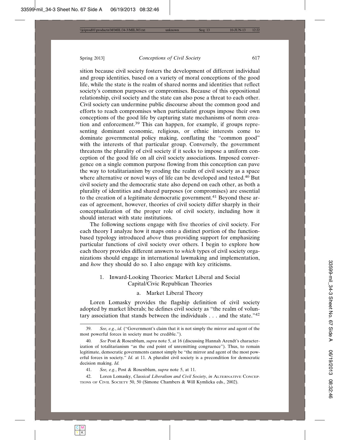\\jciprod01\productn\M\MIL\34-3\MIL303.txt unknown Seq: 13 10-JUN-13 12:22

Spring 2013] *Conceptions of Civil Society* 617

sition because civil society fosters the development of different individual and group identities, based on a variety of moral conceptions of the good life, while the state is the realm of shared norms and identities that reflect society's common purposes or compromises. Because of this oppositional relationship, civil society and the state can also pose a threat to each other. Civil society can undermine public discourse about the common good and efforts to reach compromises when particularist groups impose their own conceptions of the good life by capturing state mechanisms of norm creation and enforcement.39 This can happen, for example, if groups representing dominant economic, religious, or ethnic interests come to dominate governmental policy making, conflating the "common good" with the interests of that particular group. Conversely, the government threatens the plurality of civil society if it seeks to impose a uniform conception of the good life on all civil society associations. Imposed convergence on a single common purpose flowing from this conception can pave the way to totalitarianism by eroding the realm of civil society as a space where alternative or novel ways of life can be developed and tested.<sup>40</sup> But civil society and the democratic state also depend on each other, as both a plurality of identities and shared purposes (or compromises) are essential to the creation of a legitimate democratic government.41 Beyond these areas of agreement, however, theories of civil society differ sharply in their conceptualization of the proper role of civil society, including how it should interact with state institutions.

The following sections engage with five theories of civil society. For each theory I analyze how it maps onto a distinct portion of the functionbased typology introduced *above* thus providing support for emphasizing particular functions of civil society over others. I begin to explore how each theory provides different answers to *which* types of civil society organizations should engage in international lawmaking and implementation, and *how* they should do so. I also engage with key criticisms.

# 1. Inward-Looking Theories: Market Liberal and Social Capital/Civic Republican Theories

#### a. Market Liberal Theory

Loren Lomasky provides the flagship definition of civil society adopted by market liberals; he defines civil society as "the realm of voluntary association that stands between the individuals . . . and the state."42

C M Y | K

42. Loren Lomasky, *Classical Liberalism and Civil Society*, *in* ALTERNATIVE CONCEP-TIONS OF CIVIL SOCIETY 50, 50 (Simone Chambers & Will Kymlicka eds., 2002).

<sup>39.</sup> *See, e.g.*, *id.* ("Government's claim that it is not simply the mirror and agent of the most powerful forces in society must be credible.").

<sup>40.</sup> *See* Post & Rosenblum, *supra* note 5, at 16 (discussing Hannah Arendt's characterization of totalitarianism "as the end point of unremitting congruence"). Thus, to remain legitimate, democratic governments cannot simply be "the mirror and agent of the most powerful forces in society." *Id.* at 11. A pluralist civil society is a precondition for democratic decision making. *Id.*

<sup>41.</sup> *See, e.g.*, Post & Rosenblum, *supra* note 5, at 11.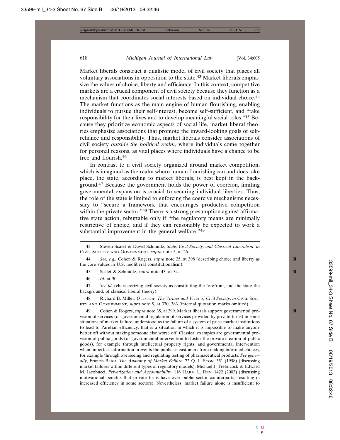\\jciprod01\productn\M\MIL\34-3\MIL303.txt unknown Seq: 14 10-JUN-13

#### 618 *Michigan Journal of International Law* [Vol. 34:605

Market liberals construct a dualistic model of civil society that places all voluntary associations in opposition to the state.43 Market liberals emphasize the values of choice, liberty and efficiency. In this context, competitive markets are a crucial component of civil society because they function as a mechanism that coordinates social interests based on individual choice.<sup>44</sup> The market functions as the main engine of human flourishing, enabling individuals to pursue their self-interest, become self-sufficient, and "take responsibility for their lives and to develop meaningful social roles."45 Because they prioritize economic aspects of social life, market liberal theories emphasize associations that promote the inward-looking goals of selfreliance and responsibility. Thus, market liberals consider associations of civil society *outside the political realm*, where individuals come together for personal reasons, as vital places where individuals have a chance to be free and flourish.46

In contrast to a civil society organized around market competition, which is imagined as the realm where human flourishing can and does take place, the state, according to market liberals, is best kept in the background.47 Because the government holds the power of coercion, limiting governmental expansion is crucial to securing individual liberties. Thus, the role of the state is limited to enforcing the coercive mechanisms necessary to "secure a framework that encourages productive competition within the private sector."<sup>48</sup> There is a strong presumption against affirmative state action, rebuttable only if "the regulatory means are minimally restrictive of choice, and if they can reasonably be expected to work a substantial improvement in the general welfare."49

44. *See, e.g.*, Cohen & Rogers, *supra* note 35, at 398 (describing choice and liberty as **R** the core values in U.S. neoliberal constitutionalism).

- 45. Scalet & Schmidtz, *supra* note 43, at 34. **R**
- 46. *Id.* at 30.

47. *See id.* (characterizing civil society as constituting the forefront, and the state the background, of classical liberal theory).

48. Richard B. Miller, *Overview: The Virtues and Vices of Civil Society*, *in* CIVIL SOCI-ETY AND GOVERNMENT, *supra* note 5, at 370, 383 (internal quotation marks omitted).

49. Cohen & Rogers, *supra* note 35, at 399. Market liberals support governmental pro- **R** vision of services (or governmental regulation of services provided by private firms) in some situations of market failure, understood as the failure of a system of price-market institutions to lead to Paretian efficiency, that is a situation in which it is impossible to make anyone better off without making someone else worse off. Classical examples are governmental provision of public goods (or governmental intervention to foster the private creation of public goods), for example through intellectual property rights, and governmental intervention when imperfect information prevents the public as customers from making informed choices, for example through overseeing and regulating testing of pharmaceutical products. *See gener*ally, Francis Bator, *The Anatomy of Market Failure*, 72 Q. J. Econ. 351 (1958) (discussing market failures within different types of regulatory models); Michael J. Trebilcock & Edward M. Iacobucci, *Privatization and Accountability*, 116 HARV. L. REV. 1422 (2003) (discussing motivational benefits that private firms have over public sector counterparts, resulting in increased efficiency in some sectors). Nevertheless, market failure alone is insufficient to

<sup>43.</sup> Steven Scalet & David Schmidtz, *State, Civil Society, and Classical Liberalism*, *in* CIVIL SOCIETY AND GOVERNMENT, *supra* note 5, at 26.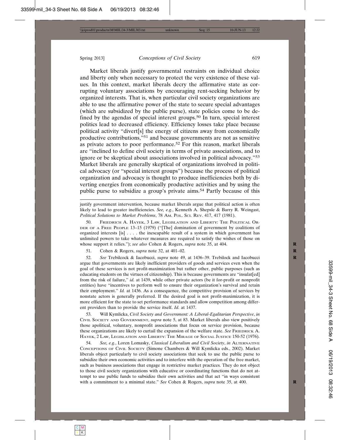\\jciprod01\productn\M\MIL\34-3\MIL303.txt unknown Seq: 15 10-JUN-13

C M Y | K

#### Spring 2013] *Conceptions of Civil Society* 619

Market liberals justify governmental restraints on individual choice and liberty only when necessary to protect the very existence of these values. In this context, market liberals decry the affirmative state as corrupting voluntary associations by encouraging rent-seeking behavior by organized interests. That is, when particular civil society organizations are able to use the affirmative power of the state to secure special advantages (which are subsidized by the public purse), state policies come to be defined by the agendas of special interest groups.<sup>50</sup> In turn, special interest politics lead to decreased efficiency. Efficiency losses take place because political activity "divert[s] the energy of citizens away from economically productive contributions,"51 and because governments are not as sensitive as private actors to poor performance.52 For this reason, market liberals are "inclined to define civil society in terms of private associations, and to ignore or be skeptical about associations involved in political advocacy."53 Market liberals are generally skeptical of organizations involved in political advocacy (or "special interest groups") because the process of political organization and advocacy is thought to produce inefficiencies both by diverting energies from economically productive activities and by using the public purse to subsidize a group's private aims.<sup>54</sup> Partly because of this

justify government intervention, because market liberals argue that political action is often likely to lead to greater inefficiencies. *See, e.g.*, Kenneth A. Shepsle & Barry R. Weingast, *Political Solutions to Market Problems*, 78 AM. POL. SCI. REV. 417, 417 (1981).

50. FRIEDRICH A. HAYEK, 3 LAW, LEGISLATION AND LIBERTY: THE POLITICAL OR-DER OF A FREE PEOPLE 13–15 (1979) ("[The] domination of government by coalitions of organized interests [is] . . . . the inescapable result of a system in which government has unlimited powers to take whatever measures are required to satisfy the wishes of those on whose support it relies."); *see also* Cohen & Rogers, *supra* note 35, at 404. **R**

51. Cohen & Rogers, *supra* note 32, at 401–02. **R**

52. *See* Trebilcock & Iacobucci, *supra* note 49, at 1436–39. Trebilock and Iacobucci **R** argue that governments are likely inefficient providers of goods and services even when the goal of these services is not profit-maximization but rather other, public purposes (such as educating students on the virtues of citizenship). This is because governments are "insulated from the risk of failure," *id.* at 1439, while other private actors (be it for-profit or nonprofit entities) have "incentives to perform well to ensure their organization's survival and retain their employment." *Id.* at 1436. As a consequence, the competitive provision of services by nonstate actors is generally preferred. If the desired goal is not profit-maximization, it is more efficient for the state to set performance standards and allow competition among different providers than to provide the service itself. *Id.* at 1437.

53. Will Kymlicka, *Civil Society and Government: A Liberal-Egalitarian Perspective*, *in* CIVIL SOCIETY AND GOVERNMENT, *supra* note 5, at 83. Market liberals also view positively those apolitical, voluntary, nonprofit associations that focus on service provision, because these organizations are likely to curtail the expansion of the welfare state. *See* FRIEDRICK A. HAYEK, 2 LAW, LEGISLATION AND LIBERTY: THE MIRAGE OF SOCIAL JUSTICE 150-52 (1976).

54. *See, e.g.*, Loren Lomasky, *Classical Liberalism and Civil Society*, *in* ALTERNATIVE CONCEPTIONS OF CIVIL SOCIETY (Simone Chambers & Will Kymlicka eds., 2002). Market liberals object particularly to civil society associations that seek to use the public purse to subsidize their own economic activities and to interfere with the operation of the free market, such as business associations that engage in restrictive market practices. They do not object to those civil society organizations with educative or coordinating functions that do not attempt to use public funds to subsidize their own activities and that act "in ways consistent with a commitment to a minimal state." *See* Cohen & Rogers, *supra* note 35, at 400. **R**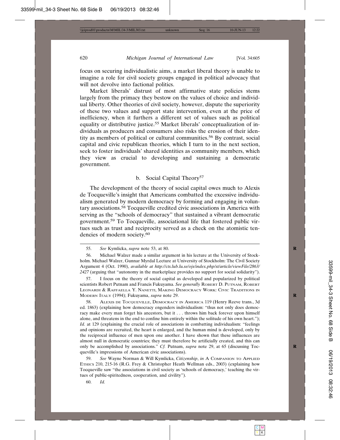\\jciprod01\productn\M\MIL\34-3\MIL303.txt unknown Seq: 16 10-JUN-13

620 *Michigan Journal of International Law* [Vol. 34:605

focus on securing individualistic aims, a market liberal theory is unable to imagine a role for civil society groups engaged in political advocacy that will not devolve into factional politics.

Market liberals' distrust of most affirmative state policies stems largely from the primacy they bestow on the values of choice and individual liberty. Other theories of civil society, however, dispute the superiority of these two values and support state intervention, even at the price of inefficiency, when it furthers a different set of values such as political equality or distributive justice.55 Market liberals' conceptualization of individuals as producers and consumers also risks the erosion of their identity as members of political or cultural communities.56 By contrast, social capital and civic republican theories, which I turn to in the next section, seek to foster individuals' shared identities as community members, which they view as crucial to developing and sustaining a democratic government.

#### b. Social Capital Theory<sup>57</sup>

The development of the theory of social capital owes much to Alexis de Tocqueville's insight that Americans combatted the excessive individualism generated by modern democracy by forming and engaging in voluntary associations.58 Tocqueville credited civic associations in America with serving as the "schools of democracy" that sustained a vibrant democratic government.59 To Tocqueville, associational life that fostered public virtues such as trust and reciprocity served as a check on the atomistic tendencies of modern society.<sup>60</sup>

57. I focus on the theory of social capital as developed and popularized by political scientists Robert Putnam and Francis Fukuyama. *See generally* ROBERT D. PUTNAM, ROBERT LEONARDI & RAFFAELLA Y. NANETTI, MAKING DEMOCRACY WORK: CIVIC TRADITIONS IN MODERN ITALY (1994); Fukuyama, *supra* note 29. **R**

ALEXIS DE TOCQUEVILLE, DEMOCRACY IN AMERICA 119 (Henry Reeve trans., 3d ed. 1863) (explaining how democracy engenders individualism: "thus not only does democracy make every man forget his ancestors, but it . . . throws him back forever upon himself alone, and threatens in the end to confine him entirely within the solitude of his own heart."); *Id.* at 129 (explaining the crucial role of associations in combatting individualism: "feelings and opinions are recruited, the heart is enlarged, and the human mind is developed, only by the reciprocal influence of men upon one another. I have shown that these influences are almost null in democratic countries; they must therefore be artificially created, and this can only be accomplished by associations." *Cf.* Putnam, *supra* note 29, at 65 (discussing Toc- **R** queville's impressions of American civic associations).

59. *See* Wayne Norman & Will Kymlicka, *Citizenship*, *in* A COMPANION TO APPLIED ETHICS 210, 215-16 (R.G. Frey & Christopher Heath Wellman eds., 2003) (explaining how Tocqueville saw "the associations in civil society as 'schools of democracy,' teaching the virtues of public-spiritedness, cooperation, and civility").

60. *Id.*

<sup>55.</sup> *See* Kymlicka, *supra* note 53, at 80. **R**

<sup>56.</sup> Michael Walzer made a similar argument in his lecture at the University of Stockholm. Michael Walzer, Gunnar Myrdal Lecture at University of Stockholm: The Civil Society Argument 4 (Oct. 1990), *available at http://cts.lub.lu.se/ojs/index.php/st/article/viewFile/2863/ 2427* (arguing that "autonomy in the marketplace provides no support for social solidarity").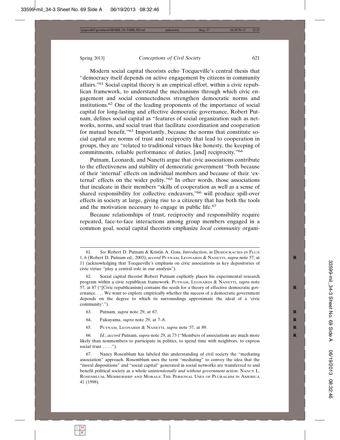\\jciprod01\productn\M\MIL\34-3\MIL303.txt unknown Seq: 17 10-JUN-13

#### Spring 2013] *Conceptions of Civil Society* 621

Modern social capital theorists echo Tocqueville's central thesis that "democracy itself depends on active engagement by citizens in community affairs."61 Social capital theory is an empirical effort, within a civic republican framework, to understand the mechanisms through which civic engagement and social connectedness strengthen democratic norms and institutions.62 One of the leading proponents of the importance of social capital for long-lasting and effective democratic governance, Robert Putnam, defines social capital as "features of social organization such as networks, norms, and social trust that facilitate coordination and cooperation for mutual benefit."63 Importantly, because the norms that constitute social capital are norms of trust and reciprocity that lead to cooperation in groups, they are "related to traditional virtues like honesty, the keeping of commitments, reliable performance of duties, [and] reciprocity."64

Putnam, Leonardi, and Nanetti argue that civic associations contribute to the effectiveness and stability of democratic government "both because of their 'internal' effects on individual members and because of their 'external' effects on the wider polity."65 In other words, those associations that inculcate in their members "skills of cooperation as well as a sense of shared responsibility for collective endeavors,"66 will produce spill-over effects in society at large, giving rise to a citizenry that has both the tools and the motivation necessary to engage in public life.67

Because relationships of trust, reciprocity and responsibility require repeated, face-to-face interactions among group members engaged in a common goal, social capital theorists emphasize *local community* organi-

63. Putnam, *supra* note 29, at 67. **R**

C M Y | K

- 64. Fukuyama, *supra* note 29, at 7–8. **R**
- 65. PUTNAM, LEONARDI & NANETTI, *supra* note 57, at 89. **R**

33599-mil\_34-3 Sheet No. 69 Side A 06/19/2013 08:32:46

06/19/2013 08:32:46

33599-mil\_34-3 Sheet No. 69 Side A

<sup>61.</sup> *See* Robert D. Putnam & Kristin A. Goss, *Introduction*, *in* DEMOCRACIES IN FLUX 1, 6 (Robert D. Putnam ed., 2003); *accord* PUTNAM, LEONARDI & NANETTI, *supra* note 57, at **R** 11 (acknowledging that Tocqueville's emphasis on civic associations as key depositories of civic virtue "play a central role in our analysis").

<sup>62.</sup> Social capital theorist Robert Putnam explicitly places his experimental research program within a civic republican framework. PUTNAM, LEONARDI & NANETTI, *supra* note 57, at 87 ("[Civic republicanism] contains the seeds for a theory of effective democratic gov- **R** ernance. . . . We want to explore empirically whether the success of a democratic government depends on the degree to which its surroundings approximate the ideal of a 'civic community'.").

<sup>66.</sup> *Id.*; *accord* Putnam, *supra* note 29, at 73 ("Members of associations are much more **R** likely than nonmembers to participate in politics, to spend time with neighbors, to express social trust . . . .").

<sup>67.</sup> Nancy Rosenblum has labeled this understanding of civil society the "mediating association" approach. Rosemblum uses the term "mediating" to convey the idea that the "moral dispositions" and "social capital" generated in social networks are transferred to and benefit political society as a whole *unintentionally and without government action*. NANCY L. ROSENBLUM, MEMBERSHIP AND MORALS: THE PERSONAL USES OF PLURALISM IN AMERICA 41 (1998).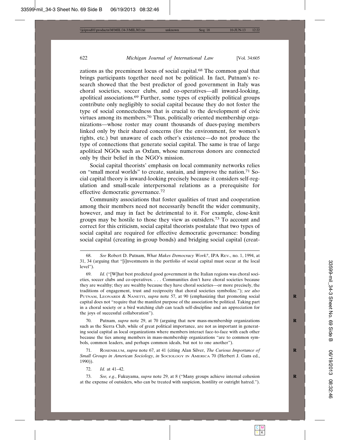\\jciprod01\productn\M\MIL\34-3\MIL303.txt unknown Seq: 18 10-JUN-13

# 622 *Michigan Journal of International Law* [Vol. 34:605

zations as the preeminent locus of social capital.68 The common goal that brings participants together need not be political. In fact, Putnam's research showed that the best predictor of good government in Italy was choral societies, soccer clubs, and co-operatives—all inward-looking, apolitical associations.69 Further, some types of explicitly political groups contribute only negligibly to social capital because they do not foster the type of social connectedness that is crucial to the development of civic virtues among its members.70 Thus, politically oriented membership organizations—whose roster may count thousands of dues-paying members linked only by their shared concerns (for the environment, for women's rights, etc.) but unaware of each other's existence—do not produce the type of connections that generate social capital. The same is true of large apolitical NGOs such as Oxfam, whose numerous donors are connected only by their belief in the NGO's mission.

Social capital theorists' emphasis on local community networks relies on "small moral worlds" to create, sustain, and improve the nation.71 Social capital theory is inward-looking precisely because it considers self-regulation and small-scale interpersonal relations as a prerequisite for effective democratic governance.72

Community associations that foster qualities of trust and cooperation among their members need not necessarily benefit the wider community, however, and may in fact be detrimental to it. For example, close-knit groups may be hostile to those they view as outsiders.73 To account and correct for this criticism, social capital theorists postulate that two types of social capital are required for effective democratic governance: bonding social capital (creating in-group bonds) and bridging social capital (creat-

69. *Id.* ("[W]hat best predicted good government in the Italian regions was choral societies, soccer clubs and co-operatives. . . . Communities don't have choral societies because they are wealthy; they are wealthy because they have choral societies—or more precisely, the traditions of engagement, trust and reciprocity that choral societies symbolize."); *see also* PUTNAM, LEONARDI & NANETTI, *supra* note 57, at 90 (emphasizing that promoting social **R** capital does not "require that the manifest purpose of the association be political. Taking part in a choral society or a bird watching club can teach self-discipline and an appreciation for the joys of successful collaboration").

70. Putnam, *supra* note 29, at 70 (arguing that new mass-membership organizations **R** such as the Sierra Club, while of great political importance, are not as important in generating social capital as local organizations where members interact face-to-face with each other because the ties among members in mass-membership organizations "are to common symbols, common leaders, and perhaps common ideals, but not to one another").

71. ROSENBLUM, *supra* note 67, at 41 (citing Alan Silver, *The Curious Importance of* **R Small Groups in American Sociology, in SOCIOLOGY IN AMERICA 70 (Herbert J. Gans ed.,** 1990)).

72. *Id.* at 41–42.

73. *See, e.g.*, Fukuyama, *supra* note 29, at 8 ("Many groups achieve internal cohesion **R** at the expense of outsiders, who can be treated with suspicion, hostility or outright hatred.").

<sup>68.</sup> *See* Robert D. Putnam, *What Makes Democracy Work?*, IPA REV., no. 1, 1994, at 31, 34 (arguing that "[i]nvestments in the portfolio of social capital must occur at the local level").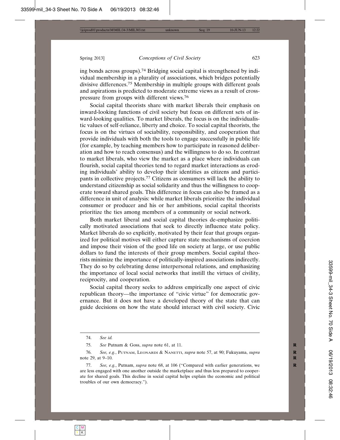\\jciprod01\productn\M\MIL\34-3\MIL303.txt unknown Seq: 19 10-JUN-13 12:22

Spring 2013] *Conceptions of Civil Society* 623

ing bonds across groups).74 Bridging social capital is strengthened by individual membership in a plurality of associations, which bridges potentially divisive differences.75 Membership in multiple groups with different goals and aspirations is predicted to moderate extreme views as a result of crosspressure from groups with different views.76

Social capital theorists share with market liberals their emphasis on inward-looking functions of civil society but focus on different sets of inward-looking qualities. To market liberals, the focus is on the individualistic values of self-reliance, liberty and choice. To social capital theorists, the focus is on the virtues of sociability, responsibility, and cooperation that provide individuals with both the tools to engage successfully in public life (for example, by teaching members how to participate in reasoned deliberation and how to reach consensus) and the willingness to do so. In contrast to market liberals, who view the market as a place where individuals can flourish, social capital theories tend to regard market interactions as eroding individuals' ability to develop their identities as citizens and participants in collective projects.77 Citizens as consumers will lack the ability to understand citizenship as social solidarity and thus the willingness to cooperate toward shared goals. This difference in focus can also be framed as a difference in unit of analysis: while market liberals prioritize the individual consumer or producer and his or her ambitions, social capital theorists prioritize the ties among members of a community or social network.

Both market liberal and social capital theories de-emphasize politically motivated associations that seek to directly influence state policy. Market liberals do so explicitly, motivated by their fear that groups organized for political motives will either capture state mechanisms of coercion and impose their vision of the good life on society at large, or use public dollars to fund the interests of their group members. Social capital theorists minimize the importance of politically-inspired associations indirectly. They do so by celebrating dense interpersonal relations, and emphasizing the importance of local social networks that instill the virtues of civility, reciprocity, and cooperation.

Social capital theory seeks to address empirically one aspect of civic republican theory—the importance of "civic virtue" for democratic governance. But it does not have a developed theory of the state that can guide decisions on how the state should interact with civil society. Civic

<sup>74.</sup> *See id.*

<sup>75.</sup> *See* Putnam & Goss, *supra* note 61, at 11. **R**

<sup>76.</sup> *See, e.g.*, PUTNAM, LEONARDI & NANETTI, *supra* note 57, at 90; Fukuyama, *supra* **R** note 29, at 9–10. **R**

<sup>77.</sup> *See, e.g.*, Putnam, *supra* note 68, at 106 ("Compared with earlier generations, we **R** are less engaged with one another outside the marketplace and thus less prepared to cooperate for shared goals. This decline in social capital helps explain the economic and political troubles of our own democracy.").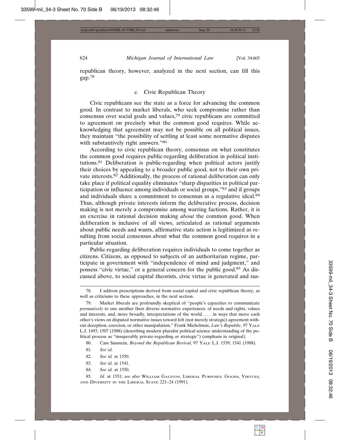\\jciprod01\productn\M\MIL\34-3\MIL303.txt unknown Seq: 20 10-JUN-13

624 *Michigan Journal of International Law* [Vol. 34:605

republican theory, however, analyzed in the next section, can fill this gap.<sup>78</sup>

#### c. Civic Republican Theory

Civic republicans see the state as a force for advancing the common good. In contrast to market liberals, who seek compromise rather than consensus over social goals and values,79 civic republicans are committed to agreement on precisely what the common good requires. While acknowledging that agreement may not be possible on all political issues, they maintain "the possibility of settling at least some normative disputes with substantively right answers."80

According to civic republican theory, consensus on what constitutes the common good requires public-regarding deliberation in political institutions.81 Deliberation is public-regarding when political actors justify their choices by appealing to a broader public good, not to their own private interests.82 Additionally, the process of rational deliberation can only take place if political equality eliminates "sharp disparities in political participation or influence among individuals or social groups,"83 and if groups and individuals share a commitment to consensus as a regulative ideal.<sup>84</sup> Thus, although private interests inform the deliberative process, decision making is not merely a compromise among warring factions. Rather, it is an exercise in rational decision making *about* the common good. When deliberation is inclusive of all views, articulated as rational arguments about public needs and wants, affirmative state action is legitimized as resulting from social consensus about what the common good requires in a particular situation.

Public-regarding deliberation requires individuals to come together as citizens. Citizens, as opposed to subjects of an authoritarian regime, participate in government with "independence of mind and judgment," and possess "civic virtue," or a general concern for the public good.85 As discussed above, to social capital theorists, civic virtue is generated and sus-

- 80. Cass Sunstein, *Beyond the Republican Revival*, 97 YALE L.J. 1539, 1541 (1988).
- 81. *See id.*
- 82. *See id.* at 1550.
- 83. *See id.* at 1541.
- 84. *See id.* at 1550.

85. *Id.* at 1551; *see also* WILLIAM GALSTON, LIBERAL PURPOSES: GOODS, VIRTUES, AND DIVERSITY IN THE LIBERAL STATE 221-24 (1991).

<sup>78.</sup> I address prescriptions derived from social capital and civic republican theory, as well as criticisms to these approaches, in the next section.

<sup>79.</sup> Market liberals are profoundly skeptical of "people's capacities to communicate *persuasively* to one another their diverse normative experiences: of needs and rights, values and interests, and, more broadly, interpretations of the world. . . . in ways that move each other's views on disputed normative issues toward felt (not merely strategic) agreement without deception, coercion, or other manipulation." Frank Michelman, *Law's Republic*, 97 YALE L.J. 1493, 1507 (1988) (describing modern pluralist political science understanding of the political process as "insuperably private-regarding or strategic") (emphasis in original).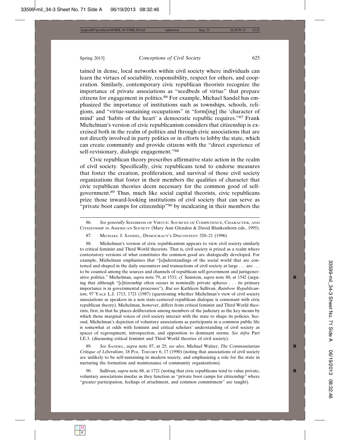\\jciprod01\productn\M\MIL\34-3\MIL303.txt unknown Seq: 21 10-JUN-13

C M Y | K

Spring 2013] *Conceptions of Civil Society* 625

tained in dense, local networks within civil society where individuals can learn the virtues of sociability, responsibility, respect for others, and cooperation. Similarly, contemporary civic republican theorists recognize the importance of private associations as "seedbeds of virtue" that prepare citizens for engagement in politics.86 For example, Michael Sandel has emphasized the importance of institutions such as townships, schools, religions, and "virtue-sustaining occupations" in "form[ing] the 'character of mind' and 'habits of the heart' a democratic republic requires."87 Frank Michelman's version of civic republicanism considers that citizenship is exercised both in the realm of politics and through civic associations that are not directly involved in party politics or in efforts to lobby the state, which can create community and provide citizens with the "direct experience of self-revisionary, dialogic engagement."88

Civic republican theory prescribes affirmative state action in the realm of civil society. Specifically, civic republicans tend to endorse measures that foster the creation, proliferation, and survival of those civil society organizations that foster in their members the qualities of character that civic republican theories deem necessary for the common good of selfgovernment.89 Thus, much like social capital theorists, civic republicans prize those inward-looking institutions of civil society that can serve as "private boot camps for citizenship"<sup>90</sup> by inculcating in their members the

87. MICHAEL J. SANDEL, DEMOCRACY'S DISCONTENT 320–21 (1996).

88. Michelman's version of civic republicanism appears to view civil society similarly to critical feminist and Third World theorists. That is, civil society is prized as a realm where contestatory versions of what constitutes the common good are dialogically developed. For example, Michelman emphasizes that "[u]nderstandings of the social world that are contested and shaped in the daily encounters and transactions of civil society at large . . . are . . . to be counted among the sources and channels of republican self-government and jurisgenerative politics." Michelman, *supra* note 79, at 1531; *cf.* Sunstein, *supra* note 80, at 1542 (argu- **R** ing that although "[c]itizenship often occurs in nominally private spheres . . . its primary importance is in governmental processes"). *But see* Kathleen Sullivan, *Rainbow Republicanism*, 97 YALE L.J. 1713, 1721 (1987) (questioning whether Michelman's view of civil society associations as speakers in a non state-centered republican dialogue is consonant with civic republican theory). Michelman, however, differs from critical feminist and Third World theorists, first, in that he places deliberation among members of the judiciary as the key means by which those marginal voices of civil society interact with the state to shape its policies. Second, Michelman's depiction of voluntary associations as participants in a common public life is somewhat at odds with feminist and critical scholars' understanding of civil society as spaces of regroupment, introspection, and opposition to dominant norms. *See infra* Part I.E.3. (discussing critical feminist and Third World theories of civil society).

89. *See* SANDEL, *supra* note 87, at 25; *see also,* Michael Walzer, *The Communitarian* **R** *Critique of Liberalism*, 18 POL. THEORY 6, 17 (1990) (noting that associations of civil society are unlikely to be self-sustaining in modern society, and emphasizing a role for the state in nurturing the formation and maintenance of community organizations).

90. Sullivan, *supra* note 88, at 1721 (noting that civic republicans tend to value private, **R** voluntary associations insofar as they function as "private boot camps for citizenship" where "greater participation, feelings of attachment, and common commitment" are taught).

<sup>86.</sup> *See generally* SEEDBEDS OF VIRTUE: SOURCES OF COMPETENCE, CHARACTER, AND CITIZENSHIP IN AMERICAN SOCIETY (Mary Ann Glendon & David Blankenhorn eds., 1995).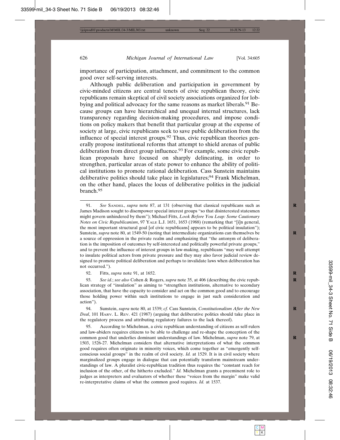\\jciprod01\productn\M\MIL\34-3\MIL303.txt unknown Seq: 22 10-JUN-13

# 626 *Michigan Journal of International Law* [Vol. 34:605

importance of participation, attachment, and commitment to the common good over self-serving interests.

Although public deliberation and participation in government by civic-minded citizens are central tenets of civic republican theory, civic republicans remain skeptical of civil society associations organized for lobbying and political advocacy for the same reasons as market liberals.<sup>91</sup> Because groups can have hierarchical and unequal internal structures, lack transparency regarding decision-making procedures, and impose conditions on policy makers that benefit that particular group at the expense of society at large, civic republicans seek to save public deliberation from the influence of special interest groups.92 Thus, civic republican theories generally propose institutional reforms that attempt to shield arenas of public deliberation from direct group influence.93 For example, some civic republican proposals have focused on sharply delineating, in order to strengthen, particular areas of state power to enhance the ability of political institutions to promote rational deliberation. Cass Sunstein maintains deliberative politics should take place in legislatures;<sup>94</sup> Frank Michelman, on the other hand, places the locus of deliberative politics in the judicial branch.<sup>95</sup>

91. *See* SANDEL, *supra* note 87, at 131 (observing that classical republicans such as **R** James Madison sought to disempower special interest groups "so that disinterested statesmen might govern unhindered by them"); Michael Fitts, *Look Before You Leap: Some Cautionary Notes on Civic Republicanism*, 97 YALE L.J. 1651, 1653 (1988) (remarking that "[i]n general, the most important structural goal [of civic republicans] appears to be political insulation"); Sunstein, *supra* note 80, at 1549-50 (noting that intermediate organizations can themselves be **R** a source of oppression in the private realm and emphasizing that "the antonym of deliberation is the imposition of outcomes by self-interested and politically powerful private groups," and to prevent the influence of interest groups in law-making, republicans "may well attempt to insulate political actors from private pressure and they may also favor judicial review designed to promote political deliberation and perhaps to invalidate laws when deliberation has not occurred.").

92. Fitts, *supra* note 91, at 1652. **R**

93. *See id.*; *see also* Cohen & Rogers, *supra* note 35, at 406 (describing the civic repub- **R** lican strategy of "insulation" as aiming to "strengthen institutions, alternative to secondary association, that have the capacity to consider and act on the common good and to encourage those holding power within such institutions to engage in just such consideration and action").

94. Sunstein, *supra* note 80, at 1539; *cf.* Cass Sunstein, *Constitutionalism After the New* **R** *Deal*, 101 HARV. L. REV. 421 (1987) (arguing that deliberative politics should take place in the regulatory process and attributing regulatory failures to the lack thereof).

95. According to Michelman, a civic republican understanding of citizens as self-rulers and law-abiders requires citizens to be able to challenge and re-shape the conception of the common good that underlies dominant understandings of law. Michelman, *supra* note 79, at **R** 1503, 1526-27. Michelman considers that alternative interpretations of what the common good requires often originate in minority voices, which come together as "emergently selfconscious social groups" in the realm of civil society. *Id.* at 1529. It is in civil society where marginalized groups engage in dialogue that can potentially transform mainstream understandings of law. A pluralist civic-republican tradition thus requires the "constant reach for inclusion of the other, of the hitherto excluded." *Id.* Michelman grants a preeminent role to judges as interpreters and evaluators of whether these "voices from the margin" make valid re-interpretative claims of what the common good requires. *Id.* at 1537.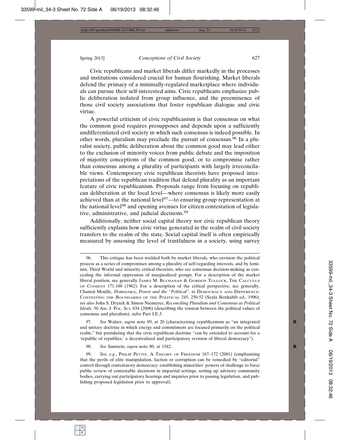\\jciprod01\productn\M\MIL\34-3\MIL303.txt unknown Seq: 23 10-JUN-13 12:22

#### Spring 2013] *Conceptions of Civil Society* 627

Civic republicans and market liberals differ markedly in the processes and institutions considered crucial for human flourishing. Market liberals defend the primacy of a minimally-regulated marketplace where individuals can pursue their self-interested aims. Civic republicans emphasize public deliberation isolated from group influence, and the preeminence of those civil society associations that foster republican dialogue and civic virtue.

A powerful criticism of civic republicanism is that consensus on what the common good requires presupposes and depends upon a sufficiently undifferentiated civil society in which such consensus is indeed possible. In other words, pluralism may preclude the pursuit of consensus.96 In a pluralist society, public deliberation about the common good may lead either to the exclusion of minority voices from public debate and the imposition of majority conceptions of the common good, or to compromise rather than consensus among a plurality of participants with largely irreconcilable views. Contemporary civic republican theorists have proposed interpretations of the republican tradition that defend plurality as an important feature of civic republicanism. Proposals range from focusing on republican deliberation at the local level—where consensus is likely more easily achieved than at the national level<sup>97</sup>—to ensuring group representation at the national level<sup>98</sup> and opening avenues for citizen contestation of legislative, administrative, and judicial decisions.99

Additionally, neither social capital theory nor civic republican theory sufficiently explains how civic virtue generated in the realm of civil society transfers to the realm of the state. Social capital itself is often empirically measured by assessing the level of trustfulness in a society, using survey

97. *See* Walzer, *supra* note 89, at 20 (characterizing republicanism as "an integrated **R** and unitary doctrine in which energy and commitment are focused primarily on the political realm," but postulating that the civic republican doctrine "can be extended to account for a 'republic of republics,' a decentralized and participatory revision of liberal democracy").

98. *See* Sunstein, *supra* note 80, at 1542. **R**

<sup>96.</sup> This critique has been wielded both by market liberals, who envision the political process as a series of compromises among a plurality of self-regarding interests, and by feminist, Third World and minority critical theorists, who see consensus decision-making as concealing the informal oppression of marginalized groups. For a description of the market liberal position, see generally JAMES M. BUCHANAN & GORDON TULLOCK, THE CALCULUS OF CONSENT 171-188 (1962). For a description of the critical perspective, see generally, Chantal Mouffe, *Democracy, Power and the "Political"*, *in* DEMOCRACY AND DIFFERENCE: CONTESTING THE BOUNDARIES OF THE POLITICAL 245, 250-52 (Seyla Benhabib ed., 1996); *see also* John S. Dryzek & Simon Niemeyer, *Reconciling Pluralism and Consensus as Political Ideals*, 50 AM. J. POL. SCI. 634 (2006) (describing the tension between the political values of consensus and pluralism); *infra* Part I.E.3.

<sup>99.</sup> *See, e.g.*, PHILIP PETTIT, A THEORY OF FREEDOM 167-172 (2001) (emphasizing that the perils of elite manipulation, faction or corruption can be remedied by "editorial" control through contestatory democracy: establishing minorities' powers of challenge to force public review of contestable decisions in impartial settings, setting up advisory community bodies, carrying out participatory hearings and inquiries prior to passing legislation, and publishing proposed legislation prior to approval).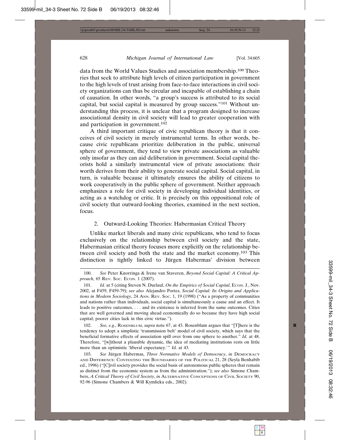\\jciprod01\productn\M\MIL\34-3\MIL303.txt unknown Seq: 24 10-JUN-13 12:22

#### 628 *Michigan Journal of International Law* [Vol. 34:605

data from the World Values Studies and association membership.100 Theories that seek to attribute high levels of citizen participation in government to the high levels of trust arising from face-to-face interactions in civil society organizations can thus be circular and incapable of establishing a chain of causation. In other words, "a group's success is attributed to its social capital, but social capital is measured by group success."101 Without understanding this process, it is unclear that a program designed to increase associational density in civil society will lead to greater cooperation with and participation in government.102

A third important critique of civic republican theory is that it conceives of civil society in merely instrumental terms. In other words, because civic republicans prioritize deliberation in the public, universal sphere of government, they tend to view private associations as valuable only insofar as they can aid deliberation in government. Social capital theorists hold a similarly instrumental view of private associations: their worth derives from their ability to generate social capital. Social capital, in turn, is valuable because it ultimately ensures the ability of citizens to work cooperatively in the public sphere of government. Neither approach emphasizes a role for civil society in developing individual identities, or acting as a watchdog or critic. It is precisely on this oppositional role of civil society that outward-looking theories, examined in the next section, focus.

#### 2. Outward-Looking Theories: Habermasian Critical Theory

Unlike market liberals and many civic republicans, who tend to focus exclusively on the relationship between civil society and the state, Habermasian critical theory focuses more explicitly on the relationship between civil society and both the state and the market economy.103 This distinction is tightly linked to Jürgen Habermas' division between

102. *See, e.g.*, ROSENBLUM, *supra* note 67, at 43. Rosenblum argues that "[T]here is the **R** tendency to adopt a simplistic 'transmission belt' model of civil society, which says that the beneficial formative effects of association spill over from one sphere to another." *Id.* at 48. Therefore, "[w]ithout a plausible dynamic, the idea of mediating institutions rests on little more than an optimistic 'liberal expectancy.'" *Id.* at 43.

103. See Jürgen Habermas, *Three Normative Models of Democracy*, *in DEMOCRACY* AND DIFFERENCE: CONTESTING THE BOUNDARIES OF THE POLITICAL 21, 28 (Seyla Benhabib ed., 1996) ("[C]ivil society provides the social basis of autonomous public spheres that remain as distinct from the economic system as from the administration."); *see also* Simone Chambers, *A Critical Theory of Civil Society*, *in* ALTERNATIVE CONCEPTIONS OF CIVIL SOCIETY 90, 92-96 (Simone Chambers & Will Kymlicka eds., 2002).

<sup>100.</sup> *See* Peter Knorringa & Irene van Staveren, *Beyond Social Capital: A Critical Approach*, 65 REV. SOC. ECON. 1 (2007).

<sup>101.</sup> *Id.* at 5 (citing Steven N. Durlauf, *On the Empirics of Social Capital*, Econ. J., Nov. 2002, at F459, F459-79); *see also* Alejandro Portes, *Social Capital: Its Origins and Applications in Modern Sociology*, 24 ANN. REV. SOC. 1, 19 (1998) ("As a property of communities and nations rather than individuals, social capital is simultaneously a cause and an effect. It leads to positive outcomes, . . . and its existence is inferred from the same outcomes. Cities that are well governed and moving ahead economically do so because they have high social capital; poorer cities lack in this civic virtue.").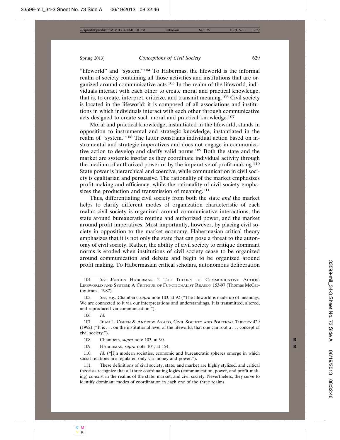\\jciprod01\productn\M\MIL\34-3\MIL303.txt unknown Seq: 25 10-JUN-13 12:22

#### Spring 2013] *Conceptions of Civil Society* 629

"lifeworld" and "system."104 To Habermas, the lifeworld is the informal realm of society containing all those activities and institutions that are organized around communicative acts.105 In the realm of the lifeworld, individuals interact with each other to create moral and practical knowledge, that is, to create, interpret, criticize, and transmit meaning.106 Civil society is located in the lifeworld: it is composed of all associations and institutions in which individuals interact with each other through communicative acts designed to create such moral and practical knowledge.107

Moral and practical knowledge, instantiated in the lifeworld, stands in opposition to instrumental and strategic knowledge, instantiated in the realm of "system."108 The latter constrains individual action based on instrumental and strategic imperatives and does not engage in communicative action to develop and clarify valid norms.109 Both the state and the market are systemic insofar as they coordinate individual activity through the medium of authorized power or by the imperative of profit-making.110 State power is hierarchical and coercive, while communication in civil society is egalitarian and persuasive. The rationality of the market emphasizes profit-making and efficiency, while the rationality of civil society emphasizes the production and transmission of meaning.<sup>111</sup>

Thus, differentiating civil society from both the state *and* the market helps to clarify different modes of organization characteristic of each realm: civil society is organized around communicative interactions, the state around bureaucratic routine and authorized power, and the market around profit imperatives. Most importantly, however, by placing civil society in opposition to the market economy, Habermasian critical theory emphasizes that it is not only the state that can pose a threat to the autonomy of civil society. Rather, the ability of civil society to critique dominant norms is eroded when institutions of civil society cease to be organized around communication and debate and begin to be organized around profit making. To Habermasian critical scholars, autonomous deliberation

C M Y | K

109. HABERMAS, *supra* note 104, at 154. **R**

110. *Id.* ("[I]n modern societies, economic and bureaucratic spheres emerge in which social relations are regulated only via money and power.").

111. These definitions of civil society, state, and market are highly stylized, and critical theorists recognize that all three coordinating logics (communication, power, and profit-making) co-exist in the realms of the state, market, and civil society. Nevertheless, they serve to identify dominant modes of coordination in each one of the three realms.

<sup>104.</sup> See JURGEN HABERMAS, 2 THE THEORY OF COMMUNICATIVE ACTION: LIFEWORLD AND SYSTEM: A CRITIQUE OF FUNCTIONALIST REASON 153-97 (Thomas McCarthy trans., 1987).

<sup>105.</sup> *See, e.g.*, Chambers, *supra* note 103, at 92 ("The lifeworld is made up of meanings. We are connected to it via our interpretations and understandings. It is transmitted, altered, and reproduced via communication.").

<sup>106.</sup> *Id.*

<sup>107.</sup> JEAN L. COHEN & ANDREW ARATO, CIVIL SOCIETY AND POLITICAL THEORY 429 (1992) ("It is . . . on the institutional level of the lifeworld, that one can root a . . . concept of civil society.").

<sup>108.</sup> Chambers, *supra* note 103, at 90. **R**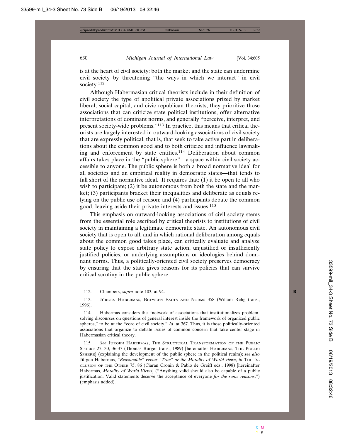\\jciprod01\productn\M\MIL\34-3\MIL303.txt unknown Seq: 26 10-JUN-13 12:22

630 *Michigan Journal of International Law* [Vol. 34:605

is at the heart of civil society: both the market and the state can undermine civil society by threatening "the ways in which we interact" in civil society.<sup>112</sup>

Although Habermasian critical theorists include in their definition of civil society the type of apolitical private associations prized by market liberal, social capital, and civic republican theorists, they prioritize those associations that can criticize state political institutions, offer alternative interpretations of dominant norms, and generally "perceive, interpret, and present society-wide problems."113 In practice, this means that critical theorists are largely interested in outward-looking associations of civil society that are expressly political, that is, that seek to take active part in deliberations about the common good and to both criticize and influence lawmaking and enforcement by state entities.<sup>114</sup> Deliberation about common affairs takes place in the "public sphere"—a space within civil society accessible to anyone. The public sphere is both a broad normative ideal for all societies and an empirical reality in democratic states—that tends to fall short of the normative ideal. It requires that: (1) it be open to all who wish to participate; (2) it be autonomous from both the state and the market; (3) participants bracket their inequalities and deliberate as equals relying on the public use of reason; and (4) participants debate the common good, leaving aside their private interests and issues.115

This emphasis on outward-looking associations of civil society stems from the essential role ascribed by critical theorists to institutions of civil society in maintaining a legitimate democratic state. An autonomous civil society that is open to all, and in which rational deliberation among equals about the common good takes place, can critically evaluate and analyze state policy to expose arbitrary state action, unjustified or insufficiently justified policies, or underlying assumptions or ideologies behind dominant norms. Thus, a politically-oriented civil society preserves democracy by ensuring that the state gives reasons for its policies that can survive critical scrutiny in the public sphere.

<sup>112.</sup> Chambers, *supra* note 103, at 94. **R**

<sup>113.</sup> JÜRGEN HABERMAS, BETWEEN FACTS AND NORMS 358 (Willam Rehg trans., 1996).

<sup>114.</sup> Habermas considers the "network of associations that institutionalizes problemsolving discourses on questions of general interest inside the framework of organized public spheres," to be at the "core of civil society." *Id.* at 367. Thus, it is those politically-oriented associations that organize to debate issues of common concern that take center stage in Habermasian critical theory.

<sup>115.</sup> See JURGEN HABERMAS, THE STRUCTURAL TRANSFORMATION OF THE PUBLIC SPHERE 27, 30, 36-37 (Thomas Burger trans., 1989) [hereinafter HABERMAS, THE PUBLIC SPHERE] (explaining the development of the public sphere in the political realm); *see also* Jürgen Habermas, "Reasonable" versus "True" or the Morality of World-views, in THE IN-CLUSION OF THE OTHER 75, 86 (Ciaran Cronin & Pablo de Greiff eds., 1998) [hereinafter Habermas, *Morality of World-Views*] ("Anything valid should also be capable of a public justification. Valid statements deserve the acceptance of everyone *for the same reasons*.") (emphasis added).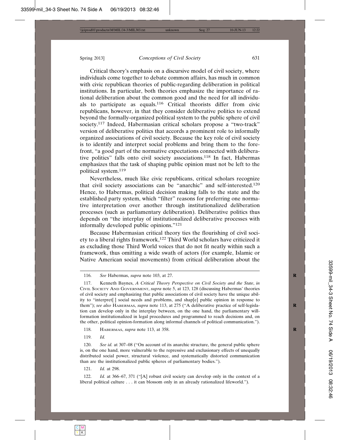\\jciprod01\productn\M\MIL\34-3\MIL303.txt unknown Seq: 27 10-JUN-13 12:22

#### Spring 2013] *Conceptions of Civil Society* 631

Critical theory's emphasis on a discursive model of civil society, where individuals come together to debate common affairs, has much in common with civic republican theories of public-regarding deliberation in political institutions. In particular, both theories emphasize the importance of rational deliberation about the common good and the need for all individuals to participate as equals.<sup>116</sup> Critical theorists differ from civic republicans, however, in that they consider deliberative politics to extend beyond the formally-organized political system to the public sphere of civil society.117 Indeed, Habermasian critical scholars propose a "two-track" version of deliberative politics that accords a prominent role to informally organized associations of civil society. Because the key role of civil society is to identify and interpret social problems and bring them to the forefront, "a good part of the normative expectations connected with deliberative politics" falls onto civil society associations.118 In fact, Habermas emphasizes that the task of shaping public opinion must not be left to the political system.119

Nevertheless, much like civic republicans, critical scholars recognize that civil society associations can be "anarchic" and self-interested.120 Hence, to Habermas, political decision making falls to the state and the established party system, which "filter" reasons for preferring one normative interpretation over another through institutionalized deliberation processes (such as parliamentary deliberation). Deliberative politics thus depends on "the interplay of institutionalized deliberative processes with informally developed public opinions."121

Because Habermasian critical theory ties the flourishing of civil society to a liberal rights framework,122 Third World scholars have criticized it as excluding those Third World voices that do not fit neatly within such a framework, thus omitting a wide swath of actors (for example, Islamic or Native American social movements) from critical deliberation about the

118. HABERMAS, *supra* note 113, at 358. **R**

119. *Id.*

C M Y | K

121. *Id.* at 298.

<sup>116.</sup> *See* Habermas, *supra* note 103, at 27. **R**

<sup>117.</sup> Kenneth Baynes, *A Critical Theory Perspective on Civil Society and the State*, *in* CIVIL SOCIETY AND GOVERNMENT, *supra* note 5, at 123, 128 (discussing Habermas' theories of civil society and emphasizing that public associations of civil society have the unique ability to "interpret[ ] social needs and problems, and shap[e] public opinion in response to them"); *see also* HABERMAS, *supra* note 113, at 275 ("A deliberative practice of self-legisla- **R** tion can develop only in the interplay between, on the one hand, the parliamentary willformation institutionalized in legal procedures and programmed to reach decisions and, on the other, political opinion-formation along informal channels of political communication.").

<sup>120.</sup> *See id.* at 307–08 ("On account of its anarchic structure, the general public sphere is, on the one hand, more vulnerable to the repressive and exclusionary effects of unequally distributed social power, structural violence, and systematically distorted communication than are the institutionalized public spheres of parliamentary bodies.").

<sup>122.</sup> *Id.* at 366–67, 371 ("[A] robust civil society can develop only in the context of a liberal political culture . . . it can blossom only in an already rationalized lifeworld.").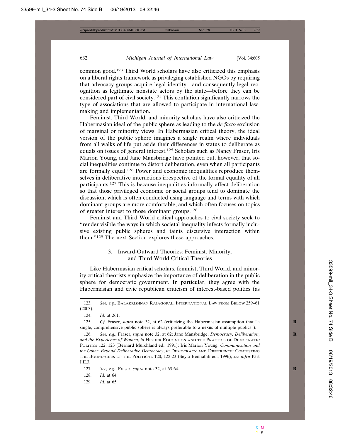\\jciprod01\productn\M\MIL\34-3\MIL303.txt unknown Seq: 28 10-JUN-13 12:22

### 632 *Michigan Journal of International Law* [Vol. 34:605

common good.123 Third World scholars have also criticized this emphasis on a liberal rights framework as privileging established NGOs by requiring that advocacy groups acquire legal identity—and consequently legal recognition as legitimate nonstate actors by the state—before they can be considered part of civil society.124 This conflation significantly narrows the type of associations that are allowed to participate in international lawmaking and implementation.

Feminist, Third World, and minority scholars have also criticized the Habermasian ideal of the public sphere as leading to the *de facto* exclusion of marginal or minority views. In Habermasian critical theory, the ideal version of the public sphere imagines a single realm where individuals from all walks of life put aside their differences in status to deliberate as equals on issues of general interest.125 Scholars such as Nancy Fraser, Iris Marion Young, and Jane Mansbridge have pointed out, however, that social inequalities continue to distort deliberation, even when all participants are formally equal.126 Power and economic inequalities reproduce themselves in deliberative interactions irrespective of the formal equality of all participants.127 This is because inequalities informally affect deliberation so that those privileged economic or social groups tend to dominate the discussion, which is often conducted using language and terms with which dominant groups are more comfortable, and which often focuses on topics of greater interest to those dominant groups.128

Feminist and Third World critical approaches to civil society seek to "render visible the ways in which societal inequality infects formally inclusive existing public spheres and taints discursive interaction within them."129 The next Section explores these approaches.

## 3. Inward-Outward Theories: Feminist, Minority, and Third World Critical Theories

Like Habermasian critical scholars, feminist, Third World, and minority critical theorists emphasize the importance of deliberation in the public sphere for democratic government. In particular, they agree with the Habermasian and civic republican criticism of interest-based politics (as

128. *Id.* at 64.

<sup>123.</sup> *See, e.g.*, BALAKRISHNAN RAJAGOPAL, INTERNATIONAL LAW FROM BELOW 259–61 (2003).

<sup>124.</sup> *Id.* at 261.

<sup>125.</sup> *Cf.* Fraser, *supra* note 32, at 62 (criticizing the Habermasian assumption that "a **R** single, comprehensive public sphere is always preferable to a nexus of multiple publics").

<sup>126.</sup> *See, e.g.*, Fraser, *supra* note 32, at 62; Jane Mansbridge, *Democracy, Deliberation,* **R** *and the Experience of Women*, *in* HIGHER EDUCATION AND THE PRACTICE OF DEMOCRATIC POLITICS 122, 123 (Bernard Murchland ed., 1991); Iris Marion Young, *Communication and the Other: Beyond Deliberative Democracy*, *in* DEMOCRACY AND DIFFERENCE: CONTESTING THE BOUNDARIES OF THE POLITICAL 120, 122-23 (Seyla Benhabib ed., 1996); *see infra* Part I.E.3.

<sup>127.</sup> *See, e.g.*, Fraser, *supra* note 32, at 63-64. **R**

<sup>129.</sup> *Id.* at 65.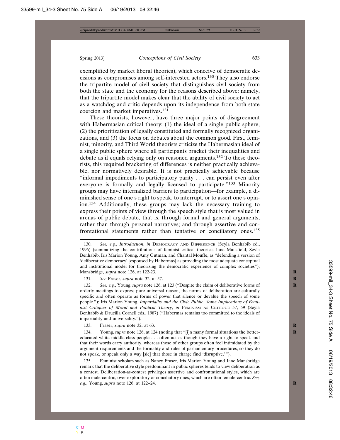\\jciprod01\productn\M\MIL\34-3\MIL303.txt unknown Seq: 29 10-JUN-13 12:22

#### Spring 2013] *Conceptions of Civil Society* 633

exemplified by market liberal theories), which conceive of democratic decisions as compromises among self-interested actors.130 They also endorse the tripartite model of civil society that distinguishes civil society from both the state and the economy for the reasons described above: namely, that the tripartite model makes clear that the ability of civil society to act as a watchdog and critic depends upon its independence from both state coercion and market imperatives.131

These theorists, however, have three major points of disagreement with Habermasian critical theory: (1) the ideal of a single public sphere, (2) the prioritization of legally constituted and formally recognized organizations, and (3) the focus on debates about the common good. First, feminist, minority, and Third World theorists criticize the Habermasian ideal of a single public sphere where all participants bracket their inequalities and debate as if equals relying only on reasoned arguments.132 To these theorists, this required bracketing of differences is neither practically achievable, nor normatively desirable. It is not practically achievable because "informal impediments to participatory parity . . . can persist even after everyone is formally and legally licensed to participate."133 Minority groups may have internalized barriers to participation—for example, a diminished sense of one's right to speak, to interrupt, or to assert one's opinion.134 Additionally, these groups may lack the necessary training to express their points of view through the speech style that is most valued in arenas of public debate, that is, through formal and general arguments, rather than through personal narratives; and through assertive and confrontational statements rather than tentative or conciliatory ones.135

131. *See* Fraser, *supra* note 32, at 57. **R**

132. *See, e.g.*, Young, *supra* note 126, at 123 ("Despite the claim of deliberative forms of **R** orderly meetings to express pure universal reason, the norms of deliberation are culturally specific and often operate as forms of power that silence or devalue the speech of some people."); Iris Marion Young, *Impartiality and the Civic Public: Some Implications of Feminist Critiques of Moral and Political Theory*, *in* FEMINISM AS CRITIQUE 57, 59 (Seyla Benhabib & Drucilla Cornell eds., 1987) ("Habermas remains too committed to the ideals of impartiality and universality.").

133. Fraser, *supra* note 32, at 63. **R**

C M Y | K

134. Young, *supra* note 126, at 124 (noting that "[i]n many formal situations the better- **R** educated white middle-class people . . . often act as though they have a right to speak and that their words carry authority, whereas those of other groups often feel intimidated by the argument requirements and the formality and rules of parliamentary procedures, so they do not speak, or speak only a way [sic] that those in charge find 'disruptive.'").

135. Feminist scholars such as Nancy Fraser, Iris Marion Young and Jane Mansbridge remark that the deliberative style predominant in public spheres tends to view deliberation as a contest. Deliberation-as-contest privileges assertive and confrontational styles, which are often male-centric, over exploratory or conciliatory ones, which are often female-centric. *See, e.g.*, Young, *supra* note 126, at 122–24. **R**

<sup>130.</sup> *See, e.g.*, *Introduction*, *in* DEMOCRACY AND DIFFERENCE (Seyla Benhabib ed., 1996) (summarizing the contributions of feminist critical theorists Jane Mansfield, Seyla Benhabib, Iris Marion Young, Amy Gutman, and Chantal Mouffe, as "defending a version of 'deliberative democracy' [espoused by Habermas] as providing the most adequate conceptual and institutional model for theorizing the democratic experience of complex societies"); Mansbridge, *supra* note 126, at 122-23. **R**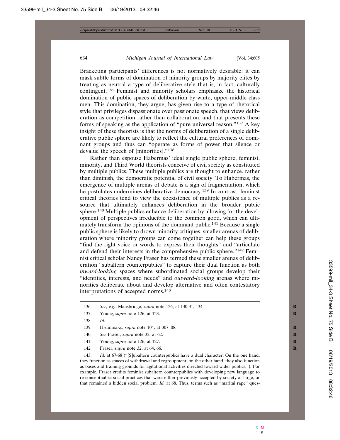\\jciprod01\productn\M\MIL\34-3\MIL303.txt unknown Seq: 30 10-JUN-13 12:22

### 634 *Michigan Journal of International Law* [Vol. 34:605

Bracketing participants' differences is not normatively desirable: it can mask subtle forms of domination of minority groups by majority elites by treating as neutral a type of deliberative style that is, in fact, culturally contingent.136 Feminist and minority scholars emphasize the historical domination of public spaces of deliberation by white, upper-middle class men. This domination, they argue, has given rise to a type of rhetorical style that privileges dispassionate over passionate speech, that views deliberation as competition rather than collaboration, and that presents these forms of speaking as the application of "pure universal reason."<sup>137</sup> A key insight of these theorists is that the norms of deliberation of a single deliberative public sphere are likely to reflect the cultural preferences of dominant groups and thus can "operate as forms of power that silence or devalue the speech of [minorities]."138

Rather than espouse Habermas' ideal single public sphere, feminist, minority, and Third World theorists conceive of civil society as constituted by multiple publics. These multiple publics are thought to enhance, rather than diminish, the democratic potential of civil society. To Habermas, the emergence of multiple arenas of debate is a sign of fragmentation, which he postulates undermines deliberative democracy.139 In contrast, feminist critical theories tend to view the coexistence of multiple publics as a resource that ultimately enhances deliberation in the broader public sphere.<sup>140</sup> Multiple publics enhance deliberation by allowing for the development of perspectives irreducible to the common good, which can ultimately transform the opinions of the dominant public.141 Because a single public sphere is likely to drown minority critiques, smaller arenas of deliberation where minority groups can come together can help these groups "find the right voice or words to express their thoughts" and "articulate and defend their interests in the comprehensive public sphere."142 Feminist critical scholar Nancy Fraser has termed these smaller arenas of deliberation "subaltern counterpublics" to capture their dual function as both *inward-looking* spaces where subordinated social groups develop their "identities, interests, and needs" and *outward-looking* arenas where minorities deliberate about and develop alternative and often contestatory interpretations of accepted norms.143

- 136. *See, e.g.*, Mansbridge, *supra* note 126, at 130-31, 134. **R**
- 137. Young, *supra* note 126, at 123. **R**
- 138. *Id.*
- 139. HABERMAS, *supra* note 104, at 307–08. **R**
- 140. *See* Fraser, *supra* note 32, at 62. **R**
- 141. Young, *supra* note 126, at 127. **R**
- 142. Fraser, *supra* note 32, at 64, 66. **R**

143. *Id.* at 67-68 ("[S]ubaltern counterpublics have a dual character. On the one hand, they function as spaces of withdrawal and regroupment; on the other hand, they also function as bases and training grounds for agitational activities directed toward wider publics."). For example, Fraser credits feminist subaltern counterpublics with developing new language to re-conceptualize social practices that were either previously accepted by society at large, or that remained a hidden social problem. *Id.* at 68. Thus, terms such as "marital rape" ques-

33599-mil\_34-3 Sheet No. 75 Side B 06/19/2013 08:32:46 33599-mil\_34-3 Sheet No. 75 Side B 06/19/2013 08:32:46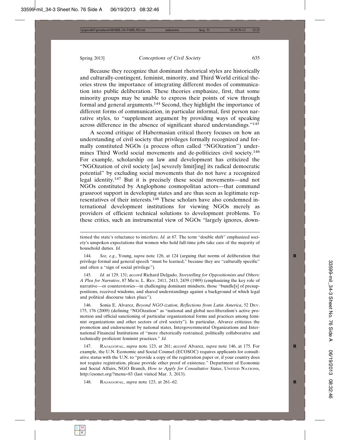\\jciprod01\productn\M\MIL\34-3\MIL303.txt unknown Seq: 31 10-JUN-13

#### Spring 2013] *Conceptions of Civil Society* 635

Because they recognize that dominant rhetorical styles are historically and culturally-contingent, feminist, minority, and Third World critical theories stress the importance of integrating different modes of communication into public deliberation. These theories emphasize, first, that some minority groups may be unable to express their points of view through formal and general arguments.144 Second, they highlight the importance of different forms of communication, in particular informal, first person narrative styles, to "supplement argument by providing ways of speaking across difference in the absence of significant shared understandings."145

A second critique of Habermasian critical theory focuses on how an understanding of civil society that privileges formally recognized and formally constituted NGOs (a process often called "NGOization") undermines Third World social movements and de-politicizes civil society.<sup>146</sup> For example, scholarship on law and development has criticized the "NGOization of civil society [as] severely limit[ing] its radical democratic potential" by excluding social movements that do not have a recognized legal identity.147 But it is precisely these social movements—and not NGOs constituted by Anglophone cosmopolitan actors—that command grassroot support in developing states and are thus seen as legitimate representatives of their interests.148 These scholars have also condemned international development institutions for viewing NGOs merely as providers of efficient technical solutions to development problems. To these critics, such an instrumental view of NGOs "largely ignores, down-

145. *Id.* at 129, 131; *accord* Richard Delgado, *Storytelling for Oppositionists and Others: A Plea for Narrative*, 87 MICH. L. REV. 2411, 2413, 2439 (1989) (emphasizing the key role of narrative—or counterstories—in challenging dominant mindsets, those "bundle[s] of presuppositions, received wisdoms, and shared understandings against a background of which legal and political discourse takes place").

146. Sonia E. Alvarez, *Beyond NGO-ization, Reflections from Latin America*, 52 DEV. 175, 176 (2009) (defining "NGOization" as "national and global neo-liberalism's active promotion and official sanctioning of particular organizational forms and practices among feminist organizations and other sectors of civil society"). In particular, Alvarez criticizes the promotion and endorsement by national states, Intergovernmental Organizations and International Financial Institutions of "more rhetorically restrained, politically collaborative and technically proficient feminist practices." *Id.*

147. RAJAGOPAL, *supra* note 123, at 261; *accord* Alvarez, *supra* note 146, at 175. For **R** example, the U.N. Economic and Social Counsel (ECOSOC) requires applicants for consultative status with the U.N. to "provide a copy of the registration paper or, if your country does not require registration, please provide other proof of existence." Department of Economic and Social Affairs, NGO Branch, *How to Apply for Consultative Status*, UNITED NATIONS, http://csonet.org/?menu=83 (last visited Mar. 3, 2013).

148. RAJAGOPAL, *supra* note 123, at 261–62. **R**

tioned the state's reluctance to interfere. *Id.* at 67. The term "double shift" emphasized society's unspoken expectations that women who hold full-time jobs take care of the majority of household duties. *Id.*

<sup>144.</sup> *See, e.g.*, Young, *supra* note 126, at 124 (arguing that norms of deliberation that **R** privilege formal and general speech "must be learned," because they are "culturally specific" and often a "sign of social privilege").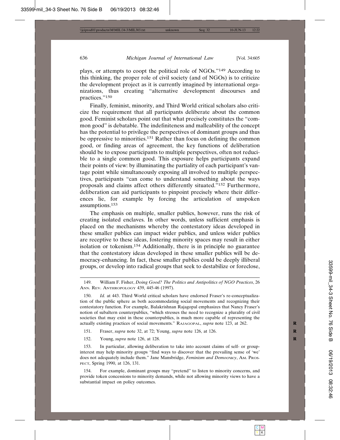\\jciprod01\productn\M\MIL\34-3\MIL303.txt unknown Seq: 32 10-JUN-13

636 *Michigan Journal of International Law* [Vol. 34:605

plays, or attempts to coopt the political role of NGOs."149 According to this thinking, the proper role of civil society (and of NGOs) is to criticize the development project as it is currently imagined by international organizations, thus creating "alternative development discourses and practices."<sup>150</sup>

Finally, feminist, minority, and Third World critical scholars also criticize the requirement that all participants deliberate about the common good. Feminist scholars point out that what precisely constitutes the "common good" is debatable. The indefiniteness and malleability of the concept has the potential to privilege the perspectives of dominant groups and thus be oppressive to minorities.151 Rather than focus on defining the common good, or finding areas of agreement, the key functions of deliberation should be to expose participants to multiple perspectives, often not reducible to a single common good. This exposure helps participants expand their points of view: by illuminating the partiality of each participant's vantage point while simultaneously exposing all involved to multiple perspectives, participants "can come to understand something about the ways proposals and claims affect others differently situated."152 Furthermore, deliberation can aid participants to pinpoint precisely where their differences lie, for example by forcing the articulation of unspoken assumptions.<sup>153</sup>

The emphasis on multiple, smaller publics, however, runs the risk of creating isolated enclaves. In other words, unless sufficient emphasis is placed on the mechanisms whereby the contestatory ideas developed in these smaller publics can impact wider publics, and unless wider publics are receptive to these ideas, fostering minority spaces may result in either isolation or tokenism.154 Additionally, there is in principle no guarantee that the contestatory ideas developed in these smaller publics will be democracy-enhancing. In fact, these smaller publics could be deeply illiberal groups, or develop into radical groups that seek to destabilize or foreclose,

- 151. Fraser, *supra* note 32, at 72; Young, *supra* note 126, at 126. **R**
- 152. Young, *supra* note 126, at 128. **R**

153. In particular, allowing deliberation to take into account claims of self- or groupinterest may help minority groups "find ways to discover that the prevailing sense of 'we' does not adequately include them." Jane Mansbridge, *Feminism and Democracy*, AM. PROS-PECT, Spring 1990, at 126, 131.

154. For example, dominant groups may "pretend" to listen to minority concerns, and provide token concessions to minority demands, while not allowing minority views to have a substantial impact on policy outcomes.

<sup>149.</sup> William F. Fisher, *Doing Good? The Politics and Antipolitics of NGO Practices*, 26 ANN. REV. ANTHROPOLOGY 439, 445-46 (1997).

<sup>150.</sup> *Id.* at 443. Third World critical scholars have endorsed Fraser's re-conceptualization of the public sphere as both accommodating social movements and recognizing their contestatory function. For example, Balakrishnan Rajagopal emphasizes that Nancy Fraser's notion of subaltern counterpublics, "which stresses the need to recognize a plurality of civil societies that may exist in these counterpublics, is much more capable of representing the actually existing practices of social movements." RAJAGOPAL, *supra* note 123, at 262. **R**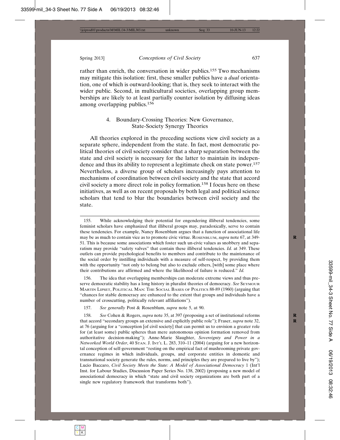\\jciprod01\productn\M\MIL\34-3\MIL303.txt unknown Seq: 33 10-JUN-13

C M Y | K

#### Spring 2013] *Conceptions of Civil Society* 637

rather than enrich, the conversation in wider publics.<sup>155</sup> Two mechanisms may mitigate this isolation: first, these smaller publics have a *dual* orientation, one of which is outward-looking; that is, they seek to interact with the wider public. Second, in multicultural societies, overlapping group memberships are likely to at least partially counter isolation by diffusing ideas among overlapping publics.156

## 4. Boundary-Crossing Theories: New Governance, State-Society Synergy Theories

All theories explored in the preceding sections view civil society as a separate sphere, independent from the state. In fact, most democratic political theories of civil society consider that a sharp separation between the state and civil society is necessary for the latter to maintain its independence and thus its ability to represent a legitimate check on state power.157 Nevertheless, a diverse group of scholars increasingly pays attention to mechanisms of coordination between civil society and the state that accord civil society a more direct role in policy formation.158 I focus here on these initiatives, as well as on recent proposals by both legal and political science scholars that tend to blur the boundaries between civil society and the state.

155. While acknowledging their potential for engendering illiberal tendencies, some feminist scholars have emphasized that illiberal groups may, paradoxically, serve to contain these tendencies. For example, Nancy Rosenblum argues that a function of associational life may be as much to contain vice as to promote civic virtue. ROSENBLUM, *supra* note 67, at 349- **R** 51. This is because some associations which foster such un-civic values as snobbery and separatism may provide "safety valves" that contain these illiberal tendencies. *Id.* at 349. These outlets can provide psychological benefits to members and contribute to the maintenance of the social order by instilling individuals with a measure of self-respect, by providing them with the opportunity "not only to belong but also to exclude others, [with] some place where their contributions are affirmed and where the likelihood of failure is reduced." *Id.*

156. The idea that overlapping memberships can moderate extreme views and thus preserve democratic stability has a long history in pluralist theories of democracy. See SEYMOUR MARTIN LIPSET, POLITICAL MAN: THE SOCIAL BASES OF POLITICS 88-89 (1960) (arguing that "chances for stable democracy are enhanced to the extent that groups and individuals have a number of crosscutting, politically relevant affiliations").

157. *See generally* Post & Rosenblum, *supra* note 5, at 90.

158. *See* Cohen & Rogers, *supra* note 35, at 397 (proposing a set of institutional reforms **R** that accord "secondary groups an extensive and explicitly public role"); Fraser, *supra* note 32, **R** at 76 (arguing for a "conception [of civil society] that can permit us to envision a greater role for (at least some) public spheres than mere autonomous opinion formation removed from authoritative decision-making"); Anne-Marie Slaughter, *Sovereignty and Power in a Networked World Order*, 40 STAN. J. INT'L L. 283, 310–11 (2004) (arguing for a new horizontal conception of self-government "resting on the empirical fact of mushrooming private governance regimes in which individuals, groups, and corporate entities in domestic and transnational society generate the rules, norms, and principles they are prepared to live by"); Lucio Baccaro, *Civil Society Meets the State: A Model of Associational Democracy* 1 (Int'l Inst. for Labour Studies, Discussion Paper Series No. 138, 2002) (proposing a new model of associational democracy in which "state and civil society organizations are both part of a single new regulatory framework that transforms both").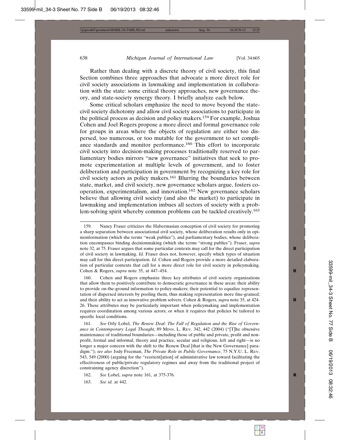\\jciprod01\productn\M\MIL\34-3\MIL303.txt unknown Seq: 34 10-JUN-13

### 638 *Michigan Journal of International Law* [Vol. 34:605

Rather than dealing with a discrete theory of civil society, this final Section combines three approaches that advocate a more direct role for civil society associations in lawmaking and implementation in collaboration with the state: some critical theory approaches, new governance theory, and state-society synergy theory. I briefly analyze each below.

Some critical scholars emphasize the need to move beyond the statecivil society dichotomy and allow civil society associations to participate in the political process as decision and policy makers.159 For example, Joshua Cohen and Joel Rogers propose a more direct and formal governance role for groups in areas where the objects of regulation are either too dispersed, too numerous, or too mutable for the government to set compliance standards and monitor performance.160 This effort to incorporate civil society into decision-making processes traditionally reserved to parliamentary bodies mirrors "new governance" initiatives that seek to promote experimentation at multiple levels of government, and to foster deliberation and participation in government by recognizing a key role for civil society actors as policy makers.161 Blurring the boundaries between state, market, and civil society, new governance scholars argue, fosters cooperation, experimentalism, and innovation.162 New governance scholars believe that allowing civil society (and also the market) to participate in lawmaking and implementation imbues all sectors of society with a problem-solving spirit whereby common problems can be tackled creatively.<sup>163</sup>

160. Cohen and Rogers emphasize three key attributes of civil society organizations that allow them to positively contribute to democratic governance in these areas: their ability to provide on-the-ground information to policy-makers; their potential to equalize representation of dispersed interests by pooling them, thus making representation more fine-grained; and their ability to act as innovative problem solvers. Cohen & Rogers, *supra* note 35, at 424- **R** 26. These attributes may be particularly important when policymaking and implementation requires coordination among various actors, or when it requires that policies be tailored to specific local conditions.

161. *See* Orly Lobel, *The Renew Deal: The Fall of Regulation and the Rise of Governance in Contemporary Legal Thought*, 89 MINN. L. REV. 342, 442 (2004) ("[T]he obsessive maintenance of traditional boundaries—including those of public and private, profit and nonprofit, formal and informal, theory and practice, secular and religious, left and right—is no longer a major concern with the shift to the Renew Deal [that is the New Governance] paradigm."); *see also* Jody Freeman, *The Private Role in Public Governance*, 75 N.Y.U. L. REV. 543, 549 (2000) (arguing for the "reorient[ation] of administrative law toward facilitating the effectiveness of public/private regulatory regimes and away from the traditional project of constraining agency discretion").

162. *See* Lobel, *supra* note 161, at 375-376. **R**

163. *See id.* at 442.

<sup>159.</sup> Nancy Fraser criticizes the Habermasian conception of civil society for promoting a sharp separation between associational civil society, whose deliberation results only in opinionformation (which she terms "weak publics"), and parliamentary bodies, whose deliberation encompasses binding decisionmaking (which she terms "strong publics"). Fraser, *supra* note 32, at 75. Fraser argues that some particular contexts may call for the direct participation **R** of civil society in lawmaking. *Id.* Fraser does not, however, specify which types of situation may call for this direct participation. *Id.* Cohen and Rogers provide a more detailed elaboration of particular contexts that call for a more direct role for civil society in policymaking. Cohen & Rogers, *supra* note 35, at 447–454. **R**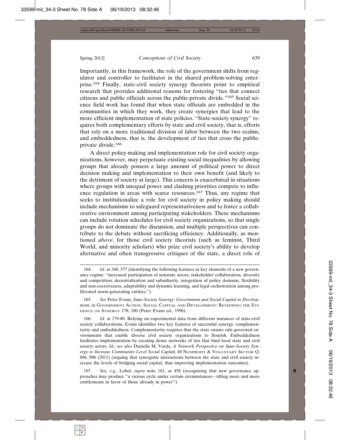\\jciprod01\productn\M\MIL\34-3\MIL303.txt unknown Seq: 35 10-JUN-13

C M Y | K

Spring 2013] *Conceptions of Civil Society* 639

Importantly, in this framework, the role of the government shifts from regulator and controller to facilitator in the shared problem-solving enterprise.164 Finally, state-civil society synergy theorists point to empirical research that provides additional reasons for fostering "ties that connect citizens and public officials across the public-private divide."165 Social science field work has found that when state officials are embedded in the communities in which they work, they create synergies that lead to the more efficient implementation of state policies. "State-society synergy" requires both complementary efforts by state and civil society, that is, efforts that rely on a more traditional division of labor between the two realms, and embeddedness, that is, the development of ties that cross the publicprivate divide.166

A direct policy-making and implementation role for civil society organizations, however, may perpetuate existing social inequalities by allowing groups that already possess a large amount of political power to direct decision making and implementation to their own benefit (and likely to the detriment of society at large). This concern is exacerbated in situations where groups with unequal power and clashing priorities compete to influence regulation in areas with scarce resources.167 Thus, any regime that seeks to institutionalize a role for civil society in policy making should include mechanisms to safeguard representativeness and to foster a collaborative environment among participating stakeholders. These mechanisms can include rotation schedules for civil society organizations, so that single groups do not dominate the discussion, and multiple perspectives can contribute to the debate without sacrificing efficiency. Additionally, as mentioned *above*, for those civil society theorists (such as feminist, Third World, and minority scholars) who prize civil society's ability to develop alternative and often transgressive critiques of the state, a direct role of

165. *See* Peter Evans, *State-Society Synergy: Government and Social Capital in Development*, *in* GOVERNMENT ACTION, SOCIAL CAPITAL AND DEVELOPMENT: REVIEWING THE EVI-DENCE ON SYNERGY 178, 180 (Peter Evans ed., 1996).

166. *Id.* at 179-80. Relying on experimental data from different instances of state-civil society collaborations, Evans identifies two key features of successful synergy: complementarity and embeddedness. Complementarity requires that the state ensure rule-governed environments that enable diverse civil society organizations to flourish. Embeddedness facilitates implementation by creating dense networks of ties that bind local state and civil society actors. *Id.*; *see also* Danielle M. Varda, *A Network Perspective on State-Society Synergy to Increase Community-Level Social Capital*, 40 NONPROFIT & VOLUNTARY SECTOR Q. 896, 896 (2011) (arguing that synergistic interactions between the state and civil society increase the levels of bridging social capital, thus improving implementation outcomes).

167. *See, e.g.*, Lobel, *supra* note 161, at 458 (recognizing that new governance ap- **R** proaches may produce "a vicious cycle under certain circumstances—tilting more and more entitlements in favor of those already in power").

<sup>164.</sup> *Id.* at 348, 377 (identifying the following features as key elements of a new governance regime: "increased participation of nonstate actors, stakeholder collaboration, diversity and competition, decentralization and subsidiarity, integration of policy domains, flexibility and non-coerciveness, adaptability and dynamic learning, and legal orchestration among proliferated norm-generating entities.").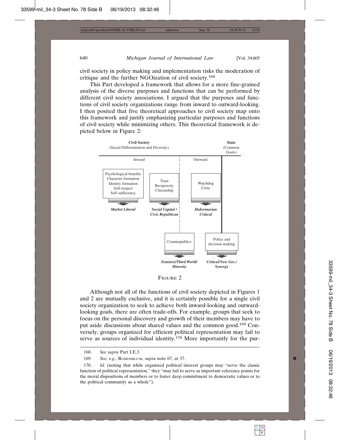\\jciprod01\productn\M\MIL\34-3\MIL303.txt unknown Seq: 36 10-JUN-13 12:22

# 640 *Michigan Journal of International Law* [Vol. 34:605

civil society in policy making and implementation risks the moderation of critique and the further NGOization of civil society.168

This Part developed a framework that allows for a more fine-grained analysis of the diverse purposes and functions that can be performed by different civil society associations. I argued that the purposes and functions of civil society organizations range from inward to outward-looking. I then posited that five theoretical approaches to civil society map onto this framework and justify emphasizing particular purposes and functions of civil society while minimizing others. This theoretical framework is depicted below in Figure 2:



FIGURE 2

Although not all of the functions of civil society depicted in Figures 1 and 2 are mutually exclusive, and it is certainly possible for a single civil society organization to seek to achieve both inward-looking and outwardlooking goals, there are often trade-offs. For example, groups that seek to focus on the personal discovery and growth of their members may have to put aside discussions about shared values and the common good.169 Conversely, groups organized for efficient political representation may fail to serve as sources of individual identity.170 More importantly for the pur-

<sup>168.</sup> *See supra* Part I.E.3.

<sup>169.</sup> *See, e.g.*, ROSENBLUM, *supra* note 67, at 37. **R**

<sup>170.</sup> *Id.* (noting that while organized political interest groups may "serve the classic function of political representation," they "may fail to serve as important reference points for the moral dispositions of members or to foster deep commitment to democratic values or to the political community as a whole").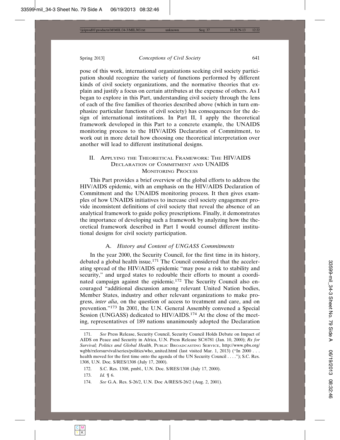\)jciprod01\productn\M\MIL\34-3\MIL303.txt unknown Seq: 37 10-JUN-13 12:22

#### Spring 2013] *Conceptions of Civil Society* 641

pose of this work, international organizations seeking civil society participation should recognize the variety of functions performed by different kinds of civil society organizations, and the normative theories that explain and justify a focus on certain attributes at the expense of others. As I began to explore in this Part, understanding civil society through the lens of each of the five families of theories described above (which in turn emphasize particular functions of civil society) has consequences for the design of international institutions. In Part II, I apply the theoretical framework developed in this Part to a concrete example, the UNAIDS monitoring process to the HIV/AIDS Declaration of Commitment, to work out in more detail how choosing one theoretical interpretation over another will lead to different institutional designs.

## II. APPLYING THE THEORETICAL FRAMEWORK: THE HIV/AIDS DECLARATION OF COMMITMENT AND UNAIDS MONITORING PROCESS

This Part provides a brief overview of the global efforts to address the HIV/AIDS epidemic, with an emphasis on the HIV/AIDS Declaration of Commitment and the UNAIDS monitoring process. It then gives examples of how UNAIDS initiatives to increase civil society engagement provide inconsistent definitions of civil society that reveal the absence of an analytical framework to guide policy prescriptions. Finally, it demonstrates the importance of developing such a framework by analyzing how the theoretical framework described in Part I would counsel different institutional designs for civil society participation.

### A. *History and Content of UNGASS Commitments*

In the year 2000, the Security Council, for the first time in its history, debated a global health issue.<sup>171</sup> The Council considered that the accelerating spread of the HIV/AIDS epidemic "may pose a risk to stability and security," and urged states to redouble their efforts to mount a coordinated campaign against the epidemic.172 The Security Council also encouraged "additional discussion among relevant United Nation bodies, Member States, industry and other relevant organizations to make progress, *inter alia*, on the question of access to treatment and care, and on prevention."173 In 2001, the U.N. General Assembly convened a Special Session (UNGASS) dedicated to HIV/AIDS.<sup>174</sup> At the close of the meeting, representatives of 189 nations unanimously adopted the Declaration

173. *Id.* ¶ 6.

C M Y | K

174. *See* G.A. Res. S-26/2, U.N. Doc A/RES/S-26/2 (Aug. 2, 2001).

<sup>171.</sup> *See* Press Release, Security Council, Security Council Holds Debate on Impact of AIDS on Peace and Security in Africa, U.N. Press Release SC/6781 (Jan. 10, 2000); *Rx for Survival; Politics and Global Health*, PUBLIC BROADCASTING SERVICE, http://www.pbs.org/ wgbh/rxforsurvival/series/politics/who\_united.html (last visited Mar. 1, 2013) ("In 2000 . . . health moved for the first time onto the agenda of the UN Security Council . . . ."); S.C. Res. 1308, U.N. Doc. S/RES/1308 (July 17, 2000).

<sup>172.</sup> S.C. Res. 1308, pmbl., U.N. Doc. S/RES/1308 (July 17, 2000).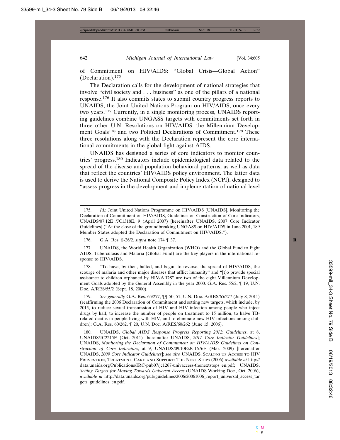\\jciprod01\productn\M\MIL\34-3\MIL303.txt unknown Seq: 38 10-JUN-13 12:22

642 *Michigan Journal of International Law* [Vol. 34:605

of Commitment on HIV/AIDS: "Global Crisis—Global Action" (Declaration).<sup>175</sup>

The Declaration calls for the development of national strategies that involve "civil society and . . . business" as one of the pillars of a national response.176 It also commits states to submit country progress reports to UNAIDS, the Joint United Nations Program on HIV/AIDS, once every two years.177 Currently, in a single monitoring process, UNAIDS reporting guidelines combine UNGASS targets with commitments set forth in three other U.N. Resolutions on HIV/AIDS: the Millennium Development Goals<sup>178</sup> and two Political Declarations of Commitment.<sup>179</sup> These three resolutions along with the Declaration represent the core international commitments in the global fight against AIDS.

UNAIDS has designed a series of core indicators to monitor countries' progress.180 Indicators include epidemiological data related to the spread of the disease and population behavioral patterns, as well as data that reflect the countries' HIV/AIDS policy environment. The latter data is used to derive the National Composite Policy Index (NCPI), designed to "assess progress in the development and implementation of national level

177. UNAIDS, the World Health Organization (WHO) and the Global Fund to Fight AIDS, Tuberculosis and Malaria (Global Fund) are the key players in the international response to HIV/AIDS.

178. "To have, by then, halted, and begun to reverse, the spread of HIV/AIDS, the scourge of malaria and other major diseases that afflict humanity" and "[t]o provide special assistance to children orphaned by HIV/AIDS" are two of the eight Millennium Development Goals adopted by the General Assembly in the year 2000. G.A. Res. 55/2, ¶ 19, U.N. Doc. A/RES/55/2 (Sept. 18, 2000).

179. *See generally* G.A. Res. 65/277, ¶¶ 50, 51, U.N. Doc. A/RES/65/277 (July 8, 2011) (reaffirming the 2006 Declaration of Commitment and setting new targets, which include, by 2015, to reduce sexual transmission of HIV and HIV infection among people who inject drugs by half, to increase the number of people on treatment to 15 million, to halve TBrelated deaths in people living with HIV, and to eliminate new HIV infections among children); G.A. Res. 60/262, ¶ 20, U.N. Doc. A/RES/60/262 (June 15, 2006).

180. UNAIDS, *Global AIDS Response Progress Reporting 2012*: *Guidelines*, at 8, UNAIDS/JC2215E (Oct. 2011) [hereinafter UNAIDS, *2011 Core Indicator Guidelines*]; UNAIDS, *Monitoring the Declaration of Commitment on HIV/AIDS: Guidelines on Construction of Core Indicators*, at 9, UNAIDS/09.10E/JC1676E (Mar. 2009) [hereinafter UNAIDS, *2009 Core Indicator Guidelines*]; *see also* UNAIDS, SCALING UP ACCESS TO HIV PREVENTION, TREATMENT, CARE AND SUPPORT: THE NEXT STEPS (2006) *available at* http:// data.unaids.org/Publications/IRC-pub07/jc1267-univaccess-thenextsteps\_en.pdf; UNAIDS, *Setting Targets for Moving Towards Universal Access* (UNAIDS Working Doc., Oct. 2006), *available at* http://data.unaids.org/pub/guidelines/2006/20061006\_report\_universal\_access\_tar gets\_guidelines\_en.pdf.

<sup>175.</sup> *Id.*; Joint United Nations Programme on HIV/AIDS [UNAIDS], Monitoring the Declaration of Commitment on HIV/AIDS, Guidelines on Construction of Core Indicators, UNAIDS/07.12E /JC1318E, 9 (April 2007) [hereinafter UNAIDS, 2007 Core Indicator Guidelines] ("At the close of the groundbreaking UNGASS on HIV/AIDS in June 2001, 189 Member States adopted the Declaration of Commitment on HIV/AIDS.").

<sup>176.</sup> G.A. Res. S-26/2, *supra* note 174 ¶ 37. **R**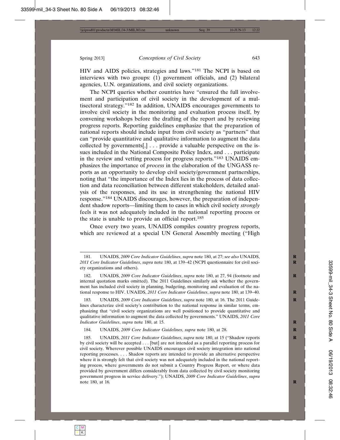\\jciprod01\productn\M\MIL\34-3\MIL303.txt unknown Seq: 39 10-JUN-13 12:22

#### Spring 2013] *Conceptions of Civil Society* 643

HIV and AIDS policies, strategies and laws."181 The NCPI is based on interviews with two groups: (1) government officials, and (2) bilateral agencies, U.N. organizations, and civil society organizations.

The NCPI queries whether countries have "ensured the full involvement and participation of civil society in the development of a multisectoral strategy."182 In addition, UNAIDS encourages governments to involve civil society in the monitoring and evaluation process itself, by convening workshops before the drafting of the report and by reviewing progress reports. Reporting guidelines emphasize that the preparation of national reports should include input from civil society as "partners" that can "provide quantitative and qualitative information to augment the data collected by governments[,] . . . provide a valuable perspective on the issues included in the National Composite Policy Index, and . . . participate in the review and vetting process for progress reports."183 UNAIDS emphasizes the importance of *process* in the elaboration of the UNGASS reports as an opportunity to develop civil society/government partnerships, noting that "the importance of the Index lies in the process of data collection and data reconciliation between different stakeholders, detailed analysis of the responses, and its use in strengthening the national HIV response."184 UNAIDS discourages, however, the preparation of independent shadow reports—limiting them to cases in which civil society *strongly* feels it was not adequately included in the national reporting process or the state is unable to provide an official report.185

Once every two years, UNAIDS compiles country progress reports, which are reviewed at a special UN General Assembly meeting ("High

183. UNAIDS, *2009 Core Indicator Guidelines*, *supra* note 180, at 16. The 2011 Guide- **R** lines characterize civil society's contribution to the national response in similar terms, emphasizing that "civil society organizations are well positioned to provide quantitative and qualitative information to augment the data collected by governments." UNAIDS, *2011 Core Indicator Guidelines*, *supra* note 180, at 15. **R**

184. UNAIDS, *2009 Core Indicator Guidelines*, *supra* note 180, at 28. **R**

185. UNAIDS, *2011 Core Indicator Guidelines*, *supra* note 180, at 15 ("Shadow reports **R** by civil society will be accepted . . . [but] are not intended as a parallel reporting process for civil society. Wherever possible UNAIDS encourages civil society integration into national reporting processes. . . . Shadow reports are intended to provide an alternative perspective where it is strongly felt that civil society was not adequately included in the national reporting process, where governments do not submit a Country Progress Report, or where data provided by government differs considerably from data collected by civil society monitoring government progress in service delivery."); UNAIDS, *2009 Core Indicator Guidelines*, *supra* note 180, at 16*.* **R**



<sup>181.</sup> UNAIDS, *2009 Core Indicator Guidelines*, *supra* note 180, at 27; *see also* UNAIDS, **R** *2011 Core Indicator Guidelines*, *supra* note 180, at 139–42 (NCPI questionnaire for civil soci- **R** ety organizations and others).

<sup>182.</sup> UNAIDS, *2009 Core Indicator Guidelines*, *supra* note 180, at 27, 94 (footnote and **R** internal quotation marks omitted). The 2011 Guidelines similarly ask whether the government has included civil society in planning, budgeting, monitoring and evaluation of the national response to HIV. UNAIDS, *2011 Core Indicator Guidelines*, *supra* note 180, at 139–40. **R**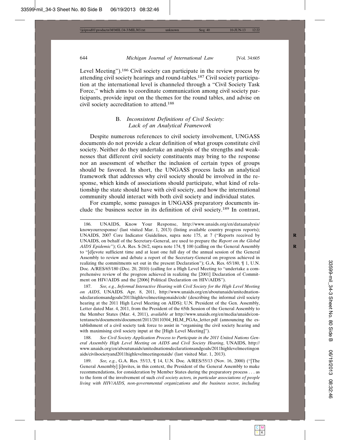\)jciprod01\productn\M\MIL\34-3\MIL303.txt unknown Seq: 40 10-JUN-13

# 644 *Michigan Journal of International Law* [Vol. 34:605

Level Meeting").<sup>186</sup> Civil society can participate in the review process by attending civil society hearings and round-tables.187 Civil society participation at the international level is channeled through a "Civil Society Task Force," which aims to coordinate communication among civil society participants, provide input on the themes for the round tables, and advise on civil society accreditation to attend.188

## B. *Inconsistent Definitions of Civil Society: Lack of an Analytical Framework*

Despite numerous references to civil society involvement, UNGASS documents do not provide a clear definition of what groups constitute civil society. Neither do they undertake an analysis of the strengths and weaknesses that different civil society constituents may bring to the response nor an assessment of whether the inclusion of certain types of groups should be favored. In short, the UNGASS process lacks an analytical framework that addresses why civil society should be involved in the response, which kinds of associations should participate, what kind of relationship the state should have with civil society, and how the international community should interact with both civil society and individual states.

For example, some passages in UNGASS preparatory documents include the business sector in its definition of civil society.189 In contrast,

187. *See, e.g.*, *Informal Interactive Hearing with Civil Society for the High Level Meeting on AIDS*, UNAIDS. Apr. 8, 2011, http://www.unaids.org/en/aboutunaids/unitednationsdeclarationsandgoals/2011highlevelmeetingonaids/csh/ (describing the informal civil society hearing at the 2011 High Level Meeting on AIDS); U.N. President of the Gen. Assembly, Letter dated Mar. 4, 2011, from the President of the 65th Session of the General Assembly to the Member States (Mar. 4, 2011), *available at* http://www.unaids.org/en/media/unaids/contentassets/documents/document/2011/20110304\_HLM\_PGAs\_letter.pdf (announcing the establishment of a civil society task force to assist in "organising the civil society hearing and with maximising civil society input at the [High Level Meeting]").

188. *See Civil Society Application Process to Participate in the 2011 United Nations General Assembly High Level Meeting on AIDS and Civil Society Hearing*, UNAIDS, http:// www.unaids.org/en/aboutunaids/unitednationsdeclarationsandgoals/2011highlevelmeetingon aids/civilsocietyand2011highlevelmeetingonaids/ (last visited Mar. 1, 2013).

189. *See, e.g.*, G.A. Res. 55/13, ¶ 14, U.N. Doc. A/RES/55/13 (Nov. 16, 2000) ("[The General Assembly] [i]nvites, in this context, the President of the General Assembly to make recommendations, for consideration by Member States during the preparatory process . . . as to the form of the involvement of such *civil society actors, in particular associations of people living with HIV/AIDS, non-governmental organizations and the business sector, including*

<sup>186.</sup> UNAIDS, Know Your Response, http://www.unaids.org/en/dataanalysis/ knowyourresponse/ (last visited Mar. 1, 2013) (listing available country progress reports); UNAIDS, 2007 Core Indicator Guidelines, supra note 175, at 7 ("Reports received by **R** UNAIDS, on behalf of the Secretary-General, are used to prepare the *Report on the Global AIDS Epidemic*"); G.A. Res. S-26/2, supra note 174,  $\parallel$  100 (calling on the General Assembly **R** to "[d]evote sufficient time and at least one full day of the annual session of the General Assembly to review and debate a report of the Secretary-General on progress achieved in realizing the commitments set out in the present Declaration"); G.A. Res. 65/180, ¶ 1, U.N. Doc. A/RES/65/180 (Dec. 20, 2010) (calling for a High Level Meeting to "undertake a comprehensive review of the progress achieved in realizing the [2001] Declaration of Commitment on HIV/AIDS and the [2006] Political Declaration on HIV/AIDS").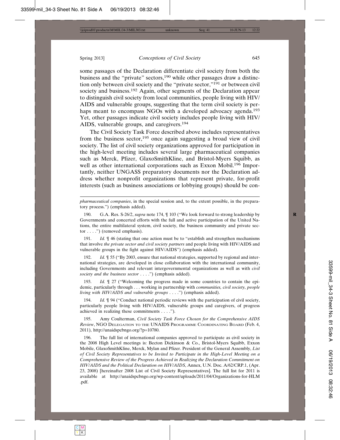\\jciprod01\productn\M\MIL\34-3\MIL303.txt unknown Seq: 41 10-JUN-13

C M Y | K

#### Spring 2013] *Conceptions of Civil Society* 645

some passages of the Declaration differentiate civil society from both the business and the "private" sectors,190 while other passages draw a distinction only between civil society and the "private sector,"191 or between civil society and business.<sup>192</sup> Again, other segments of the Declaration appear to distinguish civil society from local communities, people living with HIV/ AIDS and vulnerable groups, suggesting that the term civil society is perhaps meant to encompass NGOs with a developed advocacy agenda.<sup>193</sup> Yet, other passages indicate civil society includes people living with HIV/ AIDS, vulnerable groups, and caregivers.194

The Civil Society Task Force described above includes representatives from the business sector,  $195$  once again suggesting a broad view of civil society. The list of civil society organizations approved for participation in the high-level meeting includes several large pharmaceutical companies such as Merck, Pfizer, GlaxoSmithKline, and Bristol-Myers Squibb, as well as other international corporations such as Exxon Mobil.<sup>196</sup> Importantly, neither UNGASS preparatory documents nor the Declaration address whether nonprofit organizations that represent private, for-profit interests (such as business associations or lobbying groups) should be con-

191. *Id.*  $\oint$  46 (stating that one action must be to "establish and strengthen mechanisms that involve *the private sector and civil society partners* and people living with HIV/AIDS and vulnerable groups in the fight against HIV/AIDS") (emphasis added).

192. *Id.* ¶ 55 ("By 2003, ensure that national strategies, supported by regional and international strategies, are developed in close collaboration with the international community, including Governments and relevant intergovernmental organizations as well as with *civil society and the business sector* . . . .") (emphasis added).

193. *Id.* ¶ 27 ("Welcoming the progress made in some countries to contain the epidemic, particularly through . . . working in partnership with *communities, civil society, people living with HIV/AIDS and vulnerable groups* . . . .") (emphasis added).

194. *Id.*  $\mathbb{I}$  94 ("Conduct national periodic reviews with the participation of civil society, particularly people living with HIV/AIDS, vulnerable groups and caregivers, of progress achieved in realizing these commitments . . . .").

195. Amy Coulterman, *Civil Society Task Force Chosen for the Comprehensive AIDS Review*, NGO DELEGATION TO THE UNAIDS PROGRAMME COORDINATING BOARD (Feb. 4, 2011), http://unaidspcbngo.org/?p=10780.

196. The full list of international companies approved to participate as civil society in the 2008 High Level meetings is: Becton Dickinson & Co., Bristol-Myers Squibb, Exxon Mobile, GlaxoSmithKline, Merck, Mylan and Pfizer. President of the General Assembly, *List of Civil Society Representatives to be Invited to Participate in the High-Level Meeting on a Comprehensive Review of the Progress Achieved in Realizing the Declaration Commitment on HIV/AIDS and the Political Declaration on HIV/AIDS*, Annex, U.N. Doc. A/62/CRP.1, (Apr. 23, 2008) [hereinafter 2008 List of Civil Society Representatives]. The full list for 2011 is available at http://unaidspcbngo.org/wp-content/uploads/2011/04/Organizations-for-HLM .pdf.

*pharmaceutical companies*, in the special session and, to the extent possible, in the preparatory process.") (emphasis added).

<sup>190.</sup> G.A. Res. S-26/2, *supra* note 174, ¶ 103 ("We look forward to strong leadership by **R** Governments and concerted efforts with the full and active participation of the United Nations, the entire multilateral system, civil society, the business community and private sector . . . .") (removed emphasis).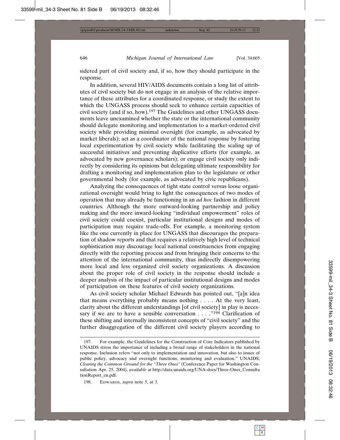\\jciprod01\productn\M\MIL\34-3\MIL303.txt unknown Seq: 42 10-JUN-13 12:22

## 646 *Michigan Journal of International Law* [Vol. 34:605

sidered part of civil society and, if so, how they should participate in the response.

In addition, several HIV/AIDS documents contain a long list of attributes of civil society but do not engage in an analysis of the relative importance of these attributes for a coordinated response, or study the extent to which the UNGASS process should seek to enhance certain capacities of civil society (and if so, how).197 The Guidelines and other UNGASS documents leave unexamined whether the state or the international community should delegate monitoring and implementation to a market-ordered civil society while providing minimal oversight (for example, as advocated by market liberals); act as a coordinator of the national response by fostering local experimentation by civil society while facilitating the scaling up of successful initiatives and preventing duplicative efforts (for example, as advocated by new governance scholars); or engage civil society only indirectly by considering its opinions but delegating ultimate responsibility for drafting a monitoring and implementation plan to the legislature or other governmental body (for example, as advocated by civic republicans).

Analyzing the consequences of tight state control versus loose organizational oversight would bring to light the consequences of two modes of operation that may already be functioning in an *ad hoc* fashion in different countries. Although the more outward-looking partnership and policy making and the more inward-looking "individual empowerment" roles of civil society could coexist, particular institutional designs and modes of participation may require trade-offs. For example, a monitoring system like the one currently in place for UNGASS that discourages the preparation of shadow reports and that requires a relatively high level of technical sophistication may discourage local national constituencies from engaging directly with the reporting process and from bringing their concerns to the attention of the international community, thus indirectly disempowering more local and less organized civil society organizations. A discussion about the proper role of civil society in the response should include a deeper analysis of the impact of particular institutional designs and modes of participation on these features of civil society organizations.

As civil society scholar Michael Edwards has pointed out, "[a]n idea that means everything probably means nothing . . . . At the very least, clarity about the different understandings [of civil society] in play is necessary if we are to have a sensible conversation . . . ."198 Clarification of these shifting and internally inconsistent concepts of "civil society" and the further disaggregation of the different civil society players according to

<sup>197.</sup> For example, the Guidelines for the Construction of Core Indicators published by UNAIDS stress the importance of including a broad range of stakeholders in the national response. Inclusion refers "not only to implementation and innovation, but also to issues of public policy, advocacy and oversight functions, monitoring and evaluation." UNAIDS, *Clearing the Common Ground for the "Three Ones"* (Conference Paper for Washington Consultation Apr. 25, 2004), *available at* http://data.unaids.org/UNA-docs/Three-Ones\_Consulta tionReport\_en.pdf.

<sup>198.</sup> EDWARDS, *supra* note 5, at 3.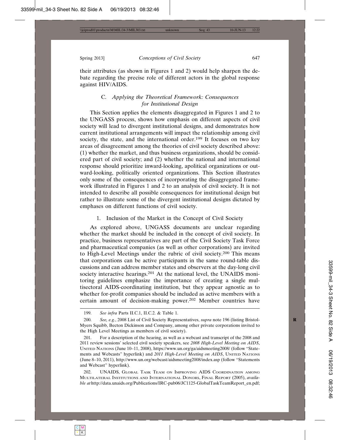\\jciprod01\productn\M\MIL\34-3\MIL303.txt unknown Seq: 43 10-JUN-13 12:22

### Spring 2013] *Conceptions of Civil Society* 647

their attributes (as shown in Figures 1 and 2) would help sharpen the debate regarding the precise role of different actors in the global response against HIV/AIDS.

## C. *Applying the Theoretical Framework: Consequences for Institutional Design*

This Section applies the elements disaggregated in Figures 1 and 2 to the UNGASS process, shows how emphasis on different aspects of civil society will lead to divergent institutional designs, and demonstrates how current institutional arrangements will impact the relationship among civil society, the state, and the international order.<sup>199</sup> It focuses on two key areas of disagreement among the theories of civil society described above: (1) whether the market, and thus business organizations, should be considered part of civil society; and (2) whether the national and international response should prioritize inward-looking, apolitical organizations or outward-looking, politically oriented organizations. This Section illustrates only some of the consequences of incorporating the disaggregated framework illustrated in Figures 1 and 2 to an analysis of civil society. It is not intended to describe all possible consequences for institutional design but rather to illustrate some of the divergent institutional designs dictated by emphases on different functions of civil society.

1. Inclusion of the Market in the Concept of Civil Society

As explored above, UNGASS documents are unclear regarding whether the market should be included in the concept of civil society. In practice, business representatives are part of the Civil Society Task Force and pharmaceutical companies (as well as other corporations) are invited to High-Level Meetings under the rubric of civil society.200 This means that corporations can be active participants in the same round-table discussions and can address member states and observers at the day-long civil society interactive hearings.<sup>201</sup> At the national level, the UNAIDS monitoring guidelines emphasize the importance of creating a single multisectoral AIDS-coordinating institution, but they appear agnostic as to whether for-profit companies should be included as active members with a certain amount of decision-making power.202 Member countries have



<sup>199.</sup> *See infra* Parts II.C.1, II.C.2. & Table 1.

<sup>200.</sup> *See, e.g.*, 2008 List of Civil Society Representatives, *supra* note 196 (listing Bristol- **R** Myers Squibb, Becton Dickinson and Company, among other private corporations invited to the High Level Meetings as members of civil society).

<sup>201.</sup> For a description of the hearing, as well as a webcast and transcript of the 2008 and 2011 review sessions' selected civil society speakers, see *2008 High-Level Meeting on AIDS*, UNITED NATIONS (June 10–11, 2008), https://www.un.org/ga/aidsmeeting2008/ (follow "Statements and Webcasts" hyperlink) and *2011 High-Level Meeting on AIDS*, UNITED NATIONS (June 8–10, 2011), http://www.un.org/webcast/aidsmeeting2008/index.asp (follow "Statements and Webcast" hyperlink).

<sup>202.</sup> UNAIDS, GLOBAL TASK TEAM ON IMPROVING AIDS COORDINATION AMONG MULTILATERAL INSTITUTIONS AND INTERNATIONAL DONORS, FINAL REPORT (2005), *available at* http://data.unaids.org/Publications/IRC-pub06/JC1125-GlobalTaskTeamReport\_en.pdf;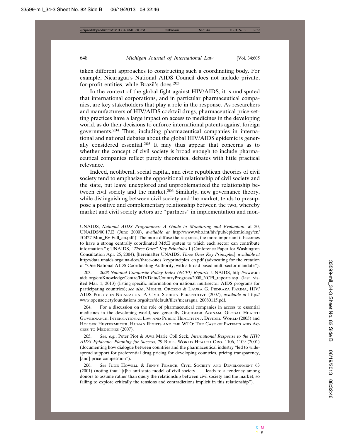\\jciprod01\productn\M\MIL\34-3\MIL303.txt unknown Seq: 44 10-JUN-13

## 648 *Michigan Journal of International Law* [Vol. 34:605

taken different approaches to constructing such a coordinating body. For example, Nicaragua's National AIDS Council does not include private, for-profit entities, while Brazil's does.203

In the context of the global fight against HIV/AIDS, it is undisputed that international corporations, and in particular pharmaceutical companies, are key stakeholders that play a role in the response. As researchers and manufacturers of HIV/AIDS cocktail drugs, pharmaceutical price-setting practices have a large impact on access to medicines in the developing world, as do their decisions to enforce international patents against foreign governments.204 Thus, including pharmaceutical companies in international and national debates about the global HIV/AIDS epidemic is generally considered essential.205 It may thus appear that concerns as to whether the concept of civil society is broad enough to include pharmaceutical companies reflect purely theoretical debates with little practical relevance.

Indeed, neoliberal, social capital, and civic republican theories of civil society tend to emphasize the oppositional relationship of civil society and the state, but leave unexplored and unproblematized the relationship between civil society and the market.<sup>206</sup> Similarly, new governance theory, while distinguishing between civil society and the market, tends to presuppose a positive and complementary relationship between the two, whereby market and civil society actors are "partners" in implementation and mon-

203. *2008 National Composite Policy Index (NCPI) Reports*, UNAIDS, http://www.un aids.org/en/KnowledgeCentre/HIVData/CountryProgress/2008\_NCPI\_reports.asp (last visited Mar. 1, 2013) (listing specific information on national multisector AIDS programs for participating countries); see also, MIGUEL OROZCO & LAURA G. PEDRAZA FARIÑA, HIV/ AIDS POLICY IN NICARAGUA: A CIVIL SOCIETY PERSPECTIVE (2007), *available at* http:// www.opensocietyfoundations.org/sites/default/files/nicaragua\_20080115.pdf.

204. For a discussion on the role of pharmaceutical companies in access to essential medicines in the developing world, see generally OBIJIOFOR AGINAM, GLOBAL HEALTH GOVERNANCE: INTERNATIONAL LAW AND PUBLIC HEALTH IN A DIVIDED WORLD (2005) and HOLGER HESTERMEYER, HUMAN RIGHTS AND THE WTO: THE CASE OF PATENTS AND AC-CESS TO MEDICINES (2007).

205. *See, e.g.*, Peter Piot & Awa Marie Coll Seck, *International Response to the HIV/ AIDS Epidemic: Planning for Success*, 79 BULL. WORLD HEALTH ORG. 1106, 1109 (2001) (documenting how dialogue between countries and the pharmaceutical industry "led to widespread support for preferential drug pricing for developing countries, pricing transparency, [and] price competition").

206. *See* JUDE HOWELL & JENNY PEARCE, CIVIL SOCIETY AND DEVELOPMENT 63 (2001) (noting that "[t]he anti-state model of civil society . . . leads to a tendency among donors to assume rather than query the relationship between civil society and the market, so failing to explore critically the tensions and contradictions implicit in this relationship").

UNAIDS, *National AIDS Programmes: A Guide to Monitoring and Evaluation*, at 20, UNAIDS/00.17.E (June 2000), *available at* http://www.who.int/hiv/pub/epidemiology/en/ JC427-Mon\_Ev-Full\_en.pdf ("The more diffuse the response, the more important it becomes to have a strong centrally coordinated M&E system to which each sector can contribute information."); UNAIDS, *"Three Ones" Key Principles* 1 (Conference Paper for Washington Consultation Apr. 25, 2004), [hereinafter UNAIDS, *Three Ones Key Principles*], *available at* http://data.unaids.org/una-docs/three-ones\_keyprinciples\_en.pdf (advocating for the creation of "One National AIDS Coordinating Authority, with a broad based multi-sector mandate").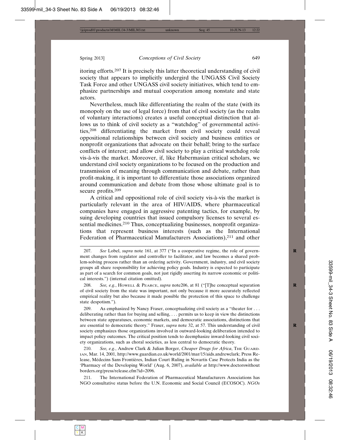\\jciprod01\productn\M\MIL\34-3\MIL303.txt unknown Seq: 45 10-JUN-13 12:22

C M Y | K

### Spring 2013] *Conceptions of Civil Society* 649

itoring efforts.207 It is precisely this latter theoretical understanding of civil society that appears to implicitly undergird the UNGASS Civil Society Task Force and other UNGASS civil society initiatives, which tend to emphasize partnerships and mutual cooperation among nonstate and state actors.

Nevertheless, much like differentiating the realm of the state (with its monopoly on the use of legal force) from that of civil society (as the realm of voluntary interactions) creates a useful conceptual distinction that allows us to think of civil society as a "watchdog" of governmental activities,208 differentiating the market from civil society could reveal oppositional relationships between civil society and business entities or nonprofit organizations that advocate on their behalf; bring to the surface conflicts of interest; and allow civil society to play a critical watchdog role vis-à-vis the market. Moreover, if, like Habermasian critical scholars, we understand civil society organizations to be focused on the production and transmission of meaning through communication and debate, rather than profit-making, it is important to differentiate those associations organized around communication and debate from those whose ultimate goal is to secure profits.<sup>209</sup>

A critical and oppositional role of civil society vis-à-vis the market is particularly relevant in the area of HIV/AIDS, where pharmaceutical companies have engaged in aggressive patenting tactics, for example, by suing developing countries that issued compulsory licenses to several essential medicines.<sup>210</sup> Thus, conceptualizing businesses, nonprofit organizations that represent business interests (such as the International Federation of Pharmaceutical Manufacturers Associations),<sup>211</sup> and other

208. *See, e.g.*, HOWELL & PEARCE, *supra* note206, at 81 ("[T]he conceptual separation **R** of civil society from the state was important, not only because it more accurately reflected empirical reality but also because it made possible the protection of this space to challenge state despotism.").

209. As emphasized by Nancy Fraser, conceptualizing civil society as a "theater for . . . deliberating rather than for buying and selling, . . . permits us to keep in view the distinctions between state apparatuses, economic markets, and democratic associations, distinctions that are essential to democratic theory." Fraser, *supra* note 32, at 57. This understanding of civil **R** society emphasizes those organizations involved in outward-looking deliberation intended to impact policy outcomes. The critical position tends to deemphasize inward-looking civil society organizations, such as choral societies, as less central to democratic theory.

210. *See, e.g., Andrew Clark & Julian Borger, Cheaper Drugs for Africa*, THE GUARD-IAN, Mar. 14, 2001, http://www.guardian.co.uk/world/2001/mar/15/aids.andrewclark; Press Release, Médecins Sans Frontières, Indian Court Ruling in Novartis Case Protects India as the 'Pharmacy of the Developing World' (Aug. 6, 2007), *available at* http://www.doctorswithout borders.org/press/release.cfm?id=2096.

211. The International Federation of Pharmaceutical Manufacturers Associations has NGO consultative status before the U.N. Economic and Social Council (ECOSOC). *NGOs*

<sup>207.</sup> *See* Lobel, *supra* note 161, at 377 ("In a cooperative regime, the role of govern- **R** ment changes from regulator and controller to facilitator, and law becomes a shared problem-solving process rather than an ordering activity. Government, industry, and civil society groups all share responsibility for achieving policy goals. Industry is expected to participate as part of a search for common goals, not just rigidly asserting its narrow economic or political interests.") (internal citation omitted).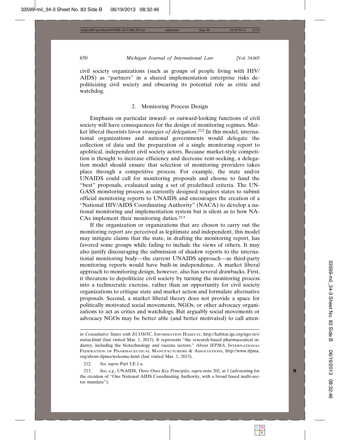\\jciprod01\productn\M\MIL\34-3\MIL303.txt unknown Seq: 46 10-JUN-13 12:22

# 650 *Michigan Journal of International Law* [Vol. 34:605

civil society organizations (such as groups of people living with HIV/ AIDS) as "partners" in a shared implementation enterprise risks depoliticizing civil society and obscuring its potential role as critic and watchdog.

## 2. Monitoring Process Design

Emphasis on particular inward- or outward-looking functions of civil society will have consequences for the design of monitoring regimes. Market liberal theorists favor *strategies of delegation*. 212 In this model, international organizations and national governments would delegate the collection of data and the preparation of a single monitoring report to apolitical, independent civil society actors. Because market-style competition is thought to increase efficiency and decrease rent-seeking, a delegation model should ensure that selection of monitoring providers takes place through a competitive process. For example, the state and/or UNAIDS could call for monitoring proposals and choose to fund the "best" proposals, evaluated using a set of predefined criteria. The UN-GASS monitoring process as currently designed requires states to submit official monitoring reports to UNAIDS and encourages the creation of a "National HIV/AIDS Coordinating Authority" (NACA) to develop a national monitoring and implementation system but is silent as to how NA-CAs implement their monitoring duties.<sup>213</sup>

If the organization or organizations that are chosen to carry out the monitoring report are perceived as legitimate and independent, this model may mitigate claims that the state, in drafting the monitoring report, has favored some groups while failing to include the views of others. It may also justify discouraging the submission of shadow reports to the international monitoring body—the current UNAIDS approach—as third-party monitoring reports would have built-in independence. A market liberal approach to monitoring design, however, also has several drawbacks. First, it threatens to depoliticize civil society by turning the monitoring process into a technocratic exercise, rather than an opportunity for civil society organizations to critique state and market action and formulate alternative proposals. Second, a market liberal theory does not provide a space for politically motivated social movements, NGOs, or other advocacy organizations to act as critics and watchdogs. But arguably social movements or advocacy NGOs may be better able (and better motivated) to call atten-

213. *See, e.g.*, UNAIDS, *Three Ones Key Principles*, *supra* note 202, at 1 (advocating for **R** the creation of "One National AIDS Coordinating Authority, with a broad based multi-sector mandate").

33599-mil\_34-3 Sheet No. 83 Side B 06/19/2013 08:32:46

06/19/2013 08:32:46

33599-mil\_34-3 Sheet No. 83 Side B

*in Consultative States with ECOSOC*, INFORMATION HABITAT, http://habitat.igc.org/ngo-rev/ status.html (last visited Mar. 1, 2013). It represents "the research-based pharmaceutical industry, including the biotechnology and vaccine sectors." About IFPMA, INTERNATIONAL FEDERATION OF PHARMACEUTICAL MANUFACTURERS & ASSOCIATIONS, http://www.ifpma. org/about-ifpma/welcome.html (last visited Mar. 1, 2013).

<sup>212.</sup> *See supra* Part I.E.1.a.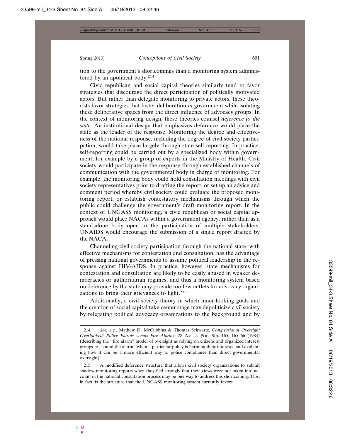\\jciprod01\productn\M\MIL\34-3\MIL303.txt unknown Seq: 47 10-JUN-13 12:22

C M Y | K

#### Spring 2013] *Conceptions of Civil Society* 651

tion to the government's shortcomings than a monitoring system administered by an apolitical body.214

Civic republican and social capital theories similarly tend to favor strategies that discourage the direct participation of politically motivated actors. But rather than delegate monitoring to private actors, these theorists favor strategies that foster deliberation *in* government while isolating these deliberative spaces from the direct influence of advocacy groups. In the context of monitoring design, these theories counsel *deference to the state*. An institutional design that emphasizes deference would place the state as the leader of the response. Monitoring the degree and effectiveness of the national response, including the degree of civil society participation, would take place largely through state self-reporting. In practice, self-reporting could be carried out by a specialized body within government, for example by a group of experts in the Ministry of Health. Civil society would participate in the response through established channels of communication with the governmental body in charge of monitoring. For example, the monitoring body could hold consultation meetings with civil society representatives prior to drafting the report, or set up an advice and comment period whereby civil society could evaluate the proposed monitoring report, or establish contestatory mechanisms through which the public could challenge the government's draft monitoring report. In the context of UNGASS monitoring, a civic republican or social capital approach would place NACAs within a government agency, rather than as a stand-alone body open to the participation of multiple stakeholders. UNAIDS would encourage the submission of a single report drafted by the NACA.

Channeling civil society participation through the national state, with effective mechanisms for contestation and consultation, has the advantage of pressing national governments to assume political leadership in the response against HIV/AIDS. In practice, however, state mechanisms for contestation and consultation are likely to be easily abused in weaker democracies or authoritarian regimes, and thus a monitoring system based on deference by the state may provide too few outlets for advocacy organizations to bring their grievances to light.<sup>215</sup>

Additionally, a civil society theory in which inner-looking goals and the creation of social capital take center stage may depoliticize civil society by relegating political advocacy organizations to the background and by

<sup>214.</sup> *See, e.g.*, Mathew D. McCubbins & Thomas Schwartz, *Congressional Oversight Overlooked: Police Patrols versus Fire Alarms*, 28 AM. J. POL. SCI. 165, 165–66 (1984) (describing the "fire alarm" model of oversight as relying on citizens and organized interest groups to "sound the alarm" when a particular policy is harming their interests, and explaining how it can be a more efficient way to police compliance than direct governmental oversight).

<sup>215.</sup> A modified deference structure that allows civil society organizations to submit shadow monitoring reports when they feel strongly that their views were not taken into account in the national consultation process may be one way to address this shortcoming. This, in fact, is the structure that the UNGASS monitoring system currently favors.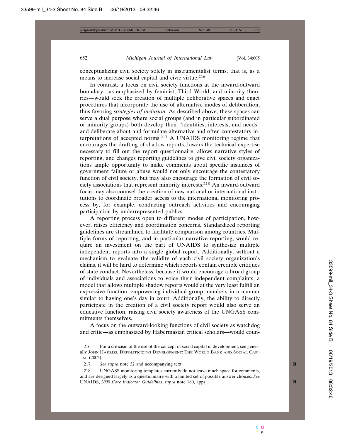\\jciprod01\productn\M\MIL\34-3\MIL303.txt unknown Seq: 48 10-JUN-13 12:22

## 652 *Michigan Journal of International Law* [Vol. 34:605

conceptualizing civil society solely in instrumentalist terms, that is, as a means to increase social capital and civic virtue.<sup>216</sup>

In contrast, a focus on civil society functions at the inward-outward boundary—as emphasized by feminist, Third World, and minority theories—would seek the creation of multiple deliberative spaces and enact procedures that incorporate the use of alternative modes of deliberation, thus favoring *strategies of inclusion*. As described above, these spaces can serve a dual purpose where social groups (and in particular subordinated or minority groups) both develop their "identities, interests, and needs" and deliberate about and formulate alternative and often contestatory interpretations of accepted norms.217 A UNAIDS monitoring regime that encourages the drafting of shadow reports, lowers the technical expertise necessary to fill out the report questionnaire, allows narrative styles of reporting, and changes reporting guidelines to give civil society organizations ample opportunity to make comments about specific instances of government failure or abuse would not only encourage the contestatory function of civil society, but may also encourage the formation of civil society associations that represent minority interests.218 An inward-outward focus may also counsel the creation of new national or international institutions to coordinate broader access to the international monitoring process by, for example, conducting outreach activities and encouraging participation by underrepresented publics.

A reporting process open to different modes of participation, however, raises efficiency and coordination concerns. Standardized reporting guidelines are streamlined to facilitate comparison among countries. Multiple forms of reporting, and in particular narrative reporting, would require an investment on the part of UNAIDS to synthesize multiple independent reports into a single global report. Additionally, without a mechanism to evaluate the validity of each civil society organization's claims, it will be hard to determine which reports contain credible critiques of state conduct. Nevertheless, because it would encourage a broad group of individuals and associations to voice their independent complaints, a model that allows multiple shadow reports would at the very least fulfill an expressive function, empowering individual group members in a manner similar to having one's day in court. Additionally, the ability to directly participate in the creation of a civil society report would also serve an educative function, raising civil society awareness of the UNGASS commitments themselves.

A focus on the outward-looking functions of civil society as watchdog and critic—as emphasized by Habermasian critical scholars—would coun-

<sup>216.</sup> For a criticism of the use of the concept of social capital in development, see generally JOHN HARRISS, DEPOLITICIZING DEVELOPMENT: THE WORLD BANK AND SOCIAL CAPI-TAL (2002).

<sup>217.</sup> *See supra* note 32 and accompanying text. **R**

<sup>218.</sup> UNGASS monitoring templates currently do not leave much space for comments, and are designed largely as a questionnaire with a limited set of possible answer choices. *See* UNAIDS, *2009 Core Indicator Guidelines*, *supra* note 180, apps. **R**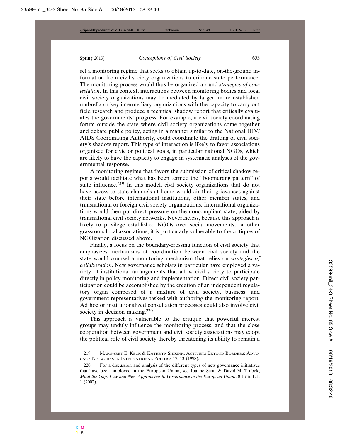C M Y | K

\\jciprod01\productn\M\MIL\34-3\MIL303.txt unknown Seq: 49 10-JUN-13 12:22

Spring 2013] *Conceptions of Civil Society* 653

sel a monitoring regime that seeks to obtain up-to-date, on-the-ground information from civil society organizations to critique state performance. The monitoring process would thus be organized around *strategies of contestation*. In this context, interactions between monitoring bodies and local civil society organizations may be mediated by larger, more established umbrella or key intermediary organizations with the capacity to carry out field research and produce a technical shadow report that critically evaluates the governments' progress. For example, a civil society coordinating forum outside the state where civil society organizations come together and debate public policy, acting in a manner similar to the National HIV/ AIDS Coordinating Authority, could coordinate the drafting of civil society's shadow report. This type of interaction is likely to favor associations organized for civic or political goals, in particular national NGOs, which are likely to have the capacity to engage in systematic analyses of the governmental response.

A monitoring regime that favors the submission of critical shadow reports would facilitate what has been termed the "boomerang pattern" of state influence.<sup>219</sup> In this model, civil society organizations that do not have access to state channels at home would air their grievances against their state before international institutions, other member states, and transnational or foreign civil society organizations. International organizations would then put direct pressure on the noncompliant state, aided by transnational civil society networks. Nevertheless, because this approach is likely to privilege established NGOs over social movements, or other grassroots local associations, it is particularly vulnerable to the critiques of NGOization discussed above.

Finally, a focus on the boundary-crossing function of civil society that emphasizes mechanisms of coordination between civil society and the state would counsel a monitoring mechanism that relies on *strategies of collaboration*. New governance scholars in particular have employed a variety of institutional arrangements that allow civil society to participate directly in policy monitoring and implementation. Direct civil society participation could be accomplished by the creation of an independent regulatory organ composed of a mixture of civil society, business, and government representatives tasked with authoring the monitoring report. Ad hoc or institutionalized consultation processes could also involve civil society in decision making.<sup>220</sup>

This approach is vulnerable to the critique that powerful interest groups may unduly influence the monitoring process, and that the close cooperation between government and civil society associations may coopt the political role of civil society thereby threatening its ability to remain a

<sup>219.</sup> MARGARET E. KECK & KATHRYN SIKKINK, ACTIVISTS BEYOND BORDERS: ADVO-CACY NETWORKS IN INTERNATIONAL POLITICS 12–13 (1998).

<sup>220.</sup> For a discussion and analysis of the different types of new governance initiatives that have been employed in the European Union, see Joanne Scott & David M. Trubek, *Mind the Gap: Law and New Approaches to Governance in the European Union*, 8 EUR. L.J. 1 (2002).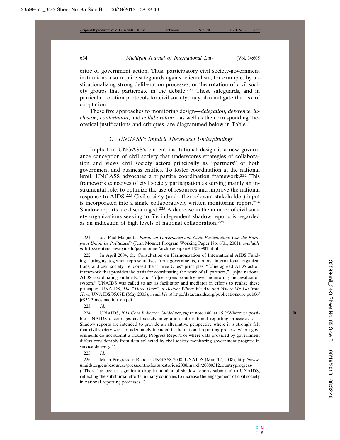\\jciprod01\productn\M\MIL\34-3\MIL303.txt unknown Seq: 50 10-JUN-13

654 *Michigan Journal of International Law* [Vol. 34:605

critic of government action. Thus, participatory civil society-government institutions also require safeguards against clientelism, for example, by institutionalizing strong deliberation processes, or the rotation of civil society groups that participate in the debate.221 These safeguards, and in particular rotation protocols for civil society, may also mitigate the risk of cooptation.

These five approaches to monitoring design—*delegation, deference, inclusion, contestation*, and *collaboration*—as well as the corresponding theoretical justifications and critiques, are diagrammed below in Table 1.

### D. *UNGASS's Implicit Theoretical Underpinnings*

Implicit in UNGASS's current institutional design is a new governance conception of civil society that underscores strategies of collaboration and views civil society actors principally as "partners" of both government and business entities. To foster coordination at the national level, UNGASS advocates a tripartite coordination framework.222 This framework conceives of civil society participation as serving mainly an instrumental role: to optimize the use of resources and improve the national response to AIDS.223 Civil society (and other relevant stakeholder) input is incorporated into a single collaboratively written monitoring report.224 Shadow reports are discouraged.225 A decrease in the number of civil society organizations seeking to file independent shadow reports is regarded as an indication of high levels of national collaboration.226

223. *Id.*

224. UNAIDS, *2011 Core Indicator Guidelines*, *supra* note 180, at 15 ("Wherever possi- **R** ble UNAIDS encourages civil society integration into national reporting processes. . . . Shadow reports are intended to provide an alternative perspective where it is strongly felt that civil society was not adequately included in the national reporting process, where governments do not submit a Country Progress Report, or where data provided by government differs considerably from data collected by civil society monitoring government progress in service delivery.").

225. *Id.*

226. Much Progress to Report: UNGASS 2008, UNAIDS (Mar. 12, 2008), http://www. unaids.org/en/resources/presscentre/featurestories/2008/march/20080312countryprogress/ ("There has been a significant drop in number of shadow reports submitted to UNAIDS, reflecting the substantial efforts in many countries to increase the engagement of civil society in national reporting processes.").

<sup>221.</sup> *See* Paul Magnette, *European Governance and Civic Participation: Can the European Union be Politicised?* (Jean Monnet Program Working Paper No. 6/01, 2001), *available at* http://centers.law.nyu.edu/jeanmonnet/archive/papers/01/010901.html.

<sup>222.</sup> In April 2004, the Consultation on Harmonization of International AIDS Funding—bringing together representatives from governments, donors, international organizations, and civil society—endorsed the "Three Ones" principles: "[o]ne agreed AIDS action framework that provides the basis for coordinating the work of all partners," "[o]ne national AIDS coordinating authority," and "[o]ne agreed country-level monitoring and evaluation system." UNAIDS was called to act as facilitator and mediator in efforts to realize these principles. UNAIDS, *The "Three Ones" in Action: Where We Are and Where We Go from Here*, UNAIDS/05.08E (May 2005), *available at* http://data.unaids.org/publications/irc-pub06/ jc935-3onesinaction\_en.pdf.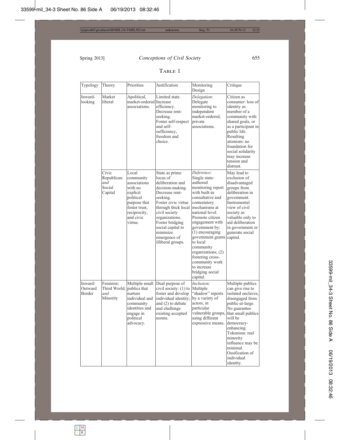$\overline{\text{Njciprod01\text{product}n\text{MMIL}\text{34-3}\text{MHL}\text{303.txt}}} \qquad \qquad \text{unknown} \qquad \qquad \text{Seq: 51} \qquad \qquad \text{10-JUN-13} \qquad \text{12:22}$ 

# Spring 2013] *Conceptions of Civil Society* 655

# TABLE 1

| Typology                     | Theory                                                    | Priorities                                                                                                                                      | Justification                                                                                                                                                                                                                                                              | Monitoring<br>Design                                                                                                                                                                                                                                                                                                                                                                       | Critique                                                                                                                                                                                                                                                                                   |
|------------------------------|-----------------------------------------------------------|-------------------------------------------------------------------------------------------------------------------------------------------------|----------------------------------------------------------------------------------------------------------------------------------------------------------------------------------------------------------------------------------------------------------------------------|--------------------------------------------------------------------------------------------------------------------------------------------------------------------------------------------------------------------------------------------------------------------------------------------------------------------------------------------------------------------------------------------|--------------------------------------------------------------------------------------------------------------------------------------------------------------------------------------------------------------------------------------------------------------------------------------------|
| Inward-<br>looking           | Market<br>liberal                                         | Apolitical,<br>market-ordered Increase<br>associations.                                                                                         | Limited state.<br>efficiency.<br>Decrease rent-<br>seeking.<br>Foster self-respect<br>and self-<br>sufficiency,<br>freedom and<br>choice.                                                                                                                                  | Delegation:<br>Delegate<br>monitoring to<br>independent<br>market-ordered,<br>private<br>associations.                                                                                                                                                                                                                                                                                     | Citizen as<br>consumer: loss of<br>identity as<br>member of a<br>community with<br>shared goals, or<br>as a participant in<br>public life.<br>Resulting<br>atomism: no<br>foundation for<br>social solidarity<br>may increase<br>tension and<br>distrust.                                  |
|                              | Civic<br>Republican<br>and<br>Social<br>Capital           | Local<br>community<br>associations<br>with no<br>explicit<br>political<br>purpose that<br>foster trust,<br>reciprocity,<br>and civic<br>virtue. | State as prime<br>locus of<br>deliberation and<br>decision-making.<br>Decrease rent-<br>seeking.<br>Foster civic virtue<br>through thick local<br>civil society<br>organizations.<br>Foster bridging<br>social capital to<br>minimize<br>emergence of<br>illiberal groups. | Deference:<br>Single state-<br>authored<br>monitoring report<br>with built-in<br>consultative and<br>contestatory<br>mechanisms at<br>national level.<br>Promote citizen<br>engagement with<br>government by:<br>$(1)$ encouraging<br>government grants<br>to local<br>community<br>organizations; (2)<br>fostering cross-<br>community work<br>to increase<br>bridging social<br>capital. | May lead to<br>exclusion of<br>disadvantaged<br>groups from<br>deliberation in<br>government.<br>Instrumental<br>view of civil<br>society as<br>valuable only to<br>aid deliberation<br>in government or<br>generate social<br>capital.                                                    |
| Inward/<br>Outward<br>Border | Feminist:<br>Third World; publics that<br>and<br>Minority | Multiple small<br>nurture<br>individual and<br>community<br>identities and<br>engage in<br>political<br>advocacy.                               | Dual purpose of<br>civil society: (1) to<br>foster and develop<br>individual identity;<br>and (2) to debate<br>and challenge<br>existing accepted<br>norms.                                                                                                                | Inclusion:<br>Multiple<br>"shadow" reports<br>by a variety of<br>actors, in<br>particular<br>vulnerable groups,<br>using different<br>expressive means.                                                                                                                                                                                                                                    | Multiple publics<br>can give rise to<br>isolated enclaves.<br>disengaged from<br>public-at-large.<br>No guarantee<br>that small publics<br>will be<br>democracy-<br>enhancing.<br>Tokenism: real<br>minority<br>influence may be<br>minimal.<br>Ossification of<br>individual<br>identity. |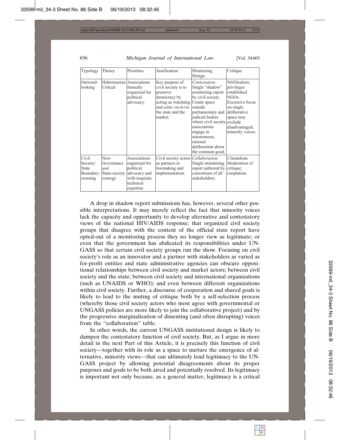\\jciprod01\productn\M\MIL\34-3\MIL303.txt unknown Seq: 52 10-JUN-13 12:22

| . .<br>г.<br>I<br>۰.<br>٦<br>$\sim$ | ٠<br>٦<br>×<br>$\sim$ |  |
|-------------------------------------|-----------------------|--|
|                                     |                       |  |

656 *Michigan Journal of International Law* [Vol. 34:605

C M Y | K

| Typology                                            | Theory                                               | Priorities                                                                                             | Justification                                                                                                                                                | Monitoring<br>Design                                                                                                                                                                                                                                   | Critique                                                                                                                                                                    |
|-----------------------------------------------------|------------------------------------------------------|--------------------------------------------------------------------------------------------------------|--------------------------------------------------------------------------------------------------------------------------------------------------------------|--------------------------------------------------------------------------------------------------------------------------------------------------------------------------------------------------------------------------------------------------------|-----------------------------------------------------------------------------------------------------------------------------------------------------------------------------|
| Outward-<br>looking                                 | Habermasian Associations<br>Critical                 | formally<br>organized for<br>political<br>advocacy.                                                    | Key purpose of<br>civil society is to<br>preserve<br>democracy by<br>acting as watchdog Create space<br>and critic vis-à-vis<br>the state and the<br>market. | Contestation:<br>Single "shadow"<br>monitoring report<br>by civil society.<br>outside<br>parliamentary and<br>judicial bodies<br>where civil society<br>associations<br>engage in<br>autonomous,<br>rational<br>deliberation about<br>the common good. | NGOization:<br>privileges<br>established<br>NGO <sub>s</sub><br>Excessive focus<br>on single<br>deliberative<br>space may<br>lexclude<br>disadvantaged,<br>minority voices. |
| Civil<br>Society/<br>State<br>Boundary-<br>crossing | New<br>Governance<br>and<br>State-society<br>synergy | Associations<br>organized for<br>political<br>advocacy and<br>with requisite<br>technical<br>expertise | Civil society actors <i>Collaboration</i> :<br>as partners in<br>lawmaking and<br>implementation.                                                            | Single monitoring<br>report authored by<br>consortium of all<br>stakeholders.                                                                                                                                                                          | Clientelism.<br>Moderation of<br>critique;<br>cooptation.                                                                                                                   |

A drop in shadow report submissions has, however, several other possible interpretations. It may merely reflect the fact that minority voices lack the capacity and opportunity to develop alternative and contestatory views of the national HIV/AIDS response; that organized civil society groups that disagree with the content of the official state report have opted-out of a monitoring process they no longer view as legitimate; or even that the government has abdicated its responsibilities under UN-GASS so that certain civil society groups run the show. Focusing on civil society's role as an innovator and a partner with stakeholders as varied as for-profit entities and state administrative agencies can obscure oppositional relationships between civil society and market actors; between civil society and the state; between civil society and international organizations (such as UNAIDS or WHO); and even between different organizations within civil society. Further, a discourse of cooperation and shared goals is likely to lead to the muting of critique both by a self-selection process (whereby those civil society actors who most agree with governmental or UNGASS policies are more likely to join the collaborative project) and by the progressive marginalization of dissenting (and often disrupting) voices from the "collaboration" table.

In other words, the current UNGASS institutional design is likely to dampen the contestatory function of civil society. But, as I argue in more detail in the next Part of this Article, it is precisely this function of civil society—together with its role as a space to nurture the emergence of alternative, minority views—that can ultimately lend legitimacy to the UN-GASS project by allowing potential disagreements about its proper purposes and goals to be both aired and potentially resolved. Its legitimacy is important not only because, as a general matter, legitimacy is a critical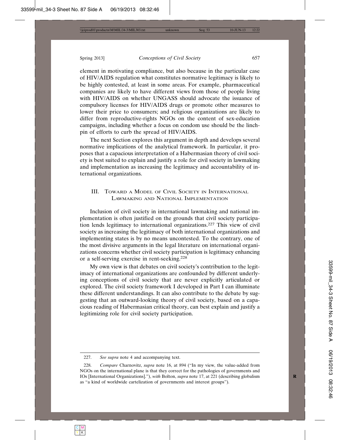\\jciprod01\productn\M\MIL\34-3\MIL303.txt unknown Seq: 53 10-JUN-13 12:22

Spring 2013] *Conceptions of Civil Society* 657

element in motivating compliance, but also because in the particular case of HIV/AIDS regulation what constitutes normative legitimacy is likely to be highly contested, at least in some areas. For example, pharmaceutical companies are likely to have different views from those of people living with HIV/AIDS on whether UNGASS should advocate the issuance of compulsory licenses for HIV/AIDS drugs or promote other measures to lower their price to consumers; and religious organizations are likely to differ from reproductive-rights NGOs on the content of sex-education campaigns, including whether a focus on condom use should be the linchpin of efforts to curb the spread of HIV/AIDS.

The next Section explores this argument in depth and develops several normative implications of the analytical framework. In particular, it proposes that a capacious interpretation of a Habermasian theory of civil society is best suited to explain and justify a role for civil society in lawmaking and implementation as increasing the legitimacy and accountability of international organizations.

## III. TOWARD A MODEL OF CIVIL SOCIETY IN INTERNATIONAL LAWMAKING AND NATIONAL IMPLEMENTATION

Inclusion of civil society in international lawmaking and national implementation is often justified on the grounds that civil society participation lends legitimacy to international organizations.227 This view of civil society as increasing the legitimacy of both international organizations and implementing states is by no means uncontested. To the contrary, one of the most divisive arguments in the legal literature on international organizations concerns whether civil society participation is legitimacy enhancing or a self-serving exercise in rent-seeking.228

My own view is that debates on civil society's contribution to the legitimacy of international organizations are confounded by different underlying conceptions of civil society that are never explicitly articulated or explored. The civil society framework I developed in Part I can illuminate these different understandings. It can also contribute to the debate by suggesting that an outward-looking theory of civil society, based on a capacious reading of Habermasian critical theory, can best explain and justify a legitimizing role for civil society participation.

<sup>227.</sup> *See supra* note 4 and accompanying text.

<sup>228.</sup> *Compare* Charnovitz, *supra* note 16, at 894 ("In my view, the value-added from NGOs on the international plane is that they correct for the pathologies of governments and IOs [International Organizations]."), *with* Bolton, *supra* note 17, at 221 (describing globalism **R** as "a kind of worldwide cartelization of governments and interest groups").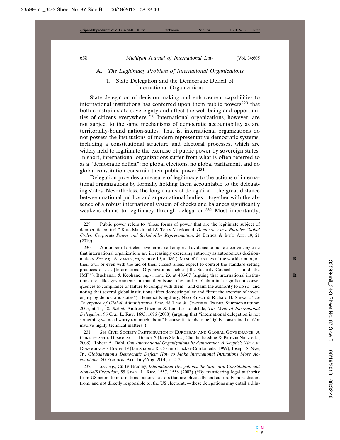\\jciprod01\productn\M\MIL\34-3\MIL303.txt unknown Seq: 54 10-JUN-13

## 658 *Michigan Journal of International Law* [Vol. 34:605

### A. *The Legitimacy Problem of International Organizations*

## 1. State Delegation and the Democratic Deficit of International Organizations

State delegation of decision making and enforcement capabilities to international institutions has conferred upon them public powers<sup>229</sup> that both constrain state sovereignty and affect the well-being and opportunities of citizens everywhere.230 International organizations, however, are not subject to the same mechanisms of democratic accountability as are territorially-bound nation-states. That is, international organizations do not possess the institutions of modern representative democratic systems, including a constitutional structure and electoral processes, which are widely held to legitimate the exercise of public power by sovereign states. In short, international organizations suffer from what is often referred to as a "democratic deficit": no global elections, no global parliament, and no global constitution constrain their public power.231

Delegation provides a measure of legitimacy to the actions of international organizations by formally holding them accountable to the delegating states. Nevertheless, the long chains of delegation—the great distance between national publics and supranational bodies—together with the absence of a robust international system of checks and balances significantly weakens claims to legitimacy through delegation.232 Most importantly,

230. A number of articles have harnessed empirical evidence to make a convincing case that international organizations are increasingly exercising authority as autonomous decisionmakers. *See, e.g.*, ALVAREZ, *supra* note 19, at 586 ("Most of the states of the world cannot, on **R** their own or even with the aid of their closest allies, expect to control the standard-setting practices of . . . [International Organizations such as] the Security Council . . . [and] the IMF."); Buchanan & Keohane, *supra* note 23, at 406-07 (arguing that international institu- **R** tions are "like governments in that they issue rules and publicly attach significant consequences to compliance or failure to comply with them—and claim the authority to do so" and noting that several global institutions affect domestic policy and "limit the exercise of sovereignty by democratic states"); Benedict Kingsbury, Nico Krisch & Richard B. Stewart, T*he Emergence of Global Administrative Law*, 68 LAW & CONTEMP. PROBS. Summer/Autumn 2005, at 15, 18. *But cf.* Andrew Guzman & Jennifer Landslide, *The Myth of International Delegation*, 96 CAL. L. REV. 1693, 1696 (2008) (arguing that "international delegation is not something we need worry too much about" because it "tends to be highly constrained and/or involve highly technical matters").

231. *See* CIVIL SOCIETY PARTICIPATION IN EUROPEAN AND GLOBAL GOVERNANCE: A CURE FOR THE DEMOCRATIC DEFICIT? (Jens Steffek, Claudia Kissling & Patrizia Nanz eds., 2008); Robert A. Dahl, *Can International Organizations be democratic? A Skeptic's View*, *in* DEMOCRACY'S EDGES 19 (Ian Shapiro & Casiano Hacker-Cordon eds., 1999); Joseph S. Nye, Jr., *Globalization's Democratic Deficit: How to Make International Institutions More Accountable*, 80 FOREIGN AFF. July/Aug. 2001, at 2, 2.

232. *See, e.g.*, Curtis Bradley, *International Delegations, the Structural Constitution, and Non-Self-Execution*, 55 STAN. L. REV. 1557, 1558 (2003) ("By transferring legal authority from US actors to international actors—actors that are physically and culturally more distant from, and not directly responsible to, the US electorate—these delegations may entail a dilu-

<sup>229.</sup> Public power refers to "those forms of power that are the legitimate subject of democratic control." Kate Macdonald & Terry Macdonald, *Democracy in a Pluralist Global Order: Corporate Power and Stakeholder Representation*, 24 ETHICS & INT'L AFF. 19, 21 (2010).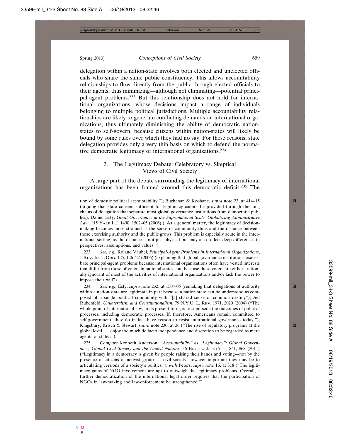\\jciprod01\productn\M\MIL\34-3\MIL303.txt unknown Seq: 55 10-JUN-13

C M Y | K

## Spring 2013] *Conceptions of Civil Society* 659

delegation within a nation-state involves both elected and unelected officials who share the same public constituency. This allows accountability relationships to flow directly from the public through elected officials to their agents, thus minimizing—although not eliminating—potential principal-agent problems.233 But this relationship does not hold for international organizations, whose decisions impact a range of individuals belonging to multiple political jurisdictions. Multiple accountability relationships are likely to generate conflicting demands on international organizations, thus ultimately diminishing the ability of democratic nationstates to self-govern, because citizens within nation-states will likely be bound by some rules over which they had no say. For these reasons, state delegation provides only a very thin basis on which to defend the normative democratic legitimacy of international organizations.234

## 2. The Legitimacy Debate: Celebratory vs. Skeptical Views of Civil Society

A large part of the debate surrounding the legitimacy of international organizations has been framed around this democratic deficit.235 The

tion of domestic political accountability."); Buchanan & Keohane, *supra* note 23, at 414–15 **R** (arguing that state consent sufficient for legitimacy cannot be provided through the long chains of delegation that separate most global governance institutions from democratic publics); Daniel Esty, *Good Governance at the Supranational Scale: Globalizing Administrative* Law, 115 YALE L.J. 1490, 1502–05 (2006) ("As a general matter, the legitimacy of decisionmaking becomes more strained as the sense of community thins and the distance between those exercising authority and the public grows. This problem is especially acute in the international setting, as the distance is not just physical but may also reflect deep differences in perspectives, assumptions, and values.").

233. *See, e.g.*, Roland Vaubel, *Principal-Agent Problems in International Organizations*, 1 REV. INT'L ORG. 125, 126–27 (2006) (explaining that global governance institutions exacerbate principal-agent problems because international organizations often have vested interests that differ from those of voters in national states, and because these voters are either "rationally ignorant of most of the activities of international organizations and/or lack the power to impose their will").

234. *See, e.g.*, Esty, *supra* note 232, at 1504-05 (remaking that delegations of authority **R** within a nation state are legitimate in part because a nation state can be understood as composed of a single political community with "[a] shared sense of common destiny"); Jed Rubenfeld, *Unilateralism and Constitutionalism*, 79 N.Y.U. L. REV. 1971, 2020 (2004) ("The whole point of international law, in its present form, is to supersede the outcomes of political processes, including democratic processes. If, therefore, Americans remain committed to self-government, they do in fact have reason to resist international governance today."); Kingsbury, Krisch & Stewart, *supra* note 230, at 26 ("The rise of regulatory programs at the **R** global level . . . enjoy too much de facto independence and discretion to be regarded as mere agents of states.").

235. *Compare* Kenneth Anderson, *"Accountability" as "Legitimacy": Global Governance, Global Civil Society and the United Nations*, 36 BROOK. J. INT'L L. 841, 868 (2011) ("Legitimacy in a democracy is given by people raising their hands and voting—not by the presence of citizens or activist groups as civil society, however important they may be to articulating versions of a society's politics."), *with* Peters, *supra* note 16, at 318 ("The legitimacy gains of NGO involvement are apt to outweigh the legitimacy problems. Overall, a further democratization of the international legal order requires that the participation of NGOs in law-making and law-enforcement be strengthened.").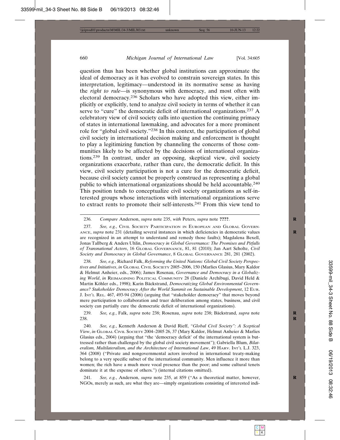\\jciprod01\productn\M\MIL\34-3\MIL303.txt unknown Seq: 56 10-JUN-13

## 660 *Michigan Journal of International Law* [Vol. 34:605

question thus has been whether global institutions can approximate the ideal of democracy as it has evolved to constrain sovereign states. In this interpretation, legitimacy—understood in its normative sense as having the *right to rule*—is synonymous with democracy, and most often with electoral democracy.236 Scholars who have adopted this view, either implicitly or explicitly, tend to analyze civil society in terms of whether it can serve to "cure" the democratic deficit of international organizations.<sup>237</sup> A celebratory view of civil society calls into question the continuing primacy of states in international lawmaking, and advocates for a more prominent role for "global civil society."238 In this context, the participation of global civil society in international decision making and enforcement is thought to play a legitimizing function by channeling the concerns of those communities likely to be affected by the decisions of international organizations.239 In contrast, under an opposing, skeptical view, civil society organizations exacerbate, rather than cure, the democratic deficit. In this view, civil society participation is not a cure for the democratic deficit, because civil society cannot be properly construed as representing a global public to which international organizations should be held accountable.240 This position tends to conceptualize civil society organizations as self-interested groups whose interactions with international organizations serve to extract rents to promote their self-interests.241 From this view tend to

237. *See, e.g.*, CIVIL SOCIETY PARTICIPATION IN EUROPEAN AND GLOBAL GOVERN-ANCE, *supra* note 231 (detailing several instances in which deficiencies in democratic values **R** are recognized in an attempt to understand and remedy those faults); Magdalena Bexell, Jonas Tallberg & Anders Uhlin, *Democracy in Global Governance: The Promises and Pitfalls of Transnational Actors*, 16 GLOBAL GOVERNANCE, 81, 81 (2010); Jan Aart Scholte, *Civil Society and Democracy in Global Governance*, 8 GLOBAL GOVERNANCE 281, 281 (2002).

238. *See, e.g.*, Richard Falk, *Reforming the United Nations: Global Civil Society Perspectives and Initiatives*, *in* GLOBAL CIVIL SOCIETY 2005–2006, 150 (Marlies Glasius, Mary Kaldor & Helmut Anheier, eds., 2006); James Rosenau, *Governance and Democracy in a Globalizing World*, *in* REIMAGINING POLITICAL COMMUNITY 28 (Daniele Archibugi, David Held & Martin Köhler eds., 1998); Karin Bäckstrand, *Democratizing Global Environmental Governance? Stakeholder Democracy After the World Summit on Sustainable Development*, 12 EUR. J. INT'L REL. 467, 493-94 (2006) (arguing that "stakeholder democracy" that moves beyond mere participation to collaboration and truer deliberation among states, business, and civil society can partially cure the democratic deficit of international organizations).

239. *See, e.g.*, Falk, *supra* note 238; Rosenau, *supra* note 238; Bäckstrand, *supra* note **R** 238. **R**

240. *See, e.g.*, Kenneth Anderson & David Rieff, *"Global Civil Society": A Sceptical View*, *in* GLOBAL CIVIL SOCIETY 2004–2005 26, 37 (Mary Kaldor, Helmut Anheier & Marlies Glasius eds., 2004) (arguing that "the 'democracy deficit' of the international system is buttressed rather than challenged by the global civil society movement"); Gabriella Blum, *Bilateralism, Multilateralism, and the Architecture of International Law*, 49 HARV. INT'L L.J. 323, 364 (2008) ("Private and nongovernmental actors involved in international treaty-making belong to a very specific subset of the international community. Men influence it more than women; the rich have a much more vocal presence than the poor; and some cultural tenets dominate it at the expense of others.") (internal citations omitted).

241. *See, e.g.*, Anderson, *supra* note 235, at 859 ("As a theoretical matter, however, **R** NGOs, merely as such, are what they are—simply organizations consisting of interested indi-

<sup>236.</sup> *Compare* Anderson, *supra* note 235, *with* Peters, *supra* note **????**. **R**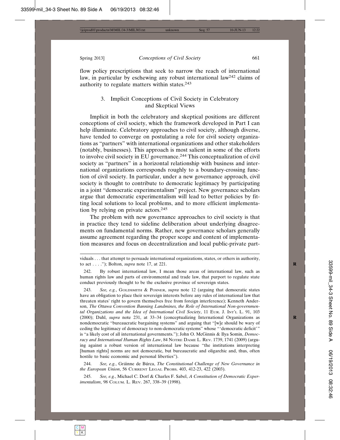\\jciprod01\productn\M\MIL\34-3\MIL303.txt unknown Seq: 57 10-JUN-13

## Spring 2013] *Conceptions of Civil Society* 661

flow policy prescriptions that seek to narrow the reach of international law, in particular by eschewing any robust international law<sup>242</sup> claims of authority to regulate matters within states.243

## 3. Implicit Conceptions of Civil Society in Celebratory and Skeptical Views

Implicit in both the celebratory and skeptical positions are different conceptions of civil society, which the framework developed in Part I can help illuminate. Celebratory approaches to civil society, although diverse, have tended to converge on postulating a role for civil society organizations as "partners" with international organizations and other stakeholders (notably, businesses). This approach is most salient in some of the efforts to involve civil society in EU governance.244 This conceptualization of civil society as "partners" in a horizontal relationship with business and international organizations corresponds roughly to a boundary-crossing function of civil society. In particular, under a new governance approach, civil society is thought to contribute to democratic legitimacy by participating in a joint "democratic experimentalism" project. New governance scholars argue that democratic experimentalism will lead to better policies by fitting local solutions to local problems, and to more efficient implementation by relying on private actors.245

The problem with new governance approaches to civil society is that in practice they tend to sideline deliberation about underlying disagreements on fundamental norms. Rather, new governance scholars generally assume agreement regarding the proper scope and content of implementation measures and focus on decentralization and local public-private part-

242. By robust international law, I mean those areas of international law, such as human rights law and parts of environmental and trade law, that purport to regulate state conduct previously thought to be the exclusive province of sovereign states.

243. *See, e.g.*, GOLDSMITH & POSNER, *supra* note 12 (arguing that democratic states have an obligation to place their sovereign interests before any rules of international law that threaten states' right to govern themselves free from foreign interference); Kenneth Anderson, *The Ottawa Convention Banning Landmines, the Role of International Non-governmental Organizations and the Idea of International Civil Society*, 11 EUR. J. INT'L L. 91, 103 (2000); Dahl, *supra* note 231, at 33–34 (conceptualizing International Organizations as **R** nondemocratic "bureaucratic bargaining systems" and arguing that "[w]e should be wary of ceding the legitimacy of democracy to non-democratic systems" whose "'democratic deficit'" is "a likely cost of all international governments."); John O. McGinnis & Ilya Somin, *Democracy and International Human Rights Law*, 84 NOTRE DAME L. REV. 1739, 1741 (2009) (arguing against a robust version of international law because "the institutions interpreting [human rights] norms are not democratic, but bureaucratic and oligarchic and, thus, often hostile to basic economic and personal liberties").

244. *See, e.g., Gráinne de Búrca, The Constitutional Challenge of New Governance in the European Union*, 56 CURRENT LEGAL PROBS. 403, 412-23, 422 (2003).

245. *See, e.g.*, Michael C. Dorf & Charles F. Sabel, *A Constitution of Democratic Experimentalism*, 98 COLUM. L. REV. 267, 338–39 (1998).

viduals . . . that attempt to persuade international organizations, states, or others in authority, to act . . . ."); Bolton, *supra* note 17, at 221. **R**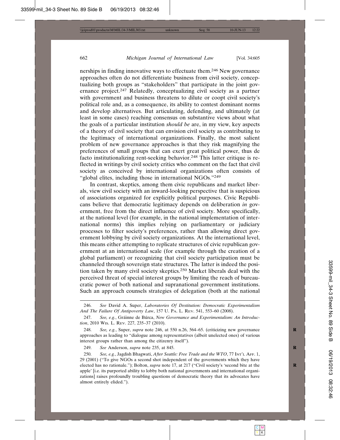\\jciprod01\productn\M\MIL\34-3\MIL303.txt unknown Seq: 58 10-JUN-13 12:22

662 *Michigan Journal of International Law* [Vol. 34:605

nerships in finding innovative ways to effectuate them.246 New governance approaches often do not differentiate business from civil society, conceptualizing both groups as "stakeholders" that participate in the joint governance project.247 Relatedly, conceptualizing civil society as a partner with government and business threatens to dilute or coopt civil society's political role and, as a consequence, its ability to contest dominant norms and develop alternatives. But articulating, defending, and ultimately (at least in some cases) reaching consensus on substantive views about what the goals of a particular institution *should be* are, in my view, key aspects of a theory of civil society that can envision civil society as contributing to the legitimacy of international organizations. Finally, the most salient problem of new governance approaches is that they risk magnifying the preferences of small groups that can exert great political power, thus de facto institutionalizing rent-seeking behavior.248 This latter critique is reflected in writings by civil society critics who comment on the fact that civil society as conceived by international organizations often consists of "global elites, including those in international NGOs."249

In contrast, skeptics, among them civic republicans and market liberals, view civil society with an inward-looking perspective that is suspicious of associations organized for explicitly political purposes. Civic Republicans believe that democratic legitimacy depends on deliberation *in* government, free from the direct influence of civil society. More specifically, at the national level (for example, in the national implementation of international norms) this implies relying on parliamentary or judiciary processes to filter society's preferences, rather than allowing direct government lobbying by civil society organizations. At the international level, this means either attempting to replicate structures of civic republican government at an international scale (for example through the creation of a global parliament) or recognizing that civil society participation must be channeled through sovereign state structures. The latter is indeed the position taken by many civil society skeptics.250 Market liberals deal with the perceived threat of special interest groups by limiting the reach of bureaucratic power of both national and supranational government institutions. Such an approach counsels strategies of delegation (both at the national

249. *See* Anderson, *supra* note 235, at 845. **R**

250. *See, e.g.*, Jagdish Bhagwati, *After Seattle: Free Trade and the WTO*, 77 INT'L AFF. 1, 29 (2001) ("To give NGOs a second shot independent of the governments which they have elected has no rationale."); Bolton, *supra* note 17, at 217 ("Civil society's 'second bite at the **R** apple' [i.e. its purported ability to lobby both national governments and international organizations] raises profoundly troubling questions of democratic theory that its advocates have almost entirely elided.").

<sup>246.</sup> *See* David A. Super, *Laboratories Of Destitution: Democratic Experimentalism And The Failure Of Antipoverty Law*, 157 U. PA. L. REV. 541, 553–60 (2008).

<sup>247.</sup> See, e.g., Gráinne de Búrca, New Governance and Experimentalism: An Introduc*tion*, 2010 WIS. L. REV. 227, 235–37 (2010).

<sup>248.</sup> *See, e.g.*, Super, *supra* note 246, at 550 n.26, 564–65. (criticizing new governance **R** approaches as leading to "dialogue among representatives (albeit unelected ones) of various interest groups rather than among the citizenry itself").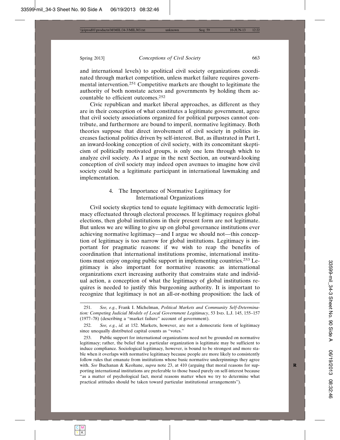\\jciprod01\productn\M\MIL\34-3\MIL303.txt unknown Seq: 59 10-JUN-13 12:22

Spring 2013] *Conceptions of Civil Society* 663

and international levels) to apolitical civil society organizations coordinated through market competition, unless market failure requires governmental intervention.251 Competitive markets are thought to legitimate the authority of both nonstate actors and governments by holding them accountable to efficient outcomes.252

Civic republican and market liberal approaches, as different as they are in their conception of what constitutes a legitimate government, agree that civil society associations organized for political purposes cannot contribute, and furthermore are bound to imperil, normative legitimacy. Both theories suppose that direct involvement of civil society in politics increases factional politics driven by self-interest. But, as illustrated in Part I, an inward-looking conception of civil society, with its concomitant skepticism of politically motivated groups, is only one lens through which to analyze civil society. As I argue in the next Section, an outward-looking conception of civil society may indeed open avenues to imagine how civil society could be a legitimate participant in international lawmaking and implementation.

## 4. The Importance of Normative Legitimacy for International Organizations

Civil society skeptics tend to equate legitimacy with democratic legitimacy effectuated through electoral processes. If legitimacy requires global elections, then global institutions in their present form are not legitimate. But unless we are willing to give up on global governance institutions ever achieving normative legitimacy—and I argue we should not—this conception of legitimacy is too narrow for global institutions. Legitimacy is important for pragmatic reasons: if we wish to reap the benefits of coordination that international institutions promise, international institutions must enjoy ongoing public support in implementing countries.253 Legitimacy is also important for normative reasons: as international organizations exert increasing authority that constrains state and individual action, a conception of what the legitimacy of global institutions requires is needed to justify this burgeoning authority. It is important to recognize that legitimacy is not an all-or-nothing proposition: the lack of

253. Public support for international organizations need not be grounded on normative legitimacy; rather, the belief that a particular organization is legitimate may be sufficient to induce compliance. Sociological legitimacy, however, is bound to be strongest and more stable when it overlaps with normative legitimacy because people are more likely to consistently follow rules that emanate from institutions whose basic normative underpinnings they agree with. *See* Buchanan & Keohane, *supra* note 23, at 410 (arguing that moral reasons for supporting international institutions are preferable to those based purely on self-interest because "as a matter of psychological fact, moral reasons matter when we try to determine what practical attitudes should be taken toward particular institutional arrangements").

<sup>251.</sup> *See, e.g.*, Frank I. Michelman, *Political Markets and Community Self-Determination: Competing Judicial Models of Local Government Legitimacy*, 53 IND. L.J. 145, 155–157 (1977–78) (describing a "market failure" account of government).

<sup>252.</sup> *See, e.g.*, *id.* at 152. Markets, however, are not a democratic form of legitimacy since unequally distributed capital counts as "votes."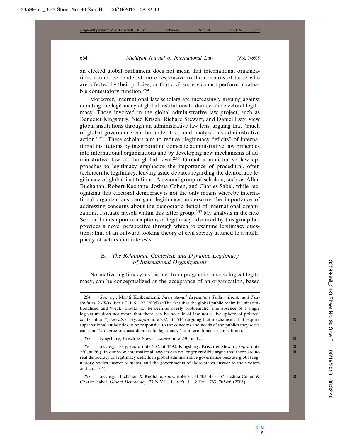\\jciprod01\productn\M\MIL\34-3\MIL303.txt unknown Seq: 60 10-JUN-13

664 *Michigan Journal of International Law* [Vol. 34:605

an elected global parliament does not mean that international organizations cannot be rendered more responsive to the concerns of those who are affected by their policies, or that civil society cannot perform a valuable contestatory function.254

Moreover, international law scholars are increasingly arguing against equating the legitimacy of global institutions to democratic electoral legitimacy. Those involved in the global administrative law project, such as Benedict Kingsbury, Nico Krisch, Richard Stewart, and Daniel Esty, view global institutions through an administrative law lens, arguing that "much of global governance can be understood and analyzed as administrative action."255 These scholars aim to reduce "legitimacy deficits" of international institutions by incorporating domestic administrative law principles into international organizations and by developing new mechanisms of administrative law at the global level.256 Global administrative law approaches to legitimacy emphasize the importance of procedural, often technocratic legitimacy, leaving aside debates regarding the democratic legitimacy of global institutions. A second group of scholars, such as Allan Buchanan, Robert Keohane, Joshua Cohen, and Charles Sabel, while recognizing that electoral democracy is not the only means whereby international organizations can gain legitimacy, underscore the importance of addressing concerns about the democratic deficit of international organizations. I situate myself within this latter group.257 My analysis in the next Section builds upon conceptions of legitimacy advanced by this group but provides a novel perspective through which to examine legitimacy questions: that of an outward-looking theory of civil society attuned to a multiplicity of actors and interests.

## B. *The Relational, Contested, and Dynamic Legitimacy of International Organizations*

Normative legitimacy, as distinct from pragmatic or sociological legitimacy, can be conceptualized as the acceptance of an organization, based

257. *See, e.g.*, Buchanan & Keohane, *supra* note 23, at 403, 433–-37; Joshua Cohen & **R** Charles Sabel, *Global Democracy*, 37 N.Y.U. J. INT'L. L. & POL. 763, 765-66 (2006).

<sup>254.</sup> *See, e.g.*, Martti Koskenniemi, *International Legislation Today: Limits and Possibilities*, 23 WIS. INT'L L.J. 61, 92 (2005) ("The fact that the global public realm is uninstitutionalised and 'weak' should not be seen as overly problematic. The absence of a single legislature does not mean that there can be no rule of law nor a live sphere of political contestation."); *see also* Esty, *supra* note 232, at 1514 (arguing that mechanisms that require **R** supranational authorities to be responsive to the concerns and needs of the publics they serve can lend "a degree of quasi-democratic legitimacy" to international organizations).

<sup>255.</sup> Kingsbury, Krisch & Stewart, *supra* note 230, at 17. **R**

<sup>256.</sup> *See, e.g.*, Esty, *supra* note 232, at 1490; Kingsbury, Krisch & Stewart, *supra* note **R** 230, at 26 ("In our view, international lawyers can no longer credibly argue that there are no **R** real democracy or legitimacy deficits in global administrative governance because global regulatory bodies answer to states, and the governments of those states answer to their voters and courts."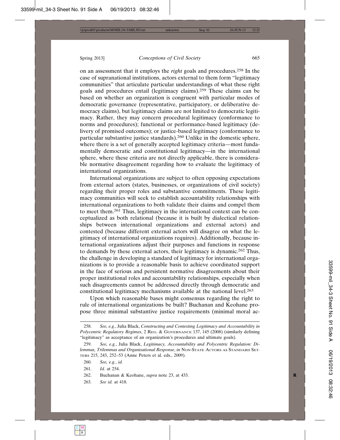\\jciprod01\productn\M\MIL\34-3\MIL303.txt unknown Seq: 61 10-JUN-13 12:22

Spring 2013] *Conceptions of Civil Society* 665

on an assessment that it employs the *right* goals and procedures.258 In the case of supranational institutions, actors external to them form "legitimacy communities" that articulate particular understandings of what these right goals and procedures entail (legitimacy claims).259 These claims can be based on whether an organization is congruent with particular modes of democratic governance (representative, participatory, or deliberative democracy claims), but legitimacy claims are not limited to democratic legitimacy. Rather, they may concern procedural legitimacy (conformance to norms and procedures); functional or performance-based legitimacy (delivery of promised outcomes); or justice-based legitimacy (conformance to particular substantive justice standards).260 Unlike in the domestic sphere, where there is a set of generally accepted legitimacy criteria—most fundamentally democratic and constitutional legitimacy—in the international sphere, where these criteria are not directly applicable, there is considerable normative disagreement regarding how to evaluate the legitimacy of international organizations.

International organizations are subject to often opposing expectations from external actors (states, businesses, or organizations of civil society) regarding their proper roles and substantive commitments. These legitimacy communities will seek to establish accountability relationships with international organizations to both validate their claims and compel them to meet them.261 Thus, legitimacy in the international context can be conceptualized as both relational (because it is built by dialectical relationships between international organizations and external actors) and contested (because different external actors will disagree on what the legitimacy of international organizations requires). Additionally, because international organizations adjust their purposes and functions in response to demands by these external actors, their legitimacy is dynamic.262 Thus, the challenge in developing a standard of legitimacy for international organizations is to provide a reasonable basis to achieve coordinated support in the face of serious and persistent normative disagreements about their proper institutional roles and accountability relationships, especially when such disagreements cannot be addressed directly through democratic and constitutional legitimacy mechanisms available at the national level.263

Upon which reasonable bases might consensus regarding the right to rule of international organizations be built? Buchanan and Keohane propose three minimal substantive justice requirements (minimal moral ac-

<sup>258.</sup> *See, e.g.*, Julia Black, *Constructing and Contesting Legitimacy and Accountability in Polycentric Regulatory Regimes*, 2 REG. & GOVERNANCE 137, 145 (2008) (similarly defining "legitimacy" as acceptance of an organization's procedures and ultimate goals).

<sup>259.</sup> *See, e.g.*, Julia Black, *Legitimacy, Accountability and Polycentric Regulation: Dilemmas, Trilemmas and Organisational Response*, *in* NON-STATE ACTORS AS STANDARD SET-TERS 215, 243, 252–53 (Anne Peters et al. eds., 2009).

<sup>260.</sup> *See, e.g.*, *id.*

<sup>261.</sup> *Id.* at 254.

<sup>262.</sup> Buchanan & Keohane, *supra* note 23, at 433. **R**

<sup>263.</sup> *See id.* at 418.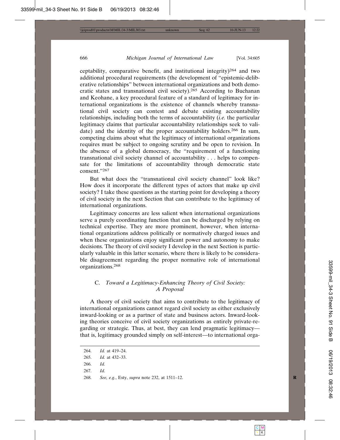\\jciprod01\productn\M\MIL\34-3\MIL303.txt unknown Seq: 62 10-JUN-13 12:22

### 666 *Michigan Journal of International Law* [Vol. 34:605

ceptability, comparative benefit, and institutional integrity) $264$  and two additional procedural requirements (the development of "epistemic-deliberative relationships" between international organizations and both democratic states and transnational civil society).265 According to Buchanan and Keohane, a key procedural feature of a standard of legitimacy for international organizations is the existence of channels whereby transnational civil society can contest and debate existing accountability relationships, including both the terms of accountability (*i.e.* the particular legitimacy claims that particular accountability relationships seek to validate) and the identity of the proper accountability holders.266 In sum, competing claims about what the legitimacy of international organizations requires must be subject to ongoing scrutiny and be open to revision. In the absence of a global democracy, the "requirement of a functioning transnational civil society channel of accountability . . . helps to compensate for the limitations of accountability through democratic state consent."<sup>267</sup>

But what does the "transnational civil society channel" look like? How does it incorporate the different types of actors that make up civil society? I take these questions as the starting point for developing a theory of civil society in the next Section that can contribute to the legitimacy of international organizations.

Legitimacy concerns are less salient when international organizations serve a purely coordinating function that can be discharged by relying on technical expertise. They are more prominent, however, when international organizations address politically or normatively charged issues and when these organizations enjoy significant power and autonomy to make decisions. The theory of civil society I develop in the next Section is particularly valuable in this latter scenario, where there is likely to be considerable disagreement regarding the proper normative role of international organizations.<sup>268</sup>

# C. *Toward a Legitimacy-Enhancing Theory of Civil Society: A Proposal*

A theory of civil society that aims to contribute to the legitimacy of international organizations cannot regard civil society as either exclusively inward-looking or as a partner of state and business actors. Inward-looking theories conceive of civil society organizations as entirely private-regarding or strategic. Thus, at best, they can lend pragmatic legitimacy that is, legitimacy grounded simply on self-interest—to international orga-

268. *See, e.g.*, Esty, *supra* note 232, at 1511–12. **R**

<sup>264.</sup> *Id.* at 419–24.

<sup>265.</sup> *Id.* at 432–33.

<sup>266.</sup> *Id.*

<sup>267.</sup> *Id.*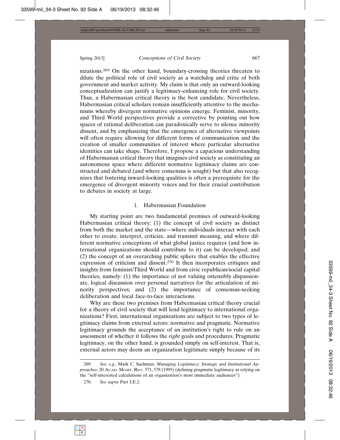\\jciprod01\productn\M\MIL\34-3\MIL303.txt unknown Seq: 63 10-JUN-13 12:22

### Spring 2013] *Conceptions of Civil Society* 667

nizations.269 On the other hand, boundary-crossing theories threaten to dilute the political role of civil society as a watchdog and critic of both government and market activity. My claim is that only an outward-looking conceptualization can justify a legitimacy-enhancing role for civil society. Thus, a Habermasian critical theory is the best candidate. Nevertheless, Habermasian critical scholars remain insufficiently attentive to the mechanisms whereby divergent normative opinions emerge. Feminist, minority, and Third World perspectives provide a corrective by pointing out how spaces of rational deliberation can paradoxically serve to silence minority dissent, and by emphasizing that the emergence of alternative viewpoints will often require allowing for different forms of communication and the creation of smaller communities of interest where particular alternative identities can take shape. Therefore, I propose a capacious understanding of Habermasian critical theory that imagines civil society as constituting an autonomous space where different normative legitimacy claims are constructed and debated (and where consensus is sought) but that also recognizes that fostering inward-looking qualities is often a prerequisite for the emergence of divergent minority voices and for their crucial contribution to debates in society at large.

### 1. Habermasian Foundation

My starting point are two fundamental premises of outward-looking Habermasian critical theory: (1) the concept of civil society as distinct from both the market and the state—where individuals interact with each other to create, interpret, criticize, and transmit meaning, and where different normative conceptions of what global justice requires (and how international organizations should contribute to it) can be developed; and (2) the concept of an overarching public sphere that enables the effective expression of criticism and dissent.270 It then incorporates critiques and insights from feminist/Third World and from civic republican/social capital theories, namely: (1) the importance of not valuing ostensibly dispassionate, logical discussion over personal narratives for the articulation of minority perspectives; and (2) the importance of consensus-seeking deliberation and local face-to-face interactions.

Why are these two premises from Habermasian critical theory crucial for a theory of civil society that will lend legitimacy to international organizations? First, international organizations are subject to two types of legitimacy claims from external actors: normative and pragmatic. Normative legitimacy grounds the acceptance of an institution's right to rule on an assessment of whether it follows the *right* goals and procedures. Pragmatic legitimacy, on the other hand, is grounded simply on self-interest. That is, external actors may deem an organization legitimate simply because of its

<sup>269.</sup> *See, e.g.*, Mark C. Suchman, *Managing Legitimacy: Strategic and Institutional Approaches*, 20 ACAD. MGMT. REV. 571, 578 (1995) (defining pragmatic legitimacy as relying on the "self-interested calculations of an organization's most immediate audiences").

<sup>270.</sup> *See supra* Part I.E.2.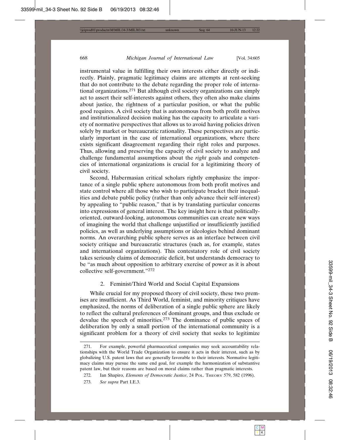$\overline{\text{Niciprodl}}$  10-JUN-13 12:22

### 668 *Michigan Journal of International Law* [Vol. 34:605

instrumental value in fulfilling their own interests either directly or indirectly. Plainly, pragmatic legitimacy claims are attempts at rent-seeking that do not contribute to the debate regarding the proper role of international organizations.271 But although civil society organizations can simply act to assert their self-interests against others, they often also make claims about justice, the rightness of a particular position, or what the public good requires. A civil society that is autonomous from both profit motives and institutionalized decision making has the capacity to articulate a variety of normative perspectives that allows us to avoid having policies driven solely by market or bureaucratic rationality. These perspectives are particularly important in the case of international organizations, where there exists significant disagreement regarding their right roles and purposes. Thus, allowing and preserving the capacity of civil society to analyze and challenge fundamental assumptions about the *right* goals and competencies of international organizations is crucial for a legitimizing theory of civil society.

Second, Habermasian critical scholars rightly emphasize the importance of a single public sphere autonomous from both profit motives and state control where all those who wish to participate bracket their inequalities and debate public policy (rather than only advance their self-interest) by appealing to "public reason," that is by translating particular concerns into expressions of general interest. The key insight here is that politicallyoriented, outward-looking, autonomous communities can create new ways of imagining the world that challenge unjustified or insufficiently justified policies, as well as underlying assumptions or ideologies behind dominant norms. An overarching public sphere serves as an interface between civil society critique and bureaucratic structures (such as, for example, states and international organizations). This contestatory role of civil society takes seriously claims of democratic deficit, but understands democracy to be "as much about opposition to arbitrary exercise of power as it is about collective self-government."272

### 2. Feminist/Third World and Social Capital Expansions

While crucial for my proposed theory of civil society, these two premises are insufficient. As Third World, feminist, and minority critiques have emphasized, the norms of deliberation of a single public sphere are likely to reflect the cultural preferences of dominant groups, and thus exclude or devalue the speech of minorities.273 The dominance of public spaces of deliberation by only a small portion of the international community is a significant problem for a theory of civil society that seeks to legitimize

<sup>271.</sup> For example, powerful pharmaceutical companies may seek accountability relationships with the World Trade Organization to ensure it acts in their interest, such as by globalizing U.S. patent laws that are generally favorable to their interests. Normative legitimacy claims may pursue the same end goal, for example the harmonization of substantive patent law, but their reasons are based on moral claims rather than pragmatic interests.

<sup>272.</sup> Ian Shapiro, *Elements of Democratic Justice*, 24 POL. THEORY 579, 582 (1996).

<sup>273.</sup> *See supra* Part I.E.3.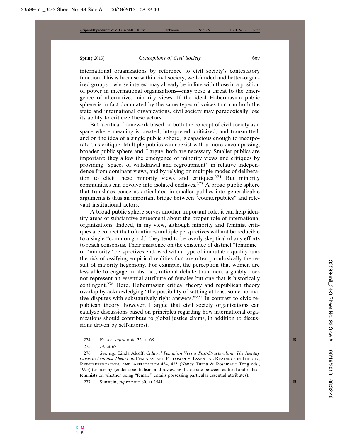\\jciprod01\productn\M\MIL\34-3\MIL303.txt unknown Seq: 65 10-JUN-13 12:22

Spring 2013] *Conceptions of Civil Society* 669

international organizations by reference to civil society's contestatory function. This is because within civil society, well-funded and better-organized groups—whose interest may already be in line with those in a position of power in international organizations—may pose a threat to the emergence of alternative, minority views. If the ideal Habermasian public sphere is in fact dominated by the same types of voices that run both the state and international organizations, civil society may paradoxically lose its ability to criticize these actors.

But a critical framework based on both the concept of civil society as a space where meaning is created, interpreted, criticized, and transmitted, and on the idea of a single public sphere, is capacious enough to incorporate this critique. Multiple publics can coexist with a more encompassing, broader public sphere and, I argue, both are necessary. Smaller publics are important: they allow the emergence of minority views and critiques by providing "spaces of withdrawal and regroupment" in relative independence from dominant views, and by relying on multiple modes of deliberation to elicit these minority views and critiques.274 But minority communities can devolve into isolated enclaves.275 A broad public sphere that translates concerns articulated in smaller publics into generalizable arguments is thus an important bridge between "counterpublics" and relevant institutional actors.

A broad public sphere serves another important role: it can help identify areas of substantive agreement about the proper role of international organizations. Indeed, in my view, although minority and feminist critiques are correct that oftentimes multiple perspectives will not be reducible to a single "common good," they tend to be overly skeptical of any efforts to reach consensus. Their insistence on the existence of distinct "feminine" or "minority" perspectives endowed with a type of immutable quality runs the risk of ossifying empirical realities that are often paradoxically the result of majority hegemony. For example, the perception that women are less able to engage in abstract, rational debate than men, arguably does not represent an essential attribute of females but one that is historically contingent.276 Here, Habermasian critical theory and republican theory overlap by acknowledging "the possibility of settling at least some normative disputes with substantively right answers."277 In contrast to civic republican theory, however, I argue that civil society organizations can catalyze discussions based on principles regarding how international organizations should contribute to global justice claims, in addition to discussions driven by self-interest.

<sup>274.</sup> Fraser, *supra* note 32, at 68. **R**

<sup>275.</sup> *Id.* at 67.

<sup>276.</sup> *See, e.g.*, Linda Alcoff, *Cultural Feminism Versus Post-Structuralism: The Identity Crisis in Feminist Theory*, *in* FEMINISM AND PHILOSOPHY: ESSENTIAL READINGS IN THEORY, REINTERPRETATION, AND APPLICATION 434, 435 (Nancy Tuana & Rosemarie Tong eds., 1995) (criticizing gender essentialism, and reviewing the debate between cultural and radical feminists on whether being "female" entails possessing particular essential attributes).

<sup>277.</sup> Sunstein, *supra* note 80, at 1541. **R**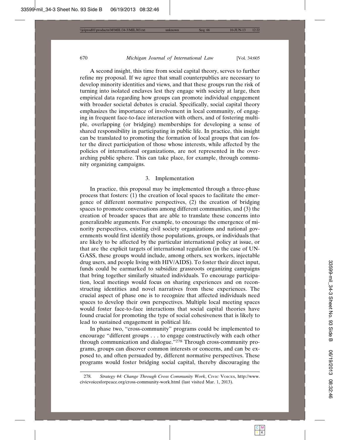\\jciprod01\productn\M\MIL\34-3\MIL303.txt unknown Seq: 66 10-JUN-13 12:22

## 670 *Michigan Journal of International Law* [Vol. 34:605

A second insight, this time from social capital theory, serves to further refine my proposal. If we agree that small counterpublics are necessary to develop minority identities and views, and that these groups run the risk of turning into isolated enclaves lest they engage with society at large, then empirical data regarding how groups can promote individual engagement with broader societal debates is crucial. Specifically, social capital theory emphasizes the importance of involvement in local community, of engaging in frequent face-to-face interaction with others, and of fostering multiple, overlapping (or bridging) memberships for developing a sense of shared responsibility in participating in public life. In practice, this insight can be translated to promoting the formation of local groups that can foster the direct participation of those whose interests, while affected by the policies of international organizations, are not represented in the overarching public sphere. This can take place, for example, through community organizing campaigns.

### 3. Implementation

In practice, this proposal may be implemented through a three-phase process that fosters: (1) the creation of local spaces to facilitate the emergence of different normative perspectives, (2) the creation of bridging spaces to promote conversations among different communities, and (3) the creation of broader spaces that are able to translate these concerns into generalizable arguments. For example, to encourage the emergence of minority perspectives, existing civil society organizations and national governments would first identify those populations, groups, or individuals that are likely to be affected by the particular international policy at issue, or that are the explicit targets of international regulation (in the case of UN-GASS, these groups would include, among others, sex workers, injectable drug users, and people living with HIV/AIDS). To foster their direct input, funds could be earmarked to subsidize grassroots organizing campaigns that bring together similarly situated individuals. To encourage participation, local meetings would focus on sharing experiences and on reconstructing identities and novel narratives from these experiences. The crucial aspect of phase one is to recognize that affected individuals need spaces to develop their own perspectives. Multiple local meeting spaces would foster face-to-face interactions that social capital theories have found crucial for promoting the type of social cohesiveness that is likely to lead to sustained engagement in political life.

In phase two, "cross-community" programs could be implemented to encourage "different groups . . . to engage constructively with each other through communication and dialogue."278 Through cross-community programs, groups can discover common interests or concerns, and can be exposed to, and often persuaded by, different normative perspectives. These programs would foster bridging social capital, thereby discouraging the

<sup>278.</sup> *Strategy #4: Change Through Cross Community Work*, CIVIC VOICES, http://www. civicvoicesforpeace.org/cross-community-work.html (last visited Mar. 1, 2013).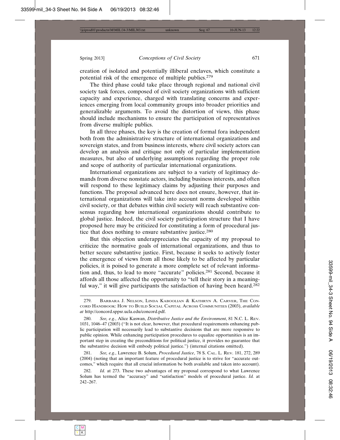\\jciprod01\productn\M\MIL\34-3\MIL303.txt unknown Seq: 67 10-JUN-13 12:22

C M Y | K

### Spring 2013] *Conceptions of Civil Society* 671

creation of isolated and potentially illiberal enclaves, which constitute a

The third phase could take place through regional and national civil society task forces, composed of civil society organizations with sufficient capacity and experience, charged with translating concerns and experiences emerging from local community groups into broader priorities and generalizable arguments. To avoid the distortion of views, this phase should include mechanisms to ensure the participation of representatives from diverse multiple publics.

potential risk of the emergence of multiple publics.279

In all three phases, the key is the creation of formal fora independent both from the administrative structure of international organizations and sovereign states, and from business interests, where civil society actors can develop an analysis and critique not only of particular implementation measures, but also of underlying assumptions regarding the proper role and scope of authority of particular international organizations.

International organizations are subject to a variety of legitimacy demands from diverse nonstate actors, including business interests, and often will respond to these legitimacy claims by adjusting their purposes and functions. The proposal advanced here does not ensure, however, that international organizations will take into account norms developed within civil society, or that debates within civil society will reach substantive consensus regarding how international organizations should contribute to global justice. Indeed, the civil society participation structure that I have proposed here may be criticized for constituting a form of procedural justice that does nothing to ensure substantive justice.280

But this objection underappreciates the capacity of my proposal to criticize the normative goals of international organizations, and thus to better secure substantive justice. First, because it seeks to actively foster the emergence of views from all those likely to be affected by particular policies, it is poised to generate a more complete set of relevant information and, thus, to lead to more "accurate" policies.281 Second, because it affords all those affected the opportunity to "tell their story in a meaningful way," it will give participants the satisfaction of having been heard.<sup>282</sup>

281. *See, e.g.*, Lawrence B. Solum, *Procedural Justice*, 78 S. CAL. L. REV. 181, 272, 289 (2004) (noting that an important feature of procedural justice is to strive for "accurate outcomes," which require that all crucial information be both available and taken into account).

<sup>279.</sup> BARBARA J. NELSON, LINDA KABOOLIAN & KATHRYN A. CARVER, THE CON-CORD HANDBOOK: HOW TO BUILD SOCIAL CAPITAL ACROSS COMMUNITIES (2003), *available at* http://concord.sppsr.ucla.edu/concord.pdf.

<sup>280.</sup> *See, e.g.*, Alice Kaswan, *Distributive Justice and the Environment*, 81 N.C. L. REV. 1031, 1046–47 (2003) ("It is not clear, however, that procedural requirements enhancing public participation will necessarily lead to substantive decisions that are more responsive to public opinion. While enhancing participation procedures to equalize opportunities is an important step in creating the preconditions for political justice, it provides no guarantee that the substantive decision will embody political justice.") (internal citations omitted).

<sup>282.</sup> *Id.* at 273. These two advantages of my proposal correspond to what Lawrence Solum has termed the "accuracy" and "satisfaction" models of procedural justice. *Id.* at 242–267.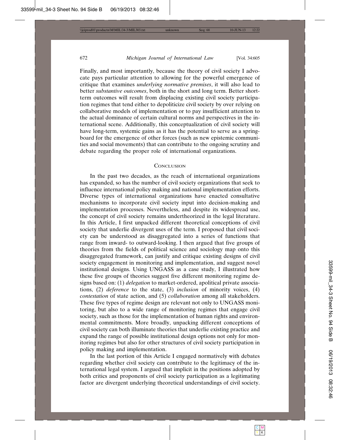\\jciprod01\productn\M\MIL\34-3\MIL303.txt unknown Seq: 68 10-JUN-13 12:22

# 672 *Michigan Journal of International Law* [Vol. 34:605

Finally, and most importantly, because the theory of civil society I advocate pays particular attention to allowing for the powerful emergence of critique that examines *underlying normative premises*, it will also lead to better *substantive outcomes*, both in the short and long term. Better shortterm outcomes will result from displacing existing civil society participation regimes that tend either to depoliticize civil society by over relying on collaborative models of implementation or to pay insufficient attention to the actual dominance of certain cultural norms and perspectives in the international scene. Additionally, this conceptualization of civil society will have long-term, systemic gains as it has the potential to serve as a springboard for the emergence of other forces (such as new epistemic communities and social movements) that can contribute to the ongoing scrutiny and debate regarding the proper role of international organizations.

### **CONCLUSION**

In the past two decades, as the reach of international organizations has expanded, so has the number of civil society organizations that seek to influence international policy making and national implementation efforts. Diverse types of international organizations have enacted consultative mechanisms to incorporate civil society input into decision-making and implementation processes. Nevertheless, and despite its widespread use, the concept of civil society remains undertheorized in the legal literature. In this Article, I first unpacked different theoretical conceptions of civil society that underlie divergent uses of the term. I proposed that civil society can be understood as disaggregated into a series of functions that range from inward- to outward-looking. I then argued that five groups of theories from the fields of political science and sociology map onto this disaggregated framework, can justify and critique existing designs of civil society engagement in monitoring and implementation, and suggest novel institutional designs. Using UNGASS as a case study, I illustrated how these five groups of theories suggest five different monitoring regime designs based on: (1) *delegation* to market-ordered, apolitical private associations, (2) *deference* to the state, (3) *inclusion* of minority voices, (4) *contestation* of state action, and (5) *collaboration* among all stakeholders. These five types of regime design are relevant not only to UNGASS monitoring, but also to a wide range of monitoring regimes that engage civil society, such as those for the implementation of human rights and environmental commitments. More broadly, unpacking different conceptions of civil society can both illuminate theories that underlie existing practice and expand the range of possible institutional design options not only for monitoring regimes but also for other structures of civil society participation in policy making and implementation.

In the last portion of this Article I engaged normatively with debates regarding whether civil society can contribute to the legitimacy of the international legal system. I argued that implicit in the positions adopted by both critics and proponents of civil society participation as a legitimating factor are divergent underlying theoretical understandings of civil society.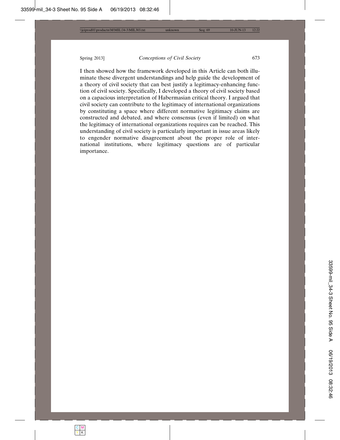\)\jciprod01\productn\M\MIL\34-3\MIL303.txt unknown Seq: 69 10-JUN-13 12:22

## Spring 2013] *Conceptions of Civil Society* 673

I then showed how the framework developed in this Article can both illuminate these divergent understandings and help guide the development of a theory of civil society that can best justify a legitimacy-enhancing function of civil society. Specifically, I developed a theory of civil society based on a capacious interpretation of Habermasian critical theory. I argued that civil society can contribute to the legitimacy of international organizations by constituting a space where different normative legitimacy claims are constructed and debated, and where consensus (even if limited) on what the legitimacy of international organizations requires can be reached. This understanding of civil society is particularly important in issue areas likely to engender normative disagreement about the proper role of international institutions, where legitimacy questions are of particular importance.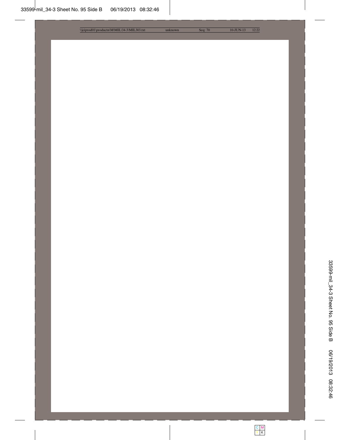| \\jciprod01\productn\M\MIL\34-3\MIL303.txt | unknown | Seq: 70 | $10-JUN-13$ | 12:22 |  |
|--------------------------------------------|---------|---------|-------------|-------|--|
|                                            |         |         |             |       |  |
|                                            |         |         |             |       |  |
|                                            |         |         |             |       |  |
|                                            |         |         |             |       |  |
|                                            |         |         |             |       |  |
|                                            |         |         |             |       |  |
|                                            |         |         |             |       |  |
|                                            |         |         |             |       |  |
|                                            |         |         |             |       |  |
|                                            |         |         |             |       |  |
|                                            |         |         |             |       |  |
|                                            |         |         |             |       |  |
|                                            |         |         |             |       |  |
|                                            |         |         |             |       |  |
|                                            |         |         |             |       |  |
|                                            |         |         |             |       |  |
|                                            |         |         |             |       |  |
|                                            |         |         |             |       |  |
|                                            |         |         |             |       |  |
|                                            |         |         |             |       |  |
|                                            |         |         |             |       |  |
|                                            |         |         |             |       |  |
|                                            |         |         |             | $C$ M |  |

Y | K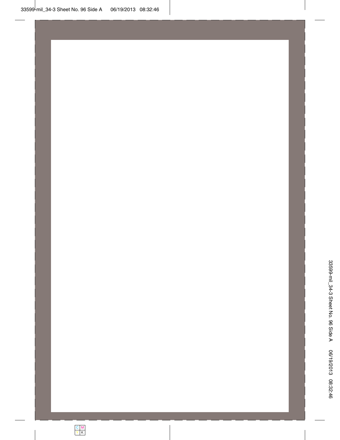